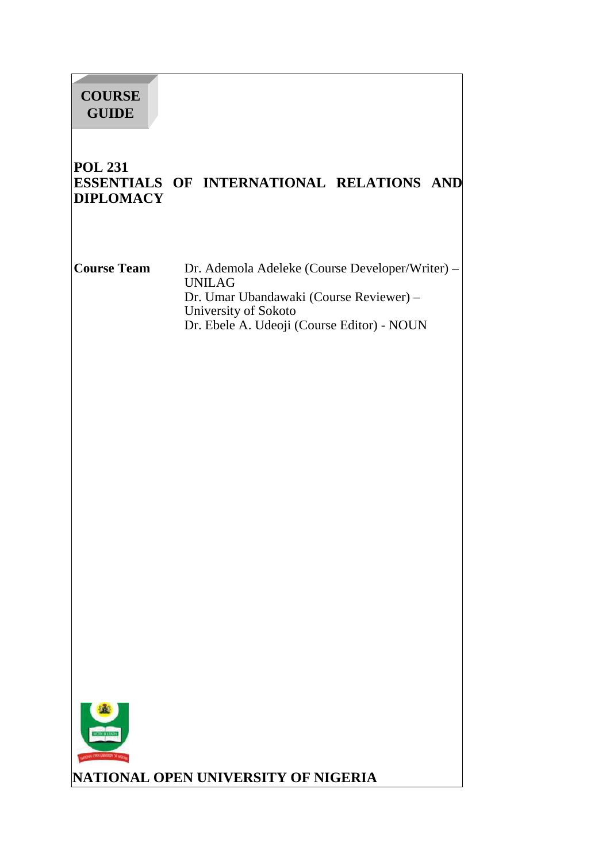# **COURSE GUIDE**

## **POL 231 ESSENTIALS OF INTERNATIONAL RELATIONS AND DIPLOMACY**

**Course Team** Dr. Ademola Adeleke (Course Developer/Writer) – UNILAG Dr. Umar Ubandawaki (Course Reviewer) – University of Sokoto Dr. Ebele A. Udeoji (Course Editor) - NOUN



**NATIONAL OPEN UNIVERSITY OF NIGERIA**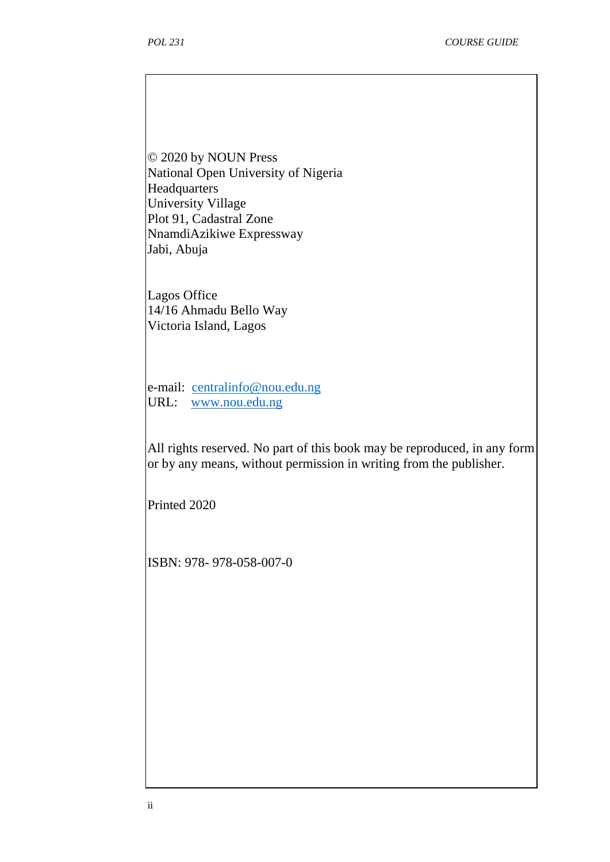© 2020 by NOUN Press National Open University of Nigeria Headquarters University Village Plot 91, Cadastral Zone NnamdiAzikiwe Expressway Jabi, Abuja

Lagos Office 14/16 Ahmadu Bello Way Victoria Island, Lagos

e-mail: centralinfo@nou.edu.ng URL: www.nou.edu.ng

All rights reserved. No part of this book may be reproduced, in any form or by any means, without permission in writing from the publisher.

Printed 2020

ISBN: 978- 978-058-007-0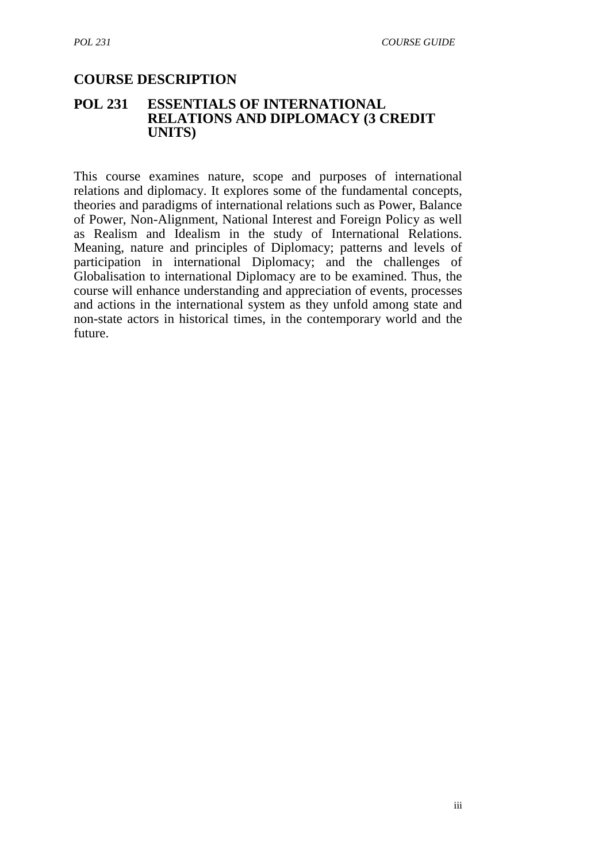#### **COURSE DESCRIPTION**

#### **POL 231 ESSENTIALS OF INTERNATIONAL RELATIONS AND DIPLOMACY (3 CREDIT UNITS)**

This course examines nature, scope and purposes of international relations and diplomacy. It explores some of the fundamental concepts, theories and paradigms of international relations such as Power, Balance of Power, Non-Alignment, National Interest and Foreign Policy as well as Realism and Idealism in the study of International Relations. Meaning, nature and principles of Diplomacy; patterns and levels of participation in international Diplomacy; and the challenges of Globalisation to international Diplomacy are to be examined. Thus, the course will enhance understanding and appreciation of events, processes and actions in the international system as they unfold among state and non-state actors in historical times, in the contemporary world and the future.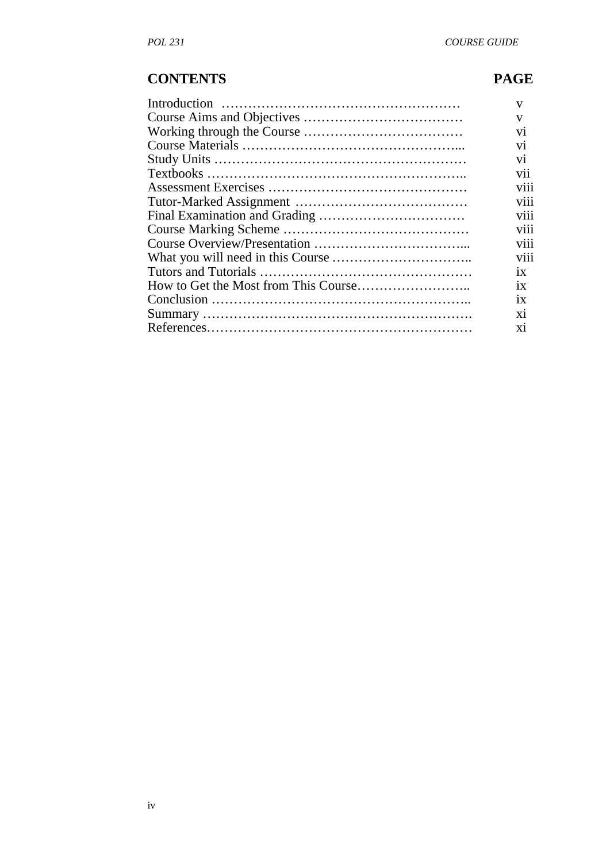# **CONTENTS PAGE**

| v                            |
|------------------------------|
| V                            |
| V <sub>1</sub>               |
| V <sub>1</sub>               |
| V <sub>1</sub>               |
| $\cdot$ $\cdot$<br>V11       |
| V111                         |
| V <sub>111</sub>             |
| $\cdots$<br>V <sub>111</sub> |
| V <sub>11</sub>              |
| V111                         |
| viii                         |
| 1X                           |
| 1X                           |
| 1X                           |
| X1                           |
| X1                           |
|                              |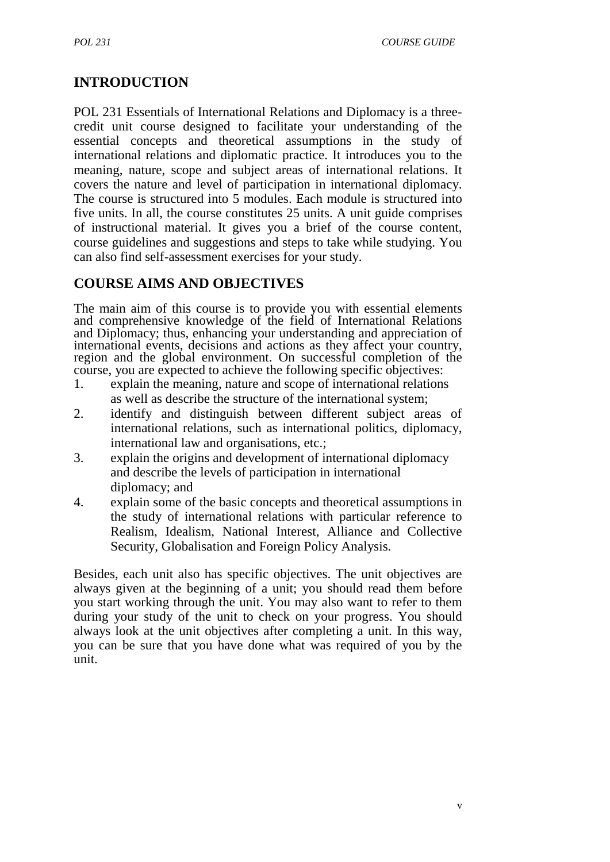## **INTRODUCTION**

POL 231 Essentials of International Relations and Diplomacy is a three credit unit course designed to facilitate your understanding of the essential concepts and theoretical assumptions in the study of international relations and diplomatic practice. It introduces you to the meaning, nature, scope and subject areas of international relations. It covers the nature and level of participation in international diplomacy. The course is structured into 5 modules. Each module is structured into five units. In all, the course constitutes 25 units. A unit guide comprises of instructional material. It gives you a brief of the course content, course guidelines and suggestions and steps to take while studying. You can also find self-assessment exercises for your study.

## **COURSE AIMS AND OBJECTIVES**

The main aim of this course is to provide you with essential elements and comprehensive knowledge of the field of International Relations and Diplomacy; thus, enhancing your understanding and appreciation of international events, decisions and actions as they affect your country, region and the global environment. On successful completion of the course, you are expected to achieve the following specific objectives:

- 1. explain the meaning, nature and scope of international relations as well as describe the structure of the international system;
- 2. identify and distinguish between different subject areas of international relations, such as international politics, diplomacy, international law and organisations, etc.;
- 3. explain the origins and development of international diplomacy and describe the levels of participation in international diplomacy; and
- 4. explain some of the basic concepts and theoretical assumptions in the study of international relations with particular reference to Realism, Idealism, National Interest, Alliance and Collective Security, Globalisation and Foreign Policy Analysis.

Besides, each unit also has specific objectives. The unit objectives are always given at the beginning of a unit; you should read them before you start working through the unit. You may also want to refer to them during your study of the unit to check on your progress. You should always look at the unit objectives after completing a unit. In this way, you can be sure that you have done what was required of you by the unit.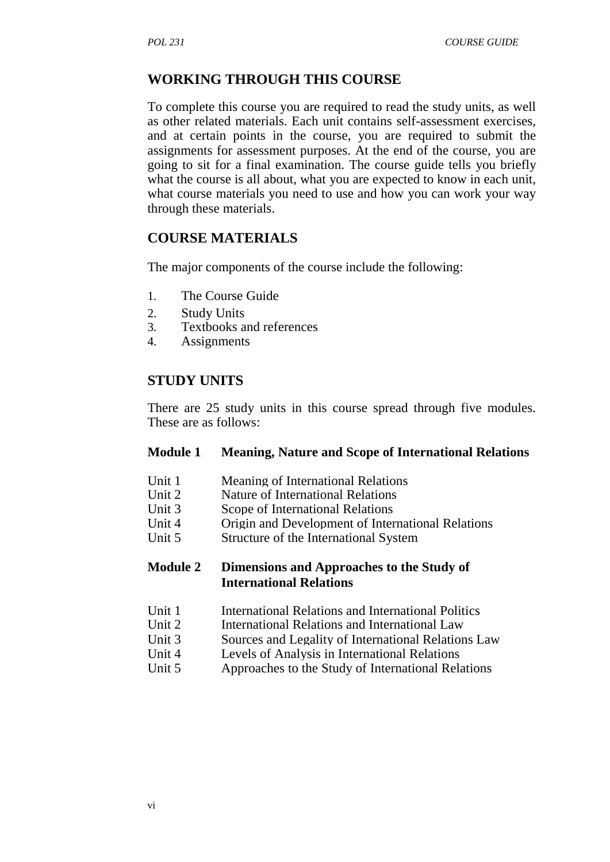## **WORKING THROUGH THIS COURSE**

To complete this course you are required to read the study units, as well as other related materials. Each unit contains self-assessment exercises, and at certain points in the course, you are required to submit the assignments for assessment purposes. At the end of the course, you are going to sit for a final examination. The course guide tells you briefly what the course is all about, what you are expected to know in each unit, what course materials you need to use and how you can work your way through these materials.

#### **COURSE MATERIALS**

The major components of the course include the following:

- 1. The Course Guide
- 2. Study Units
- 3. Textbooks and references
- 4. Assignments

#### **STUDY UNITS**

There are 25 study units in this course spread through five modules. These are as follows:

#### **Module 1 Meaning, Nature and Scope of International Relations**

- Unit 1 Meaning of International Relations
- Unit 2 Nature of International Relations
- Unit 3 Scope of International Relations
- Unit 4 Origin and Development of International Relations<br>Unit 5 Structure of the International System
- Structure of the International System

#### **Module 2 Dimensions and Approaches to the Study of International Relations**

- Unit 1 International Relations and International Politics
- Unit 2 International Relations and International Law
- Unit 3 Sources and Legality of International Relations Law
- Unit 4 Levels of Analysis in International Relations
- Unit 5 Approaches to the Study of International Relations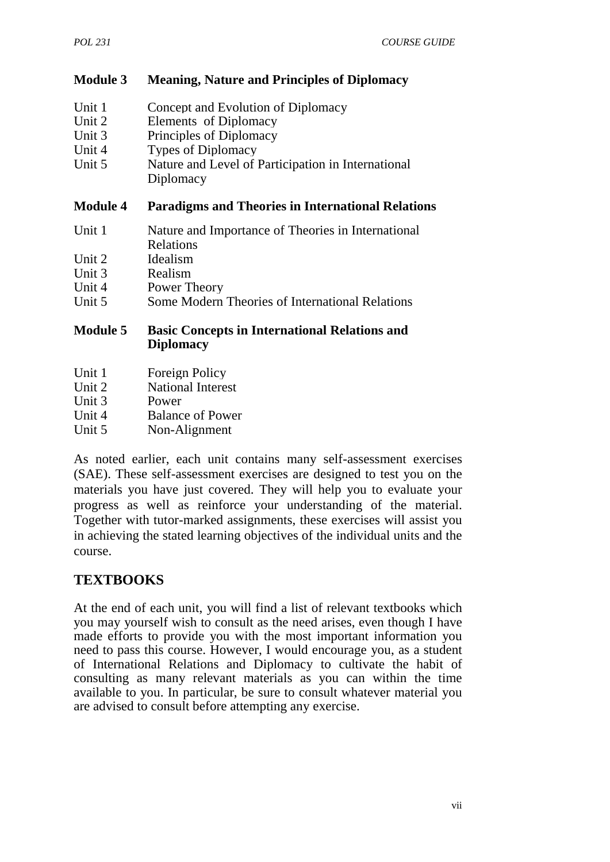#### **Module 3 Meaning, Nature and Principles of Diplomacy**

| Unit 1 | Concept and Evolution of Diplomacy                 |
|--------|----------------------------------------------------|
| Unit 2 | Elements of Diplomacy                              |
| Unit 3 | Principles of Diplomacy                            |
| Unit 4 | <b>Types of Diplomacy</b>                          |
| Unit 5 | Nature and Level of Participation in International |
|        | Diplomacy                                          |

#### **Module 4 Paradigms and Theories in International Relations**

- Unit 1 Nature and Importance of Theories in International Relations
- Unit 2 Idealism
- Unit 3 Realism
- Unit 4 Power Theory
- Unit 5 Some Modern Theories of International Relations

#### **Module 5 Basic Concepts in International Relations and Diplomacy**

- Unit 1 Foreign Policy
- Unit 2 National Interest
- Unit 3 Power
- Unit 4 Balance of Power
- Unit 5 Non-Alignment

As noted earlier, each unit contains many self-assessment exercises (SAE). These self-assessment exercises are designed to test you on the materials you have just covered. They will help you to evaluate your progress as well as reinforce your understanding of the material. Together with tutor-marked assignments, these exercises will assist you in achieving the stated learning objectives of the individual units and the course.

## **TEXTBOOKS**

At the end of each unit, you will find a list of relevant textbooks which you may yourself wish to consult as the need arises, even though I have made efforts to provide you with the most important information you need to pass this course. However, I would encourage you, as a student of International Relations and Diplomacy to cultivate the habit of consulting as many relevant materials as you can within the time available to you. In particular, be sure to consult whatever material you are advised to consult before attempting any exercise.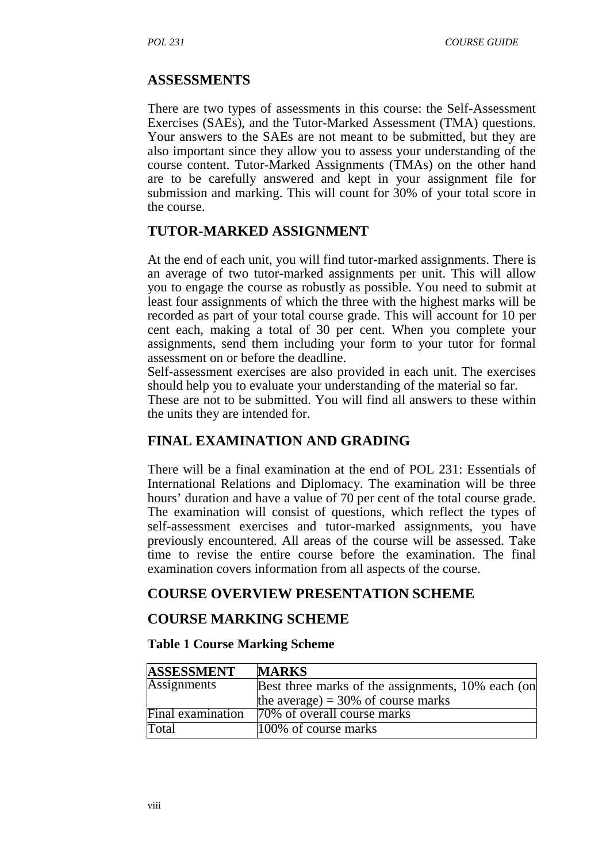#### **ASSESSMENTS**

There are two types of assessments in this course: the Self-Assessment Exercises (SAEs), and the Tutor-Marked Assessment (TMA) questions. Your answers to the SAEs are not meant to be submitted, but they are also important since they allow you to assess your understanding of the course content. Tutor-Marked Assignments (TMAs) on the other hand are to be carefully answered and kept in your assignment file for submission and marking. This will count for 30% of your total score in the course.

#### **TUTOR-MARKED ASSIGNMENT**

At the end of each unit, you will find tutor-marked assignments. There is an average of two tutor-marked assignments per unit. This will allow you to engage the course as robustly as possible. You need to submit at least four assignments of which the three with the highest marks will be recorded as part of your total course grade. This will account for 10 per cent each, making a total of 30 per cent. When you complete your assignments, send them including your form to your tutor for formal assessment on or before the deadline.

Self-assessment exercises are also provided in each unit. The exercises should help you to evaluate your understanding of the material so far.

These are not to be submitted. You will find all answers to these within the units they are intended for.

## **FINAL EXAMINATION AND GRADING**

There will be a final examination at the end of POL 231: Essentials of International Relations and Diplomacy. The examination will be three hours' duration and have a value of 70 per cent of the total course grade. The examination will consist of questions, which reflect the types of self-assessment exercises and tutor-marked assignments, you have previously encountered. All areas of the course will be assessed. Take time to revise the entire course before the examination. The final examination covers information from all aspects of the course.

#### **COURSE OVERVIEW PRESENTATION SCHEME**

#### **COURSE MARKING SCHEME**

#### **Table 1 Course Marking Scheme**

| <b>ASSESSMENT</b>  | <b>MARKS</b>                                      |
|--------------------|---------------------------------------------------|
| <b>Assignments</b> | Best three marks of the assignments, 10% each (on |
|                    | the average) = $30\%$ of course marks             |
| Final examination  | 70% of overall course marks                       |
| Total              | 100% of course marks                              |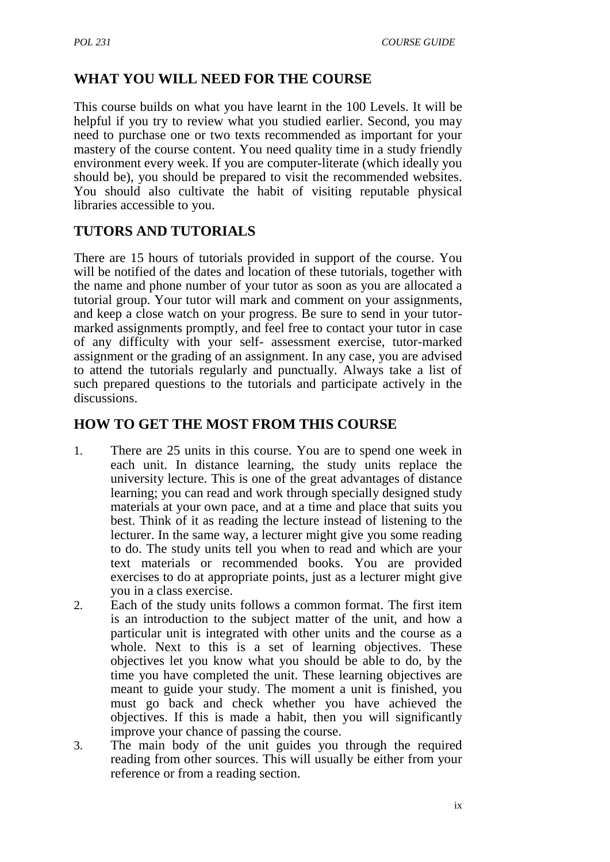## **WHAT YOU WILL NEED FOR THE COURSE**

This course builds on what you have learnt in the 100 Levels. It will be helpful if you try to review what you studied earlier. Second, you may need to purchase one or two texts recommended as important for your mastery of the course content. You need quality time in a study friendly environment every week. If you are computer-literate (which ideally you should be), you should be prepared to visit the recommended websites. You should also cultivate the habit of visiting reputable physical libraries accessible to you.

## **TUTORS AND TUTORIALS**

There are 15 hours of tutorials provided in support of the course. You will be notified of the dates and location of these tutorials, together with the name and phone number of your tutor as soon as you are allocated a tutorial group. Your tutor will mark and comment on your assignments, and keep a close watch on your progress. Be sure to send in your tutor marked assignments promptly, and feel free to contact your tutor in case of any difficulty with your self- assessment exercise, tutor-marked assignment or the grading of an assignment. In any case, you are advised to attend the tutorials regularly and punctually. Always take a list of such prepared questions to the tutorials and participate actively in the discussions.

#### **HOW TO GET THE MOST FROM THIS COURSE**

- 1. There are 25 units in this course. You are to spend one week in each unit. In distance learning, the study units replace the university lecture. This is one of the great advantages of distance learning; you can read and work through specially designed study materials at your own pace, and at a time and place that suits you best. Think of it as reading the lecture instead of listening to the lecturer. In the same way, a lecturer might give you some reading to do. The study units tell you when to read and which are your text materials or recommended books. You are provided exercises to do at appropriate points, just as a lecturer might give you in a class exercise.
- 2. Each of the study units follows a common format. The first item is an introduction to the subject matter of the unit, and how a particular unit is integrated with other units and the course as a whole. Next to this is a set of learning objectives. These objectives let you know what you should be able to do, by the time you have completed the unit. These learning objectives are meant to guide your study. The moment a unit is finished, you must go back and check whether you have achieved the objectives. If this is made a habit, then you will significantly improve your chance of passing the course.
- 3. The main body of the unit guides you through the required reading from other sources. This will usually be either from your reference or from a reading section.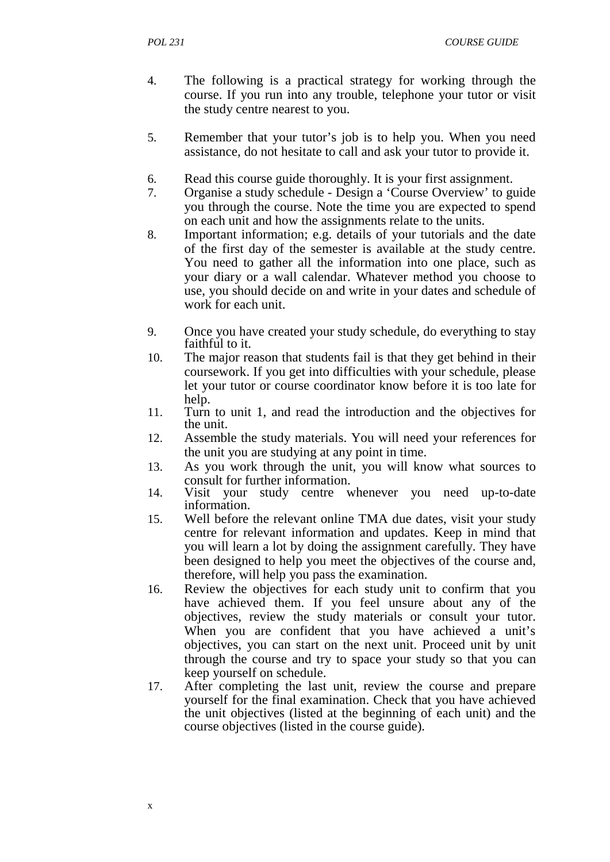*POL 231 COURSE GUIDE*

- 4. The following is a practical strategy for working through the course. If you run into any trouble, telephone your tutor or visit the study centre nearest to you.
- 5. Remember that your tutor's job is to help you. When you need assistance, do not hesitate to call and ask your tutor to provide it.
- 6. Read this course guide thoroughly. It is your first assignment.
- 7. Organise a study schedule Design a 'Course Overview' to guide you through the course. Note the time you are expected to spend on each unit and how the assignments relate to the units.
- 8. Important information; e.g. details of your tutorials and the date of the first day of the semester is available at the study centre. You need to gather all the information into one place, such as your diary or a wall calendar. Whatever method you choose to use, you should decide on and write in your dates and schedule of work for each unit.
- 9. Once you have created your study schedule, do everything to stay faithful to it.
- 10. The major reason that students fail is that they get behind in their coursework. If you get into difficulties with your schedule, please let your tutor or course coordinator know before it is too late for help.
- 11. Turn to unit 1, and read the introduction and the objectives for the unit.
- 12. Assemble the study materials. You will need your references for the unit you are studying at any point in time.
- 13. As you work through the unit, you will know what sources to consult for further information.
- 14. Visit your study centre whenever you need up-to-date information.
- 15. Well before the relevant online TMA due dates, visit your study centre for relevant information and updates. Keep in mind that you will learn a lot by doing the assignment carefully. They have been designed to help you meet the objectives of the course and, therefore, will help you pass the examination.
- 16. Review the objectives for each study unit to confirm that you have achieved them. If you feel unsure about any of the objectives, review the study materials or consult your tutor. When you are confident that you have achieved a unit's objectives, you can start on the next unit. Proceed unit by unit through the course and try to space your study so that you can keep yourself on schedule.
- 17. After completing the last unit, review the course and prepare yourself for the final examination. Check that you have achieved the unit objectives (listed at the beginning of each unit) and the course objectives (listed in the course guide).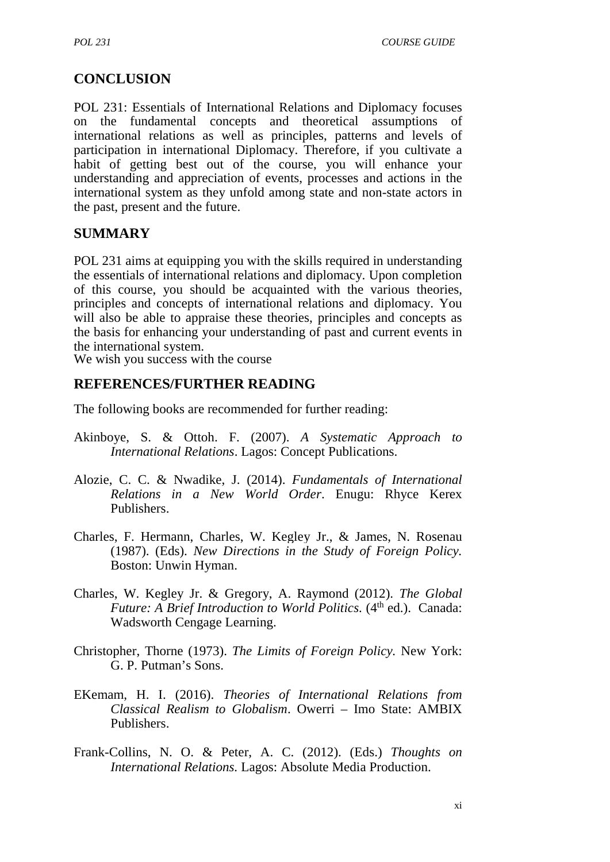## **CONCLUSION**

POL 231: Essentials of International Relations and Diplomacy focuses on the fundamental concepts and theoretical assumptions of international relations as well as principles, patterns and levels of participation in international Diplomacy. Therefore, if you cultivate a habit of getting best out of the course, you will enhance your understanding and appreciation of events, processes and actions in the international system as they unfold among state and non-state actors in the past, present and the future.

#### **SUMMARY**

POL 231 aims at equipping you with the skills required in understanding the essentials of international relations and diplomacy. Upon completion of this course, you should be acquainted with the various theories, principles and concepts of international relations and diplomacy. You will also be able to appraise these theories, principles and concepts as the basis for enhancing your understanding of past and current events in the international system.

We wish you success with the course

#### **REFERENCES/FURTHER READING**

The following books are recommended for further reading:

- Akinboye, S. & Ottoh. F. (2007). *A Systematic Approach to International Relations*. Lagos: Concept Publications.
- Alozie, C. C. & Nwadike, J. (2014). *Fundamentals of International Relations in a New World Order*. Enugu: Rhyce Kerex Publishers.
- Charles, F. Hermann, Charles, W. Kegley Jr., & James, N. Rosenau (1987). (Eds). *New Directions in the Study of Foreign Policy.* Boston: Unwin Hyman.
- Charles, W. Kegley Jr. & Gregory, A. Raymond (2012). *The Global Future: A Brief Introduction to World Politics.* (4<sup>th</sup> ed.). Canada: Wadsworth Cengage Learning.
- Christopher, Thorne (1973). *The Limits of Foreign Policy.* New York: G. P. Putman's Sons.
- EKemam, H. I. (2016). *Theories of International Relations from Classical Realism to Globalism*. Owerri – Imo State: AMBIX Publishers.
- Frank-Collins, N. O. & Peter, A. C. (2012). (Eds.) *Thoughts on International Relations.* Lagos: Absolute Media Production.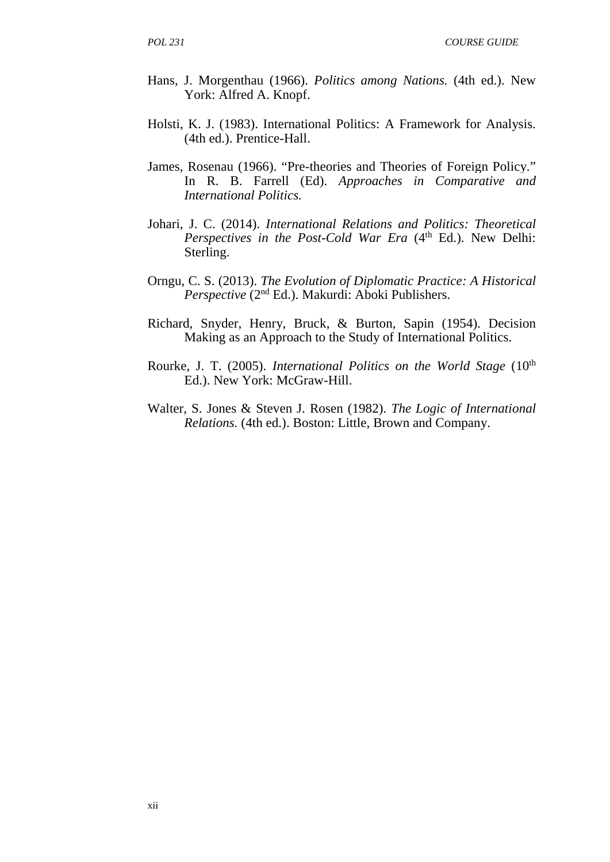- Hans, J. Morgenthau (1966). *Politics among Nations.* (4th ed.). New York: Alfred A. Knopf.
- Holsti, K. J. (1983). International Politics: A Framework for Analysis. (4th ed.). Prentice-Hall.
- James, Rosenau (1966). "Pre-theories and Theories of Foreign Policy." In R. B. Farrell (Ed). *Approaches in Comparative and International Politics.*
- Johari, J. C. (2014). *International Relations and Politics: Theoretical Perspectives in the Post-Cold War Era* (4<sup>th</sup> Ed.). New Delhi: Sterling.
- Orngu, C. S. (2013). *The Evolution of Diplomatic Practice: A Historical Perspective* (2nd Ed.). Makurdi: Aboki Publishers.
- Richard, Snyder, Henry, Bruck, & Burton, Sapin (1954). Decision Making as an Approach to the Study of International Politics.
- Rourke, J. T. (2005). *International Politics on the World Stage* (10<sup>th</sup> Ed.). New York: McGraw-Hill.
- Walter, S. Jones & Steven J. Rosen (1982). *The Logic of International Relations.* (4th ed.). Boston: Little, Brown and Company.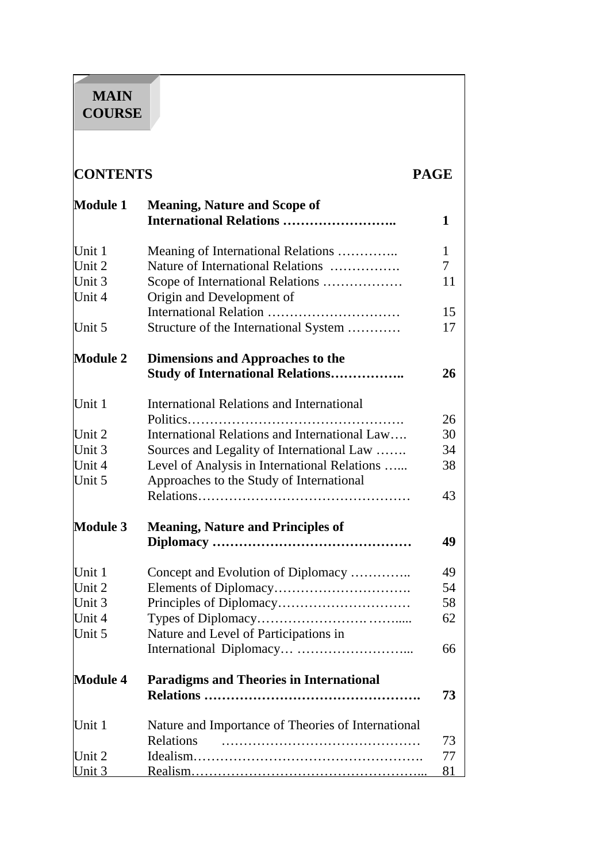# **MAIN COURSE**

| <b>CONTENTS</b>  |                                                                        | <b>PAGE</b> |
|------------------|------------------------------------------------------------------------|-------------|
| <b>Module 1</b>  | <b>Meaning, Nature and Scope of</b><br><b>International Relations </b> | 1           |
| Unit 1           | Meaning of International Relations                                     | 1           |
| Unit 2           | Nature of International Relations                                      | $\tau$      |
| Unit 3<br>Unit 4 | Scope of International Relations<br>Origin and Development of          | 11          |
|                  |                                                                        | 15          |
| Unit 5           | Structure of the International System                                  | 17          |
| <b>Module 2</b>  | <b>Dimensions and Approaches to the</b>                                |             |
|                  | <b>Study of International Relations</b>                                | 26          |
| Unit 1           | <b>International Relations and International</b>                       |             |
|                  |                                                                        | 26          |
| Unit 2           | International Relations and International Law                          | 30          |
| Unit 3           | Sources and Legality of International Law                              | 34          |
| Unit 4           | Level of Analysis in International Relations                           | 38          |
| Unit 5           | Approaches to the Study of International                               |             |
|                  |                                                                        | 43          |
| <b>Module 3</b>  | <b>Meaning, Nature and Principles of</b>                               |             |
|                  |                                                                        | 49          |
| Unit 1           | Concept and Evolution of Diplomacy                                     | 49          |
| Unit 2           |                                                                        | 54          |
| Unit 3           |                                                                        | 58          |
| Unit 4           |                                                                        | 62          |
| Unit 5           | Nature and Level of Participations in                                  |             |
|                  |                                                                        | 66          |
| <b>Module 4</b>  | <b>Paradigms and Theories in International</b>                         |             |
|                  |                                                                        | 73          |
| Unit 1           | Nature and Importance of Theories of International                     |             |
|                  | Relations                                                              | 73          |
| Unit 2           |                                                                        | 77          |
| <u> Unit 3</u>   |                                                                        | 81          |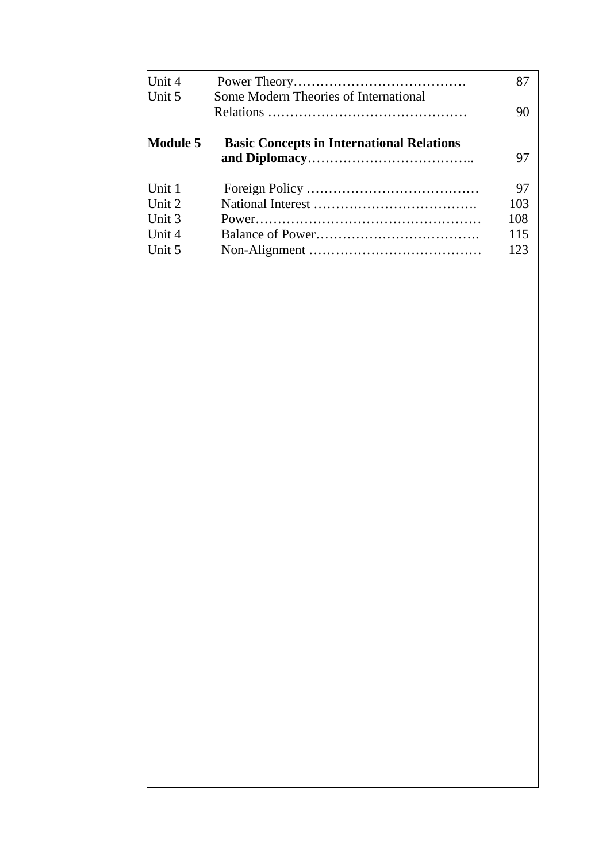|                                                  | 87                                    |
|--------------------------------------------------|---------------------------------------|
|                                                  | 90                                    |
| <b>Basic Concepts in International Relations</b> | 97                                    |
|                                                  | 97                                    |
|                                                  | 103                                   |
|                                                  | 108                                   |
|                                                  | 115                                   |
|                                                  | 123                                   |
|                                                  | Some Modern Theories of International |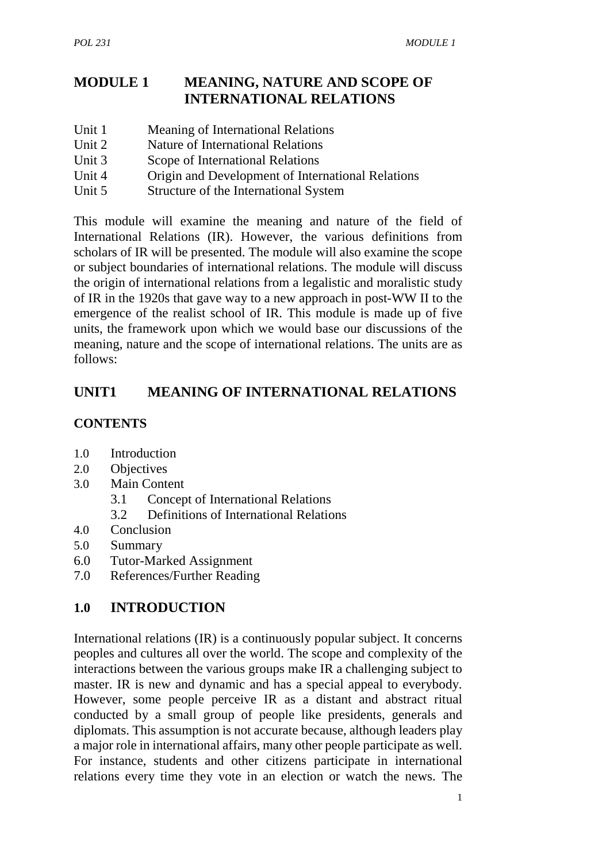## **MODULE 1 MEANING, NATURE AND SCOPE OF INTERNATIONAL RELATIONS**

- Unit 1 Meaning of International Relations
- Unit 2 Nature of International Relations
- Unit 3 Scope of International Relations
- Unit 4 Origin and Development of International Relations
- Unit 5 Structure of the International System

This module will examine the meaning and nature of the field of International Relations (IR). However, the various definitions from scholars of IR will be presented. The module will also examine the scope or subject boundaries of international relations. The module will discuss the origin of international relations from a legalistic and moralistic study of IR in the 1920s that gave way to a new approach in post-WW II to the emergence of the realist school of IR. This module is made up of five units, the framework upon which we would base our discussions of the meaning, nature and the scope of international relations. The units are as follows:

## **UNIT1 MEANING OF INTERNATIONAL RELATIONS**

## **CONTENTS**

- 1.0 Introduction
- 2.0 Objectives
- 3.0 Main Content
	- 3.1 Concept of International Relations
	- 3.2 Definitions of International Relations
- 4.0 Conclusion
- 5.0 Summary
- 6.0 Tutor-Marked Assignment
- 7.0 References/Further Reading

## **1.0 INTRODUCTION**

International relations (IR) is a continuously popular subject. It concerns peoples and cultures all over the world. The scope and complexity of the interactions between the various groups make IR a challenging subject to master. IR is new and dynamic and has a special appeal to everybody. However, some people perceive IR as a distant and abstract ritual conducted by a small group of people like presidents, generals and diplomats. This assumption is not accurate because, although leaders play a major role in international affairs, many other people participate as well. For instance, students and other citizens participate in international relations every time they vote in an election or watch the news. The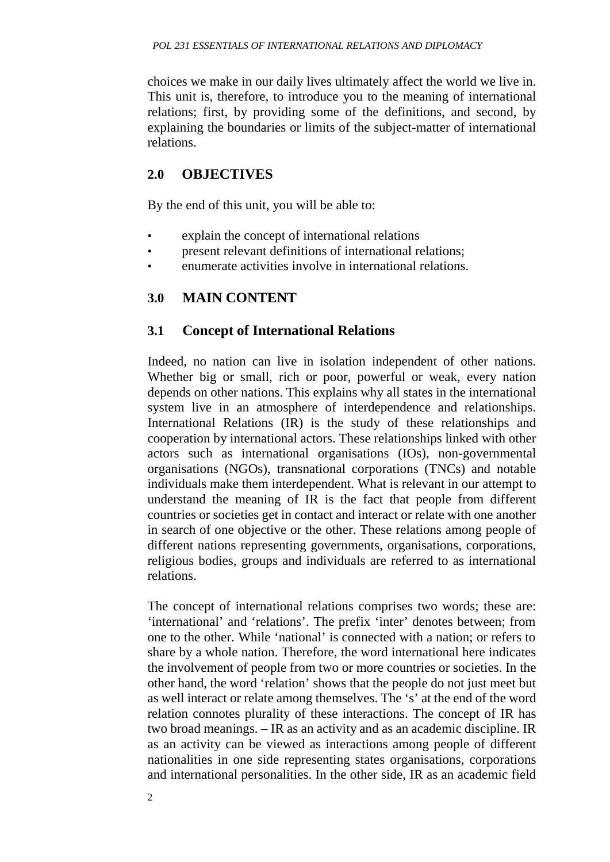choices we make in our daily lives ultimately affect the world we live in. This unit is, therefore, to introduce you to the meaning of international relations; first, by providing some of the definitions, and second, by explaining the boundaries or limits of the subject-matter of international relations.

#### **2.0 OBJECTIVES**

By the end of this unit, you will be able to:

- explain the concept of international relations
- present relevant definitions of international relations;
- enumerate activities involve in international relations.

## **3.0 MAIN CONTENT**

#### **3.1 Concept of International Relations**

Indeed, no nation can live in isolation independent of other nations. Whether big or small, rich or poor, powerful or weak, every nation depends on other nations. This explains why all states in the international system live in an atmosphere of interdependence and relationships. International Relations (IR) is the study of these relationships and cooperation by international actors. These relationships linked with other actors such as international organisations (IOs), non-governmental organisations (NGOs), transnational corporations (TNCs) and notable individuals make them interdependent. What is relevant in our attempt to understand the meaning of IR is the fact that people from different countries or societies get in contact and interact or relate with one another in search of one objective or the other. These relations among people of different nations representing governments, organisations, corporations, religious bodies, groups and individuals are referred to as international relations.

The concept of international relations comprises two words; these are: 'international' and 'relations'. The prefix 'inter' denotes between; from one to the other. While 'national' is connected with a nation; or refers to share by a whole nation. Therefore, the word international here indicates the involvement of people from two or more countries or societies. In the other hand, the word 'relation' shows that the people do not just meet but as well interact or relate among themselves. The 's' at the end of the word relation connotes plurality of these interactions. The concept of IR has two broad meanings. – IR as an activity and as an academic discipline. IR as an activity can be viewed as interactions among people of different nationalities in one side representing states organisations, corporations and international personalities. In the other side, IR as an academic field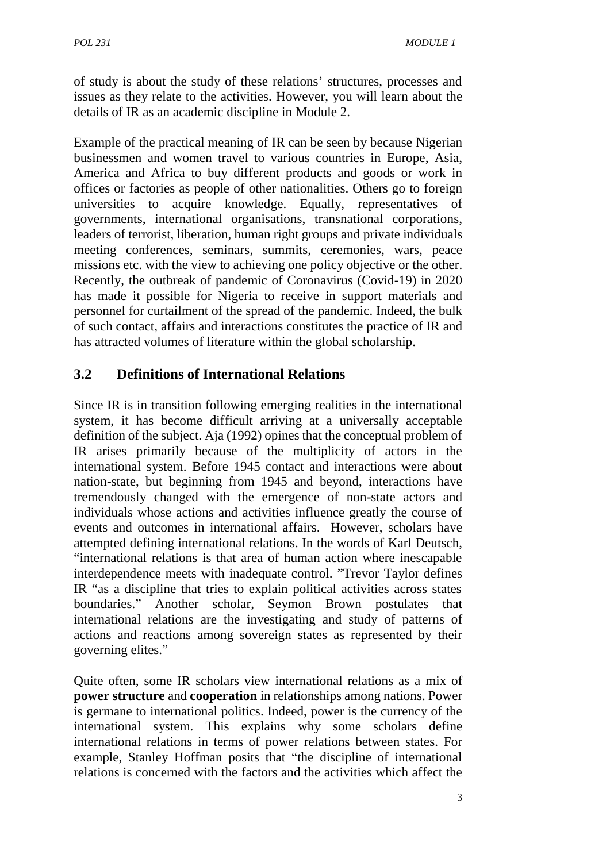of study is about the study of these relations' structures, processes and issues as they relate to the activities. However, you will learn about the details of IR as an academic discipline in Module 2.

Example of the practical meaning of IR can be seen by because Nigerian businessmen and women travel to various countries in Europe, Asia, America and Africa to buy different products and goods or work in offices or factories as people of other nationalities. Others go to foreign universities to acquire knowledge. Equally, representatives of governments, international organisations, transnational corporations, leaders of terrorist, liberation, human right groups and private individuals meeting conferences, seminars, summits, ceremonies, wars, peace missions etc. with the view to achieving one policy objective or the other. Recently, the outbreak of pandemic of Coronavirus (Covid-19) in 2020 has made it possible for Nigeria to receive in support materials and personnel for curtailment of the spread of the pandemic. Indeed, the bulk of such contact, affairs and interactions constitutes the practice of IR and has attracted volumes of literature within the global scholarship.

## **3.2 Definitions of International Relations**

Since IR is in transition following emerging realities in the international system, it has become difficult arriving at a universally acceptable definition of the subject. Aja (1992) opines that the conceptual problem of IR arises primarily because of the multiplicity of actors in the international system. Before 1945 contact and interactions were about nation-state, but beginning from 1945 and beyond, interactions have tremendously changed with the emergence of non-state actors and individuals whose actions and activities influence greatly the course of events and outcomes in international affairs. However, scholars have attempted defining international relations. In the words of Karl Deutsch, "international relations is that area of human action where inescapable interdependence meets with inadequate control. "Trevor Taylor defines IR "as a discipline that tries to explain political activities across states boundaries." Another scholar, Seymon Brown postulates that international relations are the investigating and study of patterns of actions and reactions among sovereign states as represented by their governing elites."

Quite often, some IR scholars view international relations as a mix of **power structure** and **cooperation** in relationships among nations. Power is germane to international politics. Indeed, power is the currency of the international system. This explains why some scholars define international relations in terms of power relations between states. For example, Stanley Hoffman posits that "the discipline of international relations is concerned with the factors and the activities which affect the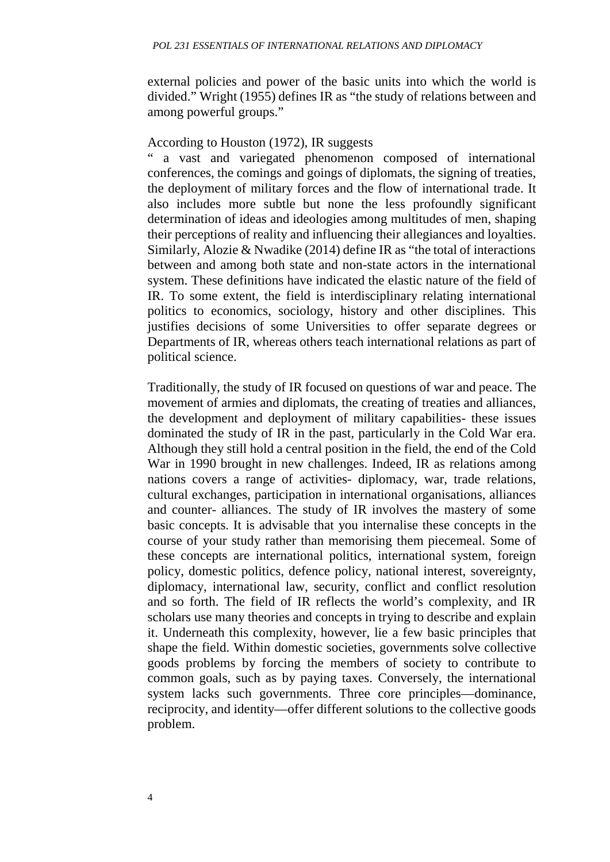external policies and power of the basic units into which the world is divided." Wright (1955) defines IR as "the study of relations between and among powerful groups."

#### According to Houston (1972), IR suggests

a vast and variegated phenomenon composed of international conferences, the comings and goings of diplomats, the signing of treaties, the deployment of military forces and the flow of international trade. It also includes more subtle but none the less profoundly significant determination of ideas and ideologies among multitudes of men, shaping their perceptions of reality and influencing their allegiances and loyalties. Similarly, Alozie & Nwadike (2014) define IR as "the total of interactions between and among both state and non-state actors in the international system. These definitions have indicated the elastic nature of the field of IR. To some extent, the field is interdisciplinary relating international politics to economics, sociology, history and other disciplines. This justifies decisions of some Universities to offer separate degrees or Departments of IR, whereas others teach international relations as part of political science.

Traditionally, the study of IR focused on questions of war and peace. The movement of armies and diplomats, the creating of treaties and alliances, the development and deployment of military capabilities- these issues dominated the study of IR in the past, particularly in the Cold War era. Although they still hold a central position in the field, the end of the Cold War in 1990 brought in new challenges. Indeed, IR as relations among nations covers a range of activities- diplomacy, war, trade relations, cultural exchanges, participation in international organisations, alliances and counter- alliances. The study of IR involves the mastery of some basic concepts. It is advisable that you internalise these concepts in the course of your study rather than memorising them piecemeal. Some of these concepts are international politics, international system, foreign policy, domestic politics, defence policy, national interest, sovereignty, diplomacy, international law, security, conflict and conflict resolution and so forth. The field of IR reflects the world's complexity, and IR scholars use many theories and concepts in trying to describe and explain it. Underneath this complexity, however, lie a few basic principles that shape the field. Within domestic societies, governments solve collective goods problems by forcing the members of society to contribute to common goals, such as by paying taxes. Conversely, the international system lacks such governments. Three core principles—dominance, reciprocity, and identity—offer different solutions to the collective goods problem.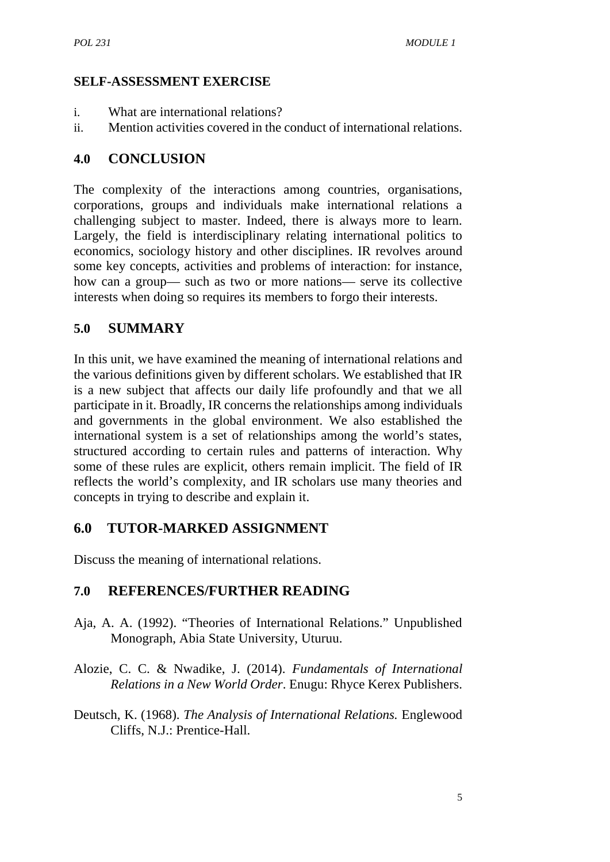#### **SELF-ASSESSMENT EXERCISE**

- i. What are international relations?
- ii. Mention activities covered in the conduct of international relations.

#### **4.0 CONCLUSION**

The complexity of the interactions among countries, organisations, corporations, groups and individuals make international relations a challenging subject to master. Indeed, there is always more to learn. Largely, the field is interdisciplinary relating international politics to economics, sociology history and other disciplines. IR revolves around some key concepts, activities and problems of interaction: for instance, how can a group— such as two or more nations— serve its collective interests when doing so requires its members to forgo their interests.

## **5.0 SUMMARY**

In this unit, we have examined the meaning of international relations and the various definitions given by different scholars. We established that IR is a new subject that affects our daily life profoundly and that we all participate in it. Broadly, IR concerns the relationships among individuals and governments in the global environment. We also established the international system is a set of relationships among the world's states, structured according to certain rules and patterns of interaction. Why some of these rules are explicit, others remain implicit. The field of IR reflects the world's complexity, and IR scholars use many theories and concepts in trying to describe and explain it.

## **6.0 TUTOR-MARKED ASSIGNMENT**

Discuss the meaning of international relations.

## **7.0 REFERENCES/FURTHER READING**

- Aja, A. A. (1992). "Theories of International Relations." Unpublished Monograph, Abia State University, Uturuu.
- Alozie, C. C. & Nwadike, J. (2014). *Fundamentals of International Relations in a New World Order*. Enugu: Rhyce Kerex Publishers.
- Deutsch, K. (1968). *The Analysis of International Relations.* Englewood Cliffs, N.J.: Prentice-Hall.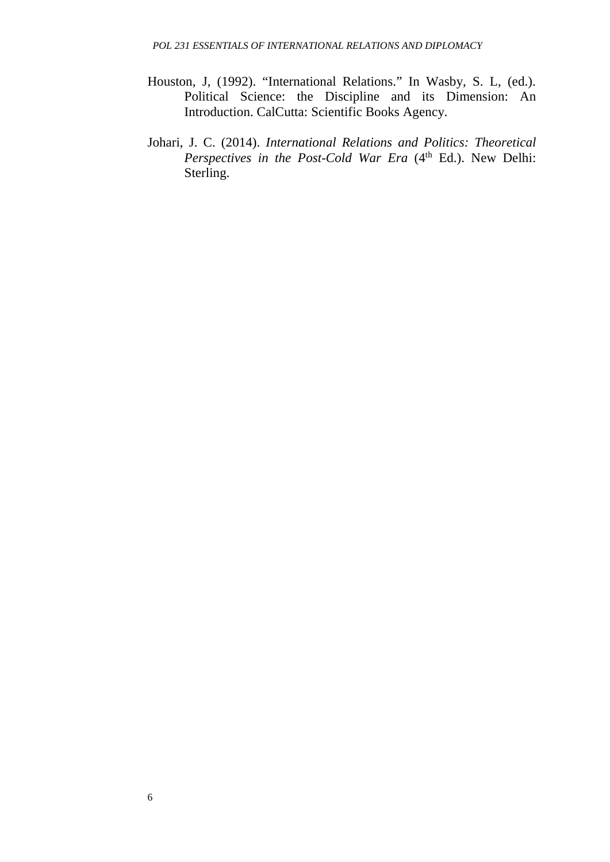- Houston, J, (1992). "International Relations." In Wasby, S. L, (ed.). Political Science: the Discipline and its Dimension: An Introduction. CalCutta: Scientific Books Agency.
- Johari, J. C. (2014). *International Relations and Politics: Theoretical Perspectives in the Post-Cold War Era* (4<sup>th</sup> Ed.). New Delhi: Sterling.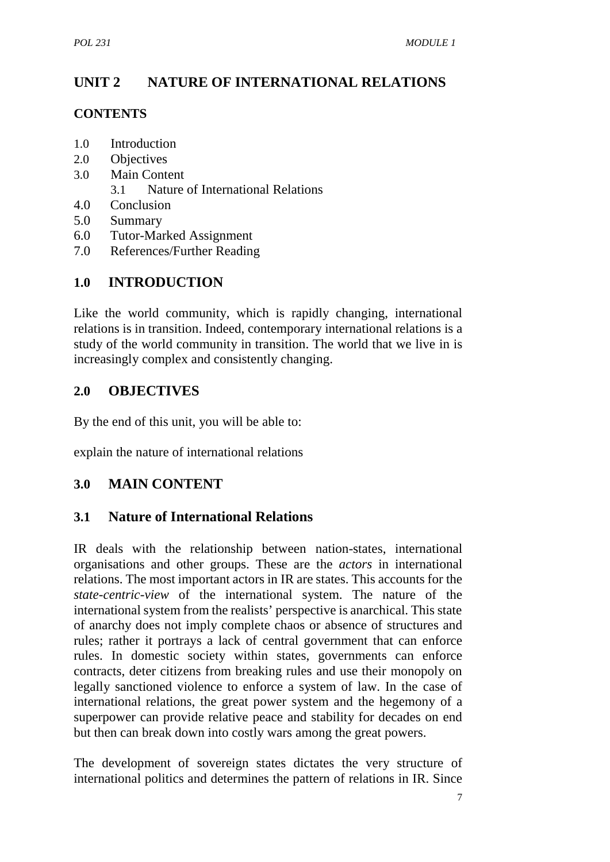# **UNIT 2 NATURE OF INTERNATIONAL RELATIONS**

#### **CONTENTS**

- 1.0 Introduction
- 2.0 Objectives
- 3.0 Main Content
	- 3.1 Nature of International Relations
- 4.0 Conclusion
- 5.0 Summary
- 6.0 Tutor-Marked Assignment
- 7.0 References/Further Reading

## **1.0 INTRODUCTION**

Like the world community, which is rapidly changing, international relations is in transition. Indeed, contemporary international relations is a study of the world community in transition. The world that we live in is increasingly complex and consistently changing.

## **2.0 OBJECTIVES**

By the end of this unit, you will be able to:

explain the nature of international relations

## **3.0 MAIN CONTENT**

## **3.1 Nature of International Relations**

IR deals with the relationship between nation-states, international organisations and other groups. These are the *actors* in international relations. The most important actors in IR are states. This accounts for the *state-centric-view* of the international system. The nature of the international system from the realists' perspective is anarchical. This state of anarchy does not imply complete chaos or absence of structures and rules; rather it portrays a lack of central government that can enforce rules. In domestic society within states, governments can enforce contracts, deter citizens from breaking rules and use their monopoly on legally sanctioned violence to enforce a system of law. In the case of international relations, the great power system and the hegemony of a superpower can provide relative peace and stability for decades on end but then can break down into costly wars among the great powers.

The development of sovereign states dictates the very structure of international politics and determines the pattern of relations in IR. Since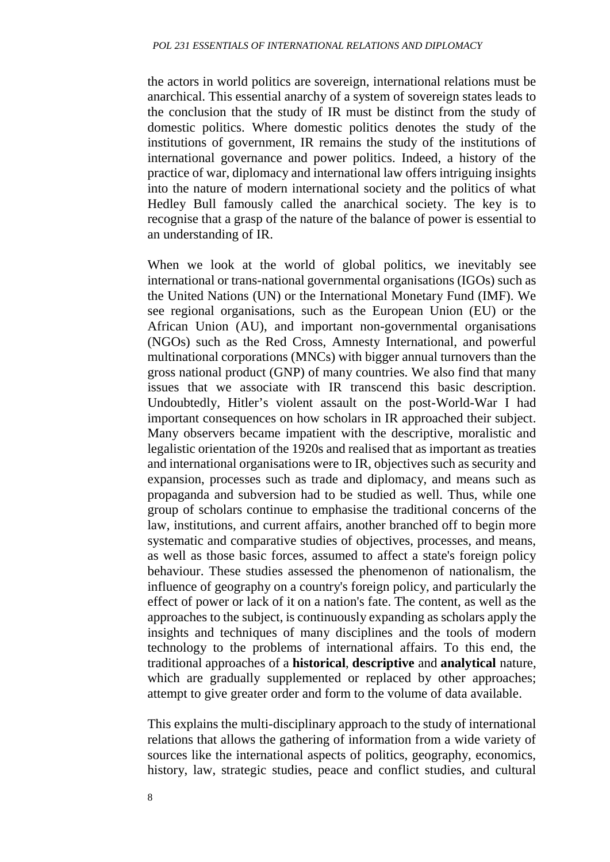the actors in world politics are sovereign, international relations must be anarchical. This essential anarchy of a system of sovereign states leads to the conclusion that the study of IR must be distinct from the study of domestic politics. Where domestic politics denotes the study of the institutions of government, IR remains the study of the institutions of international governance and power politics. Indeed, a history of the practice of war, diplomacy and international law offers intriguing insights into the nature of modern international society and the politics of what Hedley Bull famously called the anarchical society. The key is to recognise that a grasp of the nature of the balance of power is essential to an understanding of IR.

When we look at the world of global politics, we inevitably see international or trans-national governmental organisations (IGOs) such as the United Nations (UN) or the International Monetary Fund (IMF). We see regional organisations, such as the European Union (EU) or the African Union (AU), and important non-governmental organisations (NGOs) such as the Red Cross, Amnesty International, and powerful multinational corporations (MNCs) with bigger annual turnovers than the gross national product (GNP) of many countries. We also find that many issues that we associate with IR transcend this basic description. Undoubtedly, Hitler's violent assault on the post-World-War I had important consequences on how scholars in IR approached their subject. Many observers became impatient with the descriptive, moralistic and legalistic orientation of the 1920s and realised that as important as treaties and international organisations were to IR, objectives such as security and expansion, processes such as trade and diplomacy, and means such as propaganda and subversion had to be studied as well. Thus, while one group of scholars continue to emphasise the traditional concerns of the law, institutions, and current affairs, another branched off to begin more systematic and comparative studies of objectives, processes, and means, as well as those basic forces, assumed to affect a state's foreign policy behaviour. These studies assessed the phenomenon of nationalism, the influence of geography on a country's foreign policy, and particularly the effect of power or lack of it on a nation's fate. The content, as well as the approaches to the subject, is continuously expanding as scholars apply the insights and techniques of many disciplines and the tools of modern technology to the problems of international affairs. To this end, the traditional approaches of a **historical**, **descriptive** and **analytical** nature, which are gradually supplemented or replaced by other approaches; attempt to give greater order and form to the volume of data available.

This explains the multi-disciplinary approach to the study of international relations that allows the gathering of information from a wide variety of sources like the international aspects of politics, geography, economics, history, law, strategic studies, peace and conflict studies, and cultural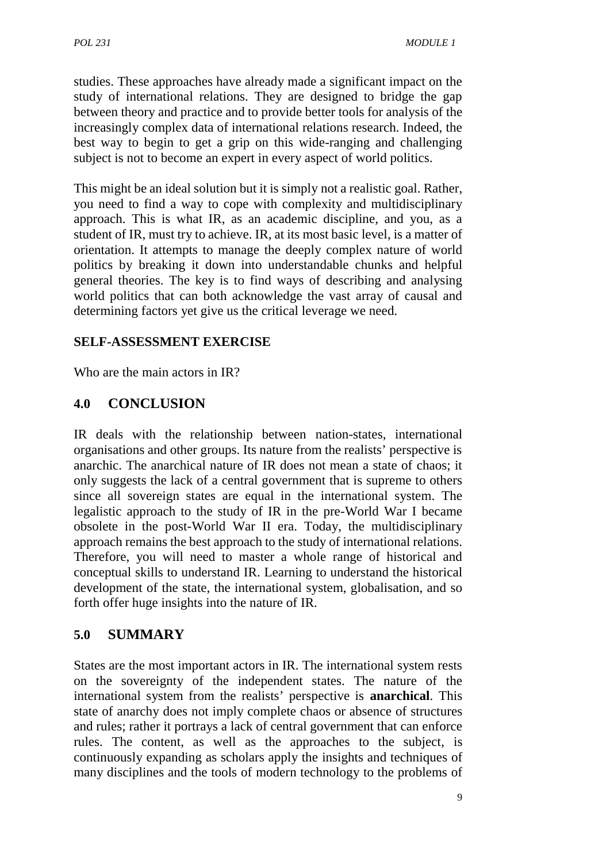studies. These approaches have already made a significant impact on the study of international relations. They are designed to bridge the gap between theory and practice and to provide better tools for analysis of the increasingly complex data of international relations research. Indeed, the best way to begin to get a grip on this wide-ranging and challenging subject is not to become an expert in every aspect of world politics.

This might be an ideal solution but it is simply not a realistic goal. Rather, you need to find a way to cope with complexity and multidisciplinary approach. This is what IR, as an academic discipline, and you, as a student of IR, must try to achieve. IR, at its most basic level, is a matter of orientation. It attempts to manage the deeply complex nature of world politics by breaking it down into understandable chunks and helpful general theories. The key is to find ways of describing and analysing world politics that can both acknowledge the vast array of causal and determining factors yet give us the critical leverage we need.

#### **SELF-ASSESSMENT EXERCISE**

Who are the main actors in IR?

#### **4.0 CONCLUSION**

IR deals with the relationship between nation-states, international organisations and other groups. Its nature from the realists' perspective is anarchic. The anarchical nature of IR does not mean a state of chaos; it only suggests the lack of a central government that is supreme to others since all sovereign states are equal in the international system. The legalistic approach to the study of IR in the pre-World War I became obsolete in the post-World War II era. Today, the multidisciplinary approach remains the best approach to the study of international relations. Therefore, you will need to master a whole range of historical and conceptual skills to understand IR. Learning to understand the historical development of the state, the international system, globalisation, and so forth offer huge insights into the nature of IR.

## **5.0 SUMMARY**

States are the most important actors in IR. The international system rests on the sovereignty of the independent states. The nature of the international system from the realists' perspective is **anarchical**. This state of anarchy does not imply complete chaos or absence of structures and rules; rather it portrays a lack of central government that can enforce rules. The content, as well as the approaches to the subject, is continuously expanding as scholars apply the insights and techniques of many disciplines and the tools of modern technology to the problems of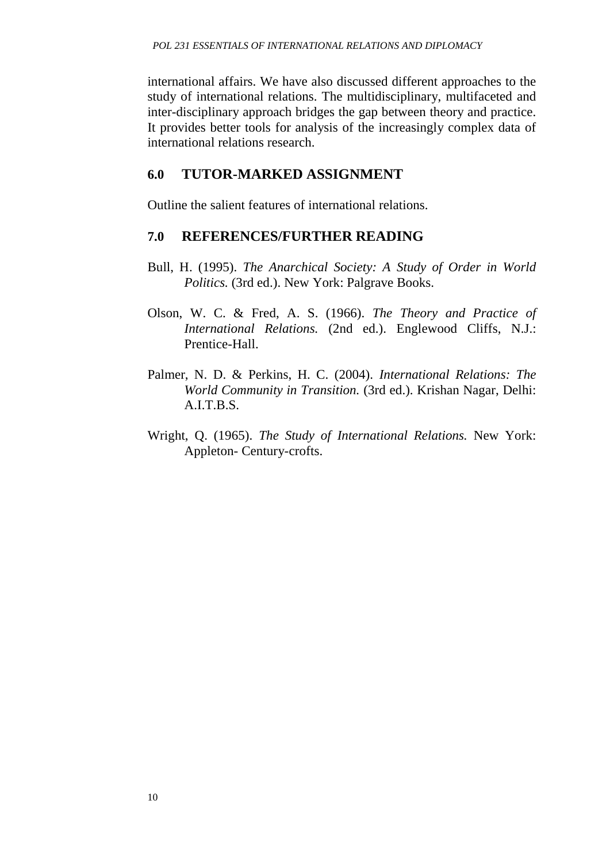international affairs. We have also discussed different approaches to the study of international relations. The multidisciplinary, multifaceted and inter-disciplinary approach bridges the gap between theory and practice. It provides better tools for analysis of the increasingly complex data of international relations research.

#### **6.0 TUTOR-MARKED ASSIGNMENT**

Outline the salient features of international relations.

#### **7.0 REFERENCES/FURTHER READING**

- Bull, H. (1995). *The Anarchical Society: A Study of Order in World Politics.* (3rd ed.). New York: Palgrave Books.
- Olson, W. C. & Fred, A. S. (1966). *The Theory and Practice of International Relations.* (2nd ed.). Englewood Cliffs, N.J.: Prentice-Hall.
- Palmer, N. D. & Perkins, H. C. (2004). *International Relations: The World Community in Transition.* (3rd ed.). Krishan Nagar, Delhi: A.I.T.B.S.
- Wright, Q. (1965). *The Study of International Relations.* New York: Appleton- Century-crofts.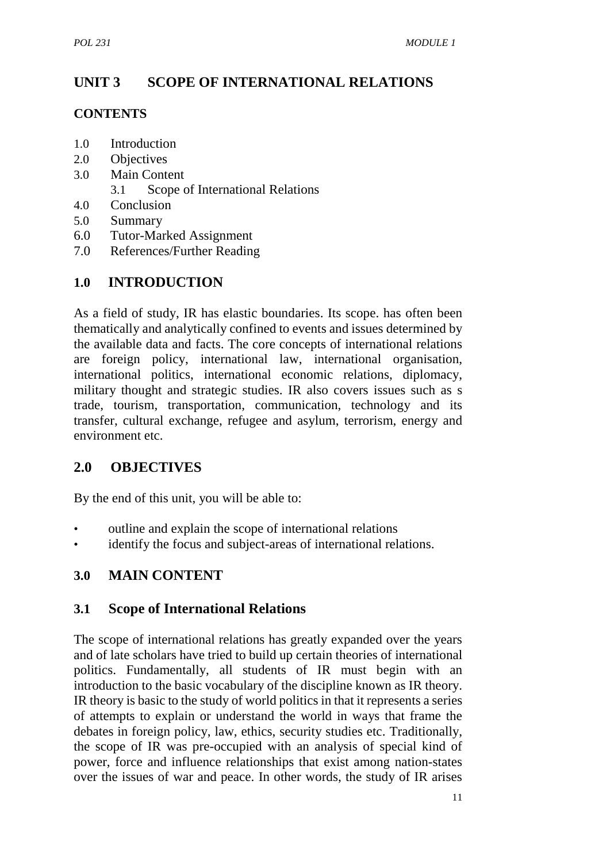# **UNIT 3 SCOPE OF INTERNATIONAL RELATIONS**

#### **CONTENTS**

- 1.0 Introduction
- 2.0 Objectives
- 3.0 Main Content
	- 3.1 Scope of International Relations
- 4.0 Conclusion
- 5.0 Summary
- 6.0 Tutor-Marked Assignment
- 7.0 References/Further Reading

## **1.0 INTRODUCTION**

As a field of study, IR has elastic boundaries. Its scope. has often been thematically and analytically confined to events and issues determined by the available data and facts. The core concepts of international relations are foreign policy, international law, international organisation, international politics, international economic relations, diplomacy, military thought and strategic studies. IR also covers issues such as s trade, tourism, transportation, communication, technology and its transfer, cultural exchange, refugee and asylum, terrorism, energy and environment etc.

## **2.0 OBJECTIVES**

By the end of this unit, you will be able to:

- outline and explain the scope of international relations
- identify the focus and subject-areas of international relations.

## **3.0 MAIN CONTENT**

## **3.1 Scope of International Relations**

The scope of international relations has greatly expanded over the years and of late scholars have tried to build up certain theories of international politics. Fundamentally, all students of IR must begin with an introduction to the basic vocabulary of the discipline known as IR theory. IR theory is basic to the study of world politics in that it represents a series of attempts to explain or understand the world in ways that frame the debates in foreign policy, law, ethics, security studies etc. Traditionally, the scope of IR was pre-occupied with an analysis of special kind of power, force and influence relationships that exist among nation-states over the issues of war and peace. In other words, the study of IR arises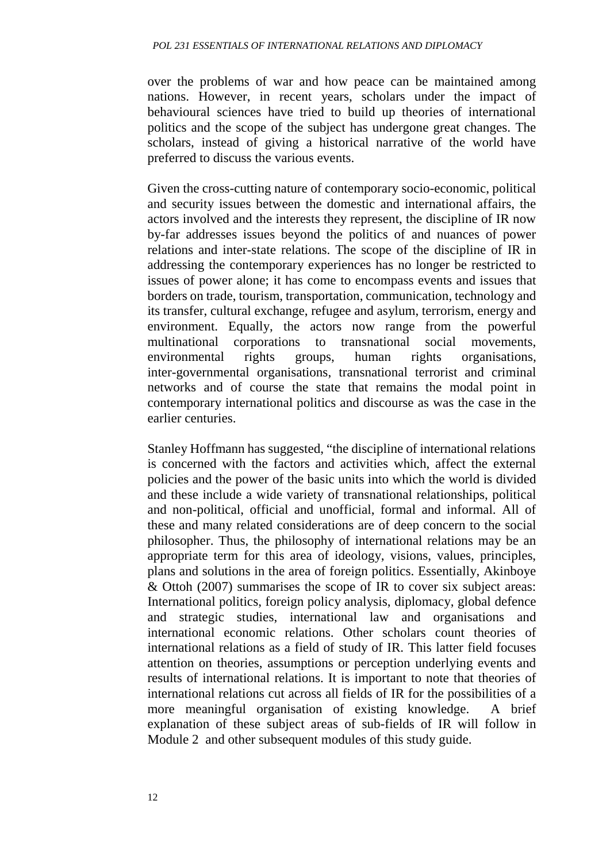over the problems of war and how peace can be maintained among nations. However, in recent years, scholars under the impact of behavioural sciences have tried to build up theories of international politics and the scope of the subject has undergone great changes. The scholars, instead of giving a historical narrative of the world have preferred to discuss the various events.

Given the cross-cutting nature of contemporary socio-economic, political and security issues between the domestic and international affairs, the actors involved and the interests they represent, the discipline of IR now by-far addresses issues beyond the politics of and nuances of power relations and inter-state relations. The scope of the discipline of IR in addressing the contemporary experiences has no longer be restricted to issues of power alone; it has come to encompass events and issues that borders on trade, tourism, transportation, communication, technology and its transfer, cultural exchange, refugee and asylum, terrorism, energy and environment. Equally, the actors now range from the powerful multinational corporations to transnational social movements, environmental rights groups, human rights organisations, inter-governmental organisations, transnational terrorist and criminal networks and of course the state that remains the modal point in contemporary international politics and discourse as was the case in the earlier centuries.

Stanley Hoffmann has suggested, "the discipline of international relations is concerned with the factors and activities which, affect the external policies and the power of the basic units into which the world is divided and these include a wide variety of transnational relationships, political and non-political, official and unofficial, formal and informal. All of these and many related considerations are of deep concern to the social philosopher. Thus, the philosophy of international relations may be an appropriate term for this area of ideology, visions, values, principles, plans and solutions in the area of foreign politics. Essentially, Akinboye & Ottoh (2007) summarises the scope of IR to cover six subject areas: International politics, foreign policy analysis, diplomacy, global defence and strategic studies, international law and organisations and international economic relations. Other scholars count theories of international relations as a field of study of IR. This latter field focuses attention on theories, assumptions or perception underlying events and results of international relations. It is important to note that theories of international relations cut across all fields of IR for the possibilities of a more meaningful organisation of existing knowledge. A brief explanation of these subject areas of sub-fields of IR will follow in Module 2 and other subsequent modules of this study guide.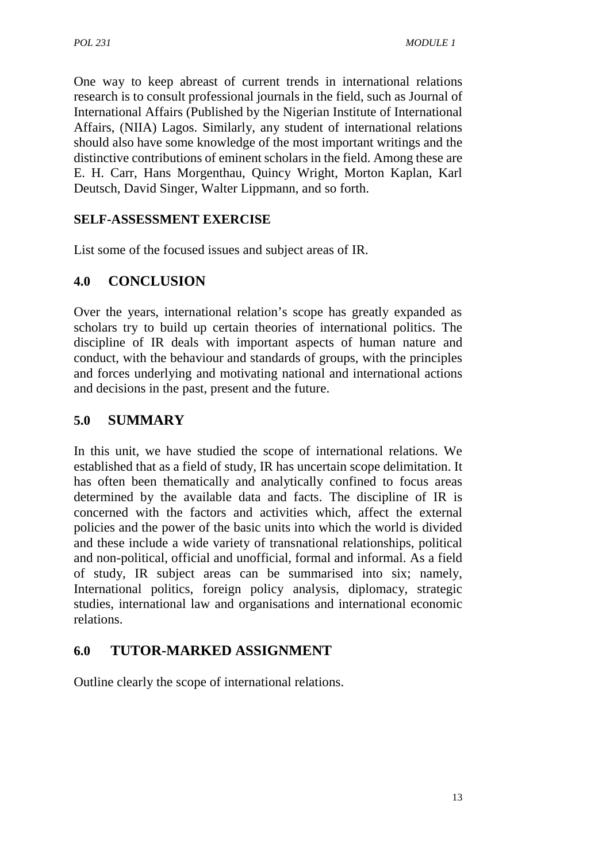One way to keep abreast of current trends in international relations research is to consult professional journals in the field, such as Journal of International Affairs (Published by the Nigerian Institute of International Affairs, (NIIA) Lagos. Similarly, any student of international relations should also have some knowledge of the most important writings and the distinctive contributions of eminent scholars in the field. Among these are E. H. Carr, Hans Morgenthau, Quincy Wright, Morton Kaplan, Karl Deutsch, David Singer, Walter Lippmann, and so forth.

#### **SELF-ASSESSMENT EXERCISE**

List some of the focused issues and subject areas of IR.

## **4.0 CONCLUSION**

Over the years, international relation's scope has greatly expanded as scholars try to build up certain theories of international politics. The discipline of IR deals with important aspects of human nature and conduct, with the behaviour and standards of groups, with the principles and forces underlying and motivating national and international actions and decisions in the past, present and the future.

## **5.0 SUMMARY**

In this unit, we have studied the scope of international relations. We established that as a field of study, IR has uncertain scope delimitation. It has often been thematically and analytically confined to focus areas determined by the available data and facts. The discipline of IR is concerned with the factors and activities which, affect the external policies and the power of the basic units into which the world is divided and these include a wide variety of transnational relationships, political and non-political, official and unofficial, formal and informal. As a field of study, IR subject areas can be summarised into six; namely, International politics, foreign policy analysis, diplomacy, strategic studies, international law and organisations and international economic relations.

## **6.0 TUTOR-MARKED ASSIGNMENT**

Outline clearly the scope of international relations.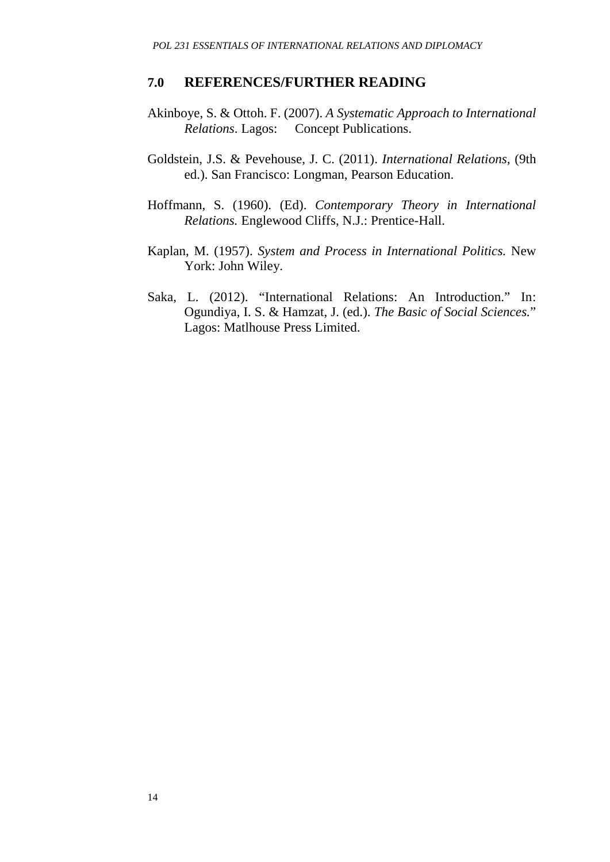#### **7.0 REFERENCES/FURTHER READING**

- Akinboye, S. & Ottoh. F. (2007). *A Systematic Approach to International Relations*. Lagos: Concept Publications.
- Goldstein, J.S. & Pevehouse, J. C. (2011). *International Relations,* (9th ed.). San Francisco: Longman, Pearson Education.
- Hoffmann, S. (1960). (Ed). *Contemporary Theory in International Relations.* Englewood Cliffs, N.J.: Prentice-Hall.
- Kaplan, M. (1957). *System and Process in International Politics.* New York: John Wiley.
- Saka, L. (2012). "International Relations: An Introduction." In: Ogundiya, I. S. & Hamzat, J. (ed.). *The Basic of Social Sciences.*" Lagos: Matlhouse Press Limited.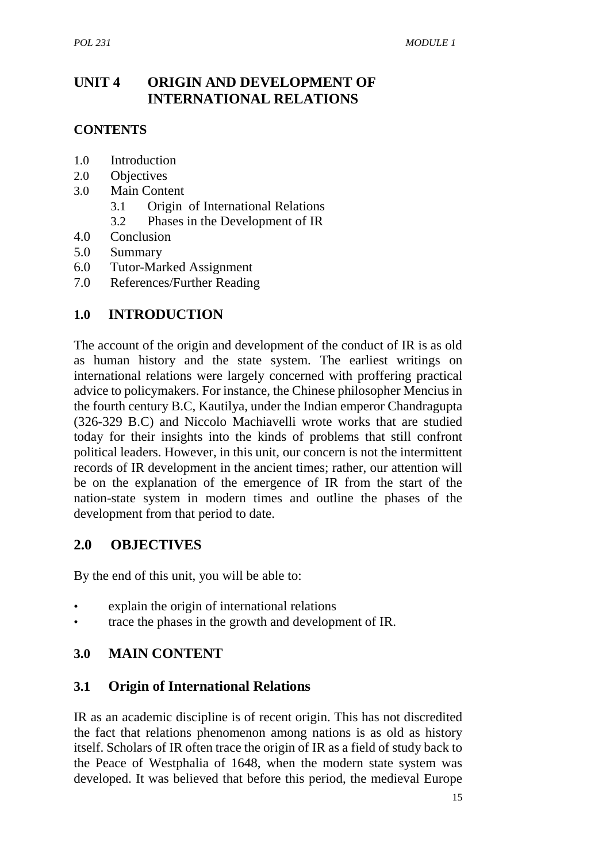## **UNIT 4 ORIGIN AND DEVELOPMENT OF INTERNATIONAL RELATIONS**

#### **CONTENTS**

- 1.0 Introduction
- 2.0 Objectives
- 3.0 Main Content
	- 3.1 Origin of International Relations
	- 3.2 Phases in the Development of IR
- 4.0 Conclusion
- 5.0 Summary
- 6.0 Tutor-Marked Assignment
- 7.0 References/Further Reading

#### **1.0 INTRODUCTION**

The account of the origin and development of the conduct of IR is as old as human history and the state system. The earliest writings on international relations were largely concerned with proffering practical advice to policymakers. For instance, the Chinese philosopher Mencius in the fourth century B.C, Kautilya, under the Indian emperor Chandragupta (326-329 B.C) and Niccolo Machiavelli wrote works that are studied today for their insights into the kinds of problems that still confront political leaders. However, in this unit, our concern is not the intermittent records of IR development in the ancient times; rather, our attention will be on the explanation of the emergence of IR from the start of the nation-state system in modern times and outline the phases of the development from that period to date.

## **2.0 OBJECTIVES**

By the end of this unit, you will be able to:

- explain the origin of international relations
- trace the phases in the growth and development of IR.

## **3.0 MAIN CONTENT**

#### **3.1 Origin of International Relations**

IR as an academic discipline is of recent origin. This has not discredited the fact that relations phenomenon among nations is as old as history itself. Scholars of IR often trace the origin of IR as a field of study back to the Peace of Westphalia of 1648, when the modern state system was developed. It was believed that before this period, the medieval Europe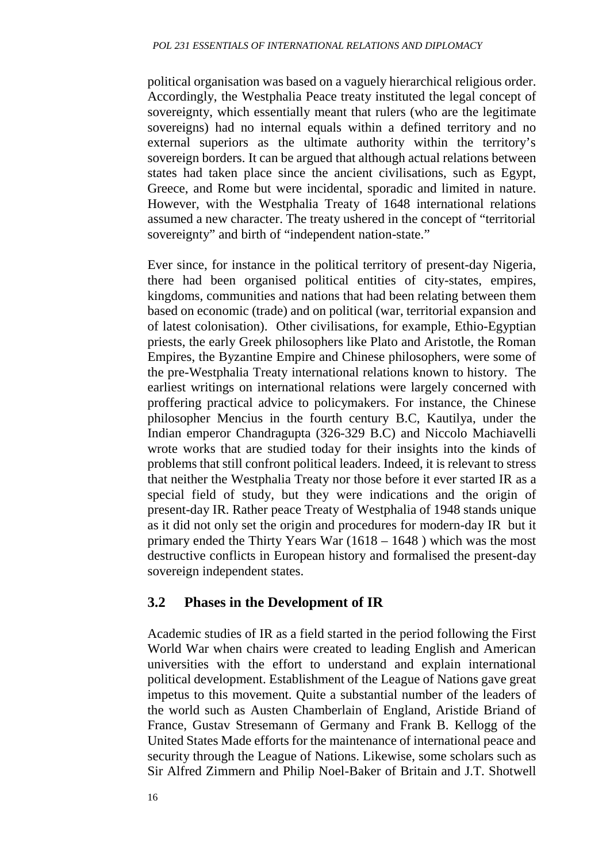political organisation was based on a vaguely hierarchical religious order. Accordingly, the Westphalia Peace treaty instituted the legal concept of sovereignty, which essentially meant that rulers (who are the legitimate sovereigns) had no internal equals within a defined territory and no external superiors as the ultimate authority within the territory's sovereign borders. It can be argued that although actual relations between states had taken place since the ancient civilisations, such as Egypt, Greece, and Rome but were incidental, sporadic and limited in nature. However, with the Westphalia Treaty of 1648 international relations assumed a new character. The treaty ushered in the concept of "territorial sovereignty" and birth of "independent nation-state."

Ever since, for instance in the political territory of present-day Nigeria, there had been organised political entities of city-states, empires, kingdoms, communities and nations that had been relating between them based on economic (trade) and on political (war, territorial expansion and of latest colonisation). Other civilisations, for example, Ethio-Egyptian priests, the early Greek philosophers like Plato and Aristotle, the Roman Empires, the Byzantine Empire and Chinese philosophers, were some of the pre-Westphalia Treaty international relations known to history. The earliest writings on international relations were largely concerned with proffering practical advice to policymakers. For instance, the Chinese philosopher Mencius in the fourth century B.C, Kautilya, under the Indian emperor Chandragupta (326-329 B.C) and Niccolo Machiavelli wrote works that are studied today for their insights into the kinds of problems that still confront political leaders. Indeed, it is relevant to stress that neither the Westphalia Treaty nor those before it ever started IR as a special field of study, but they were indications and the origin of present-day IR. Rather peace Treaty of Westphalia of 1948 stands unique as it did not only set the origin and procedures for modern-day IR but it primary ended the Thirty Years War (1618 – 1648 ) which was the most destructive conflicts in European history and formalised the present-day sovereign independent states.

## **3.2 Phases in the Development of IR**

Academic studies of IR as a field started in the period following the First World War when chairs were created to leading English and American universities with the effort to understand and explain international political development. Establishment of the League of Nations gave great impetus to this movement. Quite a substantial number of the leaders of the world such as Austen Chamberlain of England, Aristide Briand of France, Gustav Stresemann of Germany and Frank B. Kellogg of the United States Made efforts for the maintenance of international peace and security through the League of Nations. Likewise, some scholars such as Sir Alfred Zimmern and Philip Noel-Baker of Britain and J.T. Shotwell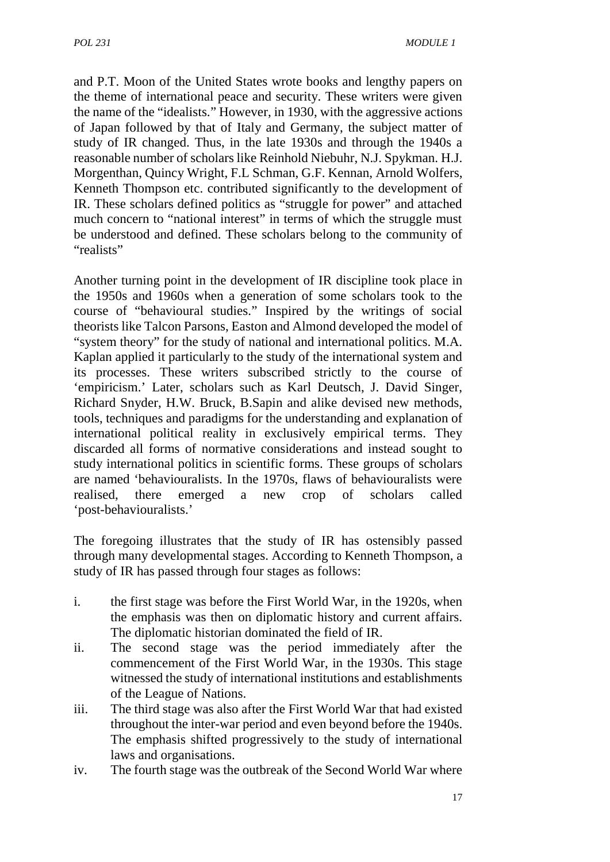and P.T. Moon of the United States wrote books and lengthy papers on the theme of international peace and security. These writers were given the name of the "idealists." However, in 1930, with the aggressive actions of Japan followed by that of Italy and Germany, the subject matter of study of IR changed. Thus, in the late 1930s and through the 1940s a reasonable number of scholars like Reinhold Niebuhr, N.J. Spykman. H.J. Morgenthan, Quincy Wright, F.L Schman, G.F. Kennan, Arnold Wolfers, Kenneth Thompson etc. contributed significantly to the development of IR. These scholars defined politics as "struggle for power" and attached much concern to "national interest" in terms of which the struggle must be understood and defined. These scholars belong to the community of "realists"

Another turning point in the development of IR discipline took place in the 1950s and 1960s when a generation of some scholars took to the course of "behavioural studies." Inspired by the writings of social theorists like Talcon Parsons, Easton and Almond developed the model of "system theory" for the study of national and international politics. M.A. Kaplan applied it particularly to the study of the international system and its processes. These writers subscribed strictly to the course of 'empiricism.' Later, scholars such as Karl Deutsch, J. David Singer, Richard Snyder, H.W. Bruck, B.Sapin and alike devised new methods, tools, techniques and paradigms for the understanding and explanation of international political reality in exclusively empirical terms. They discarded all forms of normative considerations and instead sought to study international politics in scientific forms. These groups of scholars are named 'behaviouralists. In the 1970s, flaws of behaviouralists were realised, there emerged a new crop of scholars called 'post-behaviouralists.'

The foregoing illustrates that the study of IR has ostensibly passed through many developmental stages. According to Kenneth Thompson, a study of IR has passed through four stages as follows:

- i. the first stage was before the First World War, in the 1920s, when the emphasis was then on diplomatic history and current affairs. The diplomatic historian dominated the field of IR.
- ii. The second stage was the period immediately after the commencement of the First World War, in the 1930s. This stage witnessed the study of international institutions and establishments of the League of Nations.
- iii. The third stage was also after the First World War that had existed throughout the inter-war period and even beyond before the 1940s. The emphasis shifted progressively to the study of international laws and organisations.
- iv. The fourth stage was the outbreak of the Second World War where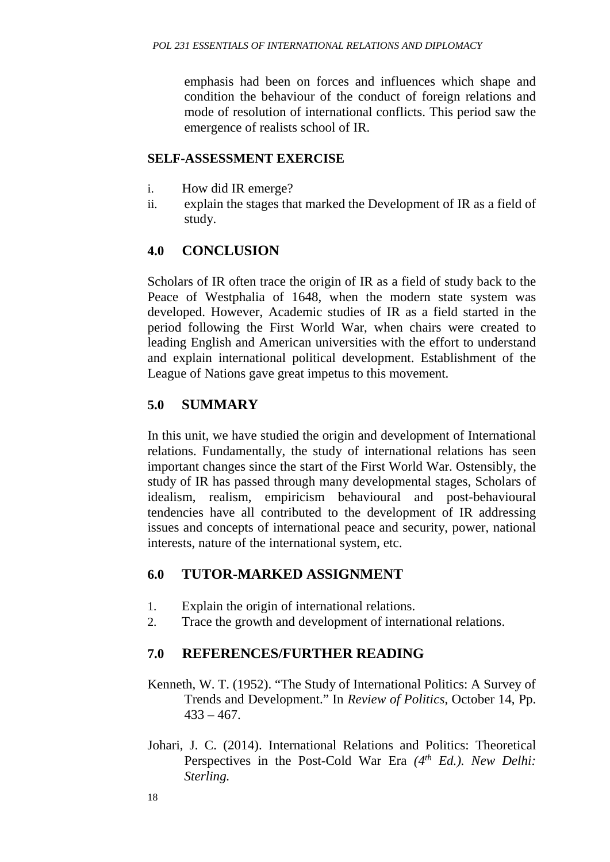emphasis had been on forces and influences which shape and condition the behaviour of the conduct of foreign relations and mode of resolution of international conflicts. This period saw the emergence of realists school of IR.

#### **SELF-ASSESSMENT EXERCISE**

- i. How did IR emerge?
- ii. explain the stages that marked the Development of IR as a field of study.

## **4.0 CONCLUSION**

Scholars of IR often trace the origin of IR as a field of study back to the Peace of Westphalia of 1648, when the modern state system was developed. However, Academic studies of IR as a field started in the period following the First World War, when chairs were created to leading English and American universities with the effort to understand and explain international political development. Establishment of the League of Nations gave great impetus to this movement.

## **5.0 SUMMARY**

In this unit, we have studied the origin and development of International relations. Fundamentally, the study of international relations has seen important changes since the start of the First World War. Ostensibly, the study of IR has passed through many developmental stages, Scholars of idealism, realism, empiricism behavioural and post-behavioural tendencies have all contributed to the development of IR addressing issues and concepts of international peace and security, power, national interests, nature of the international system, etc.

## **6.0 TUTOR-MARKED ASSIGNMENT**

- 1. Explain the origin of international relations.
- 2. Trace the growth and development of international relations.

## **7.0 REFERENCES/FURTHER READING**

- Kenneth, W. T. (1952). "The Study of International Politics: A Survey of Trends and Development." In *Review of Politics*, October 14, Pp.  $433 - 467$ .
- Johari, J. C. (2014). International Relations and Politics: Theoretical Perspectives in the Post-Cold War Era *(4th Ed.). New Delhi: Sterling.*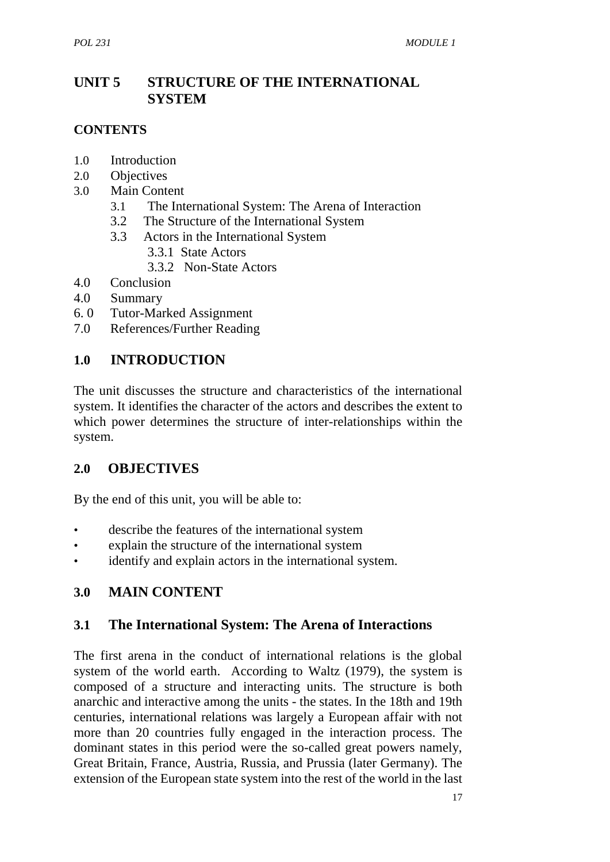# **UNIT 5 STRUCTURE OF THE INTERNATIONAL SYSTEM**

#### **CONTENTS**

- 1.0 Introduction
- 2.0 Objectives
- 3.0 Main Content
	- 3.1 The International System: The Arena of Interaction
	- 3.2 The Structure of the International System
	- 3.3 Actors in the International System
		- 3.3.1 State Actors
		- 3.3.2 Non-State Actors
- 4.0 Conclusion
- 4.0 Summary
- 6. 0 Tutor-Marked Assignment
- 7.0 References/Further Reading

## **1.0 INTRODUCTION**

The unit discusses the structure and characteristics of the international system. It identifies the character of the actors and describes the extent to which power determines the structure of inter-relationships within the system.

## **2.0 OBJECTIVES**

By the end of this unit, you will be able to:

- describe the features of the international system
- explain the structure of the international system
- identify and explain actors in the international system.

## **3.0 MAIN CONTENT**

## **3.1 The International System: The Arena of Interactions**

The first arena in the conduct of international relations is the global system of the world earth. According to Waltz (1979), the system is composed of a structure and interacting units. The structure is both anarchic and interactive among the units - the states. In the 18th and 19th centuries, international relations was largely a European affair with not more than 20 countries fully engaged in the interaction process. The dominant states in this period were the so-called great powers namely, Great Britain, France, Austria, Russia, and Prussia (later Germany). The extension of the European state system into the rest of the world in the last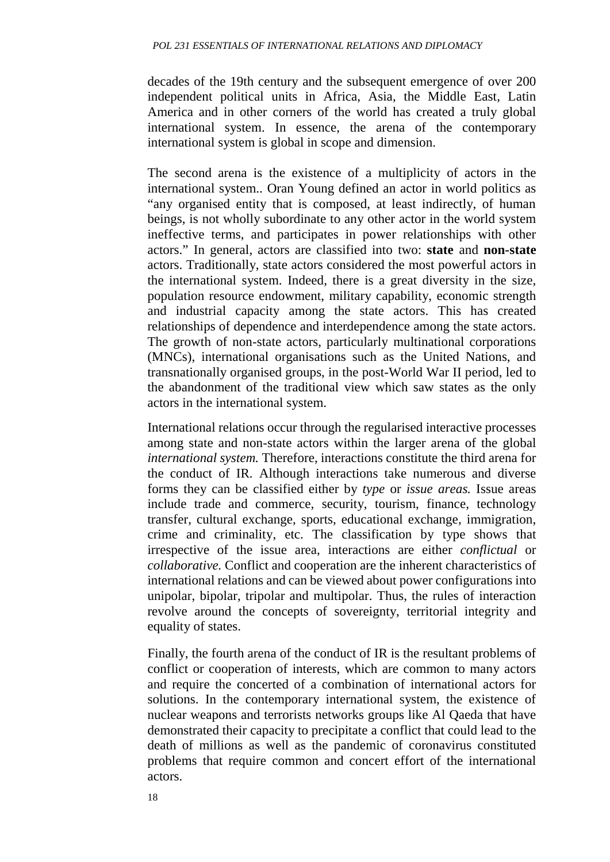decades of the 19th century and the subsequent emergence of over 200 independent political units in Africa, Asia, the Middle East, Latin America and in other corners of the world has created a truly global international system. In essence, the arena of the contemporary international system is global in scope and dimension.

The second arena is the existence of a multiplicity of actors in the international system.. Oran Young defined an actor in world politics as "any organised entity that is composed, at least indirectly, of human beings, is not wholly subordinate to any other actor in the world system ineffective terms, and participates in power relationships with other actors." In general, actors are classified into two: **state** and **non-state** actors. Traditionally, state actors considered the most powerful actors in the international system. Indeed, there is a great diversity in the size, population resource endowment, military capability, economic strength and industrial capacity among the state actors. This has created relationships of dependence and interdependence among the state actors. The growth of non-state actors, particularly multinational corporations (MNCs), international organisations such as the United Nations, and transnationally organised groups, in the post-World War II period, led to the abandonment of the traditional view which saw states as the only actors in the international system.

International relations occur through the regularised interactive processes among state and non-state actors within the larger arena of the global *international system.* Therefore, interactions constitute the third arena for the conduct of IR. Although interactions take numerous and diverse forms they can be classified either by *type* or *issue areas.* Issue areas include trade and commerce, security, tourism, finance, technology transfer, cultural exchange, sports, educational exchange, immigration, crime and criminality, etc. The classification by type shows that irrespective of the issue area, interactions are either *conflictual* or *collaborative.* Conflict and cooperation are the inherent characteristics of international relations and can be viewed about power configurations into unipolar, bipolar, tripolar and multipolar. Thus, the rules of interaction revolve around the concepts of sovereignty, territorial integrity and equality of states.

Finally, the fourth arena of the conduct of IR is the resultant problems of conflict or cooperation of interests, which are common to many actors and require the concerted of a combination of international actors for solutions. In the contemporary international system, the existence of nuclear weapons and terrorists networks groups like Al Qaeda that have demonstrated their capacity to precipitate a conflict that could lead to the death of millions as well as the pandemic of coronavirus constituted problems that require common and concert effort of the international actors.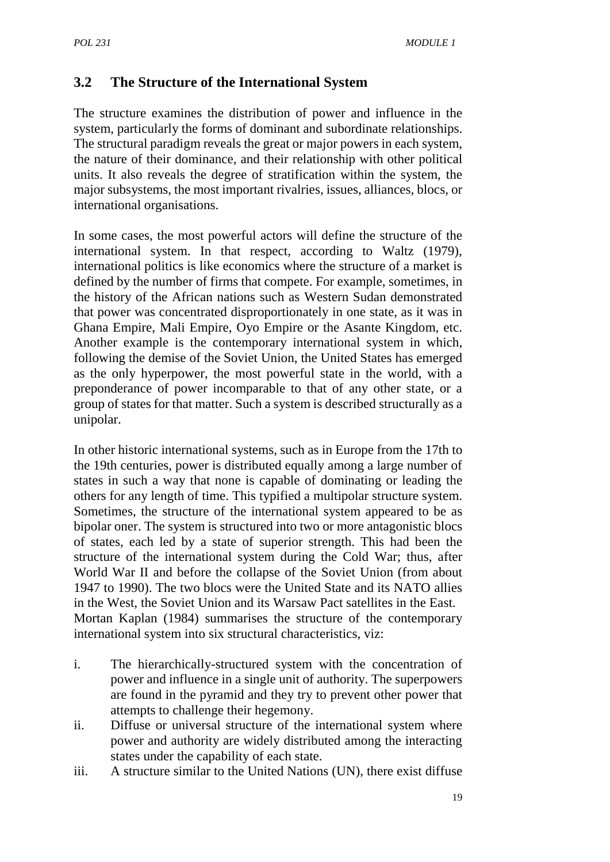## **3.2 The Structure of the International System**

The structure examines the distribution of power and influence in the system, particularly the forms of dominant and subordinate relationships. The structural paradigm reveals the great or major powers in each system, the nature of their dominance, and their relationship with other political units. It also reveals the degree of stratification within the system, the major subsystems, the most important rivalries, issues, alliances, blocs, or international organisations.

In some cases, the most powerful actors will define the structure of the international system. In that respect, according to Waltz (1979), international politics is like economics where the structure of a market is defined by the number of firms that compete. For example, sometimes, in the history of the African nations such as Western Sudan demonstrated that power was concentrated disproportionately in one state, as it was in Ghana Empire, Mali Empire, Oyo Empire or the Asante Kingdom, etc. Another example is the contemporary international system in which, following the demise of the Soviet Union, the United States has emerged as the only hyperpower, the most powerful state in the world, with a preponderance of power incomparable to that of any other state, or a group of states for that matter. Such a system is described structurally as a unipolar.

In other historic international systems, such as in Europe from the 17th to the 19th centuries, power is distributed equally among a large number of states in such a way that none is capable of dominating or leading the others for any length of time. This typified a multipolar structure system. Sometimes, the structure of the international system appeared to be as bipolar oner. The system is structured into two or more antagonistic blocs of states, each led by a state of superior strength. This had been the structure of the international system during the Cold War; thus, after World War II and before the collapse of the Soviet Union (from about 1947 to 1990). The two blocs were the United State and its NATO allies in the West, the Soviet Union and its Warsaw Pact satellites in the East. Mortan Kaplan (1984) summarises the structure of the contemporary international system into six structural characteristics, viz:

- i. The hierarchically-structured system with the concentration of power and influence in a single unit of authority. The superpowers are found in the pyramid and they try to prevent other power that attempts to challenge their hegemony.
- ii. Diffuse or universal structure of the international system where power and authority are widely distributed among the interacting states under the capability of each state.
- iii. A structure similar to the United Nations (UN), there exist diffuse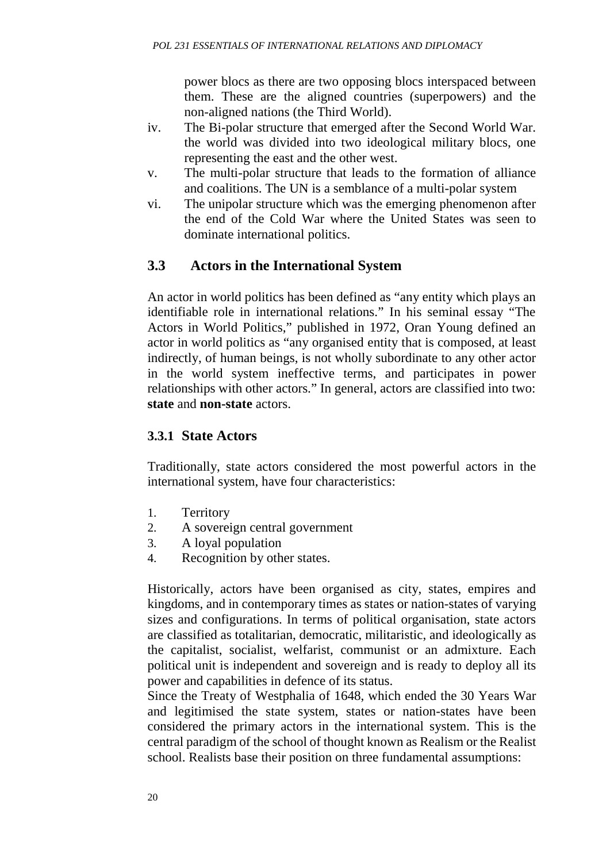power blocs as there are two opposing blocs interspaced between them. These are the aligned countries (superpowers) and the non-aligned nations (the Third World).

- iv. The Bi-polar structure that emerged after the Second World War. the world was divided into two ideological military blocs, one representing the east and the other west.
- v. The multi-polar structure that leads to the formation of alliance and coalitions. The UN is a semblance of a multi-polar system
- vi. The unipolar structure which was the emerging phenomenon after the end of the Cold War where the United States was seen to dominate international politics.

## **3.3 Actors in the International System**

An actor in world politics has been defined as "any entity which plays an identifiable role in international relations." In his seminal essay "The Actors in World Politics," published in 1972, Oran Young defined an actor in world politics as "any organised entity that is composed, at least indirectly, of human beings, is not wholly subordinate to any other actor in the world system ineffective terms, and participates in power relationships with other actors." In general, actors are classified into two: **state** and **non-state** actors.

## **3.3.1 State Actors**

Traditionally, state actors considered the most powerful actors in the international system, have four characteristics:

- 1. Territory
- 2. A sovereign central government
- 3. A loyal population
- 4. Recognition by other states.

Historically, actors have been organised as city, states, empires and kingdoms, and in contemporary times as states or nation-states of varying sizes and configurations. In terms of political organisation, state actors are classified as totalitarian, democratic, militaristic, and ideologically as the capitalist, socialist, welfarist, communist or an admixture. Each political unit is independent and sovereign and is ready to deploy all its power and capabilities in defence of its status.

Since the Treaty of Westphalia of 1648, which ended the 30 Years War and legitimised the state system, states or nation-states have been considered the primary actors in the international system. This is the central paradigm of the school of thought known as Realism or the Realist school. Realists base their position on three fundamental assumptions: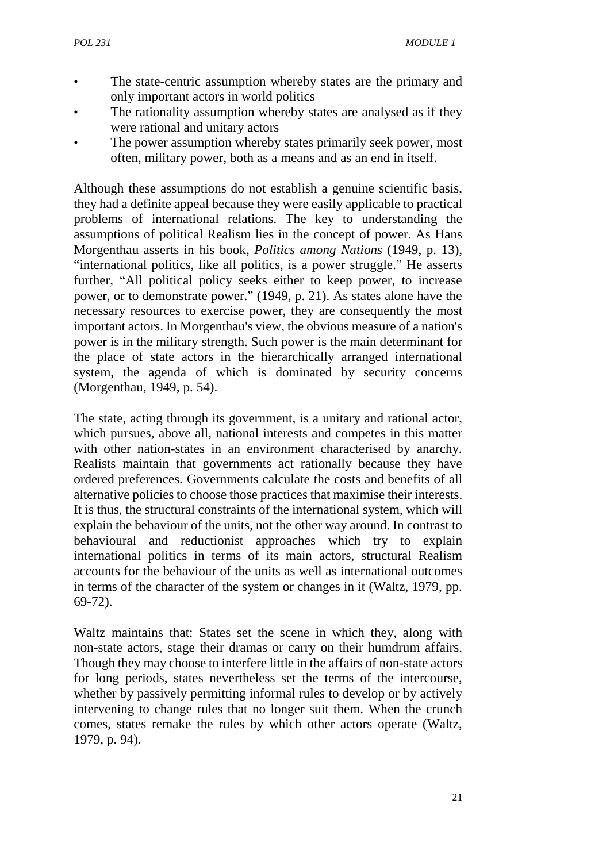- The state-centric assumption whereby states are the primary and only important actors in world politics
- The rationality assumption whereby states are analysed as if they were rational and unitary actors
- The power assumption whereby states primarily seek power, most often, military power, both as a means and as an end in itself.

Although these assumptions do not establish a genuine scientific basis, they had a definite appeal because they were easily applicable to practical problems of international relations. The key to understanding the assumptions of political Realism lies in the concept of power. As Hans Morgenthau asserts in his book, *Politics among Nations* (1949, p. 13), "international politics, like all politics, is a power struggle." He asserts further, "All political policy seeks either to keep power, to increase power, or to demonstrate power." (1949, p. 21). As states alone have the necessary resources to exercise power, they are consequently the most important actors. In Morgenthau's view, the obvious measure of a nation's power is in the military strength. Such power is the main determinant for the place of state actors in the hierarchically arranged international system, the agenda of which is dominated by security concerns (Morgenthau, 1949, p. 54).

The state, acting through its government, is a unitary and rational actor, which pursues, above all, national interests and competes in this matter with other nation-states in an environment characterised by anarchy. Realists maintain that governments act rationally because they have ordered preferences. Governments calculate the costs and benefits of all alternative policies to choose those practices that maximise their interests. It is thus, the structural constraints of the international system, which will explain the behaviour of the units, not the other way around. In contrast to behavioural and reductionist approaches which try to explain international politics in terms of its main actors, structural Realism accounts for the behaviour of the units as well as international outcomes in terms of the character of the system or changes in it (Waltz, 1979, pp. 69-72).

Waltz maintains that: States set the scene in which they, along with non-state actors, stage their dramas or carry on their humdrum affairs. Though they may choose to interfere little in the affairs of non-state actors for long periods, states nevertheless set the terms of the intercourse, whether by passively permitting informal rules to develop or by actively intervening to change rules that no longer suit them. When the crunch comes, states remake the rules by which other actors operate (Waltz, 1979, p. 94).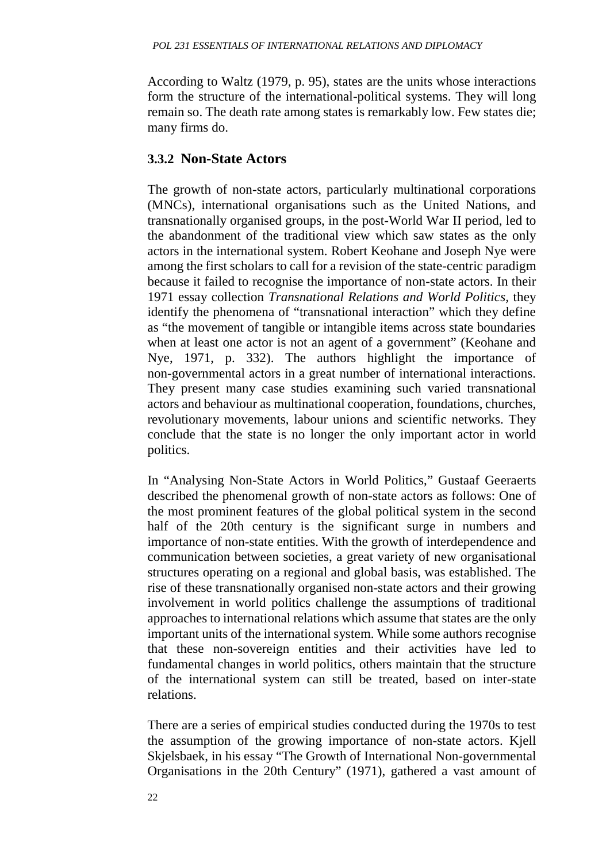According to Waltz (1979, p. 95), states are the units whose interactions form the structure of the international-political systems. They will long remain so. The death rate among states is remarkably low. Few states die; many firms do.

#### **3.3.2 Non-State Actors**

The growth of non-state actors, particularly multinational corporations (MNCs), international organisations such as the United Nations, and transnationally organised groups, in the post-World War II period, led to the abandonment of the traditional view which saw states as the only actors in the international system. Robert Keohane and Joseph Nye were among the first scholars to call for a revision of the state-centric paradigm because it failed to recognise the importance of non-state actors. In their 1971 essay collection *Transnational Relations and World Politics,* they identify the phenomena of "transnational interaction" which they define as "the movement of tangible or intangible items across state boundaries when at least one actor is not an agent of a government" (Keohane and Nye, 1971, p. 332). The authors highlight the importance of non-governmental actors in a great number of international interactions. They present many case studies examining such varied transnational actors and behaviour as multinational cooperation, foundations, churches, revolutionary movements, labour unions and scientific networks. They conclude that the state is no longer the only important actor in world politics.

In "Analysing Non-State Actors in World Politics," Gustaaf Geeraerts described the phenomenal growth of non-state actors as follows: One of the most prominent features of the global political system in the second half of the 20th century is the significant surge in numbers and importance of non-state entities. With the growth of interdependence and communication between societies, a great variety of new organisational structures operating on a regional and global basis, was established. The rise of these transnationally organised non-state actors and their growing involvement in world politics challenge the assumptions of traditional approaches to international relations which assume that states are the only important units of the international system. While some authors recognise that these non-sovereign entities and their activities have led to fundamental changes in world politics, others maintain that the structure of the international system can still be treated, based on inter-state relations.

There are a series of empirical studies conducted during the 1970s to test the assumption of the growing importance of non-state actors. Kjell Skjelsbaek, in his essay "The Growth of International Non-governmental Organisations in the 20th Century" (1971), gathered a vast amount of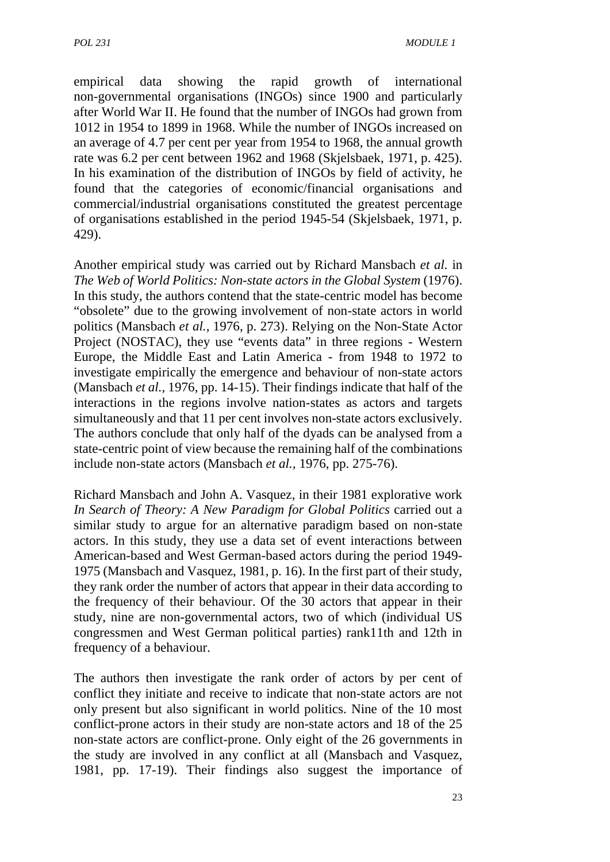empirical data showing the rapid growth of international non-governmental organisations (INGOs) since 1900 and particularly after World War II. He found that the number of INGOs had grown from 1012 in 1954 to 1899 in 1968. While the number of INGOs increased on an average of 4.7 per cent per year from 1954 to 1968, the annual growth rate was 6.2 per cent between 1962 and 1968 (Skjelsbaek, 1971, p. 425). In his examination of the distribution of INGOs by field of activity, he found that the categories of economic/financial organisations and commercial/industrial organisations constituted the greatest percentage of organisations established in the period 1945-54 (Skjelsbaek, 1971, p. 429).

Another empirical study was carried out by Richard Mansbach *et al.* in *The Web of World Politics: Non-state actors in the Global System* (1976). In this study, the authors contend that the state-centric model has become "obsolete" due to the growing involvement of non-state actors in world politics (Mansbach *et al.,* 1976, p. 273). Relying on the Non-State Actor Project (NOSTAC), they use "events data" in three regions - Western Europe, the Middle East and Latin America - from 1948 to 1972 to investigate empirically the emergence and behaviour of non-state actors (Mansbach *et al.,* 1976, pp. 14-15). Their findings indicate that half of the interactions in the regions involve nation-states as actors and targets simultaneously and that 11 per cent involves non-state actors exclusively. The authors conclude that only half of the dyads can be analysed from a state-centric point of view because the remaining half of the combinations include non-state actors (Mansbach *et al.,* 1976, pp. 275-76).

Richard Mansbach and John A. Vasquez, in their 1981 explorative work *In Search of Theory: A New Paradigm for Global Politics* carried out a similar study to argue for an alternative paradigm based on non-state actors. In this study, they use a data set of event interactions between American-based and West German-based actors during the period 1949- 1975 (Mansbach and Vasquez, 1981, p. 16). In the first part of their study, they rank order the number of actors that appear in their data according to the frequency of their behaviour. Of the 30 actors that appear in their study, nine are non-governmental actors, two of which (individual US congressmen and West German political parties) rank11th and 12th in frequency of a behaviour.

The authors then investigate the rank order of actors by per cent of conflict they initiate and receive to indicate that non-state actors are not only present but also significant in world politics. Nine of the 10 most conflict-prone actors in their study are non-state actors and 18 of the 25 non-state actors are conflict-prone. Only eight of the 26 governments in the study are involved in any conflict at all (Mansbach and Vasquez, 1981, pp. 17-19). Their findings also suggest the importance of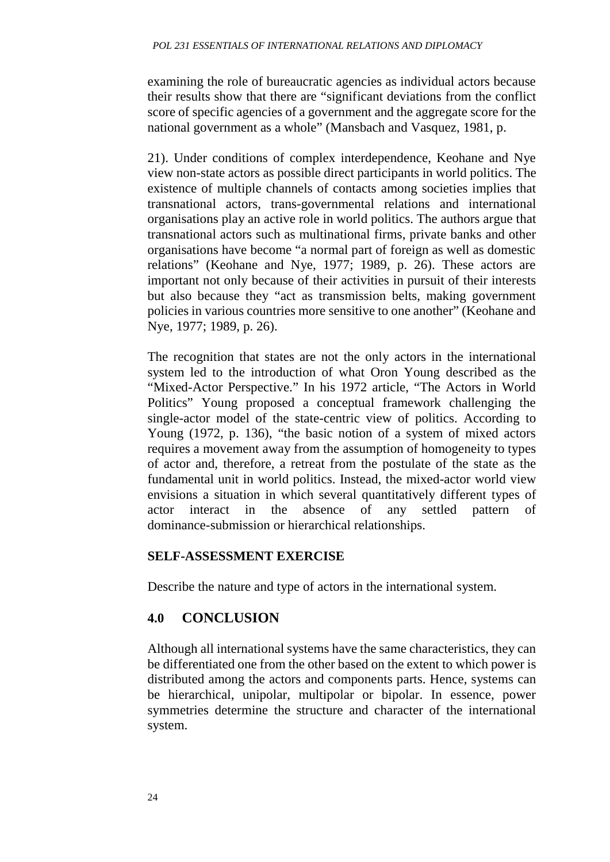examining the role of bureaucratic agencies as individual actors because their results show that there are "significant deviations from the conflict score of specific agencies of a government and the aggregate score for the national government as a whole" (Mansbach and Vasquez, 1981, p.

21). Under conditions of complex interdependence, Keohane and Nye view non-state actors as possible direct participants in world politics. The existence of multiple channels of contacts among societies implies that transnational actors, trans-governmental relations and international organisations play an active role in world politics. The authors argue that transnational actors such as multinational firms, private banks and other organisations have become "a normal part of foreign as well as domestic relations" (Keohane and Nye, 1977; 1989, p. 26). These actors are important not only because of their activities in pursuit of their interests but also because they "act as transmission belts, making government policies in various countries more sensitive to one another" (Keohane and Nye, 1977; 1989, p. 26).

The recognition that states are not the only actors in the international system led to the introduction of what Oron Young described as the "Mixed-Actor Perspective." In his 1972 article, "The Actors in World Politics" Young proposed a conceptual framework challenging the single-actor model of the state-centric view of politics. According to Young (1972, p. 136), "the basic notion of a system of mixed actors requires a movement away from the assumption of homogeneity to types of actor and, therefore, a retreat from the postulate of the state as the fundamental unit in world politics. Instead, the mixed-actor world view envisions a situation in which several quantitatively different types of actor interact in the absence of any settled pattern of dominance-submission or hierarchical relationships.

#### **SELF-ASSESSMENT EXERCISE**

Describe the nature and type of actors in the international system.

## **4.0 CONCLUSION**

Although all international systems have the same characteristics, they can be differentiated one from the other based on the extent to which power is distributed among the actors and components parts. Hence, systems can be hierarchical, unipolar, multipolar or bipolar. In essence, power symmetries determine the structure and character of the international system.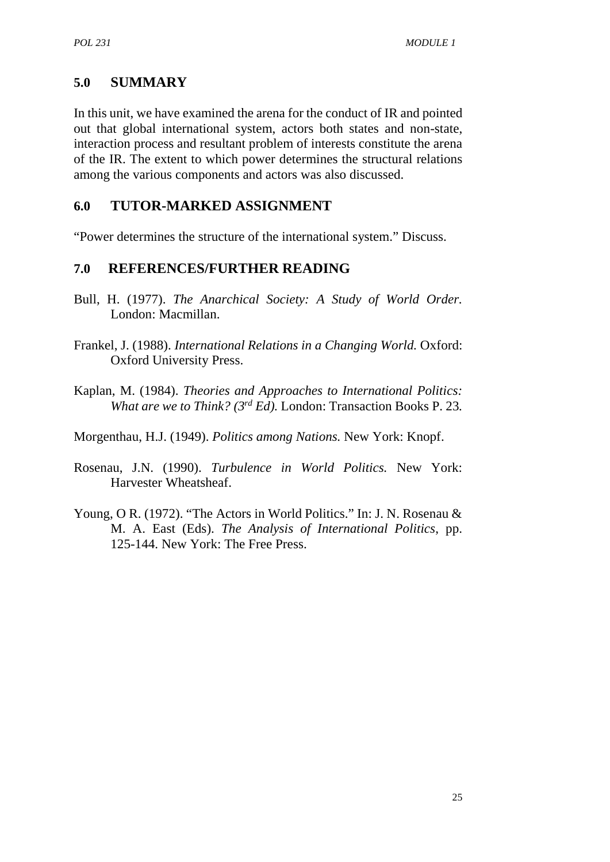#### **5.0 SUMMARY**

In this unit, we have examined the arena for the conduct of IR and pointed out that global international system, actors both states and non-state, interaction process and resultant problem of interests constitute the arena of the IR. The extent to which power determines the structural relations among the various components and actors was also discussed.

#### **6.0 TUTOR-MARKED ASSIGNMENT**

"Power determines the structure of the international system." Discuss.

#### **7.0 REFERENCES/FURTHER READING**

- Bull, H. (1977). *The Anarchical Society: A Study of World Order.* London: Macmillan.
- Frankel, J. (1988). *International Relations in a Changing World.* Oxford: Oxford University Press.
- Kaplan, M. (1984). *Theories and Approaches to International Politics: What are we to Think? (3rd Ed).* London: Transaction Books P. 23*.*

Morgenthau, H.J. (1949). *Politics among Nations.* New York: Knopf.

- Rosenau, J.N. (1990). *Turbulence in World Politics.* New York: Harvester Wheatsheaf.
- Young, O R. (1972). "The Actors in World Politics." In: J. N. Rosenau & M. A. East (Eds). *The Analysis of International Politics*, pp. 125-144. New York: The Free Press.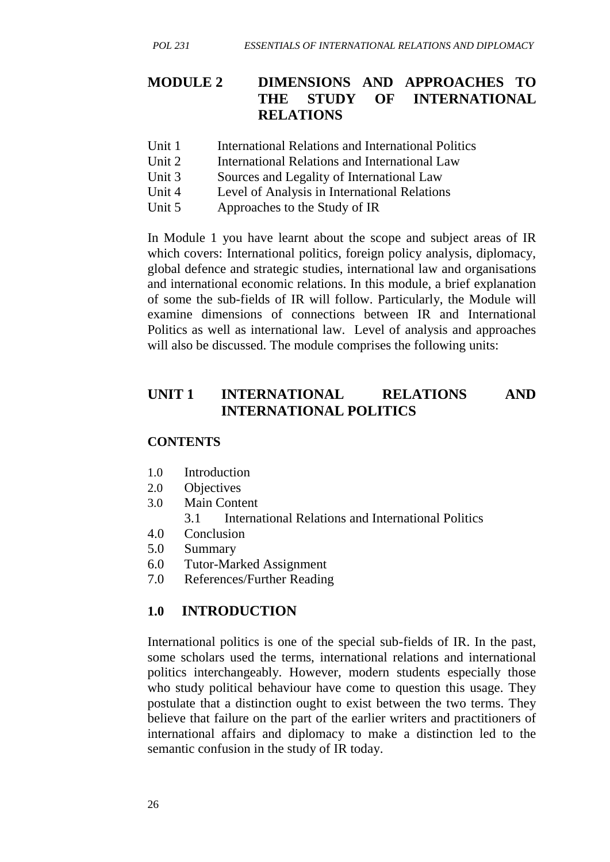## **MODULE 2 DIMENSIONS AND APPROACHES TO THE STUDY OF INTERNATIONAL RELATIONS**

- Unit 1 International Relations and International Politics
- Unit 2 International Relations and International Law
- Unit 3 Sources and Legality of International Law
- Unit 4 Level of Analysis in International Relations
- Unit 5 Approaches to the Study of IR

In Module 1 you have learnt about the scope and subject areas of IR which covers: International politics, foreign policy analysis, diplomacy, global defence and strategic studies, international law and organisations and international economic relations. In this module, a brief explanation of some the sub-fields of IR will follow. Particularly, the Module will examine dimensions of connections between IR and International Politics as well as international law. Level of analysis and approaches will also be discussed. The module comprises the following units:

### **UNIT 1 INTERNATIONAL RELATIONS AND INTERNATIONAL POLITICS**

#### **CONTENTS**

- 1.0 Introduction
- 2.0 Objectives
- 3.0 Main Content
	- 3.1 International Relations and International Politics
- 4.0 Conclusion
- 5.0 Summary
- 6.0 Tutor-Marked Assignment
- 7.0 References/Further Reading

### **1.0 INTRODUCTION**

International politics is one of the special sub-fields of IR. In the past, some scholars used the terms, international relations and international politics interchangeably. However, modern students especially those who study political behaviour have come to question this usage. They postulate that a distinction ought to exist between the two terms. They believe that failure on the part of the earlier writers and practitioners of international affairs and diplomacy to make a distinction led to the semantic confusion in the study of IR today.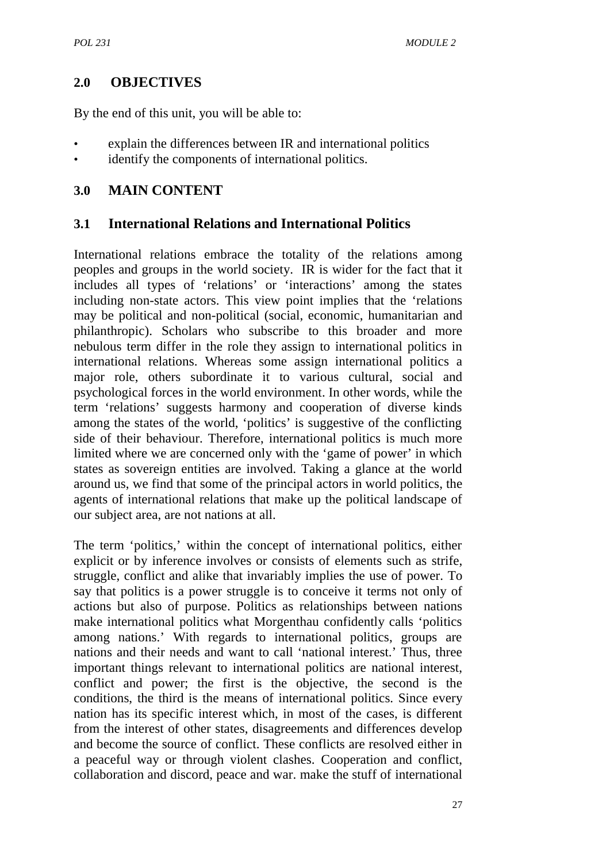## **2.0 OBJECTIVES**

By the end of this unit, you will be able to:

- explain the differences between IR and international politics
- identify the components of international politics.

## **3.0 MAIN CONTENT**

### **3.1 International Relations and International Politics**

International relations embrace the totality of the relations among peoples and groups in the world society. IR is wider for the fact that it includes all types of 'relations' or 'interactions' among the states including non-state actors. This view point implies that the 'relations may be political and non-political (social, economic, humanitarian and philanthropic). Scholars who subscribe to this broader and more nebulous term differ in the role they assign to international politics in international relations. Whereas some assign international politics a major role, others subordinate it to various cultural, social and psychological forces in the world environment. In other words, while the term 'relations' suggests harmony and cooperation of diverse kinds among the states of the world, 'politics' is suggestive of the conflicting side of their behaviour. Therefore, international politics is much more limited where we are concerned only with the 'game of power' in which states as sovereign entities are involved. Taking a glance at the world around us, we find that some of the principal actors in world politics, the agents of international relations that make up the political landscape of our subject area, are not nations at all.

The term 'politics,' within the concept of international politics, either explicit or by inference involves or consists of elements such as strife, struggle, conflict and alike that invariably implies the use of power. To say that politics is a power struggle is to conceive it terms not only of actions but also of purpose. Politics as relationships between nations make international politics what Morgenthau confidently calls 'politics among nations.' With regards to international politics, groups are nations and their needs and want to call 'national interest.' Thus, three important things relevant to international politics are national interest, conflict and power; the first is the objective, the second is the conditions, the third is the means of international politics. Since every nation has its specific interest which, in most of the cases, is different from the interest of other states, disagreements and differences develop and become the source of conflict. These conflicts are resolved either in a peaceful way or through violent clashes. Cooperation and conflict, collaboration and discord, peace and war. make the stuff of international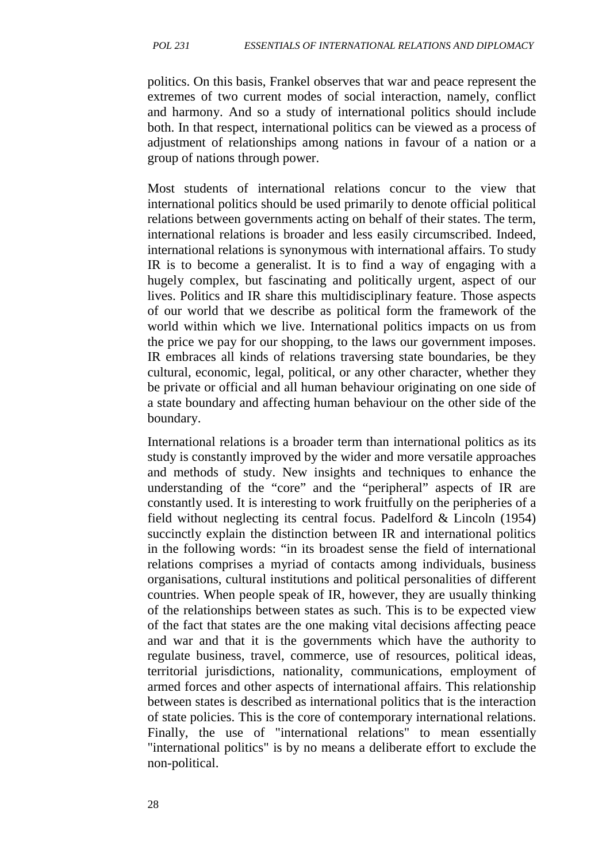politics. On this basis, Frankel observes that war and peace represent the extremes of two current modes of social interaction, namely, conflict and harmony. And so a study of international politics should include both. In that respect, international politics can be viewed as a process of adjustment of relationships among nations in favour of a nation or a group of nations through power.

Most students of international relations concur to the view that international politics should be used primarily to denote official political relations between governments acting on behalf of their states. The term, international relations is broader and less easily circumscribed. Indeed, international relations is synonymous with international affairs. To study IR is to become a generalist. It is to find a way of engaging with a hugely complex, but fascinating and politically urgent, aspect of our lives. Politics and IR share this multidisciplinary feature. Those aspects of our world that we describe as political form the framework of the world within which we live. International politics impacts on us from the price we pay for our shopping, to the laws our government imposes. IR embraces all kinds of relations traversing state boundaries, be they cultural, economic, legal, political, or any other character, whether they be private or official and all human behaviour originating on one side of a state boundary and affecting human behaviour on the other side of the boundary.

International relations is a broader term than international politics as its study is constantly improved by the wider and more versatile approaches and methods of study. New insights and techniques to enhance the understanding of the "core" and the "peripheral" aspects of IR are constantly used. It is interesting to work fruitfully on the peripheries of a field without neglecting its central focus. Padelford & Lincoln (1954) succinctly explain the distinction between IR and international politics in the following words: "in its broadest sense the field of international relations comprises a myriad of contacts among individuals, business organisations, cultural institutions and political personalities of different countries. When people speak of IR, however, they are usually thinking of the relationships between states as such. This is to be expected view of the fact that states are the one making vital decisions affecting peace and war and that it is the governments which have the authority to regulate business, travel, commerce, use of resources, political ideas, territorial jurisdictions, nationality, communications, employment of armed forces and other aspects of international affairs. This relationship between states is described as international politics that is the interaction of state policies. This is the core of contemporary international relations. Finally, the use of "international relations" to mean essentially "international politics" is by no means a deliberate effort to exclude the non-political.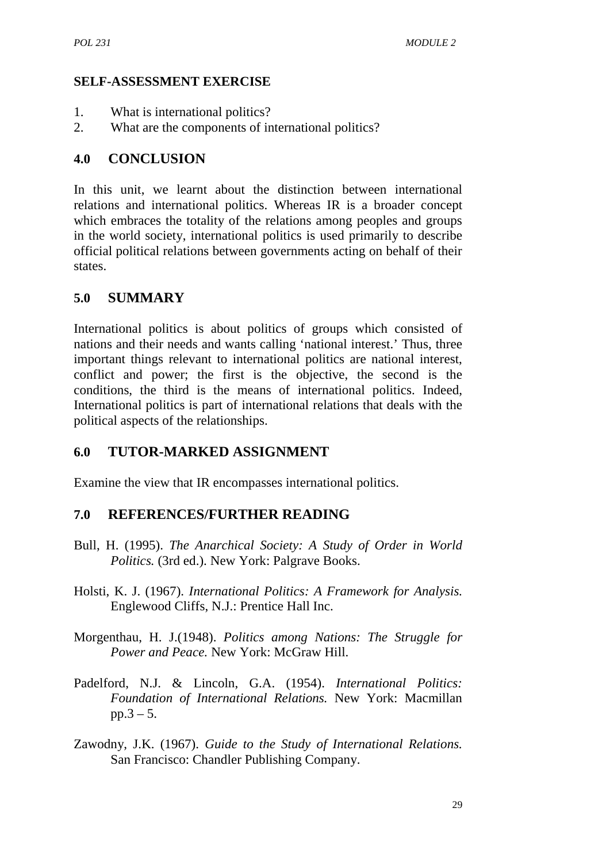#### **SELF-ASSESSMENT EXERCISE**

- 1. What is international politics?
- 2. What are the components of international politics?

#### **4.0 CONCLUSION**

In this unit, we learnt about the distinction between international relations and international politics. Whereas IR is a broader concept which embraces the totality of the relations among peoples and groups in the world society, international politics is used primarily to describe official political relations between governments acting on behalf of their states.

#### **5.0 SUMMARY**

International politics is about politics of groups which consisted of nations and their needs and wants calling 'national interest.' Thus, three important things relevant to international politics are national interest, conflict and power; the first is the objective, the second is the conditions, the third is the means of international politics. Indeed, International politics is part of international relations that deals with the political aspects of the relationships.

#### **6.0 TUTOR-MARKED ASSIGNMENT**

Examine the view that IR encompasses international politics.

#### **7.0 REFERENCES/FURTHER READING**

- Bull, H. (1995). *The Anarchical Society: A Study of Order in World Politics.* (3rd ed.). New York: Palgrave Books.
- Holsti, K. J. (1967). *International Politics: A Framework for Analysis.* Englewood Cliffs, N.J.: Prentice Hall Inc.
- Morgenthau, H. J.(1948). *Politics among Nations: The Struggle for Power and Peace.* New York: McGraw Hill.
- Padelford, N.J. & Lincoln, G.A. (1954). *International Politics: Foundation of International Relations.* New York: Macmillan  $pp.3 - 5.$
- Zawodny, J.K. (1967). *Guide to the Study of International Relations.* San Francisco: Chandler Publishing Company.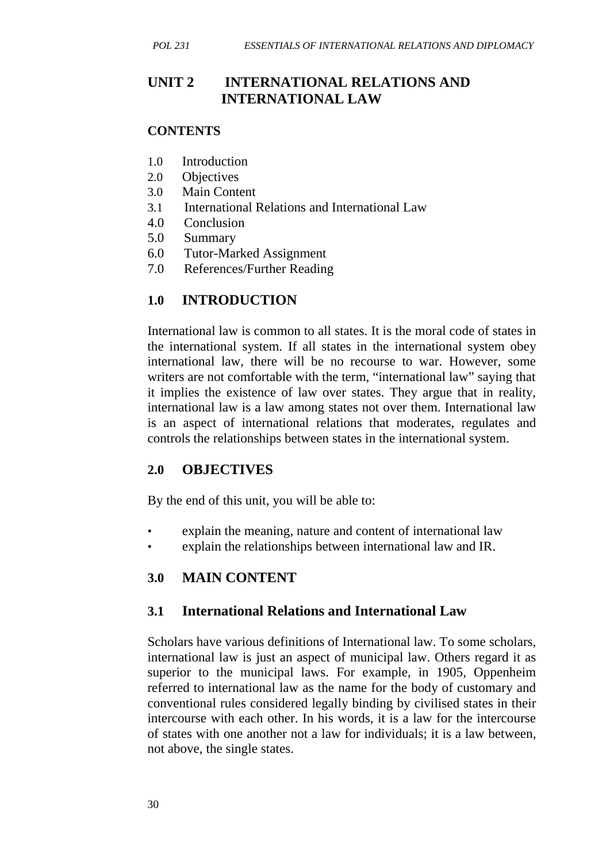## **UNIT 2 INTERNATIONAL RELATIONS AND INTERNATIONAL LAW**

#### **CONTENTS**

- 1.0 Introduction
- 2.0 Objectives
- 3.0 Main Content
- 3.1 International Relations and International Law
- 4.0 Conclusion
- 5.0 Summary
- 6.0 Tutor-Marked Assignment
- 7.0 References/Further Reading

## **1.0 INTRODUCTION**

International law is common to all states. It is the moral code of states in the international system. If all states in the international system obey international law, there will be no recourse to war. However, some writers are not comfortable with the term, "international law" saying that it implies the existence of law over states. They argue that in reality, international law is a law among states not over them. International law is an aspect of international relations that moderates, regulates and controls the relationships between states in the international system.

### **2.0 OBJECTIVES**

By the end of this unit, you will be able to:

- explain the meaning, nature and content of international law
- explain the relationships between international law and IR.

#### **3.0 MAIN CONTENT**

#### **3.1 International Relations and International Law**

Scholars have various definitions of International law. To some scholars, international law is just an aspect of municipal law. Others regard it as superior to the municipal laws. For example, in 1905, Oppenheim referred to international law as the name for the body of customary and conventional rules considered legally binding by civilised states in their intercourse with each other. In his words, it is a law for the intercourse of states with one another not a law for individuals; it is a law between, not above, the single states.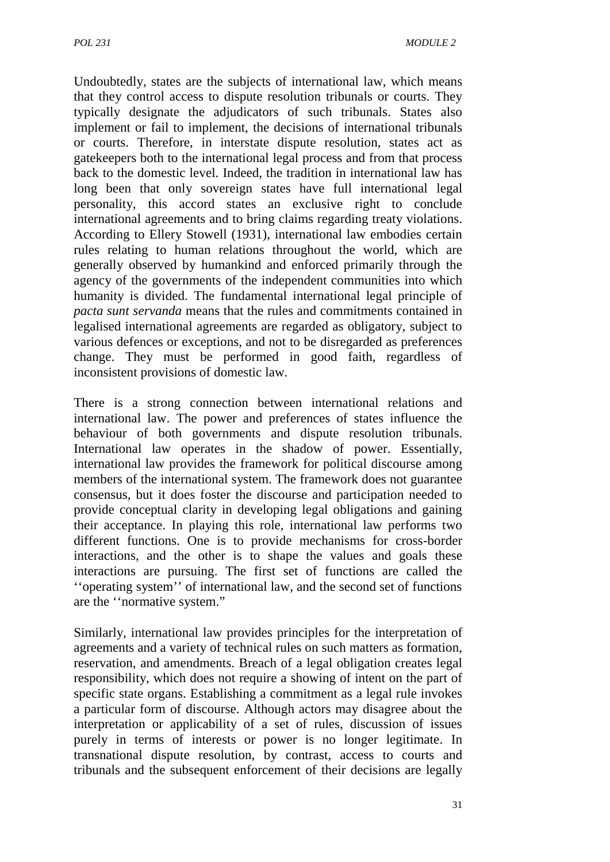Undoubtedly, states are the subjects of international law, which means that they control access to dispute resolution tribunals or courts. They typically designate the adjudicators of such tribunals. States also implement or fail to implement, the decisions of international tribunals or courts. Therefore, in interstate dispute resolution, states act as gatekeepers both to the international legal process and from that process back to the domestic level. Indeed, the tradition in international law has long been that only sovereign states have full international legal personality, this accord states an exclusive right to conclude international agreements and to bring claims regarding treaty violations. According to Ellery Stowell (1931), international law embodies certain rules relating to human relations throughout the world, which are generally observed by humankind and enforced primarily through the agency of the governments of the independent communities into which humanity is divided. The fundamental international legal principle of *pacta sunt servanda* means that the rules and commitments contained in legalised international agreements are regarded as obligatory, subject to various defences or exceptions, and not to be disregarded as preferences change. They must be performed in good faith, regardless of inconsistent provisions of domestic law.

There is a strong connection between international relations and international law. The power and preferences of states influence the behaviour of both governments and dispute resolution tribunals. International law operates in the shadow of power. Essentially, international law provides the framework for political discourse among members of the international system. The framework does not guarantee consensus, but it does foster the discourse and participation needed to provide conceptual clarity in developing legal obligations and gaining their acceptance. In playing this role, international law performs two different functions. One is to provide mechanisms for cross-border interactions, and the other is to shape the values and goals these interactions are pursuing. The first set of functions are called the ''operating system'' of international law, and the second set of functions are the ''normative system."

Similarly, international law provides principles for the interpretation of agreements and a variety of technical rules on such matters as formation, reservation, and amendments. Breach of a legal obligation creates legal responsibility, which does not require a showing of intent on the part of specific state organs. Establishing a commitment as a legal rule invokes a particular form of discourse. Although actors may disagree about the interpretation or applicability of a set of rules, discussion of issues purely in terms of interests or power is no longer legitimate. In transnational dispute resolution, by contrast, access to courts and tribunals and the subsequent enforcement of their decisions are legally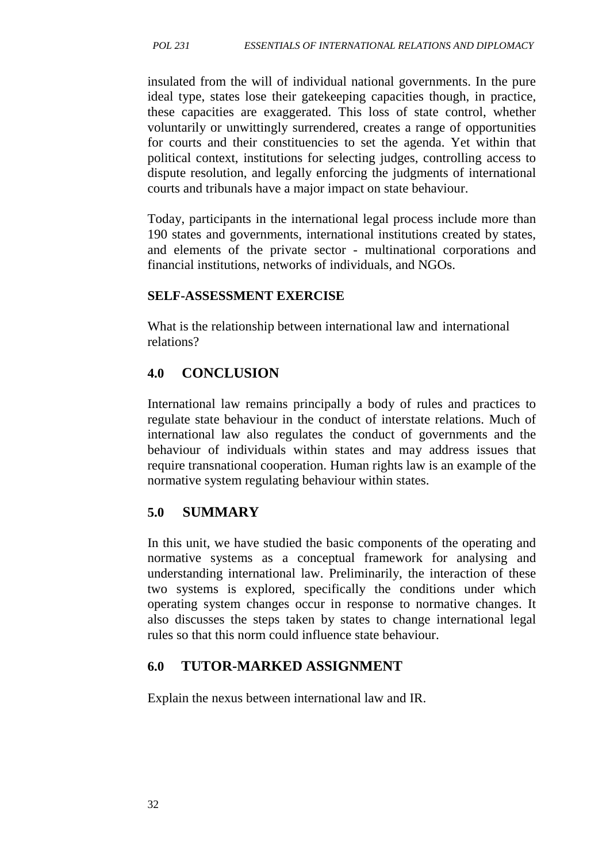insulated from the will of individual national governments. In the pure ideal type, states lose their gatekeeping capacities though, in practice, these capacities are exaggerated. This loss of state control, whether voluntarily or unwittingly surrendered, creates a range of opportunities for courts and their constituencies to set the agenda. Yet within that political context, institutions for selecting judges, controlling access to dispute resolution, and legally enforcing the judgments of international courts and tribunals have a major impact on state behaviour.

Today, participants in the international legal process include more than 190 states and governments, international institutions created by states, and elements of the private sector - multinational corporations and financial institutions, networks of individuals, and NGOs.

#### **SELF-ASSESSMENT EXERCISE**

What is the relationship between international law and international relations?

## **4.0 CONCLUSION**

International law remains principally a body of rules and practices to regulate state behaviour in the conduct of interstate relations. Much of international law also regulates the conduct of governments and the behaviour of individuals within states and may address issues that require transnational cooperation. Human rights law is an example of the normative system regulating behaviour within states.

### **5.0 SUMMARY**

In this unit, we have studied the basic components of the operating and normative systems as a conceptual framework for analysing and understanding international law. Preliminarily, the interaction of these two systems is explored, specifically the conditions under which operating system changes occur in response to normative changes. It also discusses the steps taken by states to change international legal rules so that this norm could influence state behaviour.

### **6.0 TUTOR-MARKED ASSIGNMENT**

Explain the nexus between international law and IR.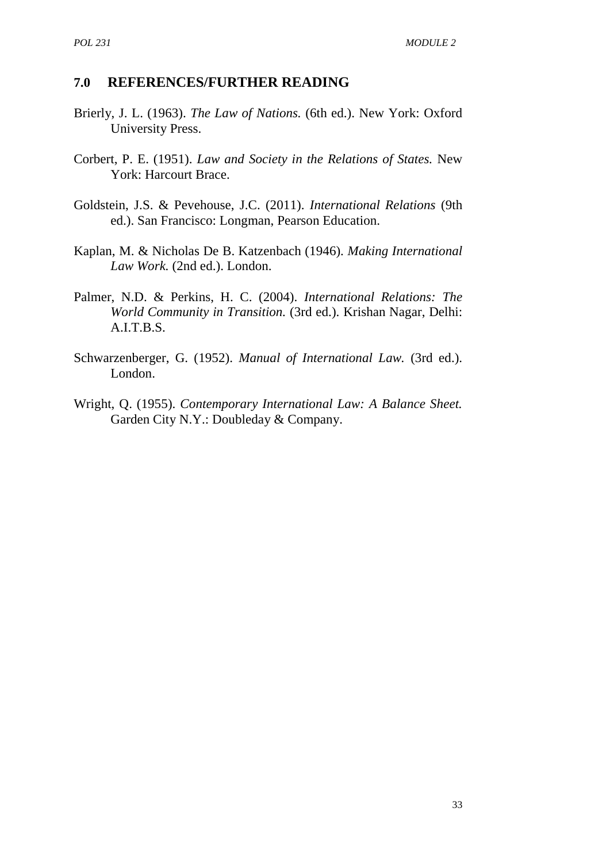#### **7.0 REFERENCES/FURTHER READING**

- Brierly, J. L. (1963). *The Law of Nations.* (6th ed.). New York: Oxford University Press.
- Corbert, P. E. (1951). *Law and Society in the Relations of States.* New York: Harcourt Brace.
- Goldstein, J.S. & Pevehouse, J.C. (2011). *International Relations* (9th ed.). San Francisco: Longman, Pearson Education.
- Kaplan, M. & Nicholas De B. Katzenbach (1946). *Making International Law Work.* (2nd ed.). London.
- Palmer, N.D. & Perkins, H. C. (2004). *International Relations: The World Community in Transition.* (3rd ed.). Krishan Nagar, Delhi: A.I.T.B.S.
- Schwarzenberger, G. (1952). *Manual of International Law.* (3rd ed.). London.
- Wright, Q. (1955). *Contemporary International Law: A Balance Sheet.* Garden City N.Y.: Doubleday & Company.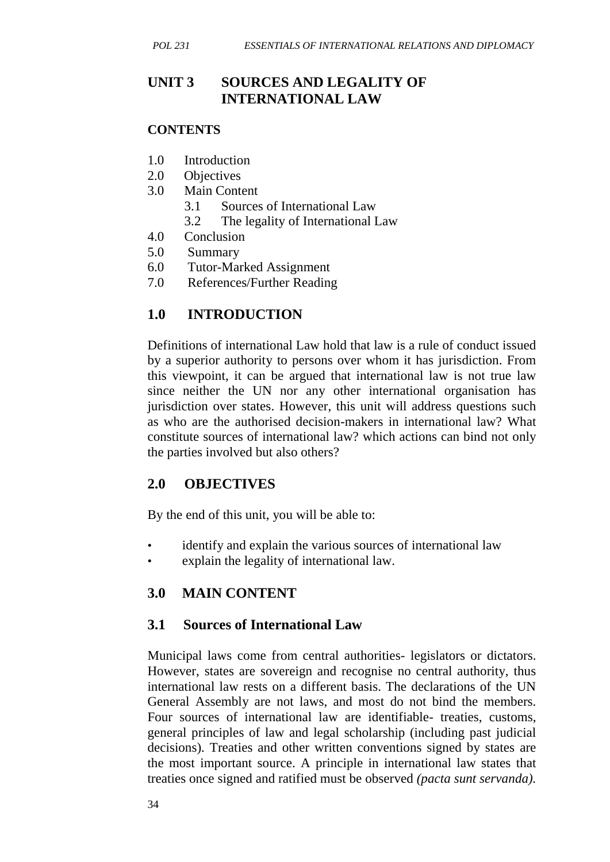## **UNIT 3 SOURCES AND LEGALITY OF INTERNATIONAL LAW**

#### **CONTENTS**

- 1.0 Introduction
- 2.0 Objectives
- 3.0 Main Content
	- 3.1 Sources of International Law
	- 3.2 The legality of International Law
- 4.0 Conclusion
- 5.0 Summary
- 6.0 Tutor-Marked Assignment
- 7.0 References/Further Reading

## **1.0 INTRODUCTION**

Definitions of international Law hold that law is a rule of conduct issued by a superior authority to persons over whom it has jurisdiction. From this viewpoint, it can be argued that international law is not true law since neither the UN nor any other international organisation has jurisdiction over states. However, this unit will address questions such as who are the authorised decision-makers in international law? What constitute sources of international law? which actions can bind not only the parties involved but also others?

## **2.0 OBJECTIVES**

By the end of this unit, you will be able to:

- identify and explain the various sources of international law
- explain the legality of international law.

## **3.0 MAIN CONTENT**

### **3.1 Sources of International Law**

Municipal laws come from central authorities- legislators or dictators. However, states are sovereign and recognise no central authority, thus international law rests on a different basis. The declarations of the UN General Assembly are not laws, and most do not bind the members. Four sources of international law are identifiable- treaties, customs, general principles of law and legal scholarship (including past judicial decisions). Treaties and other written conventions signed by states are the most important source. A principle in international law states that treaties once signed and ratified must be observed *(pacta sunt servanda).*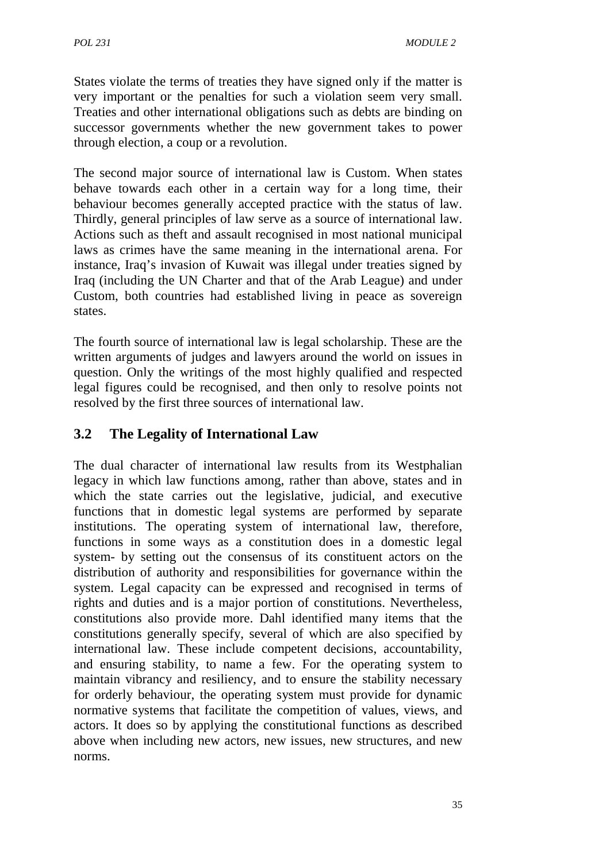States violate the terms of treaties they have signed only if the matter is very important or the penalties for such a violation seem very small. Treaties and other international obligations such as debts are binding on successor governments whether the new government takes to power through election, a coup or a revolution.

The second major source of international law is Custom. When states behave towards each other in a certain way for a long time, their behaviour becomes generally accepted practice with the status of law. Thirdly, general principles of law serve as a source of international law. Actions such as theft and assault recognised in most national municipal laws as crimes have the same meaning in the international arena. For instance, Iraq's invasion of Kuwait was illegal under treaties signed by Iraq (including the UN Charter and that of the Arab League) and under Custom, both countries had established living in peace as sovereign states.

The fourth source of international law is legal scholarship. These are the written arguments of judges and lawyers around the world on issues in question. Only the writings of the most highly qualified and respected legal figures could be recognised, and then only to resolve points not resolved by the first three sources of international law.

## **3.2 The Legality of International Law**

The dual character of international law results from its Westphalian legacy in which law functions among, rather than above, states and in which the state carries out the legislative, judicial, and executive functions that in domestic legal systems are performed by separate institutions. The operating system of international law, therefore, functions in some ways as a constitution does in a domestic legal system- by setting out the consensus of its constituent actors on the distribution of authority and responsibilities for governance within the system. Legal capacity can be expressed and recognised in terms of rights and duties and is a major portion of constitutions. Nevertheless, constitutions also provide more. Dahl identified many items that the constitutions generally specify, several of which are also specified by international law. These include competent decisions, accountability, and ensuring stability, to name a few. For the operating system to maintain vibrancy and resiliency, and to ensure the stability necessary for orderly behaviour, the operating system must provide for dynamic normative systems that facilitate the competition of values, views, and actors. It does so by applying the constitutional functions as described above when including new actors, new issues, new structures, and new norms.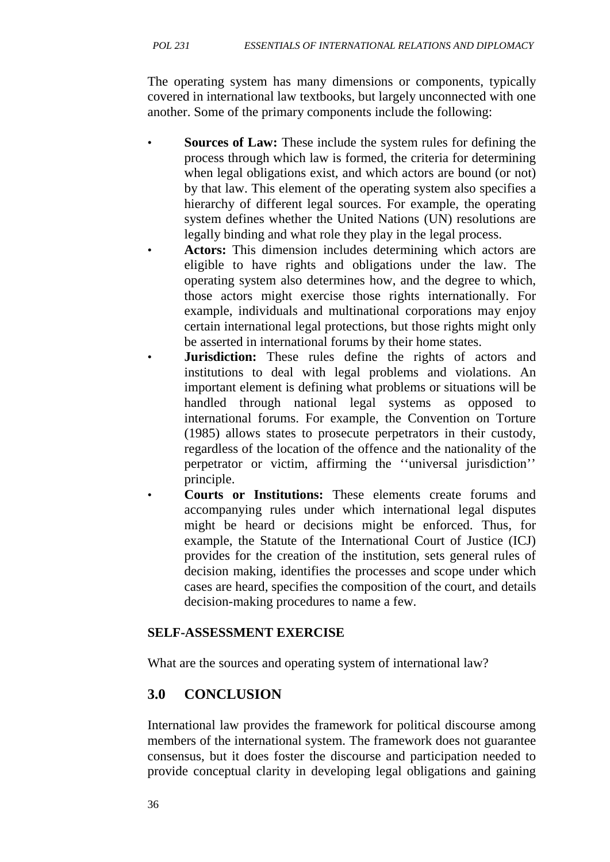The operating system has many dimensions or components, typically covered in international law textbooks, but largely unconnected with one another. Some of the primary components include the following:

- **Sources of Law:** These include the system rules for defining the process through which law is formed, the criteria for determining when legal obligations exist, and which actors are bound (or not) by that law. This element of the operating system also specifies a hierarchy of different legal sources. For example, the operating system defines whether the United Nations (UN) resolutions are legally binding and what role they play in the legal process.
- **Actors:** This dimension includes determining which actors are eligible to have rights and obligations under the law. The operating system also determines how, and the degree to which, those actors might exercise those rights internationally. For example, individuals and multinational corporations may enjoy certain international legal protections, but those rights might only be asserted in international forums by their home states.
	- **Jurisdiction:** These rules define the rights of actors and institutions to deal with legal problems and violations. An important element is defining what problems or situations will be handled through national legal systems as opposed to international forums. For example, the Convention on Torture (1985) allows states to prosecute perpetrators in their custody, regardless of the location of the offence and the nationality of the perpetrator or victim, affirming the ''universal jurisdiction'' principle.
- **Courts or Institutions:** These elements create forums and accompanying rules under which international legal disputes might be heard or decisions might be enforced. Thus, for example, the Statute of the International Court of Justice (ICJ) provides for the creation of the institution, sets general rules of decision making, identifies the processes and scope under which cases are heard, specifies the composition of the court, and details decision-making procedures to name a few.

## **SELF-ASSESSMENT EXERCISE**

What are the sources and operating system of international law?

# **3.0 CONCLUSION**

International law provides the framework for political discourse among members of the international system. The framework does not guarantee consensus, but it does foster the discourse and participation needed to provide conceptual clarity in developing legal obligations and gaining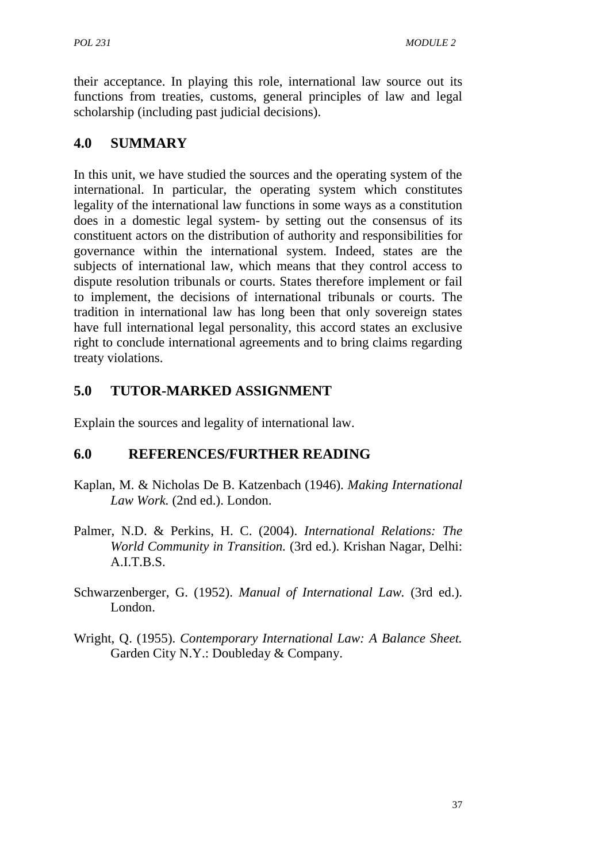their acceptance. In playing this role, international law source out its functions from treaties, customs, general principles of law and legal scholarship (including past judicial decisions).

# **4.0 SUMMARY**

In this unit, we have studied the sources and the operating system of the international. In particular, the operating system which constitutes legality of the international law functions in some ways as a constitution does in a domestic legal system- by setting out the consensus of its constituent actors on the distribution of authority and responsibilities for governance within the international system. Indeed, states are the subjects of international law, which means that they control access to dispute resolution tribunals or courts. States therefore implement or fail to implement, the decisions of international tribunals or courts. The tradition in international law has long been that only sovereign states have full international legal personality, this accord states an exclusive right to conclude international agreements and to bring claims regarding treaty violations.

# **5.0 TUTOR-MARKED ASSIGNMENT**

Explain the sources and legality of international law.

# **6.0 REFERENCES/FURTHER READING**

- Kaplan, M. & Nicholas De B. Katzenbach (1946). *Making International Law Work.* (2nd ed.). London.
- Palmer, N.D. & Perkins, H. C. (2004). *International Relations: The World Community in Transition.* (3rd ed.). Krishan Nagar, Delhi: A.I.T.B.S.
- Schwarzenberger, G. (1952). *Manual of International Law.* (3rd ed.). London.
- Wright, Q. (1955). *Contemporary International Law: A Balance Sheet.* Garden City N.Y.: Doubleday & Company.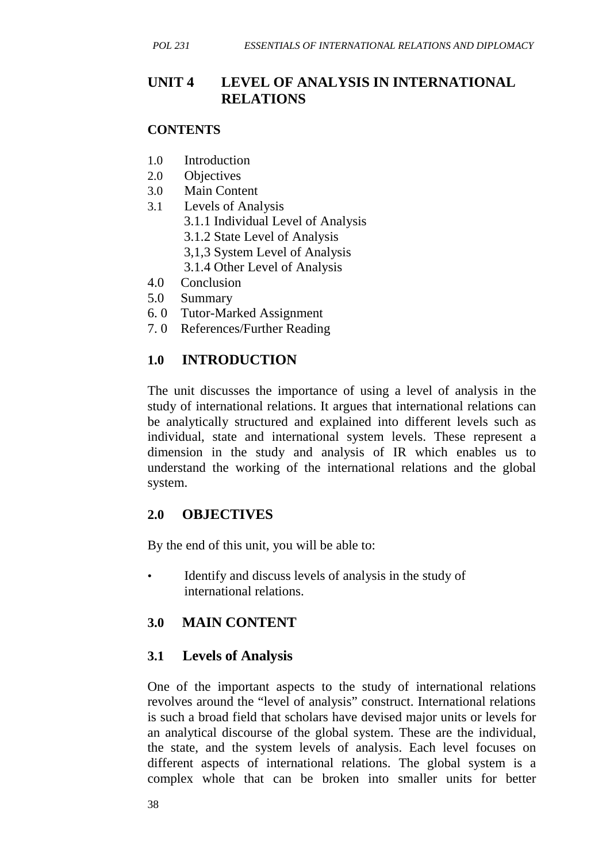## **UNIT 4 LEVEL OF ANALYSIS IN INTERNATIONAL RELATIONS**

#### **CONTENTS**

- 1.0 Introduction
- 2.0 Objectives
- 3.0 Main Content
- 3.1 Levels of Analysis
	- 3.1.1 Individual Level of Analysis
	- 3.1.2 State Level of Analysis
	- 3,1,3 System Level of Analysis
	- 3.1.4 Other Level of Analysis
- 4.0 Conclusion
- 5.0 Summary
- 6. 0 Tutor-Marked Assignment
- 7. 0 References/Further Reading

## **1.0 INTRODUCTION**

The unit discusses the importance of using a level of analysis in the study of international relations. It argues that international relations can be analytically structured and explained into different levels such as individual, state and international system levels. These represent a dimension in the study and analysis of IR which enables us to understand the working of the international relations and the global system.

### **2.0 OBJECTIVES**

By the end of this unit, you will be able to:

• Identify and discuss levels of analysis in the study of international relations.

### **3.0 MAIN CONTENT**

### **3.1 Levels of Analysis**

One of the important aspects to the study of international relations revolves around the "level of analysis" construct. International relations is such a broad field that scholars have devised major units or levels for an analytical discourse of the global system. These are the individual, the state, and the system levels of analysis. Each level focuses on different aspects of international relations. The global system is a complex whole that can be broken into smaller units for better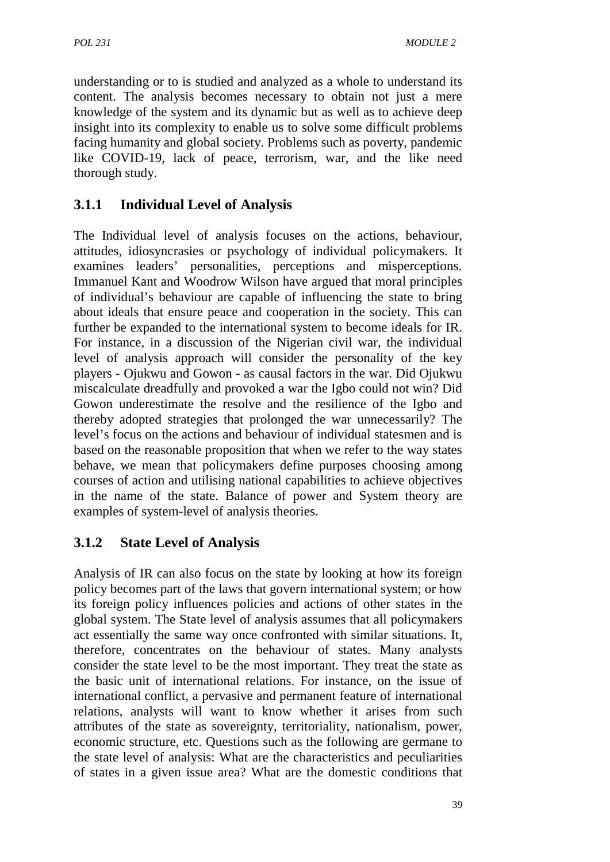understanding or to is studied and analyzed as a whole to understand its content. The analysis becomes necessary to obtain not just a mere knowledge of the system and its dynamic but as well as to achieve deep insight into its complexity to enable us to solve some difficult problems facing humanity and global society. Problems such as poverty, pandemic like COVID-19, lack of peace, terrorism, war, and the like need thorough study.

## **3.1.1 Individual Level of Analysis**

The Individual level of analysis focuses on the actions, behaviour, attitudes, idiosyncrasies or psychology of individual policymakers. It examines leaders' personalities, perceptions and misperceptions. Immanuel Kant and Woodrow Wilson have argued that moral principles of individual's behaviour are capable of influencing the state to bring about ideals that ensure peace and cooperation in the society. This can further be expanded to the international system to become ideals for IR. For instance, in a discussion of the Nigerian civil war, the individual level of analysis approach will consider the personality of the key players - Ojukwu and Gowon - as causal factors in the war. Did Ojukwu miscalculate dreadfully and provoked a war the Igbo could not win? Did Gowon underestimate the resolve and the resilience of the Igbo and thereby adopted strategies that prolonged the war unnecessarily? The level's focus on the actions and behaviour of individual statesmen and is based on the reasonable proposition that when we refer to the way states behave, we mean that policymakers define purposes choosing among courses of action and utilising national capabilities to achieve objectives in the name of the state. Balance of power and System theory are examples of system-level of analysis theories.

## **3.1.2 State Level of Analysis**

Analysis of IR can also focus on the state by looking at how its foreign policy becomes part of the laws that govern international system; or how its foreign policy influences policies and actions of other states in the global system. The State level of analysis assumes that all policymakers act essentially the same way once confronted with similar situations. It, therefore, concentrates on the behaviour of states. Many analysts consider the state level to be the most important. They treat the state as the basic unit of international relations. For instance, on the issue of international conflict, a pervasive and permanent feature of international relations, analysts will want to know whether it arises from such attributes of the state as sovereignty, territoriality, nationalism, power, economic structure, etc. Questions such as the following are germane to the state level of analysis: What are the characteristics and peculiarities of states in a given issue area? What are the domestic conditions that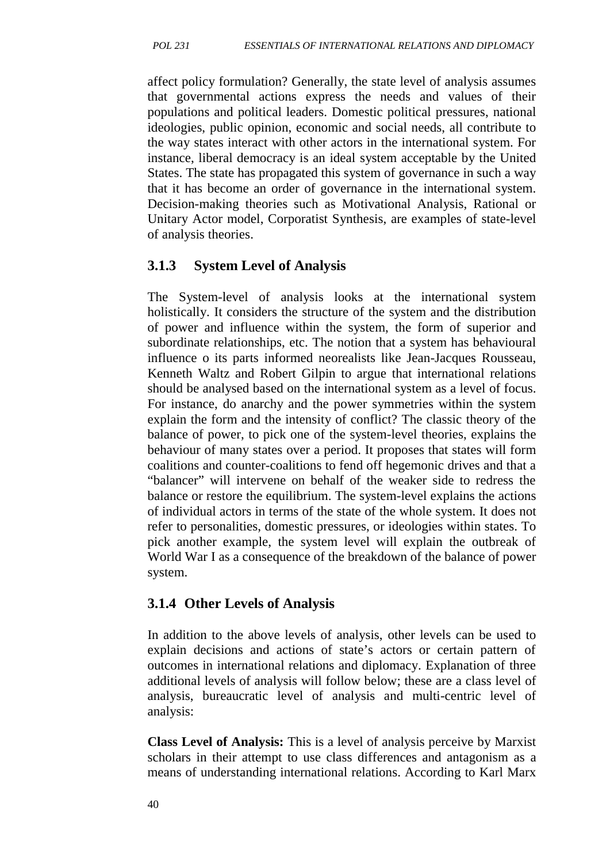affect policy formulation? Generally, the state level of analysis assumes that governmental actions express the needs and values of their populations and political leaders. Domestic political pressures, national ideologies, public opinion, economic and social needs, all contribute to the way states interact with other actors in the international system. For instance, liberal democracy is an ideal system acceptable by the United States. The state has propagated this system of governance in such a way that it has become an order of governance in the international system. Decision-making theories such as Motivational Analysis, Rational or Unitary Actor model, Corporatist Synthesis, are examples of state-level of analysis theories.

## **3.1.3 System Level of Analysis**

The System-level of analysis looks at the international system holistically. It considers the structure of the system and the distribution of power and influence within the system, the form of superior and subordinate relationships, etc. The notion that a system has behavioural influence o its parts informed neorealists like Jean-Jacques Rousseau, Kenneth Waltz and Robert Gilpin to argue that international relations should be analysed based on the international system as a level of focus. For instance, do anarchy and the power symmetries within the system explain the form and the intensity of conflict? The classic theory of the balance of power, to pick one of the system-level theories, explains the behaviour of many states over a period. It proposes that states will form coalitions and counter-coalitions to fend off hegemonic drives and that a "balancer" will intervene on behalf of the weaker side to redress the balance or restore the equilibrium. The system-level explains the actions of individual actors in terms of the state of the whole system. It does not refer to personalities, domestic pressures, or ideologies within states. To pick another example, the system level will explain the outbreak of World War I as a consequence of the breakdown of the balance of power system.

## **3.1.4 Other Levels of Analysis**

In addition to the above levels of analysis, other levels can be used to explain decisions and actions of state's actors or certain pattern of outcomes in international relations and diplomacy. Explanation of three additional levels of analysis will follow below; these are a class level of analysis, bureaucratic level of analysis and multi-centric level of analysis:

**Class Level of Analysis:** This is a level of analysis perceive by Marxist scholars in their attempt to use class differences and antagonism as a means of understanding international relations. According to Karl Marx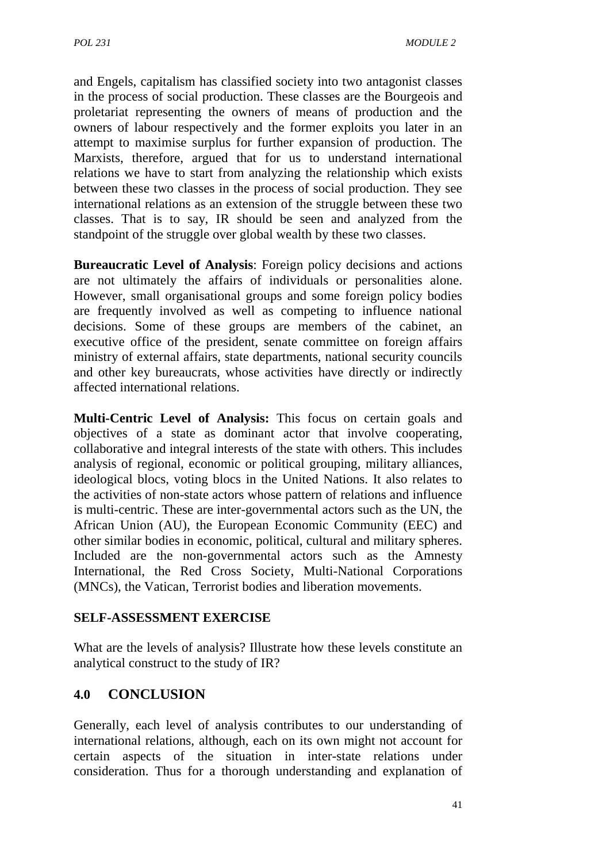and Engels, capitalism has classified society into two antagonist classes in the process of social production. These classes are the Bourgeois and proletariat representing the owners of means of production and the owners of labour respectively and the former exploits you later in an attempt to maximise surplus for further expansion of production. The Marxists, therefore, argued that for us to understand international relations we have to start from analyzing the relationship which exists between these two classes in the process of social production. They see international relations as an extension of the struggle between these two classes. That is to say, IR should be seen and analyzed from the standpoint of the struggle over global wealth by these two classes.

**Bureaucratic Level of Analysis**: Foreign policy decisions and actions are not ultimately the affairs of individuals or personalities alone. However, small organisational groups and some foreign policy bodies are frequently involved as well as competing to influence national decisions. Some of these groups are members of the cabinet, an executive office of the president, senate committee on foreign affairs ministry of external affairs, state departments, national security councils and other key bureaucrats, whose activities have directly or indirectly affected international relations.

**Multi-Centric Level of Analysis:** This focus on certain goals and objectives of a state as dominant actor that involve cooperating, collaborative and integral interests of the state with others. This includes analysis of regional, economic or political grouping, military alliances, ideological blocs, voting blocs in the United Nations. It also relates to the activities of non-state actors whose pattern of relations and influence is multi-centric. These are inter-governmental actors such as the UN, the African Union (AU), the European Economic Community (EEC) and other similar bodies in economic, political, cultural and military spheres. Included are the non-governmental actors such as the Amnesty International, the Red Cross Society, Multi-National Corporations (MNCs), the Vatican, Terrorist bodies and liberation movements.

#### **SELF-ASSESSMENT EXERCISE**

What are the levels of analysis? Illustrate how these levels constitute an analytical construct to the study of IR?

#### **4.0 CONCLUSION**

Generally, each level of analysis contributes to our understanding of international relations, although, each on its own might not account for certain aspects of the situation in inter-state relations under consideration. Thus for a thorough understanding and explanation of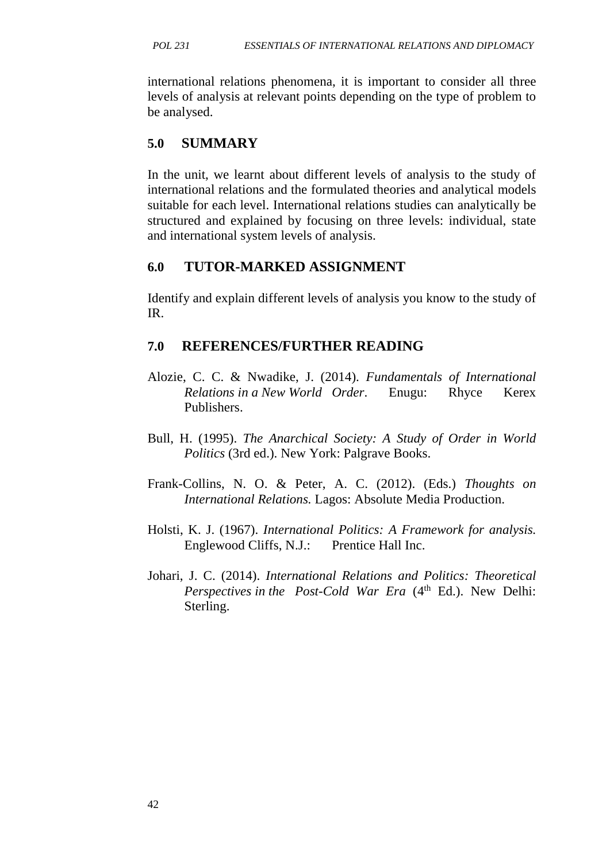international relations phenomena, it is important to consider all three levels of analysis at relevant points depending on the type of problem to be analysed.

## **5.0 SUMMARY**

In the unit, we learnt about different levels of analysis to the study of international relations and the formulated theories and analytical models suitable for each level. International relations studies can analytically be structured and explained by focusing on three levels: individual, state and international system levels of analysis.

## **6.0 TUTOR-MARKED ASSIGNMENT**

Identify and explain different levels of analysis you know to the study of IR.

## **7.0 REFERENCES/FURTHER READING**

- Alozie, C. C. & Nwadike, J. (2014). *Fundamentals of International Relations in a New World Order*. Enugu: Rhyce Kerex Publishers.
- Bull, H. (1995). *The Anarchical Society: A Study of Order in World Politics* (3rd ed.). New York: Palgrave Books.
- Frank-Collins, N. O. & Peter, A. C. (2012). (Eds.) *Thoughts on International Relations.* Lagos: Absolute Media Production.
- Holsti, K. J. (1967). *International Politics: A Framework for analysis.* Englewood Cliffs, N.J.: Prentice Hall Inc.
- Johari, J. C. (2014). *International Relations and Politics: Theoretical Perspectives in the Post-Cold War Era* (4<sup>th</sup> Ed.). New Delhi: Sterling.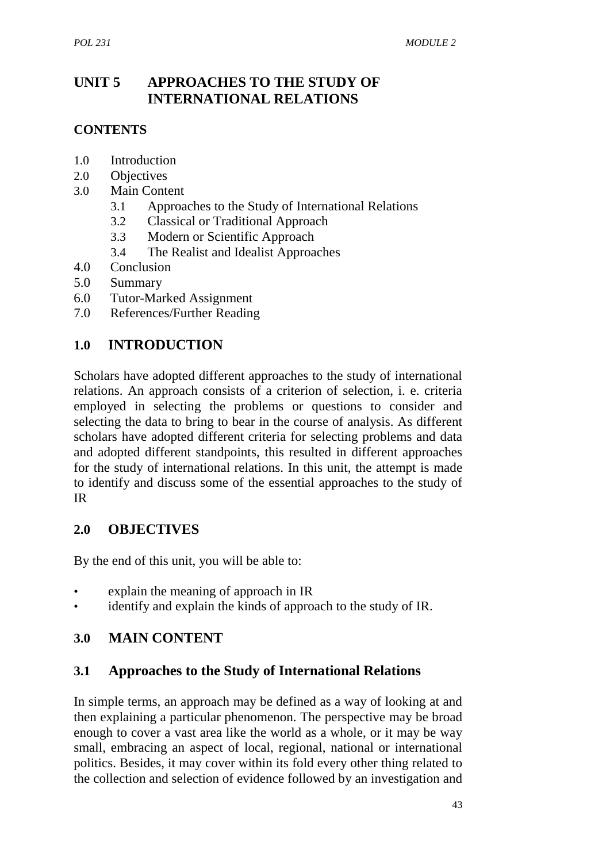## **UNIT 5 APPROACHES TO THE STUDY OF INTERNATIONAL RELATIONS**

### **CONTENTS**

- 1.0 Introduction
- 2.0 Objectives
- 3.0 Main Content
	- 3.1 Approaches to the Study of International Relations
	- 3.2 Classical or Traditional Approach
	- 3.3 Modern or Scientific Approach
	- 3.4 The Realist and Idealist Approaches
- 4.0 Conclusion
- 5.0 Summary
- 6.0 Tutor-Marked Assignment
- 7.0 References/Further Reading

## **1.0 INTRODUCTION**

Scholars have adopted different approaches to the study of international relations. An approach consists of a criterion of selection, i. e. criteria employed in selecting the problems or questions to consider and selecting the data to bring to bear in the course of analysis. As different scholars have adopted different criteria for selecting problems and data and adopted different standpoints, this resulted in different approaches for the study of international relations. In this unit, the attempt is made to identify and discuss some of the essential approaches to the study of IR

### **2.0 OBJECTIVES**

By the end of this unit, you will be able to:

- explain the meaning of approach in IR
- identify and explain the kinds of approach to the study of IR.

## **3.0 MAIN CONTENT**

### **3.1 Approaches to the Study of International Relations**

In simple terms, an approach may be defined as a way of looking at and then explaining a particular phenomenon. The perspective may be broad enough to cover a vast area like the world as a whole, or it may be way small, embracing an aspect of local, regional, national or international politics. Besides, it may cover within its fold every other thing related to the collection and selection of evidence followed by an investigation and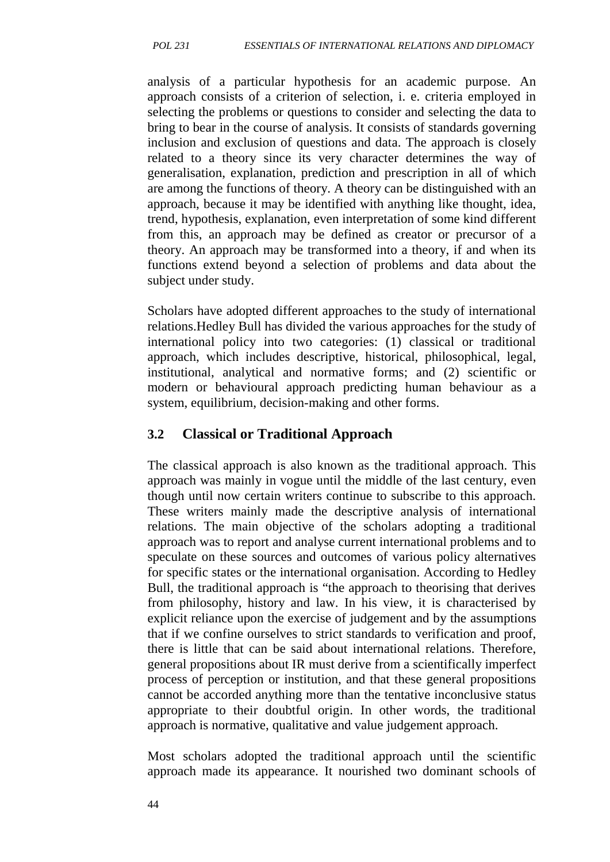analysis of a particular hypothesis for an academic purpose. An approach consists of a criterion of selection, i. e. criteria employed in selecting the problems or questions to consider and selecting the data to bring to bear in the course of analysis. It consists of standards governing inclusion and exclusion of questions and data. The approach is closely related to a theory since its very character determines the way of generalisation, explanation, prediction and prescription in all of which are among the functions of theory. A theory can be distinguished with an approach, because it may be identified with anything like thought, idea, trend, hypothesis, explanation, even interpretation of some kind different from this, an approach may be defined as creator or precursor of a theory. An approach may be transformed into a theory, if and when its functions extend beyond a selection of problems and data about the subject under study.

Scholars have adopted different approaches to the study of international relations.Hedley Bull has divided the various approaches for the study of international policy into two categories: (1) classical or traditional approach, which includes descriptive, historical, philosophical, legal, institutional, analytical and normative forms; and (2) scientific or modern or behavioural approach predicting human behaviour as a system, equilibrium, decision-making and other forms.

#### **3.2 Classical or Traditional Approach**

The classical approach is also known as the traditional approach. This approach was mainly in vogue until the middle of the last century, even though until now certain writers continue to subscribe to this approach. These writers mainly made the descriptive analysis of international relations. The main objective of the scholars adopting a traditional approach was to report and analyse current international problems and to speculate on these sources and outcomes of various policy alternatives for specific states or the international organisation. According to Hedley Bull, the traditional approach is "the approach to theorising that derives from philosophy, history and law. In his view, it is characterised by explicit reliance upon the exercise of judgement and by the assumptions that if we confine ourselves to strict standards to verification and proof, there is little that can be said about international relations. Therefore, general propositions about IR must derive from a scientifically imperfect process of perception or institution, and that these general propositions cannot be accorded anything more than the tentative inconclusive status appropriate to their doubtful origin. In other words, the traditional approach is normative, qualitative and value judgement approach.

Most scholars adopted the traditional approach until the scientific approach made its appearance. It nourished two dominant schools of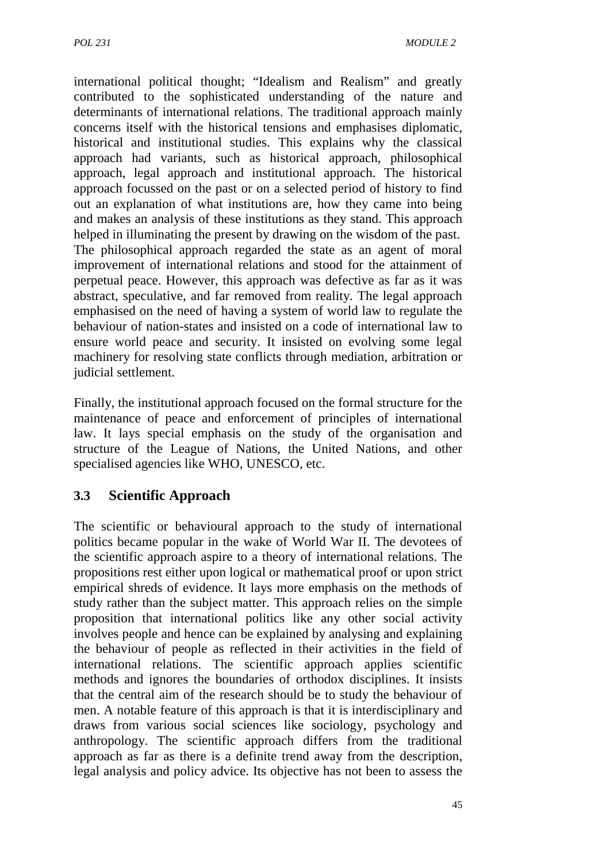international political thought; "Idealism and Realism" and greatly contributed to the sophisticated understanding of the nature and determinants of international relations. The traditional approach mainly concerns itself with the historical tensions and emphasises diplomatic, historical and institutional studies. This explains why the classical approach had variants, such as historical approach, philosophical approach, legal approach and institutional approach. The historical approach focussed on the past or on a selected period of history to find out an explanation of what institutions are, how they came into being and makes an analysis of these institutions as they stand. This approach helped in illuminating the present by drawing on the wisdom of the past. The philosophical approach regarded the state as an agent of moral improvement of international relations and stood for the attainment of perpetual peace. However, this approach was defective as far as it was abstract, speculative, and far removed from reality. The legal approach emphasised on the need of having a system of world law to regulate the behaviour of nation-states and insisted on a code of international law to ensure world peace and security. It insisted on evolving some legal machinery for resolving state conflicts through mediation, arbitration or judicial settlement.

Finally, the institutional approach focused on the formal structure for the maintenance of peace and enforcement of principles of international law. It lays special emphasis on the study of the organisation and structure of the League of Nations, the United Nations, and other specialised agencies like WHO, UNESCO, etc.

## **3.3 Scientific Approach**

The scientific or behavioural approach to the study of international politics became popular in the wake of World War II. The devotees of the scientific approach aspire to a theory of international relations. The propositions rest either upon logical or mathematical proof or upon strict empirical shreds of evidence. It lays more emphasis on the methods of study rather than the subject matter. This approach relies on the simple proposition that international politics like any other social activity involves people and hence can be explained by analysing and explaining the behaviour of people as reflected in their activities in the field of international relations. The scientific approach applies scientific methods and ignores the boundaries of orthodox disciplines. It insists that the central aim of the research should be to study the behaviour of men. A notable feature of this approach is that it is interdisciplinary and draws from various social sciences like sociology, psychology and anthropology. The scientific approach differs from the traditional approach as far as there is a definite trend away from the description, legal analysis and policy advice. Its objective has not been to assess the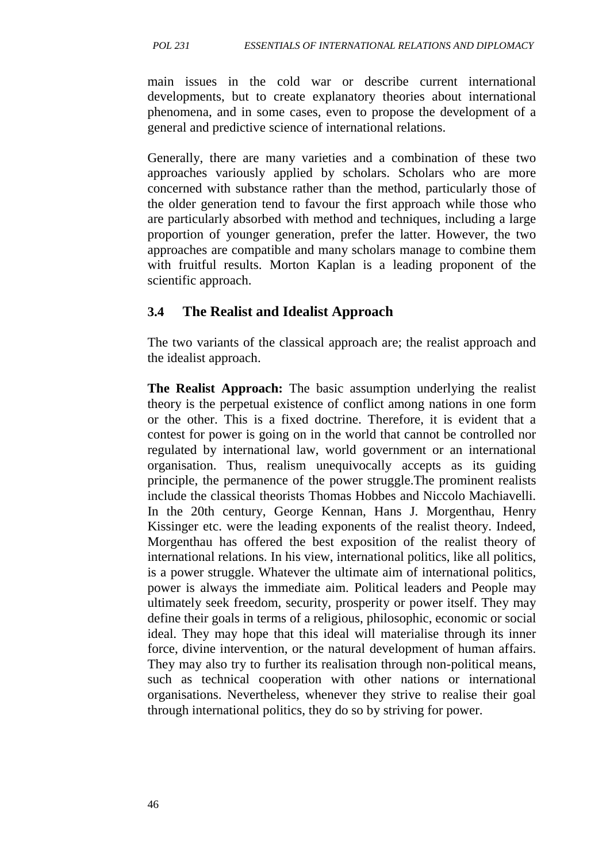main issues in the cold war or describe current international developments, but to create explanatory theories about international phenomena, and in some cases, even to propose the development of a general and predictive science of international relations.

Generally, there are many varieties and a combination of these two approaches variously applied by scholars. Scholars who are more concerned with substance rather than the method, particularly those of the older generation tend to favour the first approach while those who are particularly absorbed with method and techniques, including a large proportion of younger generation, prefer the latter. However, the two approaches are compatible and many scholars manage to combine them with fruitful results. Morton Kaplan is a leading proponent of the scientific approach.

#### **3.4 The Realist and Idealist Approach**

The two variants of the classical approach are; the realist approach and the idealist approach.

**The Realist Approach:** The basic assumption underlying the realist theory is the perpetual existence of conflict among nations in one form or the other. This is a fixed doctrine. Therefore, it is evident that a contest for power is going on in the world that cannot be controlled nor regulated by international law, world government or an international organisation. Thus, realism unequivocally accepts as its guiding principle, the permanence of the power struggle.The prominent realists include the classical theorists Thomas Hobbes and Niccolo Machiavelli. In the 20th century, George Kennan, Hans J. Morgenthau, Henry Kissinger etc. were the leading exponents of the realist theory. Indeed, Morgenthau has offered the best exposition of the realist theory of international relations. In his view, international politics, like all politics, is a power struggle. Whatever the ultimate aim of international politics, power is always the immediate aim. Political leaders and People may ultimately seek freedom, security, prosperity or power itself. They may define their goals in terms of a religious, philosophic, economic or social ideal. They may hope that this ideal will materialise through its inner force, divine intervention, or the natural development of human affairs. They may also try to further its realisation through non-political means, such as technical cooperation with other nations or international organisations. Nevertheless, whenever they strive to realise their goal through international politics, they do so by striving for power.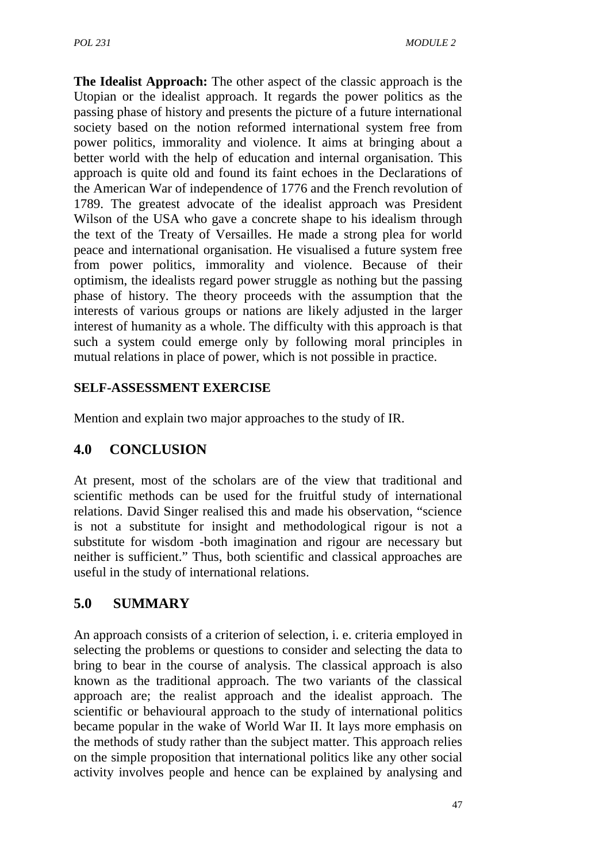**The Idealist Approach:** The other aspect of the classic approach is the Utopian or the idealist approach. It regards the power politics as the passing phase of history and presents the picture of a future international society based on the notion reformed international system free from power politics, immorality and violence. It aims at bringing about a better world with the help of education and internal organisation. This approach is quite old and found its faint echoes in the Declarations of the American War of independence of 1776 and the French revolution of 1789. The greatest advocate of the idealist approach was President Wilson of the USA who gave a concrete shape to his idealism through the text of the Treaty of Versailles. He made a strong plea for world peace and international organisation. He visualised a future system free from power politics, immorality and violence. Because of their optimism, the idealists regard power struggle as nothing but the passing phase of history. The theory proceeds with the assumption that the interests of various groups or nations are likely adjusted in the larger interest of humanity as a whole. The difficulty with this approach is that such a system could emerge only by following moral principles in mutual relations in place of power, which is not possible in practice.

## **SELF-ASSESSMENT EXERCISE**

Mention and explain two major approaches to the study of IR.

# **4.0 CONCLUSION**

At present, most of the scholars are of the view that traditional and scientific methods can be used for the fruitful study of international relations. David Singer realised this and made his observation, "science is not a substitute for insight and methodological rigour is not a substitute for wisdom -both imagination and rigour are necessary but neither is sufficient." Thus, both scientific and classical approaches are useful in the study of international relations.

# **5.0 SUMMARY**

An approach consists of a criterion of selection, i. e. criteria employed in selecting the problems or questions to consider and selecting the data to bring to bear in the course of analysis. The classical approach is also known as the traditional approach. The two variants of the classical approach are; the realist approach and the idealist approach. The scientific or behavioural approach to the study of international politics became popular in the wake of World War II. It lays more emphasis on the methods of study rather than the subject matter. This approach relies on the simple proposition that international politics like any other social activity involves people and hence can be explained by analysing and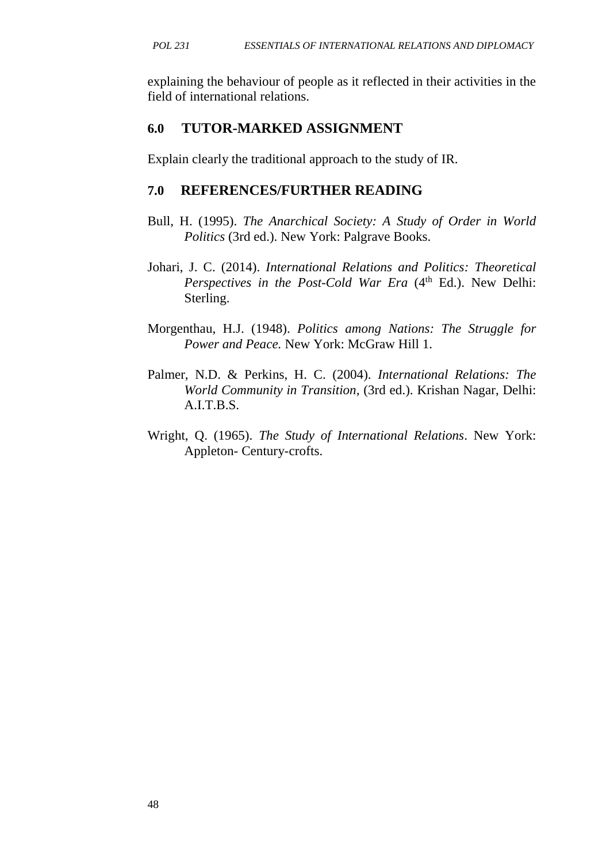explaining the behaviour of people as it reflected in their activities in the field of international relations.

## **6.0 TUTOR-MARKED ASSIGNMENT**

Explain clearly the traditional approach to the study of IR.

## **7.0 REFERENCES/FURTHER READING**

- Bull, H. (1995). *The Anarchical Society: A Study of Order in World Politics* (3rd ed.). New York: Palgrave Books.
- Johari, J. C. (2014). *International Relations and Politics: Theoretical Perspectives in the Post-Cold War Era* (4<sup>th</sup> Ed.). New Delhi: Sterling.
- Morgenthau, H.J. (1948). *Politics among Nations: The Struggle for Power and Peace.* New York: McGraw Hill 1.
- Palmer, N.D. & Perkins, H. C. (2004). *International Relations: The World Community in Transition,* (3rd ed.). Krishan Nagar, Delhi: A.I.T.B.S.
- Wright, Q. (1965). *The Study of International Relations*. New York: Appleton- Century-crofts.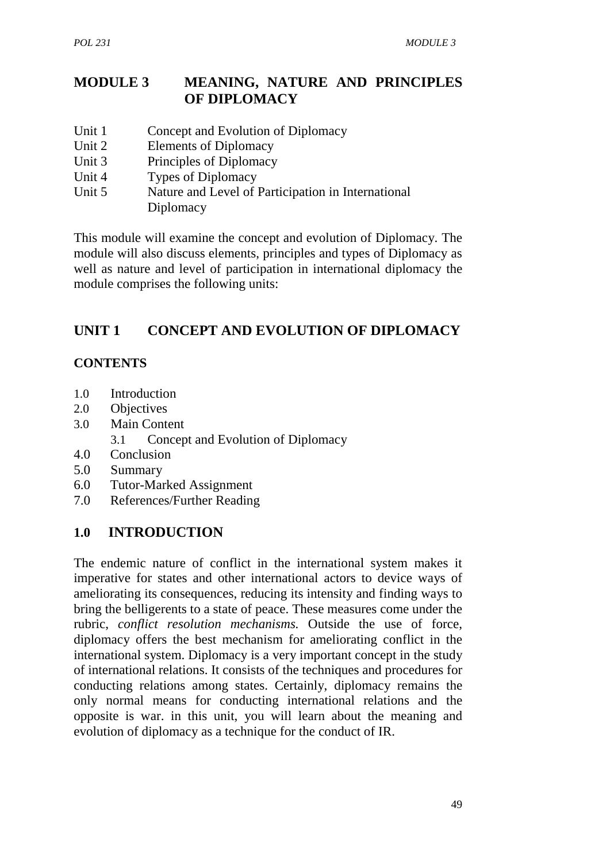## **MODULE 3 MEANING, NATURE AND PRINCIPLES OF DIPLOMACY**

- Unit 1 Concept and Evolution of Diplomacy
- Unit 2 Elements of Diplomacy
- Unit 3 Principles of Diplomacy
- Unit 4 Types of Diplomacy
- Unit 5 Nature and Level of Participation in International Diplomacy

This module will examine the concept and evolution of Diplomacy. The module will also discuss elements, principles and types of Diplomacy as well as nature and level of participation in international diplomacy the module comprises the following units:

## **UNIT 1 CONCEPT AND EVOLUTION OF DIPLOMACY**

#### **CONTENTS**

- 1.0 Introduction
- 2.0 Objectives
- 3.0 Main Content
	- 3.1 Concept and Evolution of Diplomacy
- 4.0 Conclusion
- 5.0 Summary
- 6.0 Tutor-Marked Assignment
- 7.0 References/Further Reading

### **1.0 INTRODUCTION**

The endemic nature of conflict in the international system makes it imperative for states and other international actors to device ways of ameliorating its consequences, reducing its intensity and finding ways to bring the belligerents to a state of peace. These measures come under the rubric, *conflict resolution mechanisms.* Outside the use of force, diplomacy offers the best mechanism for ameliorating conflict in the international system. Diplomacy is a very important concept in the study of international relations. It consists of the techniques and procedures for conducting relations among states. Certainly, diplomacy remains the only normal means for conducting international relations and the opposite is war. in this unit, you will learn about the meaning and evolution of diplomacy as a technique for the conduct of IR.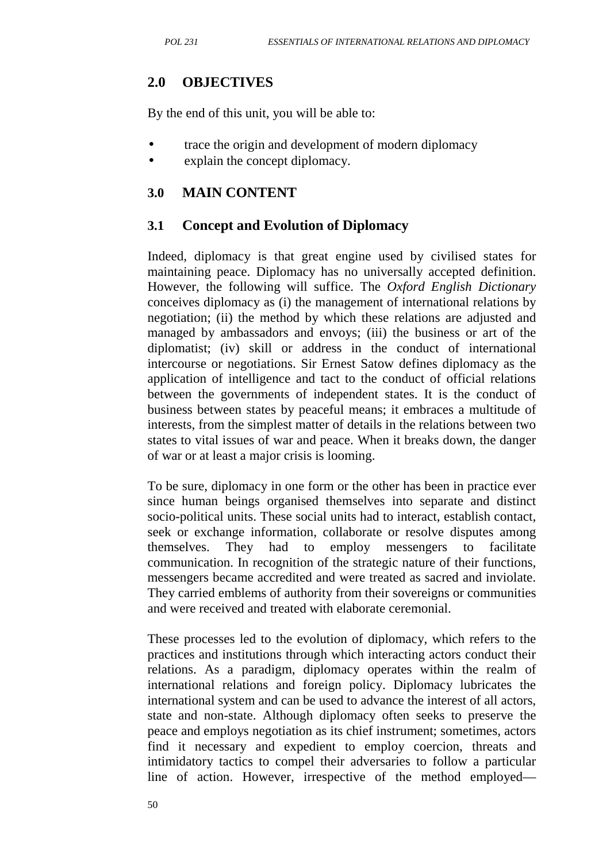## **2.0 OBJECTIVES**

By the end of this unit, you will be able to:

- trace the origin and development of modern diplomacy
- explain the concept diplomacy.

#### **3.0 MAIN CONTENT**

### **3.1 Concept and Evolution of Diplomacy**

Indeed, diplomacy is that great engine used by civilised states for maintaining peace. Diplomacy has no universally accepted definition. However, the following will suffice. The *Oxford English Dictionary* conceives diplomacy as (i) the management of international relations by negotiation; (ii) the method by which these relations are adjusted and managed by ambassadors and envoys; (iii) the business or art of the diplomatist; (iv) skill or address in the conduct of international intercourse or negotiations. Sir Ernest Satow defines diplomacy as the application of intelligence and tact to the conduct of official relations between the governments of independent states. It is the conduct of business between states by peaceful means; it embraces a multitude of interests, from the simplest matter of details in the relations between two states to vital issues of war and peace. When it breaks down, the danger of war or at least a major crisis is looming.

To be sure, diplomacy in one form or the other has been in practice ever since human beings organised themselves into separate and distinct socio-political units. These social units had to interact, establish contact, seek or exchange information, collaborate or resolve disputes among themselves. They had to employ messengers to facilitate communication. In recognition of the strategic nature of their functions, messengers became accredited and were treated as sacred and inviolate. They carried emblems of authority from their sovereigns or communities and were received and treated with elaborate ceremonial.

These processes led to the evolution of diplomacy, which refers to the practices and institutions through which interacting actors conduct their relations. As a paradigm, diplomacy operates within the realm of international relations and foreign policy. Diplomacy lubricates the international system and can be used to advance the interest of all actors, state and non-state. Although diplomacy often seeks to preserve the peace and employs negotiation as its chief instrument; sometimes, actors find it necessary and expedient to employ coercion, threats and intimidatory tactics to compel their adversaries to follow a particular line of action. However, irrespective of the method employed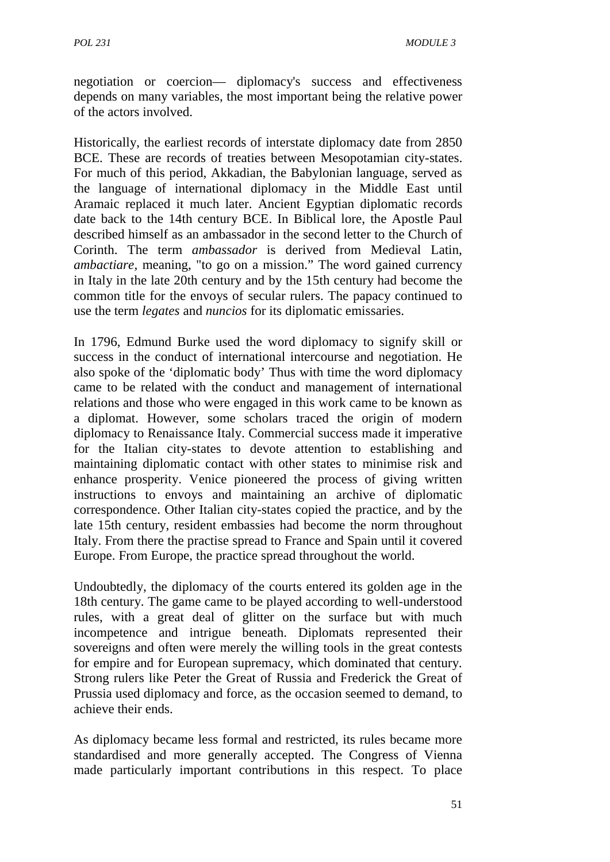negotiation or coercion— diplomacy's success and effectiveness depends on many variables, the most important being the relative power of the actors involved.

Historically, the earliest records of interstate diplomacy date from 2850 BCE. These are records of treaties between Mesopotamian city-states. For much of this period, Akkadian, the Babylonian language, served as the language of international diplomacy in the Middle East until Aramaic replaced it much later. Ancient Egyptian diplomatic records date back to the 14th century BCE. In Biblical lore, the Apostle Paul described himself as an ambassador in the second letter to the Church of Corinth. The term *ambassador* is derived from Medieval Latin, *ambactiare,* meaning, "to go on a mission." The word gained currency in Italy in the late 20th century and by the 15th century had become the common title for the envoys of secular rulers. The papacy continued to use the term *legates* and *nuncios* for its diplomatic emissaries.

In 1796, Edmund Burke used the word diplomacy to signify skill or success in the conduct of international intercourse and negotiation. He also spoke of the 'diplomatic body' Thus with time the word diplomacy came to be related with the conduct and management of international relations and those who were engaged in this work came to be known as a diplomat. However, some scholars traced the origin of modern diplomacy to Renaissance Italy. Commercial success made it imperative for the Italian city-states to devote attention to establishing and maintaining diplomatic contact with other states to minimise risk and enhance prosperity. Venice pioneered the process of giving written instructions to envoys and maintaining an archive of diplomatic correspondence. Other Italian city-states copied the practice, and by the late 15th century, resident embassies had become the norm throughout Italy. From there the practise spread to France and Spain until it covered Europe. From Europe, the practice spread throughout the world.

Undoubtedly, the diplomacy of the courts entered its golden age in the 18th century. The game came to be played according to well-understood rules, with a great deal of glitter on the surface but with much incompetence and intrigue beneath. Diplomats represented their sovereigns and often were merely the willing tools in the great contests for empire and for European supremacy, which dominated that century. Strong rulers like Peter the Great of Russia and Frederick the Great of Prussia used diplomacy and force, as the occasion seemed to demand, to achieve their ends.

As diplomacy became less formal and restricted, its rules became more standardised and more generally accepted. The Congress of Vienna made particularly important contributions in this respect. To place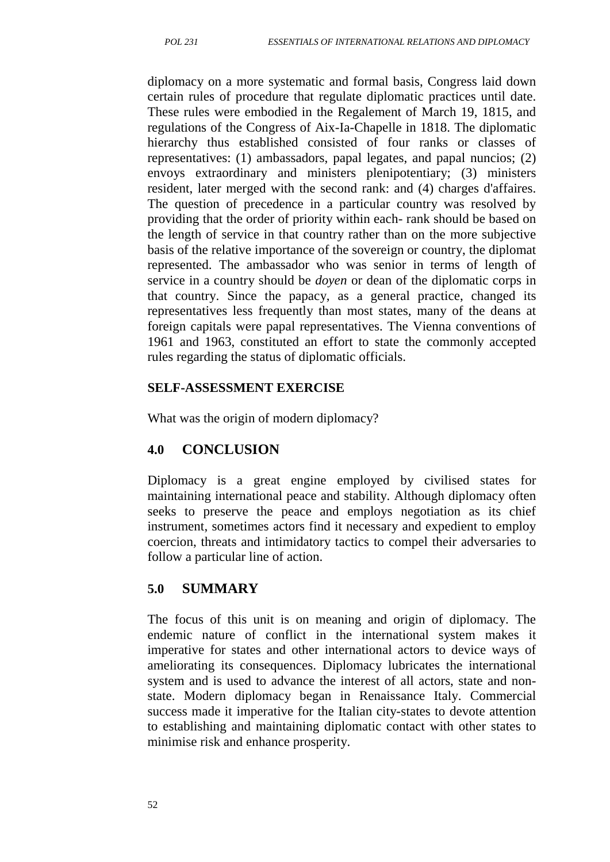diplomacy on a more systematic and formal basis, Congress laid down certain rules of procedure that regulate diplomatic practices until date. These rules were embodied in the Regalement of March 19, 1815, and regulations of the Congress of Aix-Ia-Chapelle in 1818. The diplomatic hierarchy thus established consisted of four ranks or classes of representatives: (1) ambassadors, papal legates, and papal nuncios; (2) envoys extraordinary and ministers plenipotentiary; (3) ministers resident, later merged with the second rank: and (4) charges d'affaires. The question of precedence in a particular country was resolved by providing that the order of priority within each- rank should be based on the length of service in that country rather than on the more subjective basis of the relative importance of the sovereign or country, the diplomat represented. The ambassador who was senior in terms of length of service in a country should be *doyen* or dean of the diplomatic corps in that country. Since the papacy, as a general practice, changed its representatives less frequently than most states, many of the deans at foreign capitals were papal representatives. The Vienna conventions of 1961 and 1963, constituted an effort to state the commonly accepted rules regarding the status of diplomatic officials.

#### **SELF-ASSESSMENT EXERCISE**

What was the origin of modern diplomacy?

### **4.0 CONCLUSION**

Diplomacy is a great engine employed by civilised states for maintaining international peace and stability. Although diplomacy often seeks to preserve the peace and employs negotiation as its chief instrument, sometimes actors find it necessary and expedient to employ coercion, threats and intimidatory tactics to compel their adversaries to follow a particular line of action.

### **5.0 SUMMARY**

The focus of this unit is on meaning and origin of diplomacy. The endemic nature of conflict in the international system makes it imperative for states and other international actors to device ways of ameliorating its consequences. Diplomacy lubricates the international system and is used to advance the interest of all actors, state and non state. Modern diplomacy began in Renaissance Italy. Commercial success made it imperative for the Italian city-states to devote attention to establishing and maintaining diplomatic contact with other states to minimise risk and enhance prosperity.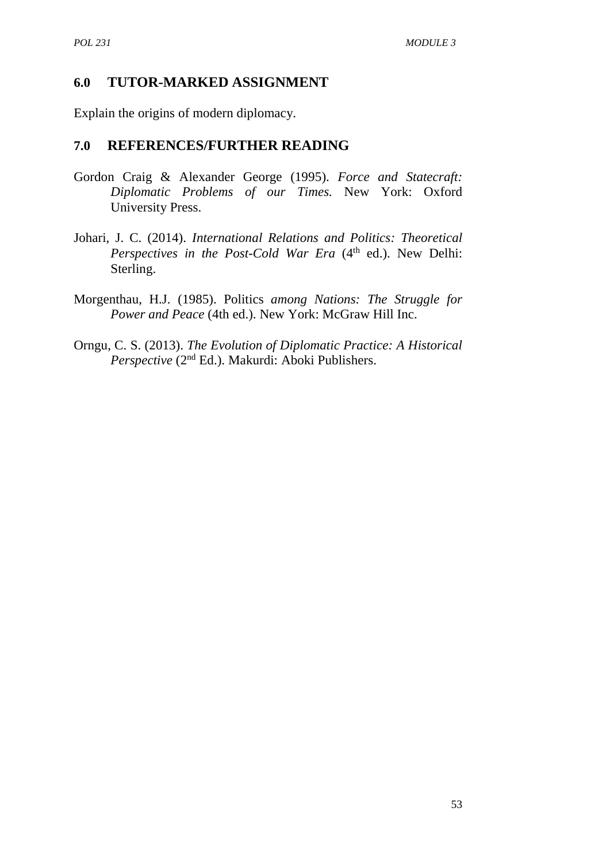#### **6.0 TUTOR-MARKED ASSIGNMENT**

Explain the origins of modern diplomacy.

#### **7.0 REFERENCES/FURTHER READING**

- Gordon Craig & Alexander George (1995). *Force and Statecraft: Diplomatic Problems of our Times.* New York: Oxford University Press.
- Johari, J. C. (2014). *International Relations and Politics: Theoretical Perspectives in the Post-Cold War Era* (4<sup>th</sup> ed.). New Delhi: Sterling.
- Morgenthau, H.J. (1985). Politics *among Nations: The Struggle for Power and Peace* (4th ed.). New York: McGraw Hill Inc.
- Orngu, C. S. (2013). *The Evolution of Diplomatic Practice: A Historical Perspective* (2nd Ed.). Makurdi: Aboki Publishers.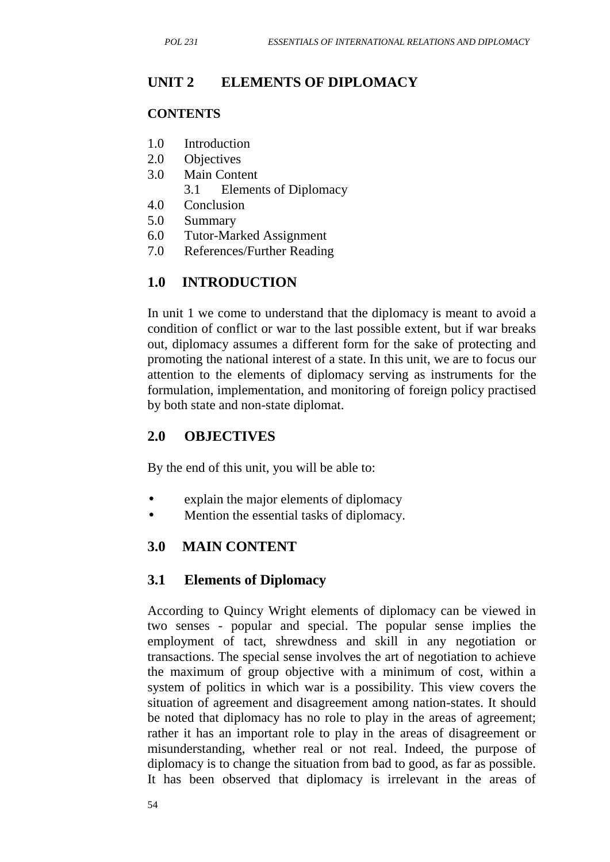# **UNIT 2 ELEMENTS OF DIPLOMACY**

#### **CONTENTS**

- 1.0 Introduction
- 2.0 Objectives
- 3.0 Main Content
	- 3.1 Elements of Diplomacy
- 4.0 Conclusion
- 5.0 Summary
- 6.0 Tutor-Marked Assignment
- 7.0 References/Further Reading

# **1.0 INTRODUCTION**

In unit 1 we come to understand that the diplomacy is meant to avoid a condition of conflict or war to the last possible extent, but if war breaks out, diplomacy assumes a different form for the sake of protecting and promoting the national interest of a state. In this unit, we are to focus our attention to the elements of diplomacy serving as instruments for the formulation, implementation, and monitoring of foreign policy practised by both state and non-state diplomat.

## **2.0 OBJECTIVES**

By the end of this unit, you will be able to:

- explain the major elements of diplomacy
- Mention the essential tasks of diplomacy.

## **3.0 MAIN CONTENT**

### **3.1 Elements of Diplomacy**

According to Quincy Wright elements of diplomacy can be viewed in two senses - popular and special. The popular sense implies the employment of tact, shrewdness and skill in any negotiation or transactions. The special sense involves the art of negotiation to achieve the maximum of group objective with a minimum of cost, within a system of politics in which war is a possibility. This view covers the situation of agreement and disagreement among nation-states. It should be noted that diplomacy has no role to play in the areas of agreement; rather it has an important role to play in the areas of disagreement or misunderstanding, whether real or not real. Indeed, the purpose of diplomacy is to change the situation from bad to good, as far as possible. It has been observed that diplomacy is irrelevant in the areas of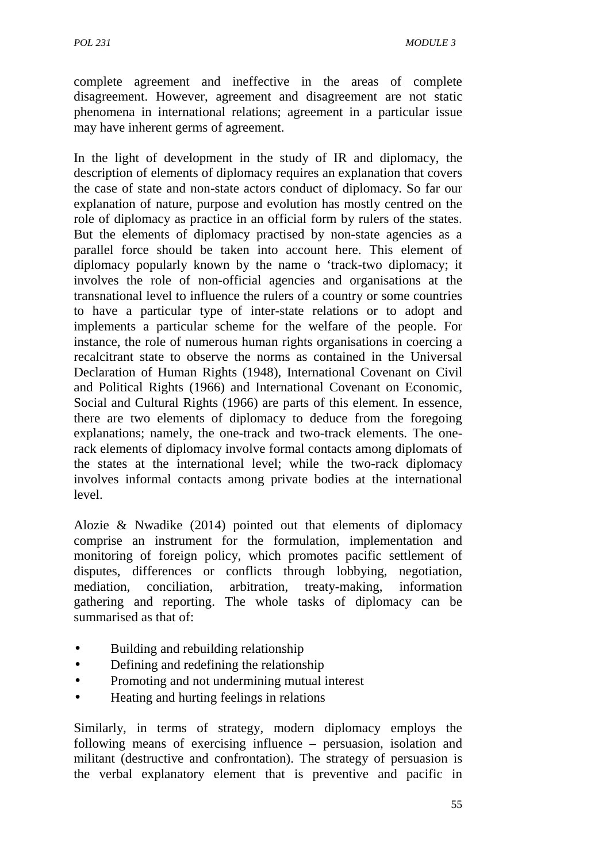complete agreement and ineffective in the areas of complete disagreement. However, agreement and disagreement are not static phenomena in international relations; agreement in a particular issue may have inherent germs of agreement.

In the light of development in the study of IR and diplomacy, the description of elements of diplomacy requires an explanation that covers the case of state and non-state actors conduct of diplomacy. So far our explanation of nature, purpose and evolution has mostly centred on the role of diplomacy as practice in an official form by rulers of the states. But the elements of diplomacy practised by non-state agencies as a parallel force should be taken into account here. This element of diplomacy popularly known by the name o 'track-two diplomacy; it involves the role of non-official agencies and organisations at the transnational level to influence the rulers of a country or some countries to have a particular type of inter-state relations or to adopt and implements a particular scheme for the welfare of the people. For instance, the role of numerous human rights organisations in coercing a recalcitrant state to observe the norms as contained in the Universal Declaration of Human Rights (1948), International Covenant on Civil and Political Rights (1966) and International Covenant on Economic, Social and Cultural Rights (1966) are parts of this element. In essence, there are two elements of diplomacy to deduce from the foregoing explanations; namely, the one-track and two-track elements. The onerack elements of diplomacy involve formal contacts among diplomats of the states at the international level; while the two-rack diplomacy involves informal contacts among private bodies at the international level.

Alozie & Nwadike (2014) pointed out that elements of diplomacy comprise an instrument for the formulation, implementation and monitoring of foreign policy, which promotes pacific settlement of disputes, differences or conflicts through lobbying, negotiation, mediation, conciliation, arbitration, treaty-making, information gathering and reporting. The whole tasks of diplomacy can be summarised as that of:

- Building and rebuilding relationship
- Defining and redefining the relationship
- Promoting and not undermining mutual interest
- Heating and hurting feelings in relations

Similarly, in terms of strategy, modern diplomacy employs the following means of exercising influence – persuasion, isolation and militant (destructive and confrontation). The strategy of persuasion is the verbal explanatory element that is preventive and pacific in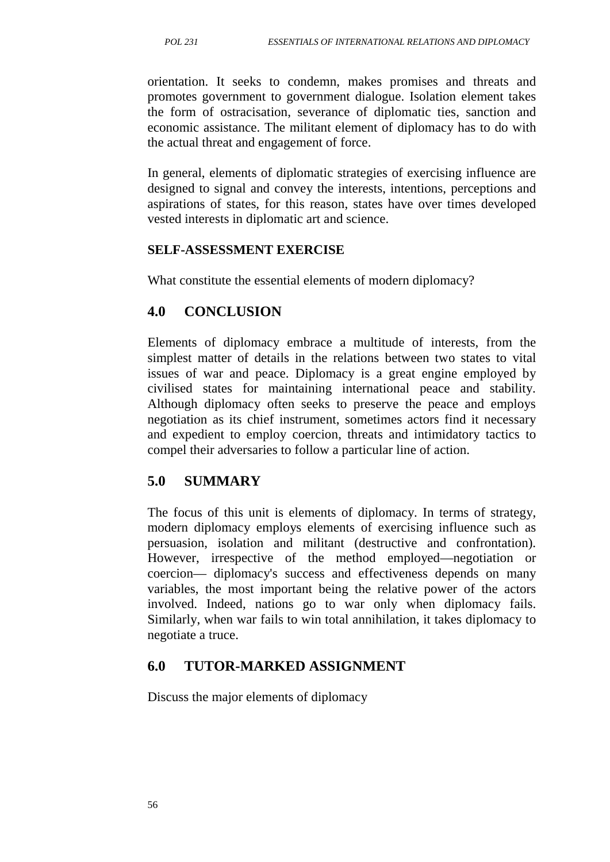orientation. It seeks to condemn, makes promises and threats and promotes government to government dialogue. Isolation element takes the form of ostracisation, severance of diplomatic ties, sanction and economic assistance. The militant element of diplomacy has to do with the actual threat and engagement of force.

In general, elements of diplomatic strategies of exercising influence are designed to signal and convey the interests, intentions, perceptions and aspirations of states, for this reason, states have over times developed vested interests in diplomatic art and science.

#### **SELF-ASSESSMENT EXERCISE**

What constitute the essential elements of modern diplomacy?

### **4.0 CONCLUSION**

Elements of diplomacy embrace a multitude of interests, from the simplest matter of details in the relations between two states to vital issues of war and peace. Diplomacy is a great engine employed by civilised states for maintaining international peace and stability. Although diplomacy often seeks to preserve the peace and employs negotiation as its chief instrument, sometimes actors find it necessary and expedient to employ coercion, threats and intimidatory tactics to compel their adversaries to follow a particular line of action.

#### **5.0 SUMMARY**

The focus of this unit is elements of diplomacy. In terms of strategy, modern diplomacy employs elements of exercising influence such as persuasion, isolation and militant (destructive and confrontation). However, irrespective of the method employed—negotiation or coercion— diplomacy's success and effectiveness depends on many variables, the most important being the relative power of the actors involved. Indeed, nations go to war only when diplomacy fails. Similarly, when war fails to win total annihilation, it takes diplomacy to negotiate a truce.

#### **6.0 TUTOR-MARKED ASSIGNMENT**

Discuss the major elements of diplomacy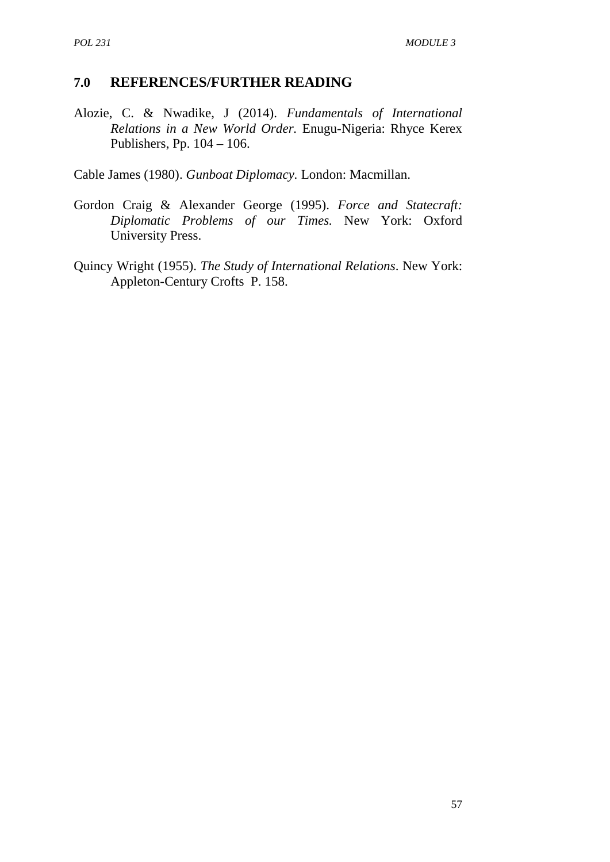#### **7.0 REFERENCES/FURTHER READING**

Alozie, C. & Nwadike, J (2014). *Fundamentals of International Relations in a New World Order.* Enugu-Nigeria: Rhyce Kerex Publishers, Pp. 104 – 106.

Cable James (1980). *Gunboat Diplomacy.* London: Macmillan.

- Gordon Craig & Alexander George (1995). *Force and Statecraft: Diplomatic Problems of our Times.* New York: Oxford University Press.
- Quincy Wright (1955). *The Study of International Relations*. New York: Appleton-Century Crofts P. 158.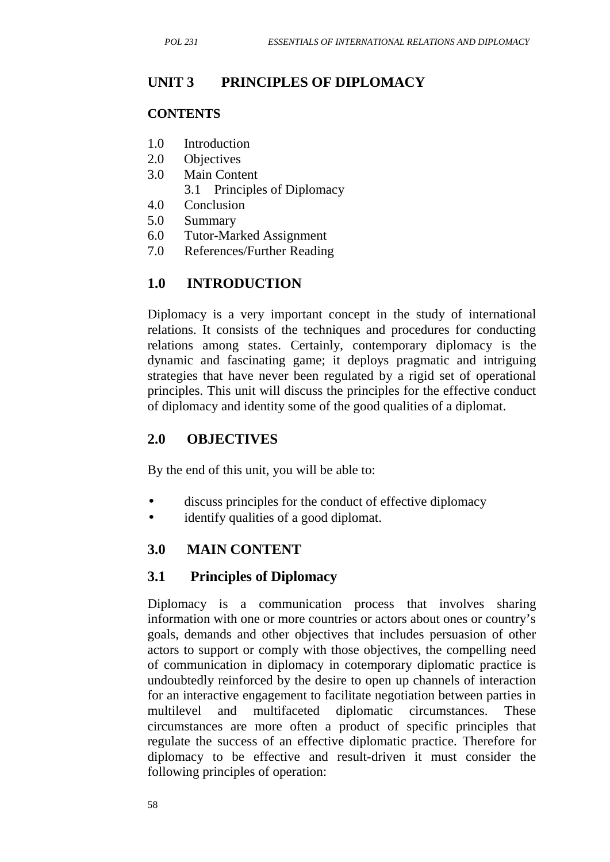## **UNIT 3 PRINCIPLES OF DIPLOMACY**

#### **CONTENTS**

- 1.0 Introduction
- 2.0 Objectives
- 3.0 Main Content
	- 3.1 Principles of Diplomacy
- 4.0 Conclusion
- 5.0 Summary
- 6.0 Tutor-Marked Assignment
- 7.0 References/Further Reading

## **1.0 INTRODUCTION**

Diplomacy is a very important concept in the study of international relations. It consists of the techniques and procedures for conducting relations among states. Certainly, contemporary diplomacy is the dynamic and fascinating game; it deploys pragmatic and intriguing strategies that have never been regulated by a rigid set of operational principles. This unit will discuss the principles for the effective conduct of diplomacy and identity some of the good qualities of a diplomat.

## **2.0 OBJECTIVES**

By the end of this unit, you will be able to:

- discuss principles for the conduct of effective diplomacy
- identify qualities of a good diplomat.

## **3.0 MAIN CONTENT**

### **3.1 Principles of Diplomacy**

Diplomacy is a communication process that involves sharing information with one or more countries or actors about ones or country's goals, demands and other objectives that includes persuasion of other actors to support or comply with those objectives, the compelling need of communication in diplomacy in cotemporary diplomatic practice is undoubtedly reinforced by the desire to open up channels of interaction for an interactive engagement to facilitate negotiation between parties in multilevel and multifaceted diplomatic circumstances. These circumstances are more often a product of specific principles that regulate the success of an effective diplomatic practice. Therefore for diplomacy to be effective and result-driven it must consider the following principles of operation: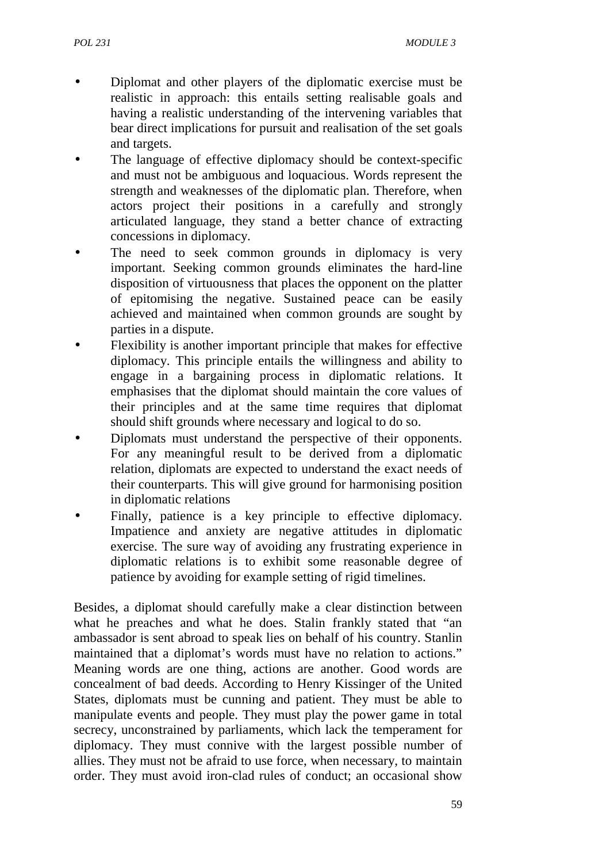- Diplomat and other players of the diplomatic exercise must be realistic in approach: this entails setting realisable goals and having a realistic understanding of the intervening variables that bear direct implications for pursuit and realisation of the set goals and targets.
- The language of effective diplomacy should be context-specific and must not be ambiguous and loquacious. Words represent the strength and weaknesses of the diplomatic plan. Therefore, when actors project their positions in a carefully and strongly articulated language, they stand a better chance of extracting concessions in diplomacy.
- The need to seek common grounds in diplomacy is very important. Seeking common grounds eliminates the hard-line disposition of virtuousness that places the opponent on the platter of epitomising the negative. Sustained peace can be easily achieved and maintained when common grounds are sought by parties in a dispute.
- Flexibility is another important principle that makes for effective diplomacy. This principle entails the willingness and ability to engage in a bargaining process in diplomatic relations. It emphasises that the diplomat should maintain the core values of their principles and at the same time requires that diplomat should shift grounds where necessary and logical to do so.
- Diplomats must understand the perspective of their opponents. For any meaningful result to be derived from a diplomatic relation, diplomats are expected to understand the exact needs of their counterparts. This will give ground for harmonising position in diplomatic relations
- Finally, patience is a key principle to effective diplomacy. Impatience and anxiety are negative attitudes in diplomatic exercise. The sure way of avoiding any frustrating experience in diplomatic relations is to exhibit some reasonable degree of patience by avoiding for example setting of rigid timelines.

Besides, a diplomat should carefully make a clear distinction between what he preaches and what he does. Stalin frankly stated that "an ambassador is sent abroad to speak lies on behalf of his country. Stanlin maintained that a diplomat's words must have no relation to actions." Meaning words are one thing, actions are another. Good words are concealment of bad deeds. According to Henry Kissinger of the United States, diplomats must be cunning and patient. They must be able to manipulate events and people. They must play the power game in total secrecy, unconstrained by parliaments, which lack the temperament for diplomacy. They must connive with the largest possible number of allies. They must not be afraid to use force, when necessary, to maintain order. They must avoid iron-clad rules of conduct; an occasional show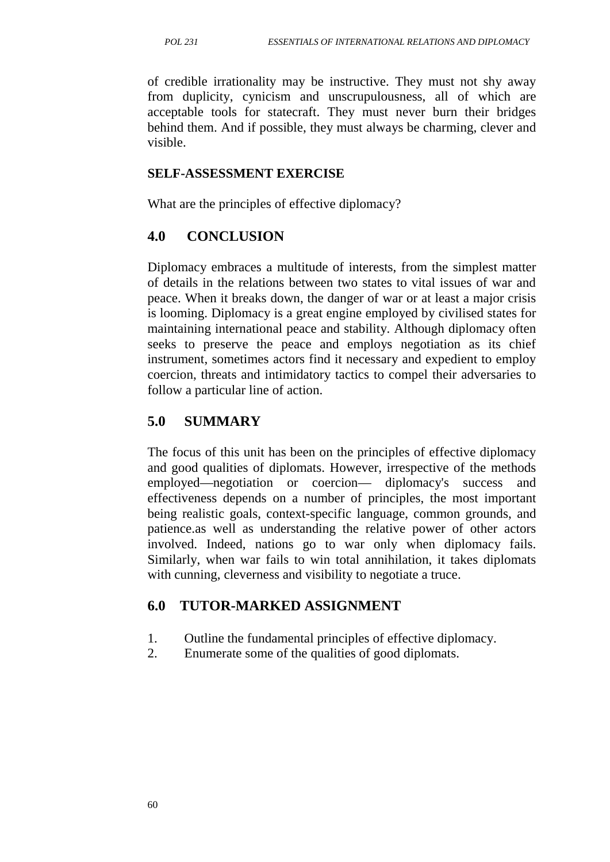of credible irrationality may be instructive. They must not shy away from duplicity, cynicism and unscrupulousness, all of which are acceptable tools for statecraft. They must never burn their bridges behind them. And if possible, they must always be charming, clever and visible.

#### **SELF-ASSESSMENT EXERCISE**

What are the principles of effective diplomacy?

#### **4.0 CONCLUSION**

Diplomacy embraces a multitude of interests, from the simplest matter of details in the relations between two states to vital issues of war and peace. When it breaks down, the danger of war or at least a major crisis is looming. Diplomacy is a great engine employed by civilised states for maintaining international peace and stability. Although diplomacy often seeks to preserve the peace and employs negotiation as its chief instrument, sometimes actors find it necessary and expedient to employ coercion, threats and intimidatory tactics to compel their adversaries to follow a particular line of action.

## **5.0 SUMMARY**

The focus of this unit has been on the principles of effective diplomacy and good qualities of diplomats. However, irrespective of the methods employed—negotiation or coercion— diplomacy's success and effectiveness depends on a number of principles, the most important being realistic goals, context-specific language, common grounds, and patience.as well as understanding the relative power of other actors involved. Indeed, nations go to war only when diplomacy fails. Similarly, when war fails to win total annihilation, it takes diplomats with cunning, cleverness and visibility to negotiate a truce.

### **6.0 TUTOR-MARKED ASSIGNMENT**

- 1. Outline the fundamental principles of effective diplomacy.
- 2. Enumerate some of the qualities of good diplomats.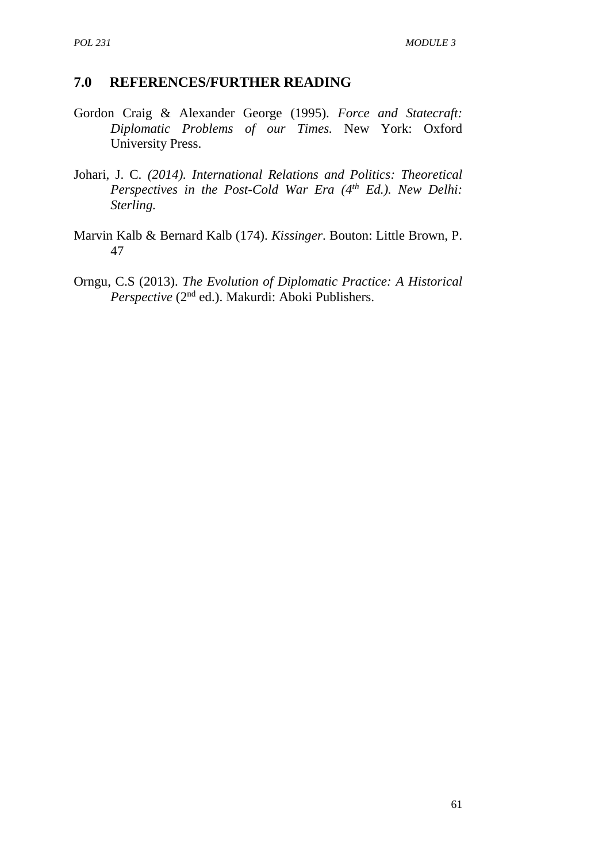#### **7.0 REFERENCES/FURTHER READING**

- Gordon Craig & Alexander George (1995). *Force and Statecraft: Diplomatic Problems of our Times.* New York: Oxford University Press.
- Johari, J. C. *(2014). International Relations and Politics: Theoretical Perspectives in the Post-Cold War Era (4th Ed.). New Delhi: Sterling.*
- Marvin Kalb & Bernard Kalb (174). *Kissinger*. Bouton: Little Brown, P. 47
- Orngu, C.S (2013). *The Evolution of Diplomatic Practice: A Historical Perspective* (2nd ed.). Makurdi: Aboki Publishers.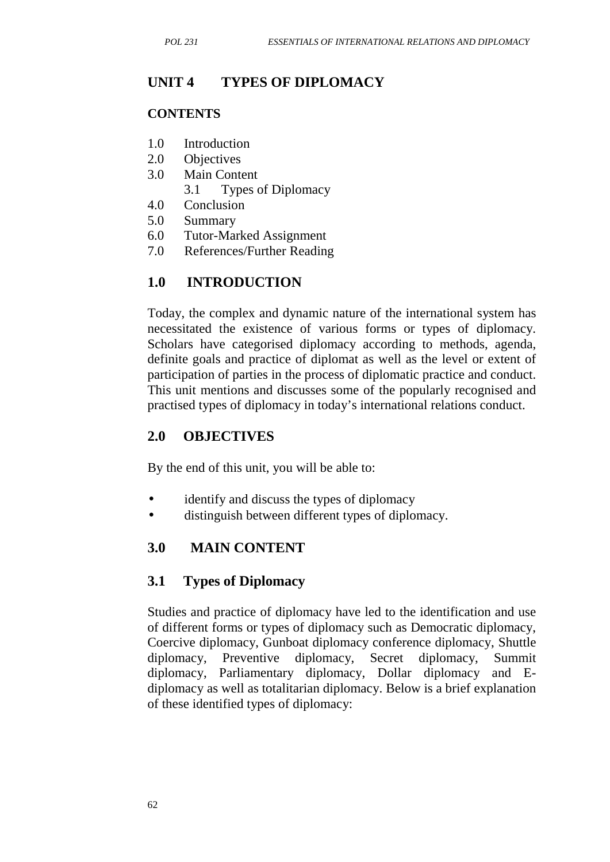## **UNIT 4 TYPES OF DIPLOMACY**

#### **CONTENTS**

- 1.0 Introduction
- 2.0 Objectives
- 3.0 Main Content
	- 3.1 Types of Diplomacy
- 4.0 Conclusion
- 5.0 Summary
- 6.0 Tutor-Marked Assignment
- 7.0 References/Further Reading

## **1.0 INTRODUCTION**

Today, the complex and dynamic nature of the international system has necessitated the existence of various forms or types of diplomacy. Scholars have categorised diplomacy according to methods, agenda, definite goals and practice of diplomat as well as the level or extent of participation of parties in the process of diplomatic practice and conduct. This unit mentions and discusses some of the popularly recognised and practised types of diplomacy in today's international relations conduct.

### **2.0 OBJECTIVES**

By the end of this unit, you will be able to:

- identify and discuss the types of diplomacy
- distinguish between different types of diplomacy.

## **3.0 MAIN CONTENT**

## **3.1 Types of Diplomacy**

Studies and practice of diplomacy have led to the identification and use of different forms or types of diplomacy such as Democratic diplomacy, Coercive diplomacy, Gunboat diplomacy conference diplomacy, Shuttle diplomacy, Preventive diplomacy, Secret diplomacy, Summit diplomacy, Parliamentary diplomacy, Dollar diplomacy and E diplomacy as well as totalitarian diplomacy. Below is a brief explanation of these identified types of diplomacy: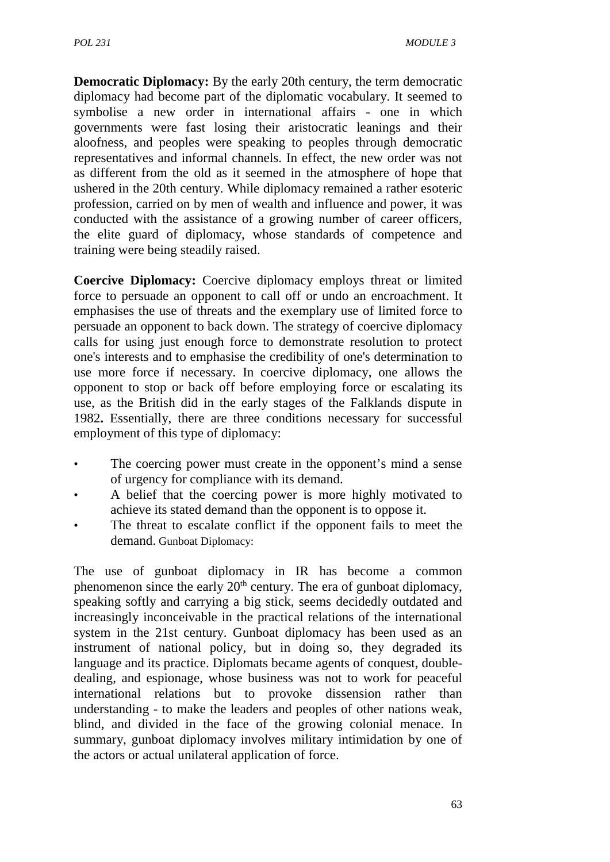**Democratic Diplomacy:** By the early 20th century, the term democratic diplomacy had become part of the diplomatic vocabulary. It seemed to symbolise a new order in international affairs - one in which governments were fast losing their aristocratic leanings and their aloofness, and peoples were speaking to peoples through democratic representatives and informal channels. In effect, the new order was not as different from the old as it seemed in the atmosphere of hope that ushered in the 20th century. While diplomacy remained a rather esoteric profession, carried on by men of wealth and influence and power, it was conducted with the assistance of a growing number of career officers, the elite guard of diplomacy, whose standards of competence and training were being steadily raised.

**Coercive Diplomacy:** Coercive diplomacy employs threat or limited force to persuade an opponent to call off or undo an encroachment. It emphasises the use of threats and the exemplary use of limited force to persuade an opponent to back down. The strategy of coercive diplomacy calls for using just enough force to demonstrate resolution to protect one's interests and to emphasise the credibility of one's determination to use more force if necessary. In coercive diplomacy, one allows the opponent to stop or back off before employing force or escalating its use, as the British did in the early stages of the Falklands dispute in 1982**.** Essentially, there are three conditions necessary for successful employment of this type of diplomacy:

- The coercing power must create in the opponent's mind a sense of urgency for compliance with its demand.
- A belief that the coercing power is more highly motivated to achieve its stated demand than the opponent is to oppose it.
- The threat to escalate conflict if the opponent fails to meet the demand. Gunboat Diplomacy:

The use of gunboat diplomacy in IR has become a common phenomenon since the early 20<sup>th</sup> century. The era of gunboat diplomacy, speaking softly and carrying a big stick, seems decidedly outdated and increasingly inconceivable in the practical relations of the international system in the 21st century. Gunboat diplomacy has been used as an instrument of national policy, but in doing so, they degraded its language and its practice. Diplomats became agents of conquest, double dealing, and espionage, whose business was not to work for peaceful international relations but to provoke dissension rather than understanding - to make the leaders and peoples of other nations weak, blind, and divided in the face of the growing colonial menace. In summary, gunboat diplomacy involves military intimidation by one of the actors or actual unilateral application of force.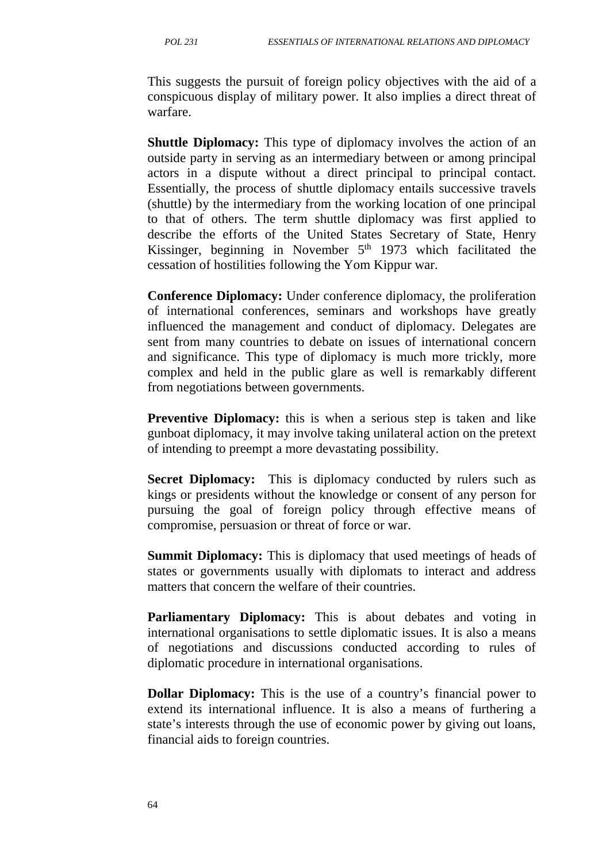This suggests the pursuit of foreign policy objectives with the aid of a conspicuous display of military power. It also implies a direct threat of warfare.

**Shuttle Diplomacy:** This type of diplomacy involves the action of an outside party in serving as an intermediary between or among principal actors in a dispute without a direct principal to principal contact. Essentially, the process of shuttle diplomacy entails successive travels (shuttle) by the intermediary from the working location of one principal to that of others. The term shuttle diplomacy was first applied to describe the efforts of the United States Secretary of State, Henry Kissinger, beginning in November  $5<sup>th</sup>$  1973 which facilitated the cessation of hostilities following the Yom Kippur war.

**Conference Diplomacy:** Under conference diplomacy, the proliferation of international conferences, seminars and workshops have greatly influenced the management and conduct of diplomacy. Delegates are sent from many countries to debate on issues of international concern and significance. This type of diplomacy is much more trickly, more complex and held in the public glare as well is remarkably different from negotiations between governments.

**Preventive Diplomacy:** this is when a serious step is taken and like gunboat diplomacy, it may involve taking unilateral action on the pretext of intending to preempt a more devastating possibility.

**Secret Diplomacy:** This is diplomacy conducted by rulers such as kings or presidents without the knowledge or consent of any person for pursuing the goal of foreign policy through effective means of compromise, persuasion or threat of force or war.

**Summit Diplomacy:** This is diplomacy that used meetings of heads of states or governments usually with diplomats to interact and address matters that concern the welfare of their countries.

**Parliamentary Diplomacy:** This is about debates and voting in international organisations to settle diplomatic issues. It is also a means of negotiations and discussions conducted according to rules of diplomatic procedure in international organisations.

**Dollar Diplomacy:** This is the use of a country's financial power to extend its international influence. It is also a means of furthering a state's interests through the use of economic power by giving out loans, financial aids to foreign countries.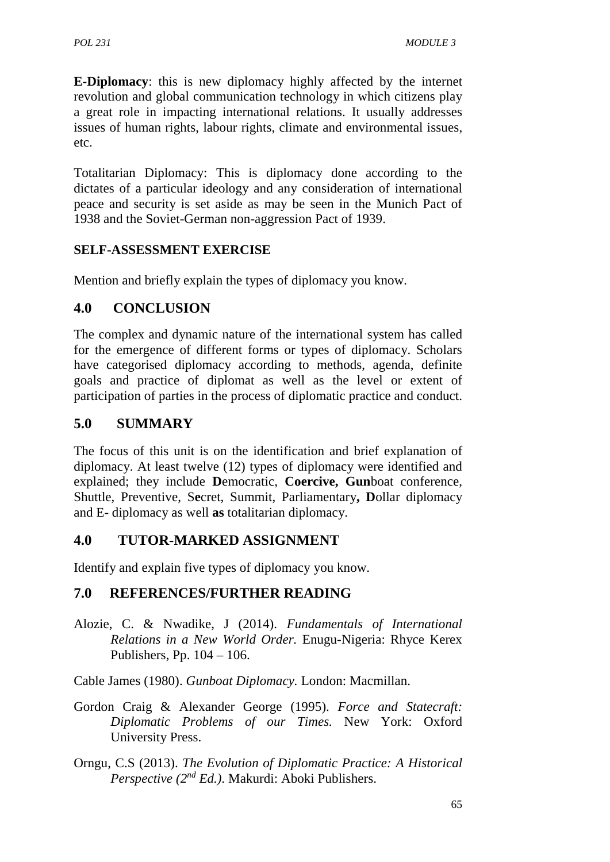**E-Diplomacy**: this is new diplomacy highly affected by the internet revolution and global communication technology in which citizens play a great role in impacting international relations. It usually addresses issues of human rights, labour rights, climate and environmental issues, etc.

Totalitarian Diplomacy: This is diplomacy done according to the dictates of a particular ideology and any consideration of international peace and security is set aside as may be seen in the Munich Pact of 1938 and the Soviet-German non-aggression Pact of 1939.

### **SELF-ASSESSMENT EXERCISE**

Mention and briefly explain the types of diplomacy you know.

### **4.0 CONCLUSION**

The complex and dynamic nature of the international system has called for the emergence of different forms or types of diplomacy. Scholars have categorised diplomacy according to methods, agenda, definite goals and practice of diplomat as well as the level or extent of participation of parties in the process of diplomatic practice and conduct.

## **5.0 SUMMARY**

The focus of this unit is on the identification and brief explanation of diplomacy. At least twelve (12) types of diplomacy were identified and explained; they include **D**emocratic, **Coercive, Gun**boat conference, Shuttle, Preventive, S**e**cret, Summit, Parliamentary**, D**ollar diplomacy and E- diplomacy as well **as** totalitarian diplomacy.

## **4.0 TUTOR-MARKED ASSIGNMENT**

Identify and explain five types of diplomacy you know.

### **7.0 REFERENCES/FURTHER READING**

Alozie, C. & Nwadike, J (2014). *Fundamentals of International Relations in a New World Order.* Enugu-Nigeria: Rhyce Kerex Publishers, Pp. 104 – 106.

Cable James (1980). *Gunboat Diplomacy.* London: Macmillan.

- Gordon Craig & Alexander George (1995). *Force and Statecraft: Diplomatic Problems of our Times.* New York: Oxford University Press.
- Orngu, C.S (2013). *The Evolution of Diplomatic Practice: A Historical Perspective (2nd Ed.)*. Makurdi: Aboki Publishers.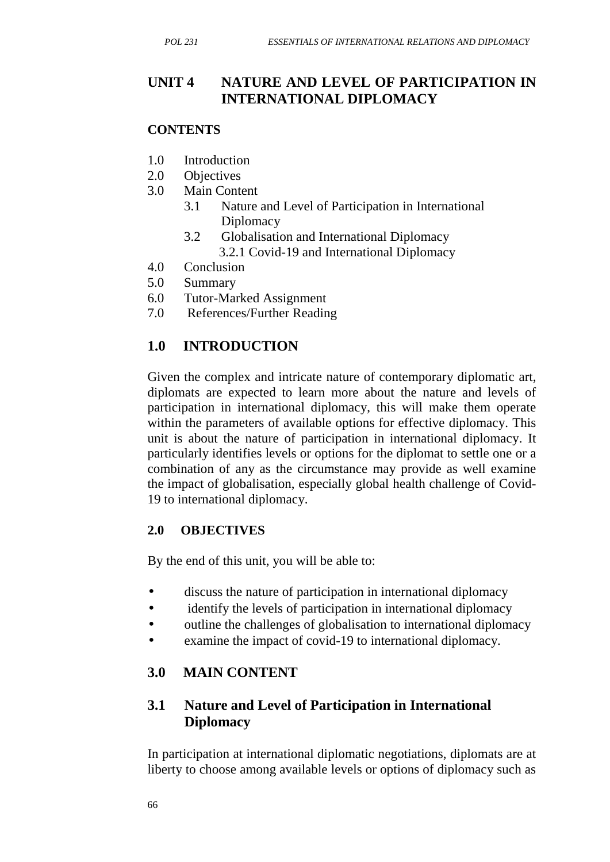## **UNIT 4 NATURE AND LEVEL OF PARTICIPATION IN INTERNATIONAL DIPLOMACY**

#### **CONTENTS**

- 1.0 Introduction
- 2.0 Objectives
- 3.0 Main Content
	- 3.1 Nature and Level of Participation in International **Diplomacy**
	- 3.2 Globalisation and International Diplomacy 3.2.1 Covid-19 and International Diplomacy
- 4.0 Conclusion
- 5.0 Summary
- 6.0 Tutor-Marked Assignment
- 7.0 References/Further Reading

## **1.0 INTRODUCTION**

Given the complex and intricate nature of contemporary diplomatic art, diplomats are expected to learn more about the nature and levels of participation in international diplomacy, this will make them operate within the parameters of available options for effective diplomacy. This unit is about the nature of participation in international diplomacy. It particularly identifies levels or options for the diplomat to settle one or a combination of any as the circumstance may provide as well examine the impact of globalisation, especially global health challenge of Covid- 19 to international diplomacy.

#### **2.0 OBJECTIVES**

By the end of this unit, you will be able to:

- discuss the nature of participation in international diplomacy
- identify the levels of participation in international diplomacy
- outline the challenges of globalisation to international diplomacy
- examine the impact of covid-19 to international diplomacy.

### **3.0 MAIN CONTENT**

## **3.1 Nature and Level of Participation in International Diplomacy**

In participation at international diplomatic negotiations, diplomats are at liberty to choose among available levels or options of diplomacy such as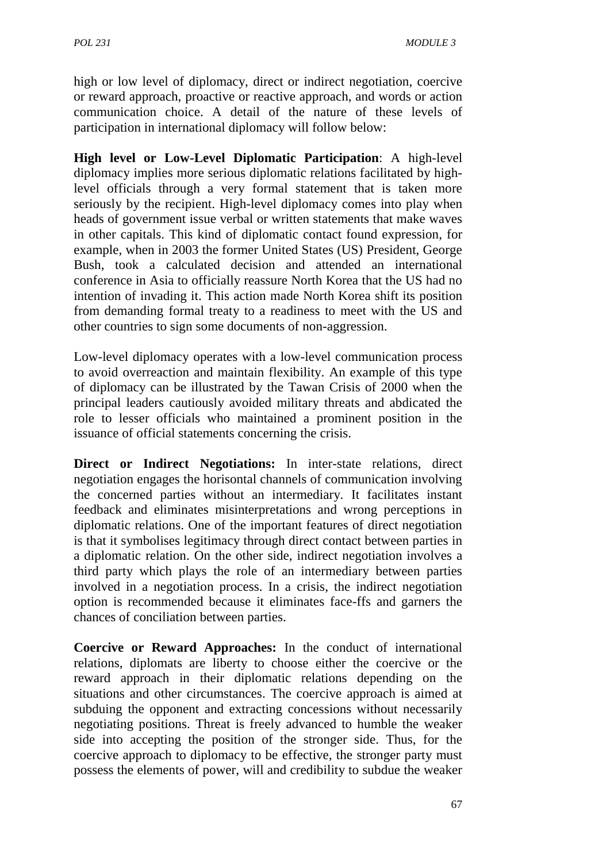high or low level of diplomacy, direct or indirect negotiation, coercive or reward approach, proactive or reactive approach, and words or action communication choice. A detail of the nature of these levels of participation in international diplomacy will follow below:

**High level or Low-Level Diplomatic Participation**: A high-level diplomacy implies more serious diplomatic relations facilitated by highlevel officials through a very formal statement that is taken more seriously by the recipient. High-level diplomacy comes into play when heads of government issue verbal or written statements that make waves in other capitals. This kind of diplomatic contact found expression, for example, when in 2003 the former United States (US) President, George Bush, took a calculated decision and attended an international conference in Asia to officially reassure North Korea that the US had no intention of invading it. This action made North Korea shift its position from demanding formal treaty to a readiness to meet with the US and other countries to sign some documents of non-aggression.

Low-level diplomacy operates with a low-level communication process to avoid overreaction and maintain flexibility. An example of this type of diplomacy can be illustrated by the Tawan Crisis of 2000 when the principal leaders cautiously avoided military threats and abdicated the role to lesser officials who maintained a prominent position in the issuance of official statements concerning the crisis.

**Direct or Indirect Negotiations:** In inter-state relations, direct negotiation engages the horisontal channels of communication involving the concerned parties without an intermediary. It facilitates instant feedback and eliminates misinterpretations and wrong perceptions in diplomatic relations. One of the important features of direct negotiation is that it symbolises legitimacy through direct contact between parties in a diplomatic relation. On the other side, indirect negotiation involves a third party which plays the role of an intermediary between parties involved in a negotiation process. In a crisis, the indirect negotiation option is recommended because it eliminates face-ffs and garners the chances of conciliation between parties.

**Coercive or Reward Approaches:** In the conduct of international relations, diplomats are liberty to choose either the coercive or the reward approach in their diplomatic relations depending on the situations and other circumstances. The coercive approach is aimed at subduing the opponent and extracting concessions without necessarily negotiating positions. Threat is freely advanced to humble the weaker side into accepting the position of the stronger side. Thus, for the coercive approach to diplomacy to be effective, the stronger party must possess the elements of power, will and credibility to subdue the weaker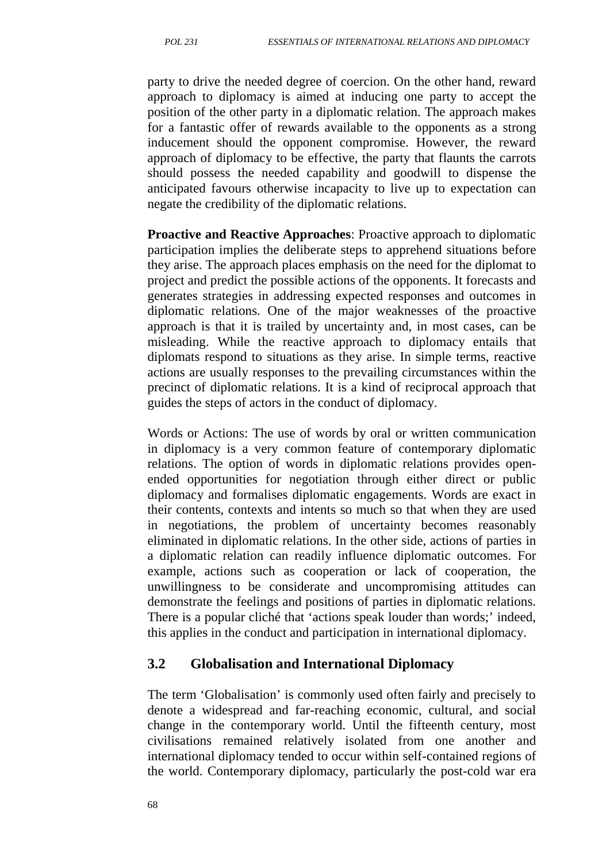party to drive the needed degree of coercion. On the other hand, reward approach to diplomacy is aimed at inducing one party to accept the position of the other party in a diplomatic relation. The approach makes for a fantastic offer of rewards available to the opponents as a strong inducement should the opponent compromise. However, the reward approach of diplomacy to be effective, the party that flaunts the carrots should possess the needed capability and goodwill to dispense the anticipated favours otherwise incapacity to live up to expectation can negate the credibility of the diplomatic relations.

**Proactive and Reactive Approaches**: Proactive approach to diplomatic participation implies the deliberate steps to apprehend situations before they arise. The approach places emphasis on the need for the diplomat to project and predict the possible actions of the opponents. It forecasts and generates strategies in addressing expected responses and outcomes in diplomatic relations. One of the major weaknesses of the proactive approach is that it is trailed by uncertainty and, in most cases, can be misleading. While the reactive approach to diplomacy entails that diplomats respond to situations as they arise. In simple terms, reactive actions are usually responses to the prevailing circumstances within the precinct of diplomatic relations. It is a kind of reciprocal approach that guides the steps of actors in the conduct of diplomacy.

Words or Actions: The use of words by oral or written communication in diplomacy is a very common feature of contemporary diplomatic relations. The option of words in diplomatic relations provides open ended opportunities for negotiation through either direct or public diplomacy and formalises diplomatic engagements. Words are exact in their contents, contexts and intents so much so that when they are used in negotiations, the problem of uncertainty becomes reasonably eliminated in diplomatic relations. In the other side, actions of parties in a diplomatic relation can readily influence diplomatic outcomes. For example, actions such as cooperation or lack of cooperation, the unwillingness to be considerate and uncompromising attitudes can demonstrate the feelings and positions of parties in diplomatic relations. There is a popular cliché that 'actions speak louder than words;' indeed, this applies in the conduct and participation in international diplomacy.

#### **3.2 Globalisation and International Diplomacy**

The term 'Globalisation' is commonly used often fairly and precisely to denote a widespread and far-reaching economic, cultural, and social change in the contemporary world. Until the fifteenth century, most civilisations remained relatively isolated from one another and international diplomacy tended to occur within self-contained regions of the world. Contemporary diplomacy, particularly the post-cold war era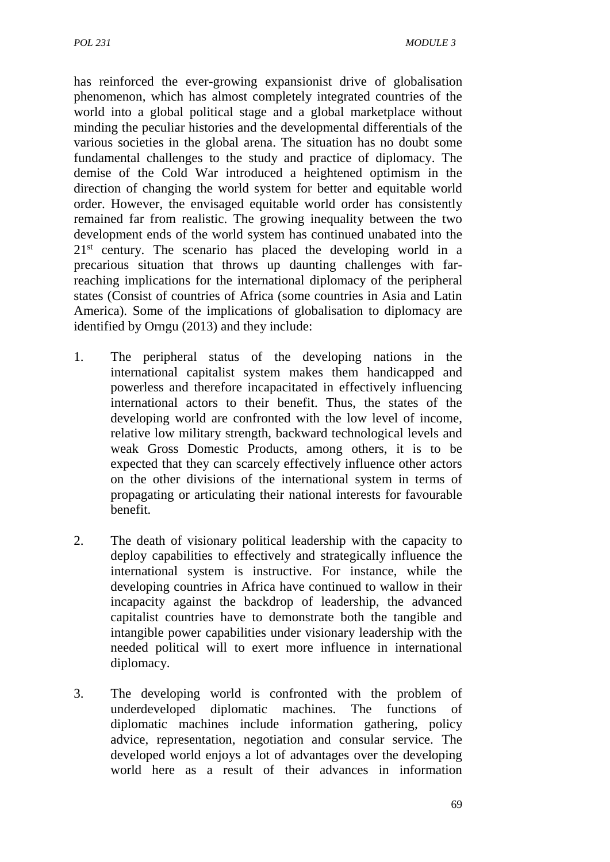has reinforced the ever-growing expansionist drive of globalisation phenomenon, which has almost completely integrated countries of the world into a global political stage and a global marketplace without minding the peculiar histories and the developmental differentials of the various societies in the global arena. The situation has no doubt some fundamental challenges to the study and practice of diplomacy. The demise of the Cold War introduced a heightened optimism in the direction of changing the world system for better and equitable world order. However, the envisaged equitable world order has consistently remained far from realistic. The growing inequality between the two development ends of the world system has continued unabated into the  $21<sup>st</sup>$  century. The scenario has placed the developing world in a precarious situation that throws up daunting challenges with farreaching implications for the international diplomacy of the peripheral states (Consist of countries of Africa (some countries in Asia and Latin America). Some of the implications of globalisation to diplomacy are identified by Orngu (2013) and they include:

- 1. The peripheral status of the developing nations in the international capitalist system makes them handicapped and powerless and therefore incapacitated in effectively influencing international actors to their benefit. Thus, the states of the developing world are confronted with the low level of income, relative low military strength, backward technological levels and weak Gross Domestic Products, among others, it is to be expected that they can scarcely effectively influence other actors on the other divisions of the international system in terms of propagating or articulating their national interests for favourable benefit.
- 2. The death of visionary political leadership with the capacity to deploy capabilities to effectively and strategically influence the international system is instructive. For instance, while the developing countries in Africa have continued to wallow in their incapacity against the backdrop of leadership, the advanced capitalist countries have to demonstrate both the tangible and intangible power capabilities under visionary leadership with the needed political will to exert more influence in international diplomacy.
- 3. The developing world is confronted with the problem of underdeveloped diplomatic machines. The functions of diplomatic machines include information gathering, policy advice, representation, negotiation and consular service. The developed world enjoys a lot of advantages over the developing world here as a result of their advances in information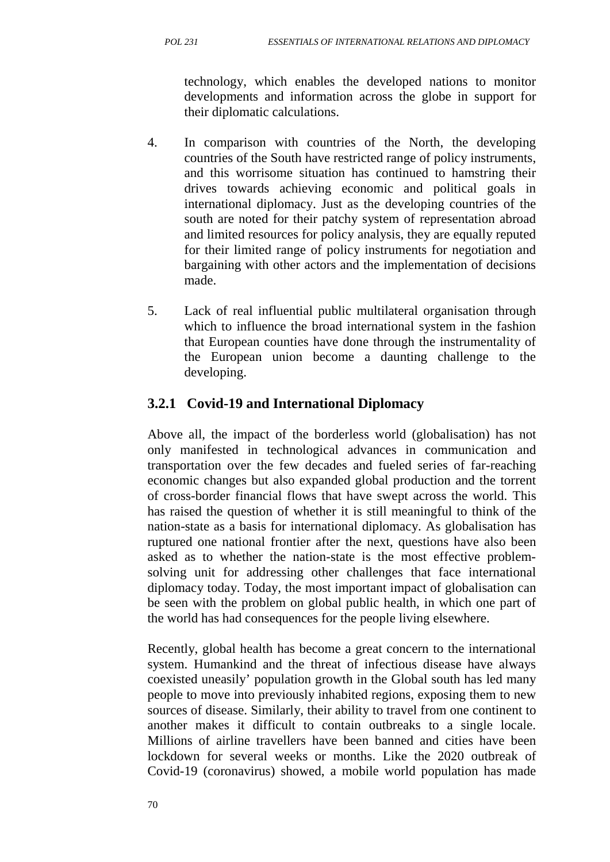technology, which enables the developed nations to monitor developments and information across the globe in support for their diplomatic calculations.

- 4. In comparison with countries of the North, the developing countries of the South have restricted range of policy instruments, and this worrisome situation has continued to hamstring their drives towards achieving economic and political goals in international diplomacy. Just as the developing countries of the south are noted for their patchy system of representation abroad and limited resources for policy analysis, they are equally reputed for their limited range of policy instruments for negotiation and bargaining with other actors and the implementation of decisions made.
- 5. Lack of real influential public multilateral organisation through which to influence the broad international system in the fashion that European counties have done through the instrumentality of the European union become a daunting challenge to the developing.

## **3.2.1 Covid-19 and International Diplomacy**

Above all, the impact of the borderless world (globalisation) has not only manifested in technological advances in communication and transportation over the few decades and fueled series of far-reaching economic changes but also expanded global production and the torrent of cross-border financial flows that have swept across the world. This has raised the question of whether it is still meaningful to think of the nation-state as a basis for international diplomacy. As globalisation has ruptured one national frontier after the next, questions have also been asked as to whether the nation-state is the most effective problem solving unit for addressing other challenges that face international diplomacy today. Today, the most important impact of globalisation can be seen with the problem on global public health, in which one part of the world has had consequences for the people living elsewhere.

Recently, global health has become a great concern to the international system. Humankind and the threat of infectious disease have always coexisted uneasily' population growth in the Global south has led many people to move into previously inhabited regions, exposing them to new sources of disease. Similarly, their ability to travel from one continent to another makes it difficult to contain outbreaks to a single locale. Millions of airline travellers have been banned and cities have been lockdown for several weeks or months. Like the 2020 outbreak of Covid-19 (coronavirus) showed, a mobile world population has made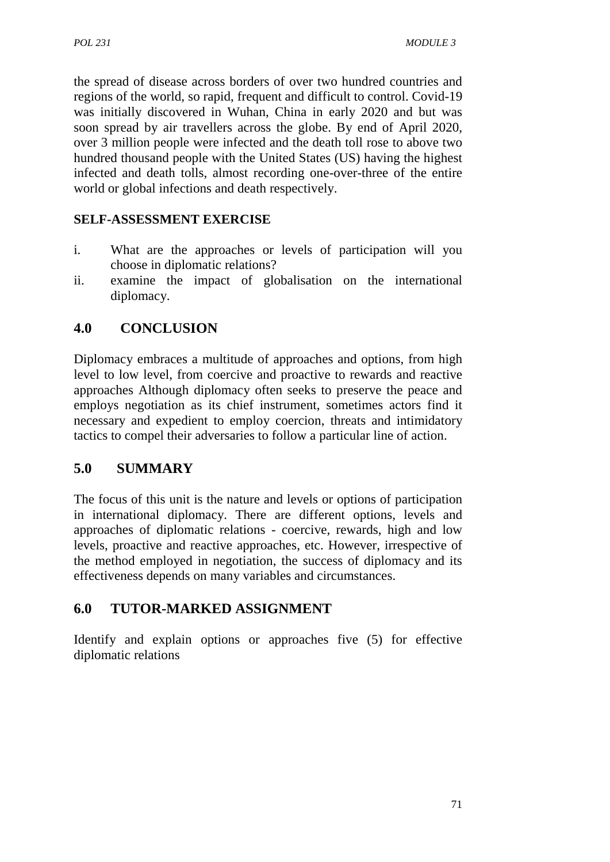the spread of disease across borders of over two hundred countries and regions of the world, so rapid, frequent and difficult to control. Covid-19 was initially discovered in Wuhan, China in early 2020 and but was soon spread by air travellers across the globe. By end of April 2020, over 3 million people were infected and the death toll rose to above two hundred thousand people with the United States (US) having the highest infected and death tolls, almost recording one-over-three of the entire world or global infections and death respectively.

### **SELF-ASSESSMENT EXERCISE**

- i. What are the approaches or levels of participation will you choose in diplomatic relations?
- ii. examine the impact of globalisation on the international diplomacy.

## **4.0 CONCLUSION**

Diplomacy embraces a multitude of approaches and options, from high level to low level, from coercive and proactive to rewards and reactive approaches Although diplomacy often seeks to preserve the peace and employs negotiation as its chief instrument, sometimes actors find it necessary and expedient to employ coercion, threats and intimidatory tactics to compel their adversaries to follow a particular line of action.

## **5.0 SUMMARY**

The focus of this unit is the nature and levels or options of participation in international diplomacy. There are different options, levels and approaches of diplomatic relations - coercive, rewards, high and low levels, proactive and reactive approaches, etc. However, irrespective of the method employed in negotiation, the success of diplomacy and its effectiveness depends on many variables and circumstances.

## **6.0 TUTOR-MARKED ASSIGNMENT**

Identify and explain options or approaches five (5) for effective diplomatic relations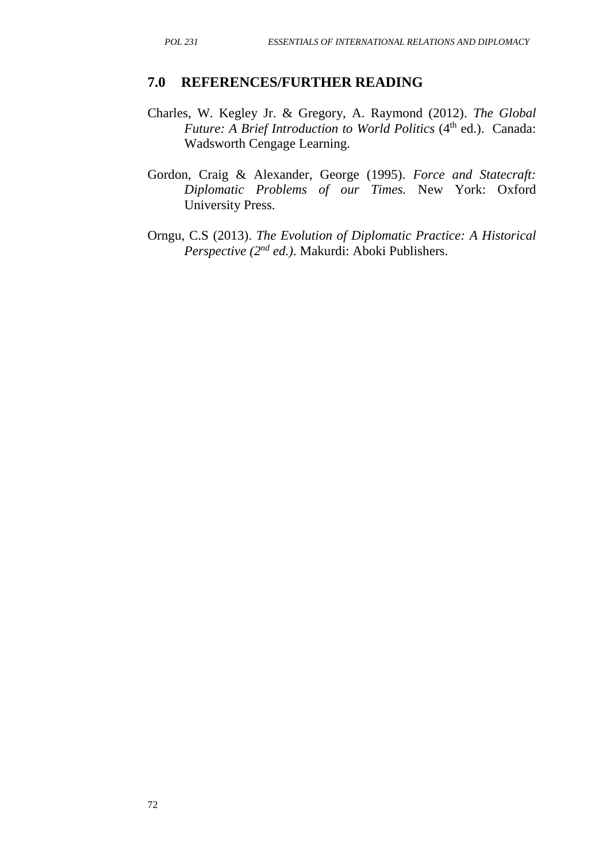#### **7.0 REFERENCES/FURTHER READING**

- Charles, W. Kegley Jr. & Gregory, A. Raymond (2012). *The Global Future: A Brief Introduction to World Politics* (4<sup>th</sup> ed.). Canada: Wadsworth Cengage Learning.
- Gordon, Craig & Alexander, George (1995). *Force and Statecraft: Diplomatic Problems of our Times.* New York: Oxford University Press.
- Orngu, C.S (2013). *The Evolution of Diplomatic Practice: A Historical Perspective (2nd ed.)*. Makurdi: Aboki Publishers.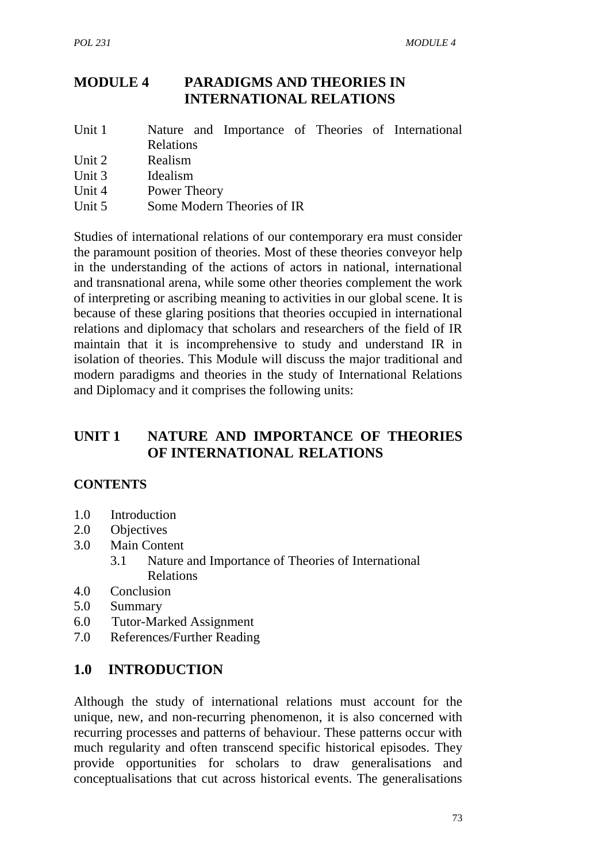## **MODULE 4 PARADIGMS AND THEORIES IN INTERNATIONAL RELATIONS**

| Unit 1 |           |  |  |  |  |  | Nature and Importance of Theories of International |  |
|--------|-----------|--|--|--|--|--|----------------------------------------------------|--|
|        | Relations |  |  |  |  |  |                                                    |  |

- Unit 2 Realism
- Unit 3 Idealism
- Unit 4 Power Theory
- Unit 5 Some Modern Theories of IR

Studies of international relations of our contemporary era must consider the paramount position of theories. Most of these theories conveyor help in the understanding of the actions of actors in national, international and transnational arena, while some other theories complement the work of interpreting or ascribing meaning to activities in our global scene. It is because of these glaring positions that theories occupied in international relations and diplomacy that scholars and researchers of the field of IR maintain that it is incomprehensive to study and understand IR in isolation of theories. This Module will discuss the major traditional and modern paradigms and theories in the study of International Relations and Diplomacy and it comprises the following units:

## **UNIT 1 NATURE AND IMPORTANCE OF THEORIES OF INTERNATIONAL RELATIONS**

### **CONTENTS**

- 1.0 Introduction
- 2.0 Objectives
- 3.0 Main Content
	- 3.1 Nature and Importance of Theories of International Relations
- 4.0 Conclusion
- 5.0 Summary
- 6.0 Tutor-Marked Assignment
- 7.0 References/Further Reading

### **1.0 INTRODUCTION**

Although the study of international relations must account for the unique, new, and non-recurring phenomenon, it is also concerned with recurring processes and patterns of behaviour. These patterns occur with much regularity and often transcend specific historical episodes. They provide opportunities for scholars to draw generalisations and conceptualisations that cut across historical events. The generalisations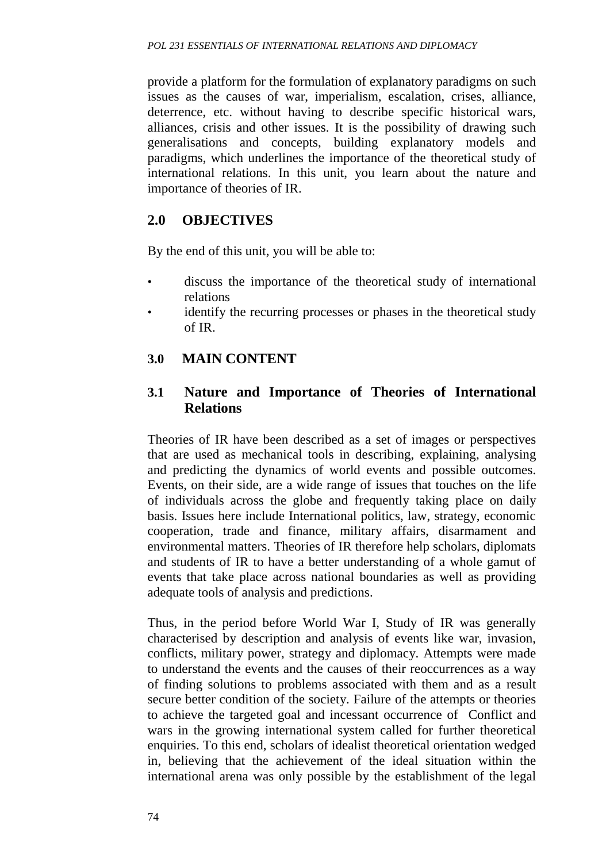provide a platform for the formulation of explanatory paradigms on such issues as the causes of war, imperialism, escalation, crises, alliance, deterrence, etc. without having to describe specific historical wars, alliances, crisis and other issues. It is the possibility of drawing such generalisations and concepts, building explanatory models and paradigms, which underlines the importance of the theoretical study of international relations. In this unit, you learn about the nature and importance of theories of IR.

## **2.0 OBJECTIVES**

By the end of this unit, you will be able to:

- discuss the importance of the theoretical study of international relations
- identify the recurring processes or phases in the theoretical study of IR.

## **3.0 MAIN CONTENT**

#### **3.1 Nature and Importance of Theories of International Relations**

Theories of IR have been described as a set of images or perspectives that are used as mechanical tools in describing, explaining, analysing and predicting the dynamics of world events and possible outcomes. Events, on their side, are a wide range of issues that touches on the life of individuals across the globe and frequently taking place on daily basis. Issues here include International politics, law, strategy, economic cooperation, trade and finance, military affairs, disarmament and environmental matters. Theories of IR therefore help scholars, diplomats and students of IR to have a better understanding of a whole gamut of events that take place across national boundaries as well as providing adequate tools of analysis and predictions.

Thus, in the period before World War I, Study of IR was generally characterised by description and analysis of events like war, invasion, conflicts, military power, strategy and diplomacy. Attempts were made to understand the events and the causes of their reoccurrences as a way of finding solutions to problems associated with them and as a result secure better condition of the society. Failure of the attempts or theories to achieve the targeted goal and incessant occurrence of Conflict and wars in the growing international system called for further theoretical enquiries. To this end, scholars of idealist theoretical orientation wedged in, believing that the achievement of the ideal situation within the international arena was only possible by the establishment of the legal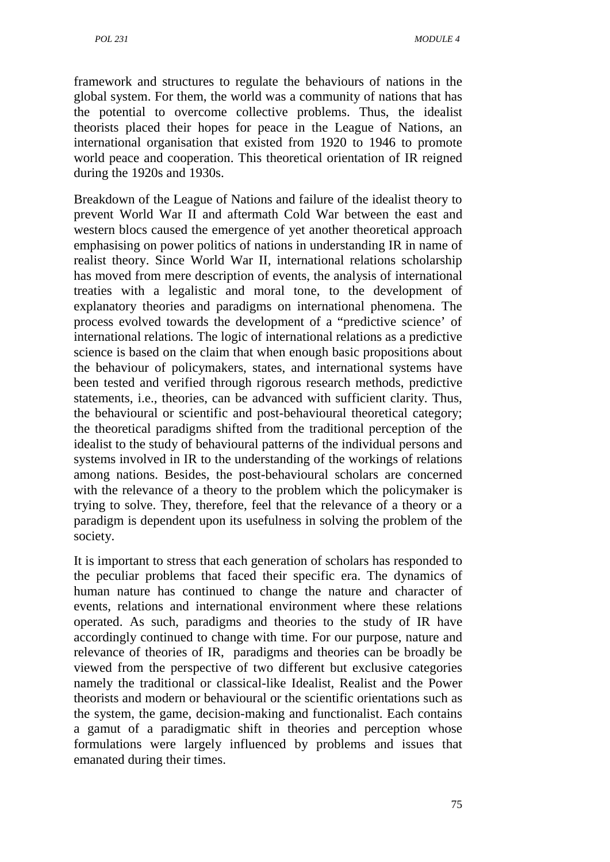framework and structures to regulate the behaviours of nations in the global system. For them, the world was a community of nations that has the potential to overcome collective problems. Thus, the idealist theorists placed their hopes for peace in the League of Nations, an international organisation that existed from 1920 to 1946 to promote world peace and cooperation. This theoretical orientation of IR reigned during the 1920s and 1930s.

Breakdown of the League of Nations and failure of the idealist theory to prevent World War II and aftermath Cold War between the east and western blocs caused the emergence of yet another theoretical approach emphasising on power politics of nations in understanding IR in name of realist theory. Since World War II, international relations scholarship has moved from mere description of events, the analysis of international treaties with a legalistic and moral tone, to the development of explanatory theories and paradigms on international phenomena. The process evolved towards the development of a "predictive science' of international relations. The logic of international relations as a predictive science is based on the claim that when enough basic propositions about the behaviour of policymakers, states, and international systems have been tested and verified through rigorous research methods, predictive statements, i.e., theories, can be advanced with sufficient clarity. Thus, the behavioural or scientific and post-behavioural theoretical category; the theoretical paradigms shifted from the traditional perception of the idealist to the study of behavioural patterns of the individual persons and systems involved in IR to the understanding of the workings of relations among nations. Besides, the post-behavioural scholars are concerned with the relevance of a theory to the problem which the policymaker is trying to solve. They, therefore, feel that the relevance of a theory or a paradigm is dependent upon its usefulness in solving the problem of the society.

It is important to stress that each generation of scholars has responded to the peculiar problems that faced their specific era. The dynamics of human nature has continued to change the nature and character of events, relations and international environment where these relations operated. As such, paradigms and theories to the study of IR have accordingly continued to change with time. For our purpose, nature and relevance of theories of IR, paradigms and theories can be broadly be viewed from the perspective of two different but exclusive categories namely the traditional or classical-like Idealist, Realist and the Power theorists and modern or behavioural or the scientific orientations such as the system, the game, decision-making and functionalist. Each contains a gamut of a paradigmatic shift in theories and perception whose formulations were largely influenced by problems and issues that emanated during their times.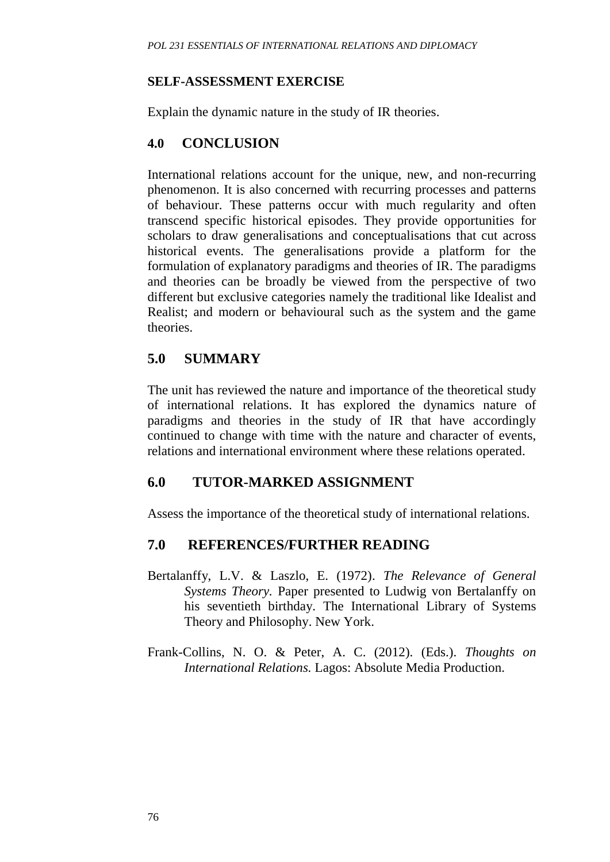#### **SELF-ASSESSMENT EXERCISE**

Explain the dynamic nature in the study of IR theories.

#### **4.0 CONCLUSION**

International relations account for the unique, new, and non-recurring phenomenon. It is also concerned with recurring processes and patterns of behaviour. These patterns occur with much regularity and often transcend specific historical episodes. They provide opportunities for scholars to draw generalisations and conceptualisations that cut across historical events. The generalisations provide a platform for the formulation of explanatory paradigms and theories of IR. The paradigms and theories can be broadly be viewed from the perspective of two different but exclusive categories namely the traditional like Idealist and Realist; and modern or behavioural such as the system and the game theories.

## **5.0 SUMMARY**

The unit has reviewed the nature and importance of the theoretical study of international relations. It has explored the dynamics nature of paradigms and theories in the study of IR that have accordingly continued to change with time with the nature and character of events, relations and international environment where these relations operated.

### **6.0 TUTOR-MARKED ASSIGNMENT**

Assess the importance of the theoretical study of international relations.

### **7.0 REFERENCES/FURTHER READING**

- Bertalanffy, L.V. & Laszlo, E. (1972). *The Relevance of General Systems Theory.* Paper presented to Ludwig von Bertalanffy on his seventieth birthday. The International Library of Systems Theory and Philosophy. New York.
- Frank-Collins, N. O. & Peter, A. C. (2012). (Eds.). *Thoughts on International Relations.* Lagos: Absolute Media Production.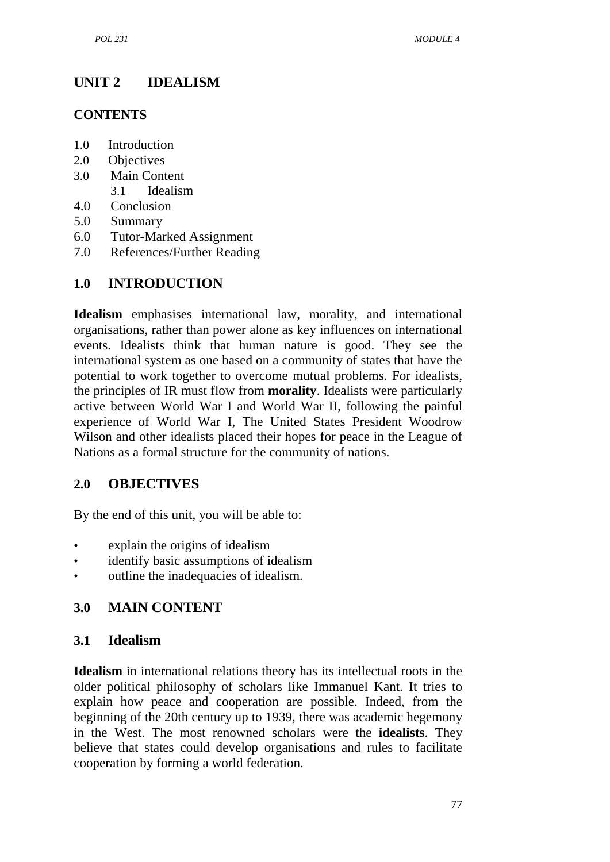## **UNIT 2 IDEALISM**

#### **CONTENTS**

- 1.0 Introduction
- 2.0 Objectives
- 3.0 Main Content
	- 3.1 Idealism
- 4.0 Conclusion
- 5.0 Summary
- 6.0 Tutor-Marked Assignment
- 7.0 References/Further Reading

#### **1.0 INTRODUCTION**

**Idealism** emphasises international law, morality, and international organisations, rather than power alone as key influences on international events. Idealists think that human nature is good. They see the international system as one based on a community of states that have the potential to work together to overcome mutual problems. For idealists, the principles of IR must flow from **morality**. Idealists were particularly active between World War I and World War II, following the painful experience of World War I, The United States President Woodrow Wilson and other idealists placed their hopes for peace in the League of Nations as a formal structure for the community of nations.

#### **2.0 OBJECTIVES**

By the end of this unit, you will be able to:

- explain the origins of idealism
- identify basic assumptions of idealism
- outline the inadequacies of idealism.

#### **3.0 MAIN CONTENT**

#### **3.1 Idealism**

**Idealism** in international relations theory has its intellectual roots in the older political philosophy of scholars like Immanuel Kant. It tries to explain how peace and cooperation are possible. Indeed, from the beginning of the 20th century up to 1939, there was academic hegemony in the West. The most renowned scholars were the **idealists**. They believe that states could develop organisations and rules to facilitate cooperation by forming a world federation.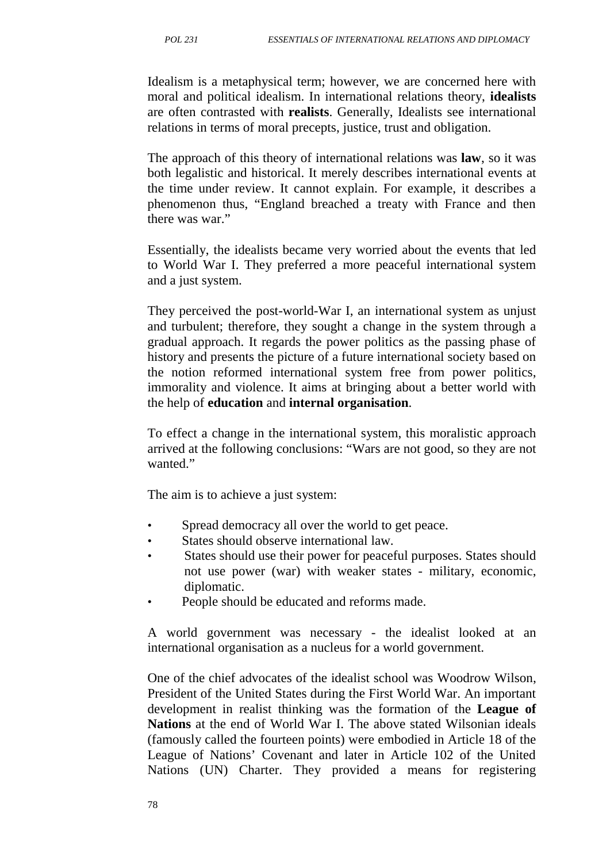Idealism is a metaphysical term; however, we are concerned here with moral and political idealism. In international relations theory, **idealists** are often contrasted with **realists**. Generally, Idealists see international relations in terms of moral precepts, justice, trust and obligation.

The approach of this theory of international relations was **law**, so it was both legalistic and historical. It merely describes international events at the time under review. It cannot explain. For example, it describes a phenomenon thus, "England breached a treaty with France and then there was war."

Essentially, the idealists became very worried about the events that led to World War I. They preferred a more peaceful international system and a just system.

They perceived the post-world-War I, an international system as unjust and turbulent; therefore, they sought a change in the system through a gradual approach. It regards the power politics as the passing phase of history and presents the picture of a future international society based on the notion reformed international system free from power politics, immorality and violence. It aims at bringing about a better world with the help of **education** and **internal organisation**.

To effect a change in the international system, this moralistic approach arrived at the following conclusions: "Wars are not good, so they are not wanted."

The aim is to achieve a just system:

- Spread democracy all over the world to get peace.
- States should observe international law.
- States should use their power for peaceful purposes. States should not use power (war) with weaker states - military, economic, diplomatic.
- People should be educated and reforms made.

A world government was necessary - the idealist looked at an international organisation as a nucleus for a world government.

One of the chief advocates of the idealist school was Woodrow Wilson, President of the United States during the First World War. An important development in realist thinking was the formation of the **League of Nations** at the end of World War I. The above stated Wilsonian ideals (famously called the fourteen points) were embodied in Article 18 of the League of Nations' Covenant and later in Article 102 of the United Nations (UN) Charter. They provided a means for registering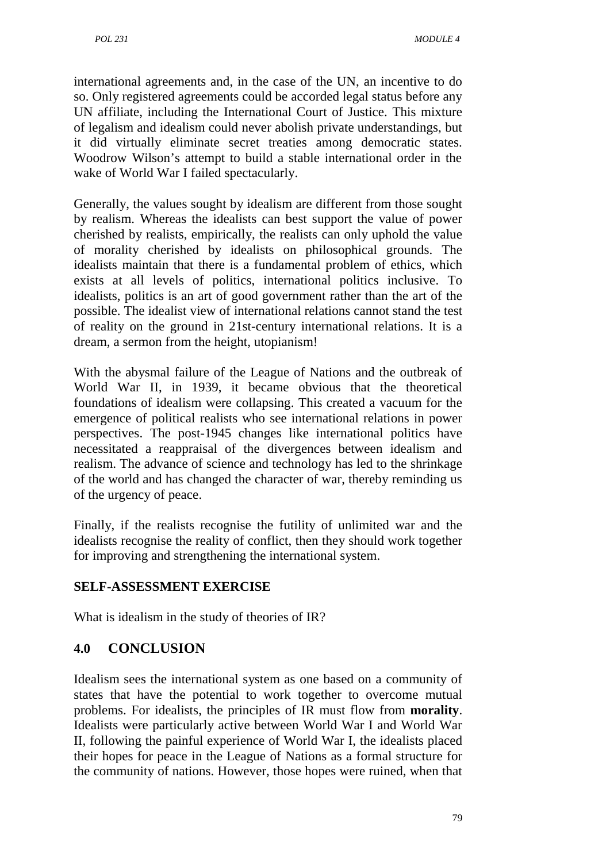international agreements and, in the case of the UN, an incentive to do so. Only registered agreements could be accorded legal status before any UN affiliate, including the International Court of Justice. This mixture of legalism and idealism could never abolish private understandings, but it did virtually eliminate secret treaties among democratic states. Woodrow Wilson's attempt to build a stable international order in the wake of World War I failed spectacularly.

Generally, the values sought by idealism are different from those sought by realism. Whereas the idealists can best support the value of power cherished by realists, empirically, the realists can only uphold the value of morality cherished by idealists on philosophical grounds. The idealists maintain that there is a fundamental problem of ethics, which exists at all levels of politics, international politics inclusive. To idealists, politics is an art of good government rather than the art of the possible. The idealist view of international relations cannot stand the test of reality on the ground in 21st-century international relations. It is a dream, a sermon from the height, utopianism!

With the abysmal failure of the League of Nations and the outbreak of World War II, in 1939, it became obvious that the theoretical foundations of idealism were collapsing. This created a vacuum for the emergence of political realists who see international relations in power perspectives. The post-1945 changes like international politics have necessitated a reappraisal of the divergences between idealism and realism. The advance of science and technology has led to the shrinkage of the world and has changed the character of war, thereby reminding us of the urgency of peace.

Finally, if the realists recognise the futility of unlimited war and the idealists recognise the reality of conflict, then they should work together for improving and strengthening the international system.

## **SELF-ASSESSMENT EXERCISE**

What is idealism in the study of theories of IR?

## **4.0 CONCLUSION**

Idealism sees the international system as one based on a community of states that have the potential to work together to overcome mutual problems. For idealists, the principles of IR must flow from **morality**. Idealists were particularly active between World War I and World War II, following the painful experience of World War I, the idealists placed their hopes for peace in the League of Nations as a formal structure for the community of nations. However, those hopes were ruined, when that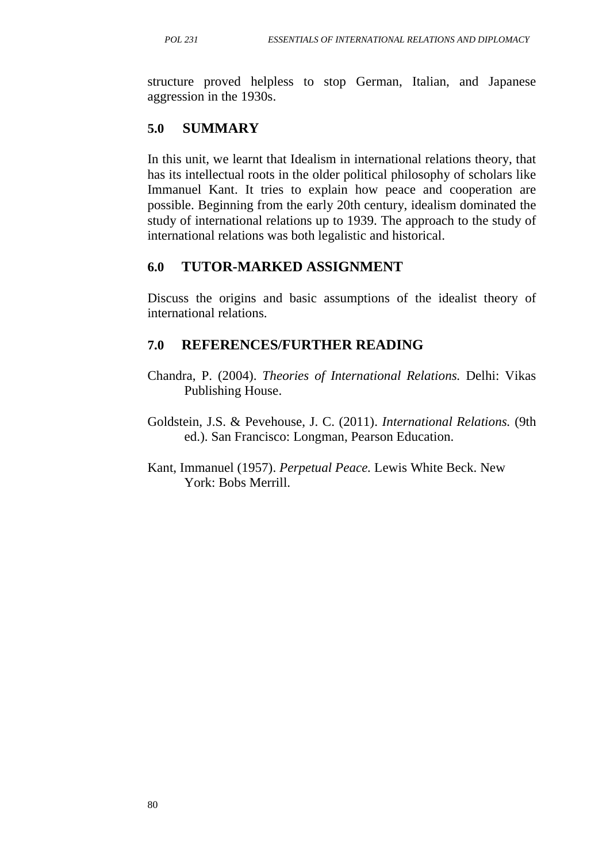structure proved helpless to stop German, Italian, and Japanese aggression in the 1930s.

### **5.0 SUMMARY**

In this unit, we learnt that Idealism in international relations theory, that has its intellectual roots in the older political philosophy of scholars like Immanuel Kant. It tries to explain how peace and cooperation are possible. Beginning from the early 20th century, idealism dominated the study of international relations up to 1939. The approach to the study of international relations was both legalistic and historical.

### **6.0 TUTOR-MARKED ASSIGNMENT**

Discuss the origins and basic assumptions of the idealist theory of international relations.

### **7.0 REFERENCES/FURTHER READING**

- Chandra, P. (2004). *Theories of International Relations.* Delhi: Vikas Publishing House.
- Goldstein, J.S. & Pevehouse, J. C. (2011). *International Relations.* (9th ed.). San Francisco: Longman, Pearson Education.
- Kant, Immanuel (1957). *Perpetual Peace.* Lewis White Beck. New York: Bobs Merrill.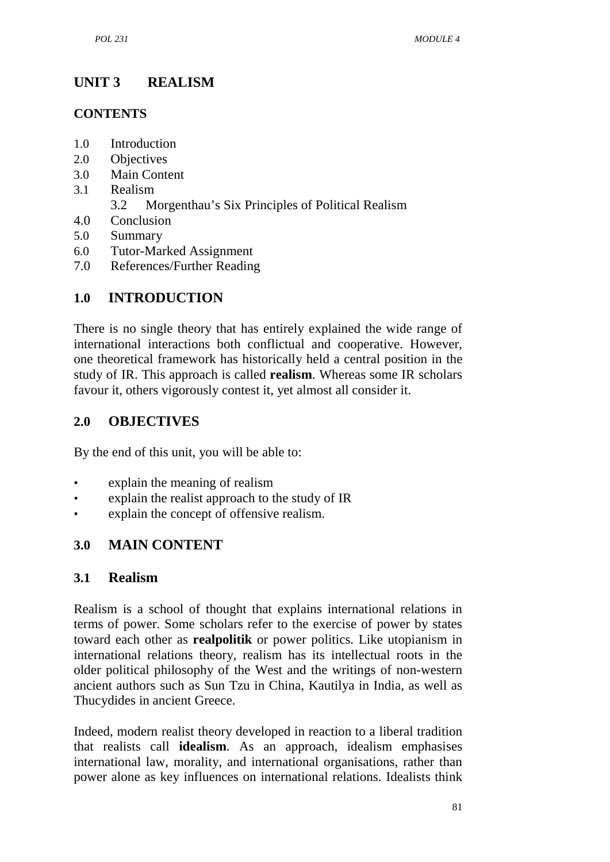## **UNIT 3 REALISM**

#### **CONTENTS**

- 1.0 Introduction
- 2.0 Objectives
- 3.0 Main Content
- 3.1 Realism
	- 3.2 Morgenthau's Six Principles of Political Realism
- 4.0 Conclusion
- 5.0 Summary
- 6.0 Tutor-Marked Assignment
- 7.0 References/Further Reading

## **1.0 INTRODUCTION**

There is no single theory that has entirely explained the wide range of international interactions both conflictual and cooperative. However, one theoretical framework has historically held a central position in the study of IR. This approach is called **realism**. Whereas some IR scholars favour it, others vigorously contest it, yet almost all consider it.

### **2.0 OBJECTIVES**

By the end of this unit, you will be able to:

- explain the meaning of realism
- explain the realist approach to the study of IR
- explain the concept of offensive realism.

### **3.0 MAIN CONTENT**

#### **3.1 Realism**

Realism is a school of thought that explains international relations in terms of power. Some scholars refer to the exercise of power by states toward each other as **realpolitik** or power politics. Like utopianism in international relations theory, realism has its intellectual roots in the older political philosophy of the West and the writings of non-western ancient authors such as Sun Tzu in China, Kautilya in India, as well as Thucydides in ancient Greece.

Indeed, modern realist theory developed in reaction to a liberal tradition that realists call **idealism**. As an approach, idealism emphasises international law, morality, and international organisations, rather than power alone as key influences on international relations. Idealists think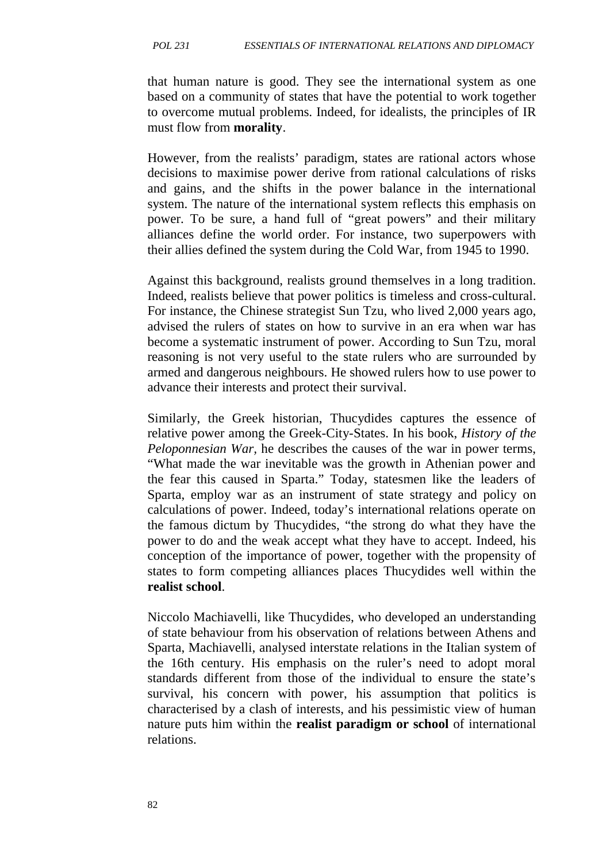that human nature is good. They see the international system as one based on a community of states that have the potential to work together to overcome mutual problems. Indeed, for idealists, the principles of IR must flow from **morality**.

However, from the realists' paradigm, states are rational actors whose decisions to maximise power derive from rational calculations of risks and gains, and the shifts in the power balance in the international system. The nature of the international system reflects this emphasis on power. To be sure, a hand full of "great powers" and their military alliances define the world order. For instance, two superpowers with their allies defined the system during the Cold War, from 1945 to 1990.

Against this background, realists ground themselves in a long tradition. Indeed, realists believe that power politics is timeless and cross-cultural. For instance, the Chinese strategist Sun Tzu, who lived 2,000 years ago, advised the rulers of states on how to survive in an era when war has become a systematic instrument of power. According to Sun Tzu, moral reasoning is not very useful to the state rulers who are surrounded by armed and dangerous neighbours. He showed rulers how to use power to advance their interests and protect their survival.

Similarly, the Greek historian, Thucydides captures the essence of relative power among the Greek-City-States. In his book, *History of the Peloponnesian War,* he describes the causes of the war in power terms, "What made the war inevitable was the growth in Athenian power and the fear this caused in Sparta." Today, statesmen like the leaders of Sparta, employ war as an instrument of state strategy and policy on calculations of power. Indeed, today's international relations operate on the famous dictum by Thucydides, "the strong do what they have the power to do and the weak accept what they have to accept. Indeed, his conception of the importance of power, together with the propensity of states to form competing alliances places Thucydides well within the **realist school**.

Niccolo Machiavelli, like Thucydides, who developed an understanding of state behaviour from his observation of relations between Athens and Sparta, Machiavelli, analysed interstate relations in the Italian system of the 16th century. His emphasis on the ruler's need to adopt moral standards different from those of the individual to ensure the state's survival, his concern with power, his assumption that politics is characterised by a clash of interests, and his pessimistic view of human nature puts him within the **realist paradigm or school** of international relations.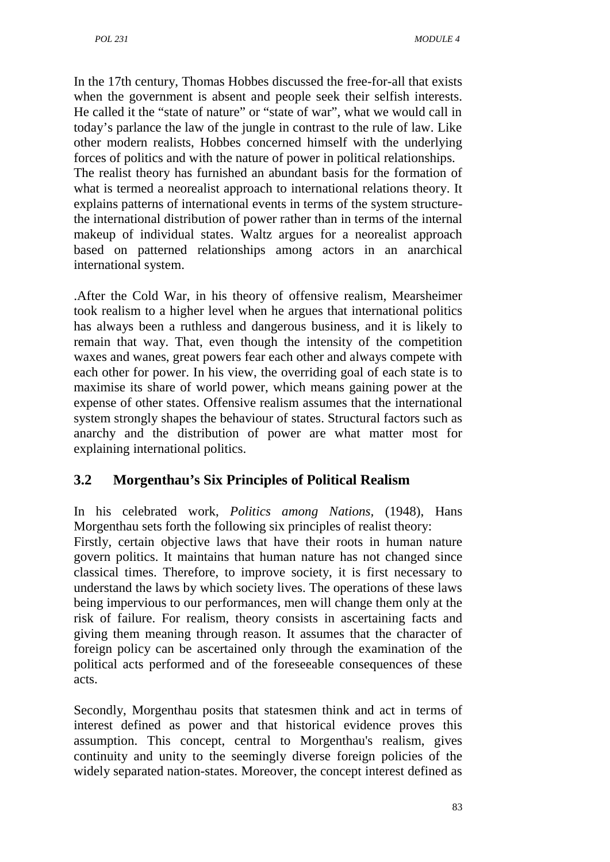In the 17th century, Thomas Hobbes discussed the free-for-all that exists when the government is absent and people seek their selfish interests. He called it the "state of nature" or "state of war", what we would call in today's parlance the law of the jungle in contrast to the rule of law. Like other modern realists, Hobbes concerned himself with the underlying forces of politics and with the nature of power in political relationships. The realist theory has furnished an abundant basis for the formation of what is termed a neorealist approach to international relations theory. It explains patterns of international events in terms of the system structurethe international distribution of power rather than in terms of the internal makeup of individual states. Waltz argues for a neorealist approach based on patterned relationships among actors in an anarchical international system.

.After the Cold War, in his theory of offensive realism, Mearsheimer took realism to a higher level when he argues that international politics has always been a ruthless and dangerous business, and it is likely to remain that way. That, even though the intensity of the competition waxes and wanes, great powers fear each other and always compete with each other for power. In his view, the overriding goal of each state is to maximise its share of world power, which means gaining power at the expense of other states. Offensive realism assumes that the international system strongly shapes the behaviour of states. Structural factors such as anarchy and the distribution of power are what matter most for explaining international politics.

# **3.2 Morgenthau's Six Principles of Political Realism**

In his celebrated work, *Politics among Nations,* (1948), Hans Morgenthau sets forth the following six principles of realist theory:

Firstly, certain objective laws that have their roots in human nature govern politics. It maintains that human nature has not changed since classical times. Therefore, to improve society, it is first necessary to understand the laws by which society lives. The operations of these laws being impervious to our performances, men will change them only at the risk of failure. For realism, theory consists in ascertaining facts and giving them meaning through reason. It assumes that the character of foreign policy can be ascertained only through the examination of the political acts performed and of the foreseeable consequences of these acts.

Secondly, Morgenthau posits that statesmen think and act in terms of interest defined as power and that historical evidence proves this assumption. This concept, central to Morgenthau's realism, gives continuity and unity to the seemingly diverse foreign policies of the widely separated nation-states. Moreover, the concept interest defined as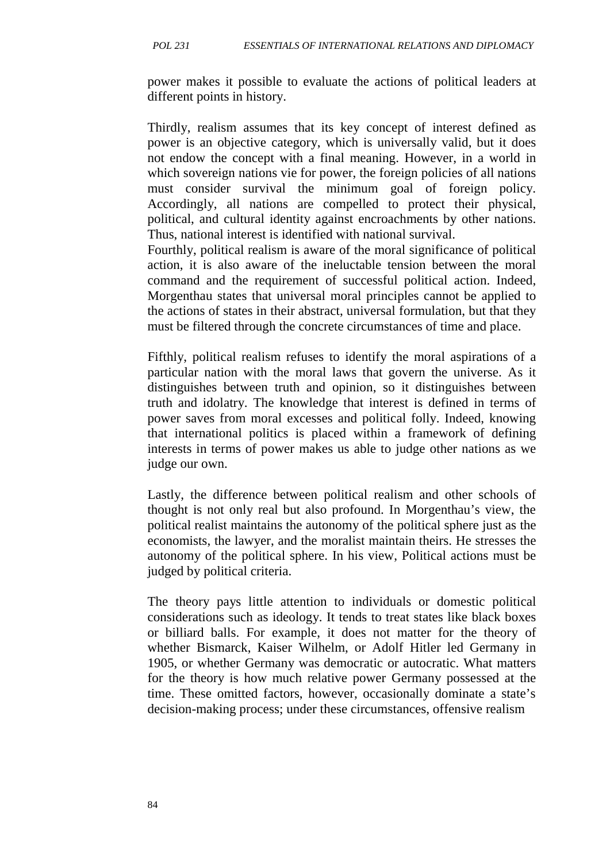power makes it possible to evaluate the actions of political leaders at different points in history.

Thirdly, realism assumes that its key concept of interest defined as power is an objective category, which is universally valid, but it does not endow the concept with a final meaning. However, in a world in which sovereign nations vie for power, the foreign policies of all nations must consider survival the minimum goal of foreign policy. Accordingly, all nations are compelled to protect their physical, political, and cultural identity against encroachments by other nations. Thus, national interest is identified with national survival.

Fourthly, political realism is aware of the moral significance of political action, it is also aware of the ineluctable tension between the moral command and the requirement of successful political action. Indeed, Morgenthau states that universal moral principles cannot be applied to the actions of states in their abstract, universal formulation, but that they must be filtered through the concrete circumstances of time and place.

Fifthly, political realism refuses to identify the moral aspirations of a particular nation with the moral laws that govern the universe. As it distinguishes between truth and opinion, so it distinguishes between truth and idolatry. The knowledge that interest is defined in terms of power saves from moral excesses and political folly. Indeed, knowing that international politics is placed within a framework of defining interests in terms of power makes us able to judge other nations as we judge our own.

Lastly, the difference between political realism and other schools of thought is not only real but also profound. In Morgenthau's view, the political realist maintains the autonomy of the political sphere just as the economists, the lawyer, and the moralist maintain theirs. He stresses the autonomy of the political sphere. In his view, Political actions must be judged by political criteria.

The theory pays little attention to individuals or domestic political considerations such as ideology. It tends to treat states like black boxes or billiard balls. For example, it does not matter for the theory of whether Bismarck, Kaiser Wilhelm, or Adolf Hitler led Germany in 1905, or whether Germany was democratic or autocratic. What matters for the theory is how much relative power Germany possessed at the time. These omitted factors, however, occasionally dominate a state's decision-making process; under these circumstances, offensive realism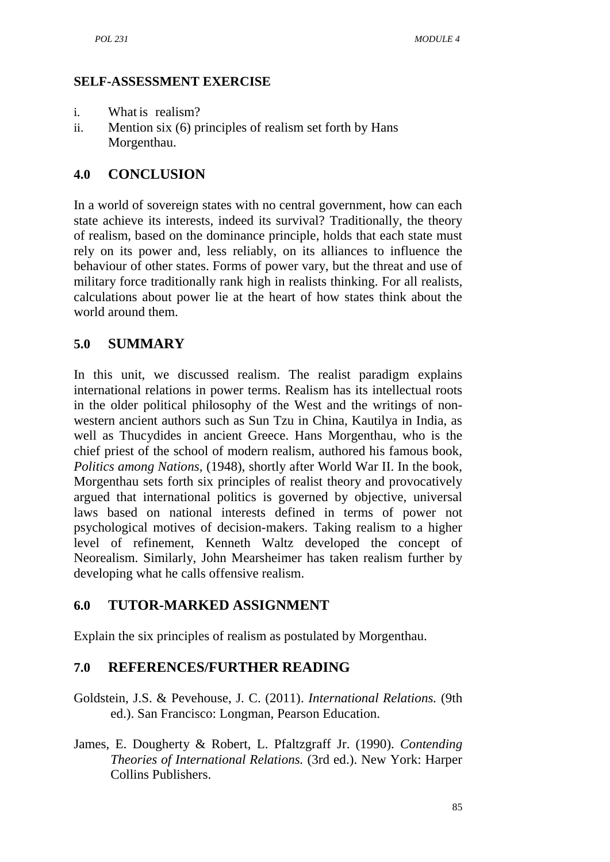#### **SELF-ASSESSMENT EXERCISE**

- i. What is realism?
- ii. Mention six (6) principles of realism set forth by Hans Morgenthau.

#### **4.0 CONCLUSION**

In a world of sovereign states with no central government, how can each state achieve its interests, indeed its survival? Traditionally, the theory of realism, based on the dominance principle, holds that each state must rely on its power and, less reliably, on its alliances to influence the behaviour of other states. Forms of power vary, but the threat and use of military force traditionally rank high in realists thinking. For all realists, calculations about power lie at the heart of how states think about the world around them.

## **5.0 SUMMARY**

In this unit, we discussed realism. The realist paradigm explains international relations in power terms. Realism has its intellectual roots in the older political philosophy of the West and the writings of non western ancient authors such as Sun Tzu in China, Kautilya in India, as well as Thucydides in ancient Greece. Hans Morgenthau, who is the chief priest of the school of modern realism, authored his famous book, *Politics among Nations,* (1948), shortly after World War II. In the book, Morgenthau sets forth six principles of realist theory and provocatively argued that international politics is governed by objective, universal laws based on national interests defined in terms of power not psychological motives of decision-makers. Taking realism to a higher level of refinement, Kenneth Waltz developed the concept of Neorealism. Similarly, John Mearsheimer has taken realism further by developing what he calls offensive realism.

### **6.0 TUTOR-MARKED ASSIGNMENT**

Explain the six principles of realism as postulated by Morgenthau.

### **7.0 REFERENCES/FURTHER READING**

- Goldstein, J.S. & Pevehouse, J. C. (2011). *International Relations.* (9th ed.). San Francisco: Longman, Pearson Education.
- James, E. Dougherty & Robert, L. Pfaltzgraff Jr. (1990). *Contending Theories of International Relations.* (3rd ed.). New York: Harper Collins Publishers.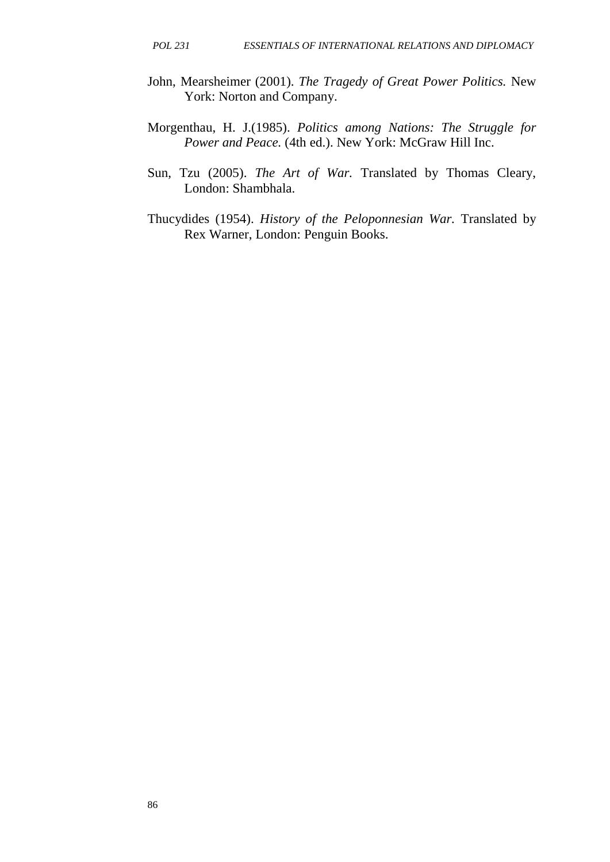- John, Mearsheimer (2001). *The Tragedy of Great Power Politics.* New York: Norton and Company.
- Morgenthau, H. J.(1985). *Politics among Nations: The Struggle for Power and Peace.* (4th ed.). New York: McGraw Hill Inc.
- Sun, Tzu (2005). *The Art of War.* Translated by Thomas Cleary, London: Shambhala.
- Thucydides (1954). *History of the Peloponnesian War.* Translated by Rex Warner, London: Penguin Books.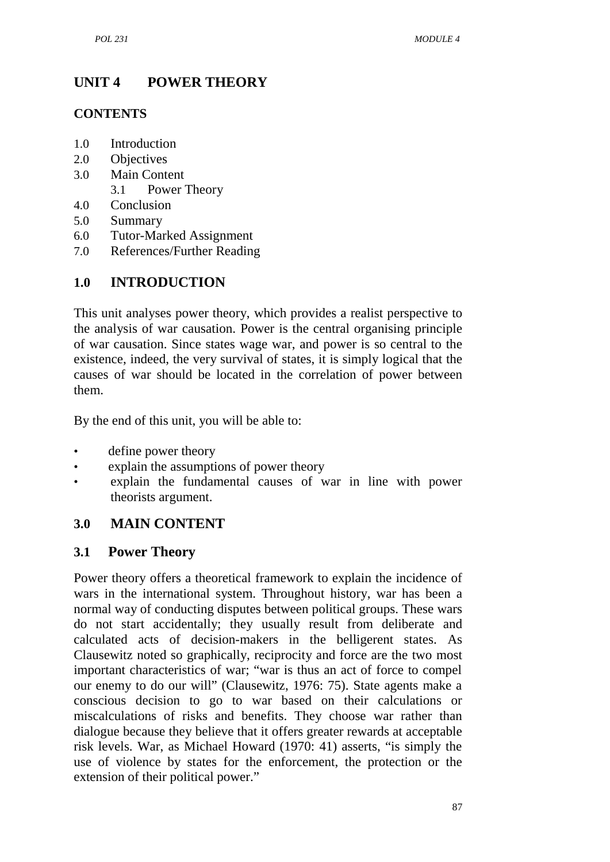## **UNIT 4 POWER THEORY**

#### **CONTENTS**

- 1.0 Introduction
- 2.0 Objectives
- 3.0 Main Content
	- 3.1 Power Theory
- 4.0 Conclusion
- 5.0 Summary
- 6.0 Tutor-Marked Assignment
- 7.0 References/Further Reading

## **1.0 INTRODUCTION**

This unit analyses power theory, which provides a realist perspective to the analysis of war causation. Power is the central organising principle of war causation. Since states wage war, and power is so central to the existence, indeed, the very survival of states, it is simply logical that the causes of war should be located in the correlation of power between them.

By the end of this unit, you will be able to:

- define power theory
- explain the assumptions of power theory
- explain the fundamental causes of war in line with power theorists argument.

### **3.0 MAIN CONTENT**

### **3.1 Power Theory**

Power theory offers a theoretical framework to explain the incidence of wars in the international system. Throughout history, war has been a normal way of conducting disputes between political groups. These wars do not start accidentally; they usually result from deliberate and calculated acts of decision-makers in the belligerent states. As Clausewitz noted so graphically, reciprocity and force are the two most important characteristics of war; "war is thus an act of force to compel our enemy to do our will" (Clausewitz, 1976: 75). State agents make a conscious decision to go to war based on their calculations or miscalculations of risks and benefits. They choose war rather than dialogue because they believe that it offers greater rewards at acceptable risk levels. War, as Michael Howard (1970: 41) asserts, "is simply the use of violence by states for the enforcement, the protection or the extension of their political power."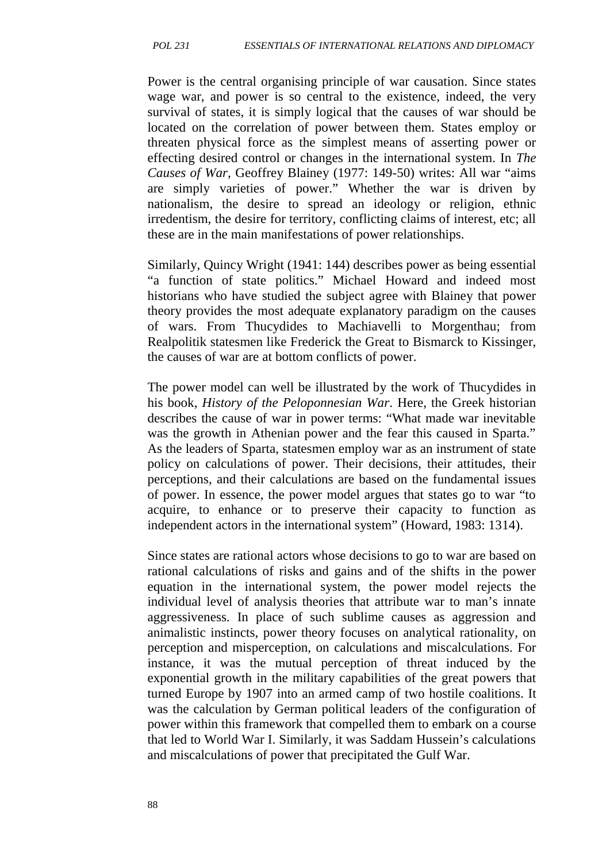Power is the central organising principle of war causation. Since states wage war, and power is so central to the existence, indeed, the very survival of states, it is simply logical that the causes of war should be located on the correlation of power between them. States employ or threaten physical force as the simplest means of asserting power or effecting desired control or changes in the international system. In *The Causes of War,* Geoffrey Blainey (1977: 149-50) writes: All war "aims are simply varieties of power." Whether the war is driven by nationalism, the desire to spread an ideology or religion, ethnic irredentism, the desire for territory, conflicting claims of interest, etc; all these are in the main manifestations of power relationships.

Similarly, Quincy Wright (1941: 144) describes power as being essential "a function of state politics." Michael Howard and indeed most historians who have studied the subject agree with Blainey that power theory provides the most adequate explanatory paradigm on the causes of wars. From Thucydides to Machiavelli to Morgenthau; from Realpolitik statesmen like Frederick the Great to Bismarck to Kissinger, the causes of war are at bottom conflicts of power.

The power model can well be illustrated by the work of Thucydides in his book, *History of the Peloponnesian War*. Here, the Greek historian describes the cause of war in power terms: "What made war inevitable was the growth in Athenian power and the fear this caused in Sparta." As the leaders of Sparta, statesmen employ war as an instrument of state policy on calculations of power. Their decisions, their attitudes, their perceptions, and their calculations are based on the fundamental issues of power. In essence, the power model argues that states go to war "to acquire, to enhance or to preserve their capacity to function as independent actors in the international system" (Howard, 1983: 1314).

Since states are rational actors whose decisions to go to war are based on rational calculations of risks and gains and of the shifts in the power equation in the international system, the power model rejects the individual level of analysis theories that attribute war to man's innate aggressiveness. In place of such sublime causes as aggression and animalistic instincts, power theory focuses on analytical rationality, on perception and misperception, on calculations and miscalculations. For instance, it was the mutual perception of threat induced by the exponential growth in the military capabilities of the great powers that turned Europe by 1907 into an armed camp of two hostile coalitions. It was the calculation by German political leaders of the configuration of power within this framework that compelled them to embark on a course that led to World War I. Similarly, it was Saddam Hussein's calculations and miscalculations of power that precipitated the Gulf War.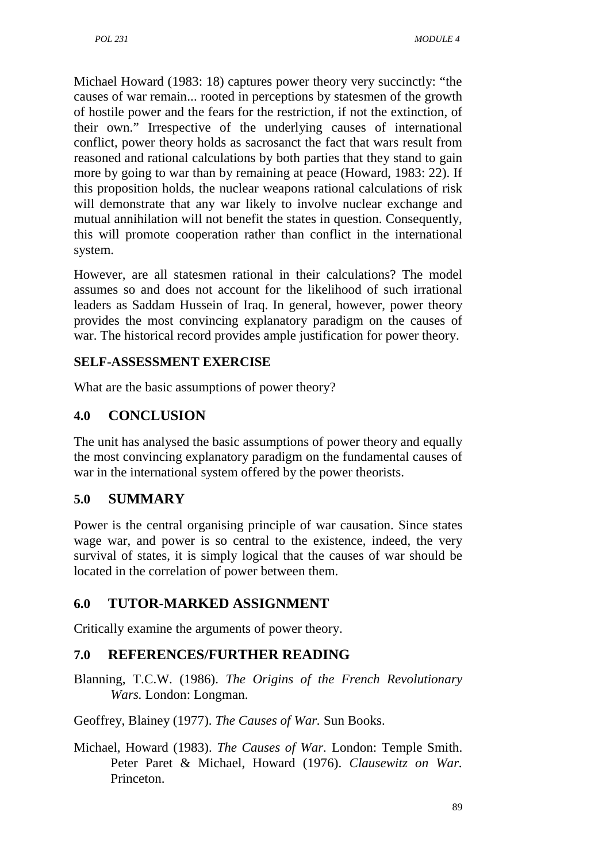Michael Howard (1983: 18) captures power theory very succinctly: "the causes of war remain... rooted in perceptions by statesmen of the growth of hostile power and the fears for the restriction, if not the extinction, of their own." Irrespective of the underlying causes of international conflict, power theory holds as sacrosanct the fact that wars result from reasoned and rational calculations by both parties that they stand to gain more by going to war than by remaining at peace (Howard, 1983: 22). If this proposition holds, the nuclear weapons rational calculations of risk will demonstrate that any war likely to involve nuclear exchange and mutual annihilation will not benefit the states in question. Consequently, this will promote cooperation rather than conflict in the international system.

However, are all statesmen rational in their calculations? The model assumes so and does not account for the likelihood of such irrational leaders as Saddam Hussein of Iraq. In general, however, power theory provides the most convincing explanatory paradigm on the causes of war. The historical record provides ample justification for power theory.

### **SELF-ASSESSMENT EXERCISE**

What are the basic assumptions of power theory?

## **4.0 CONCLUSION**

The unit has analysed the basic assumptions of power theory and equally the most convincing explanatory paradigm on the fundamental causes of war in the international system offered by the power theorists.

## **5.0 SUMMARY**

Power is the central organising principle of war causation. Since states wage war, and power is so central to the existence, indeed, the very survival of states, it is simply logical that the causes of war should be located in the correlation of power between them.

# **6.0 TUTOR-MARKED ASSIGNMENT**

Critically examine the arguments of power theory.

# **7.0 REFERENCES/FURTHER READING**

Blanning, T.C.W. (1986). *The Origins of the French Revolutionary Wars.* London: Longman.

Geoffrey, Blainey (1977). *The Causes of War.* Sun Books.

Michael, Howard (1983). *The Causes of War.* London: Temple Smith. Peter Paret & Michael, Howard (1976). *Clausewitz on War.* Princeton.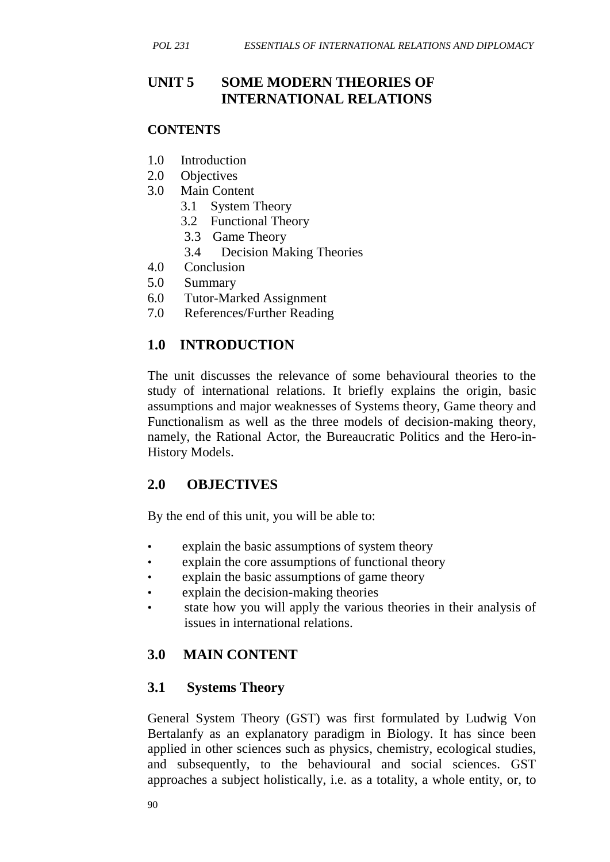## **UNIT 5 SOME MODERN THEORIES OF INTERNATIONAL RELATIONS**

#### **CONTENTS**

- 1.0 Introduction
- 2.0 Objectives
- 3.0 Main Content
	- 3.1 System Theory
	- 3.2 Functional Theory
	- 3.3 Game Theory
	- 3.4 Decision Making Theories
- 4.0 Conclusion
- 5.0 Summary
- 6.0 Tutor-Marked Assignment
- 7.0 References/Further Reading

## **1.0 INTRODUCTION**

The unit discusses the relevance of some behavioural theories to the study of international relations. It briefly explains the origin, basic assumptions and major weaknesses of Systems theory, Game theory and Functionalism as well as the three models of decision-making theory, namely, the Rational Actor, the Bureaucratic Politics and the Hero-in- History Models.

## **2.0 OBJECTIVES**

By the end of this unit, you will be able to:

- explain the basic assumptions of system theory
- explain the core assumptions of functional theory
- explain the basic assumptions of game theory
- explain the decision-making theories
- state how you will apply the various theories in their analysis of issues in international relations.

# **3.0 MAIN CONTENT**

## **3.1 Systems Theory**

General System Theory (GST) was first formulated by Ludwig Von Bertalanfy as an explanatory paradigm in Biology. It has since been applied in other sciences such as physics, chemistry, ecological studies, and subsequently, to the behavioural and social sciences. GST approaches a subject holistically, i.e. as a totality, a whole entity, or, to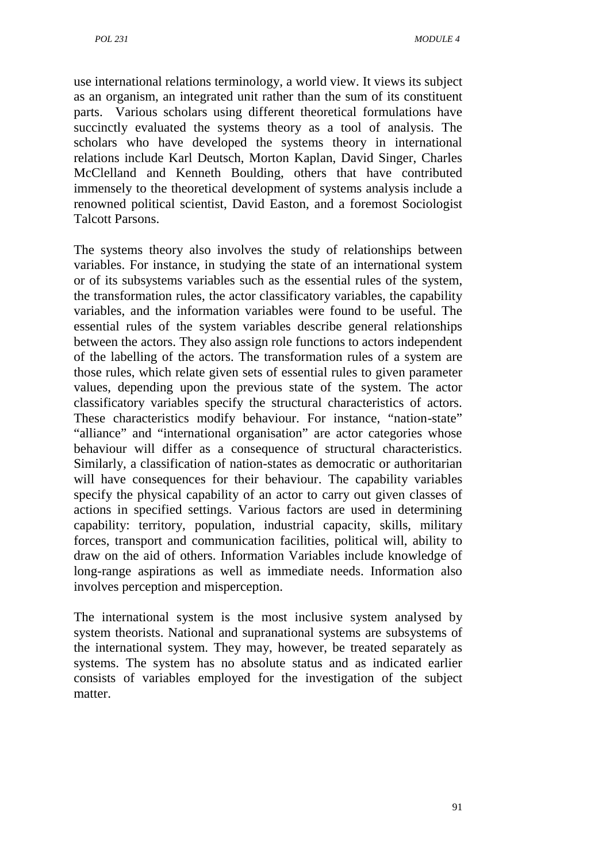use international relations terminology, a world view. It views its subject as an organism, an integrated unit rather than the sum of its constituent parts. Various scholars using different theoretical formulations have succinctly evaluated the systems theory as a tool of analysis. The scholars who have developed the systems theory in international relations include Karl Deutsch, Morton Kaplan, David Singer, Charles McClelland and Kenneth Boulding, others that have contributed immensely to the theoretical development of systems analysis include a renowned political scientist, David Easton, and a foremost Sociologist Talcott Parsons.

The systems theory also involves the study of relationships between variables. For instance, in studying the state of an international system or of its subsystems variables such as the essential rules of the system, the transformation rules, the actor classificatory variables, the capability variables, and the information variables were found to be useful. The essential rules of the system variables describe general relationships between the actors. They also assign role functions to actors independent of the labelling of the actors. The transformation rules of a system are those rules, which relate given sets of essential rules to given parameter values, depending upon the previous state of the system. The actor classificatory variables specify the structural characteristics of actors. These characteristics modify behaviour. For instance, "nation-state" "alliance" and "international organisation" are actor categories whose behaviour will differ as a consequence of structural characteristics. Similarly, a classification of nation-states as democratic or authoritarian will have consequences for their behaviour. The capability variables specify the physical capability of an actor to carry out given classes of actions in specified settings. Various factors are used in determining capability: territory, population, industrial capacity, skills, military forces, transport and communication facilities, political will, ability to draw on the aid of others. Information Variables include knowledge of long-range aspirations as well as immediate needs. Information also involves perception and misperception.

The international system is the most inclusive system analysed by system theorists. National and supranational systems are subsystems of the international system. They may, however, be treated separately as systems. The system has no absolute status and as indicated earlier consists of variables employed for the investigation of the subject matter.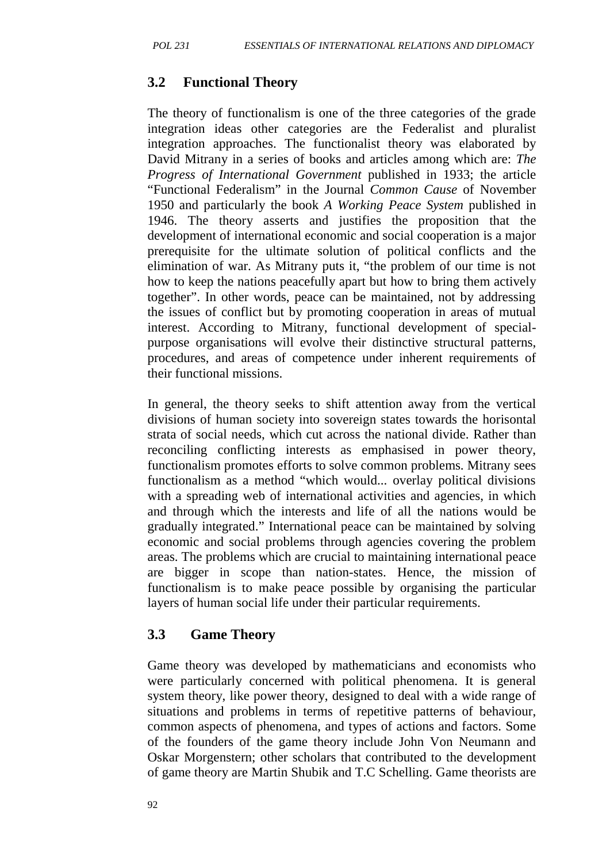## **3.2 Functional Theory**

The theory of functionalism is one of the three categories of the grade integration ideas other categories are the Federalist and pluralist integration approaches. The functionalist theory was elaborated by David Mitrany in a series of books and articles among which are: *The Progress of International Government* published in 1933; the article "Functional Federalism" in the Journal *Common Cause* of November 1950 and particularly the book *A Working Peace System* published in 1946. The theory asserts and justifies the proposition that the development of international economic and social cooperation is a major prerequisite for the ultimate solution of political conflicts and the elimination of war. As Mitrany puts it, "the problem of our time is not how to keep the nations peacefully apart but how to bring them actively together". In other words, peace can be maintained, not by addressing the issues of conflict but by promoting cooperation in areas of mutual interest. According to Mitrany, functional development of special purpose organisations will evolve their distinctive structural patterns, procedures, and areas of competence under inherent requirements of their functional missions.

In general, the theory seeks to shift attention away from the vertical divisions of human society into sovereign states towards the horisontal strata of social needs, which cut across the national divide. Rather than reconciling conflicting interests as emphasised in power theory, functionalism promotes efforts to solve common problems. Mitrany sees functionalism as a method "which would... overlay political divisions with a spreading web of international activities and agencies, in which and through which the interests and life of all the nations would be gradually integrated." International peace can be maintained by solving economic and social problems through agencies covering the problem areas. The problems which are crucial to maintaining international peace are bigger in scope than nation-states. Hence, the mission of functionalism is to make peace possible by organising the particular layers of human social life under their particular requirements.

### **3.3 Game Theory**

Game theory was developed by mathematicians and economists who were particularly concerned with political phenomena. It is general system theory, like power theory, designed to deal with a wide range of situations and problems in terms of repetitive patterns of behaviour, common aspects of phenomena, and types of actions and factors. Some of the founders of the game theory include John Von Neumann and Oskar Morgenstern; other scholars that contributed to the development of game theory are Martin Shubik and T.C Schelling. Game theorists are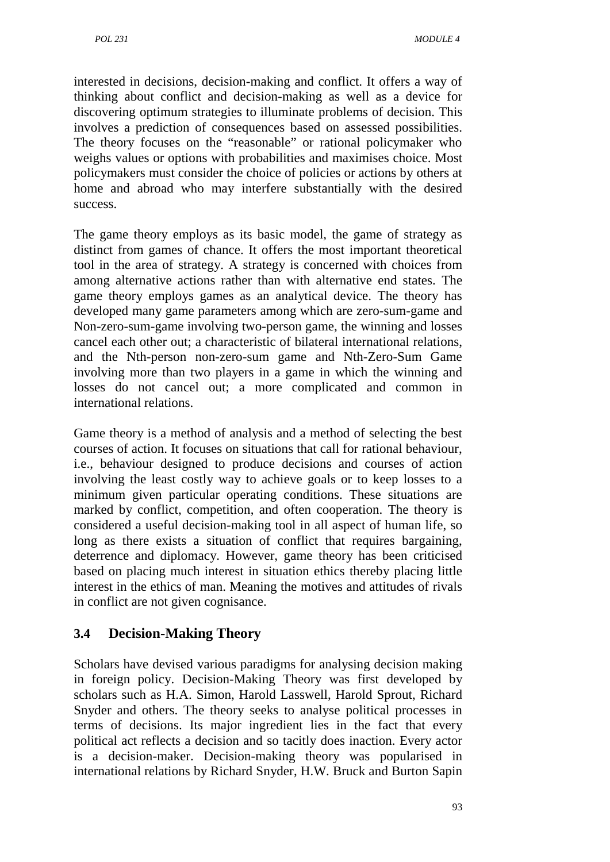interested in decisions, decision-making and conflict. It offers a way of thinking about conflict and decision-making as well as a device for discovering optimum strategies to illuminate problems of decision. This involves a prediction of consequences based on assessed possibilities. The theory focuses on the "reasonable" or rational policymaker who weighs values or options with probabilities and maximises choice. Most policymakers must consider the choice of policies or actions by others at home and abroad who may interfere substantially with the desired success.

The game theory employs as its basic model, the game of strategy as distinct from games of chance. It offers the most important theoretical tool in the area of strategy. A strategy is concerned with choices from among alternative actions rather than with alternative end states. The game theory employs games as an analytical device. The theory has developed many game parameters among which are zero-sum-game and Non-zero-sum-game involving two-person game, the winning and losses cancel each other out; a characteristic of bilateral international relations, and the Nth-person non-zero-sum game and Nth-Zero-Sum Game involving more than two players in a game in which the winning and losses do not cancel out; a more complicated and common in international relations.

Game theory is a method of analysis and a method of selecting the best courses of action. It focuses on situations that call for rational behaviour, i.e., behaviour designed to produce decisions and courses of action involving the least costly way to achieve goals or to keep losses to a minimum given particular operating conditions. These situations are marked by conflict, competition, and often cooperation. The theory is considered a useful decision-making tool in all aspect of human life, so long as there exists a situation of conflict that requires bargaining, deterrence and diplomacy. However, game theory has been criticised based on placing much interest in situation ethics thereby placing little interest in the ethics of man. Meaning the motives and attitudes of rivals in conflict are not given cognisance.

## **3.4 Decision-Making Theory**

Scholars have devised various paradigms for analysing decision making in foreign policy. Decision-Making Theory was first developed by scholars such as H.A. Simon, Harold Lasswell, Harold Sprout, Richard Snyder and others. The theory seeks to analyse political processes in terms of decisions. Its major ingredient lies in the fact that every political act reflects a decision and so tacitly does inaction. Every actor is a decision-maker. Decision-making theory was popularised in international relations by Richard Snyder, H.W. Bruck and Burton Sapin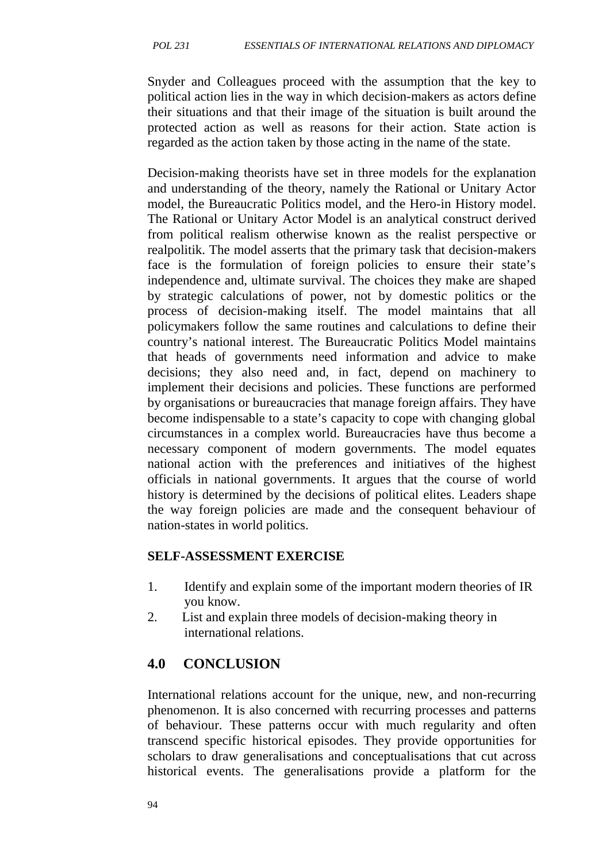Snyder and Colleagues proceed with the assumption that the key to political action lies in the way in which decision-makers as actors define their situations and that their image of the situation is built around the protected action as well as reasons for their action. State action is regarded as the action taken by those acting in the name of the state.

Decision-making theorists have set in three models for the explanation and understanding of the theory, namely the Rational or Unitary Actor model, the Bureaucratic Politics model, and the Hero-in History model. The Rational or Unitary Actor Model is an analytical construct derived from political realism otherwise known as the realist perspective or realpolitik. The model asserts that the primary task that decision-makers face is the formulation of foreign policies to ensure their state's independence and, ultimate survival. The choices they make are shaped by strategic calculations of power, not by domestic politics or the process of decision-making itself. The model maintains that all policymakers follow the same routines and calculations to define their country's national interest. The Bureaucratic Politics Model maintains that heads of governments need information and advice to make decisions; they also need and, in fact, depend on machinery to implement their decisions and policies. These functions are performed by organisations or bureaucracies that manage foreign affairs. They have become indispensable to a state's capacity to cope with changing global circumstances in a complex world. Bureaucracies have thus become a necessary component of modern governments. The model equates national action with the preferences and initiatives of the highest officials in national governments. It argues that the course of world history is determined by the decisions of political elites. Leaders shape the way foreign policies are made and the consequent behaviour of nation-states in world politics.

#### **SELF-ASSESSMENT EXERCISE**

- 1. Identify and explain some of the important modern theories of IR you know.
- 2. List and explain three models of decision-making theory in international relations.

## **4.0 CONCLUSION**

International relations account for the unique, new, and non-recurring phenomenon. It is also concerned with recurring processes and patterns of behaviour. These patterns occur with much regularity and often transcend specific historical episodes. They provide opportunities for scholars to draw generalisations and conceptualisations that cut across historical events. The generalisations provide a platform for the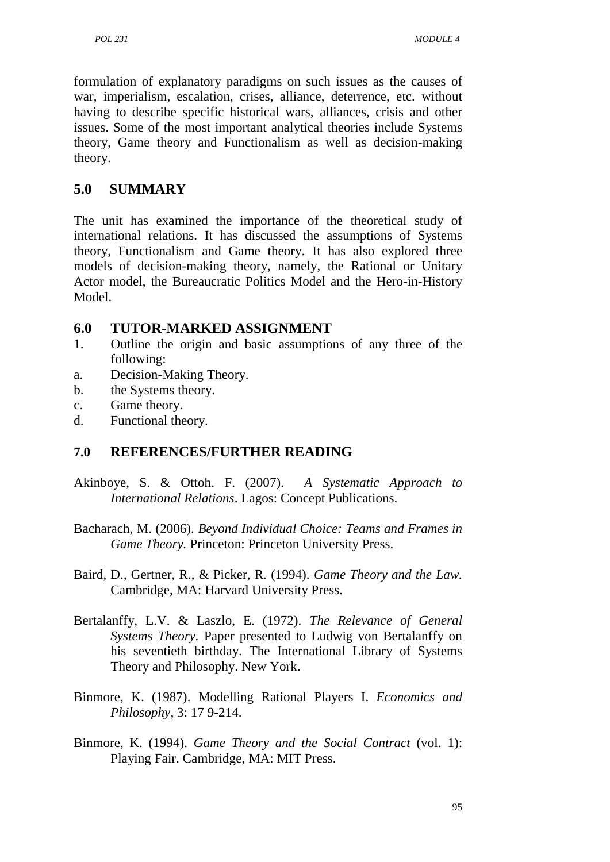formulation of explanatory paradigms on such issues as the causes of war, imperialism, escalation, crises, alliance, deterrence, etc. without having to describe specific historical wars, alliances, crisis and other issues. Some of the most important analytical theories include Systems theory, Game theory and Functionalism as well as decision-making theory.

# **5.0 SUMMARY**

The unit has examined the importance of the theoretical study of international relations. It has discussed the assumptions of Systems theory, Functionalism and Game theory. It has also explored three models of decision-making theory, namely, the Rational or Unitary Actor model, the Bureaucratic Politics Model and the Hero-in-History Model.

## **6.0 TUTOR-MARKED ASSIGNMENT**

- 1. Outline the origin and basic assumptions of any three of the following:
- a. Decision-Making Theory.
- b. the Systems theory.
- c. Game theory.
- d. Functional theory.

## **7.0 REFERENCES/FURTHER READING**

- Akinboye, S. & Ottoh. F. (2007). *A Systematic Approach to International Relations*. Lagos: Concept Publications.
- Bacharach, M. (2006). *Beyond Individual Choice: Teams and Frames in Game Theory.* Princeton: Princeton University Press.
- Baird, D., Gertner, R., & Picker, R. (1994). *Game Theory and the Law.* Cambridge, MA: Harvard University Press.
- Bertalanffy, L.V. & Laszlo, E. (1972). *The Relevance of General Systems Theory.* Paper presented to Ludwig von Bertalanffy on his seventieth birthday. The International Library of Systems Theory and Philosophy. New York.
- Binmore, K. (1987). Modelling Rational Players I. *Economics and Philosophy,* 3: 17 9-214.
- Binmore, K. (1994). *Game Theory and the Social Contract* (vol. 1): Playing Fair. Cambridge, MA: MIT Press.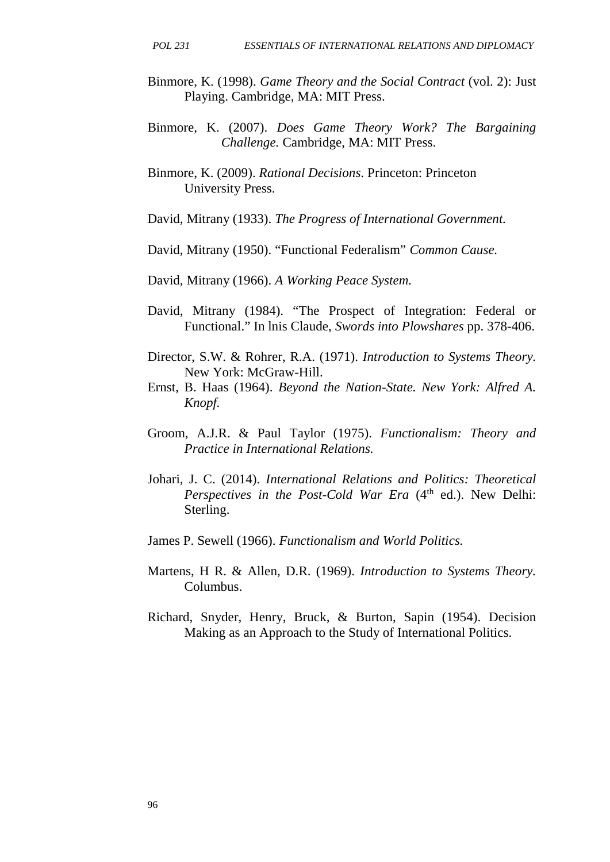- Binmore, K. (1998). *Game Theory and the Social Contract* (vol. 2): Just Playing. Cambridge, MA: MIT Press.
- Binmore, K. (2007). *Does Game Theory Work? The Bargaining Challenge.* Cambridge, MA: MIT Press.
- Binmore, K. (2009). *Rational Decisions*. Princeton: Princeton University Press.
- David, Mitrany (1933). *The Progress of International Government.*
- David, Mitrany (1950). "Functional Federalism" *Common Cause.*
- David, Mitrany (1966). *A Working Peace System.*
- David, Mitrany (1984). "The Prospect of Integration: Federal or Functional." In lnis Claude, *Swords into Plowshares* pp. 378-406.
- Director, S.W. & Rohrer, R.A. (1971). *Introduction to Systems Theory.* New York: McGraw-Hill.
- Ernst, B. Haas (1964). *Beyond the Nation-State. New York: Alfred A. Knopf.*
- Groom, A.J.R. & Paul Taylor (1975). *Functionalism: Theory and Practice in International Relations.*
- Johari, J. C. (2014). *International Relations and Politics: Theoretical Perspectives in the Post-Cold War Era* (4<sup>th</sup> ed.). New Delhi: Sterling.
- James P. Sewell (1966). *Functionalism and World Politics.*
- Martens, H R. & Allen, D.R. (1969). *Introduction to Systems Theory.* Columbus.
- Richard, Snyder, Henry, Bruck, & Burton, Sapin (1954). Decision Making as an Approach to the Study of International Politics.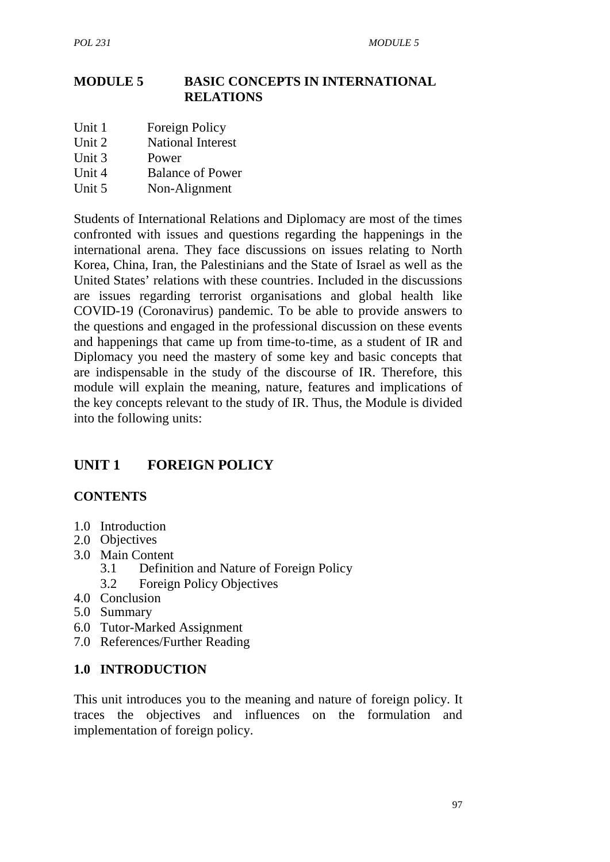#### **MODULE 5 BASIC CONCEPTS IN INTERNATIONAL RELATIONS**

- Unit 1 Foreign Policy
- Unit 2 National Interest
- Unit 3 Power
- Unit 4 Balance of Power
- Unit 5 Non-Alignment

Students of International Relations and Diplomacy are most of the times confronted with issues and questions regarding the happenings in the international arena. They face discussions on issues relating to North Korea, China, Iran, the Palestinians and the State of Israel as well as the United States' relations with these countries. Included in the discussions are issues regarding terrorist organisations and global health like COVID-19 (Coronavirus) pandemic. To be able to provide answers to the questions and engaged in the professional discussion on these events and happenings that came up from time-to-time, as a student of IR and Diplomacy you need the mastery of some key and basic concepts that are indispensable in the study of the discourse of IR. Therefore, this module will explain the meaning, nature, features and implications of the key concepts relevant to the study of IR. Thus, the Module is divided into the following units:

## **UNIT 1 FOREIGN POLICY**

#### **CONTENTS**

- 1.0 Introduction
- 2.0 Objectives
- 3.0 Main Content
	- 3.1 Definition and Nature of Foreign Policy
		- 3.2 Foreign Policy Objectives
- 4.0 Conclusion
- 5.0 Summary
- 6.0 Tutor-Marked Assignment
- 7.0 References/Further Reading

#### **1.0 INTRODUCTION**

This unit introduces you to the meaning and nature of foreign policy. It traces the objectives and influences on the formulation and implementation of foreign policy.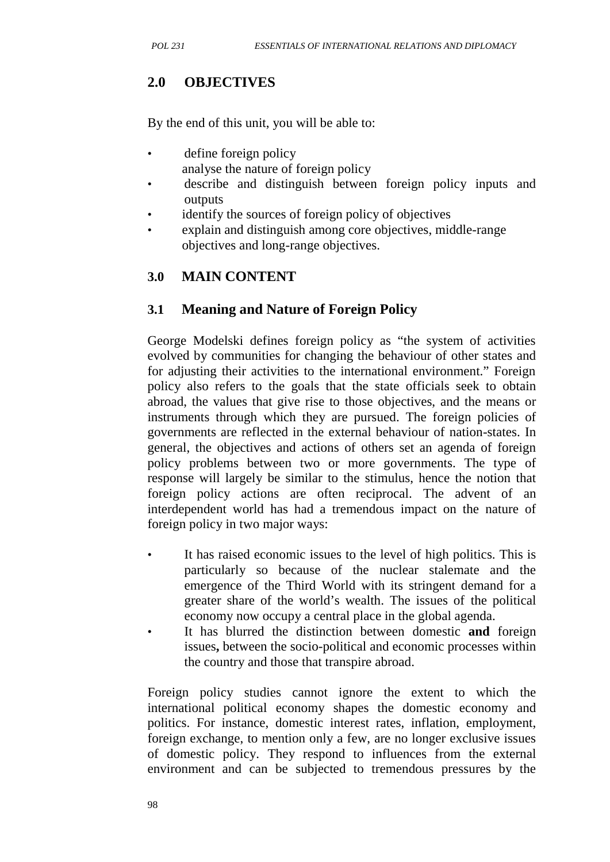# **2.0 OBJECTIVES**

By the end of this unit, you will be able to:

- define foreign policy analyse the nature of foreign policy
- describe and distinguish between foreign policy inputs and outputs
- identify the sources of foreign policy of objectives
- explain and distinguish among core objectives, middle-range objectives and long-range objectives.

## **3.0 MAIN CONTENT**

## **3.1 Meaning and Nature of Foreign Policy**

George Modelski defines foreign policy as "the system of activities evolved by communities for changing the behaviour of other states and for adjusting their activities to the international environment." Foreign policy also refers to the goals that the state officials seek to obtain abroad, the values that give rise to those objectives, and the means or instruments through which they are pursued. The foreign policies of governments are reflected in the external behaviour of nation-states. In general, the objectives and actions of others set an agenda of foreign policy problems between two or more governments. The type of response will largely be similar to the stimulus, hence the notion that foreign policy actions are often reciprocal. The advent of an interdependent world has had a tremendous impact on the nature of foreign policy in two major ways:

- It has raised economic issues to the level of high politics. This is particularly so because of the nuclear stalemate and the emergence of the Third World with its stringent demand for a greater share of the world's wealth. The issues of the political economy now occupy a central place in the global agenda.
- It has blurred the distinction between domestic and foreign issues**,** between the socio-political and economic processes within the country and those that transpire abroad.

Foreign policy studies cannot ignore the extent to which the international political economy shapes the domestic economy and politics. For instance, domestic interest rates, inflation, employment, foreign exchange, to mention only a few, are no longer exclusive issues of domestic policy. They respond to influences from the external environment and can be subjected to tremendous pressures by the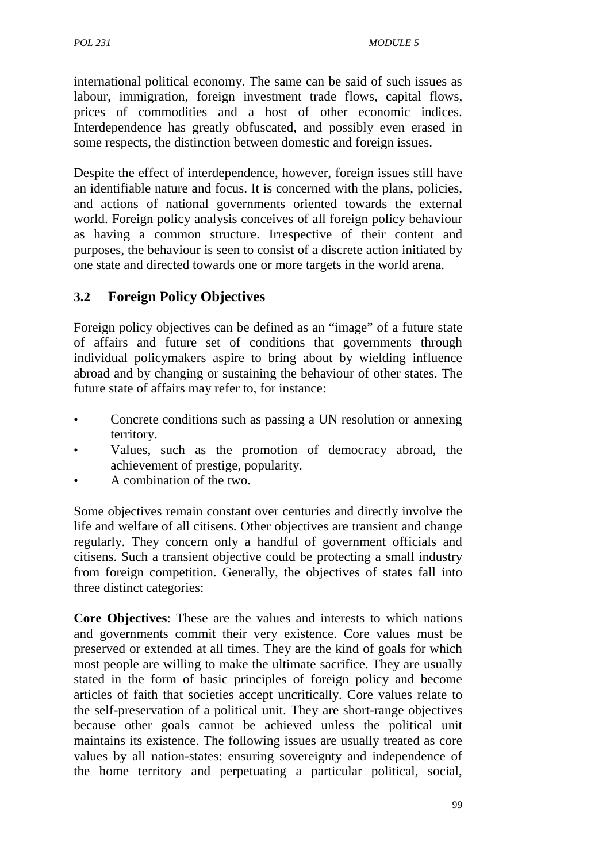international political economy. The same can be said of such issues as labour, immigration, foreign investment trade flows, capital flows, prices of commodities and a host of other economic indices. Interdependence has greatly obfuscated, and possibly even erased in some respects, the distinction between domestic and foreign issues.

Despite the effect of interdependence, however, foreign issues still have an identifiable nature and focus. It is concerned with the plans, policies, and actions of national governments oriented towards the external world. Foreign policy analysis conceives of all foreign policy behaviour as having a common structure. Irrespective of their content and purposes, the behaviour is seen to consist of a discrete action initiated by one state and directed towards one or more targets in the world arena.

# **3.2 Foreign Policy Objectives**

Foreign policy objectives can be defined as an "image" of a future state of affairs and future set of conditions that governments through individual policymakers aspire to bring about by wielding influence abroad and by changing or sustaining the behaviour of other states. The future state of affairs may refer to, for instance:

- Concrete conditions such as passing a UN resolution or annexing territory.
- Values, such as the promotion of democracy abroad, the achievement of prestige, popularity.
- A combination of the two.

Some objectives remain constant over centuries and directly involve the life and welfare of all citisens. Other objectives are transient and change regularly. They concern only a handful of government officials and citisens. Such a transient objective could be protecting a small industry from foreign competition. Generally, the objectives of states fall into three distinct categories:

**Core Objectives**: These are the values and interests to which nations and governments commit their very existence. Core values must be preserved or extended at all times. They are the kind of goals for which most people are willing to make the ultimate sacrifice. They are usually stated in the form of basic principles of foreign policy and become articles of faith that societies accept uncritically. Core values relate to the self-preservation of a political unit. They are short-range objectives because other goals cannot be achieved unless the political unit maintains its existence. The following issues are usually treated as core values by all nation-states: ensuring sovereignty and independence of the home territory and perpetuating a particular political, social,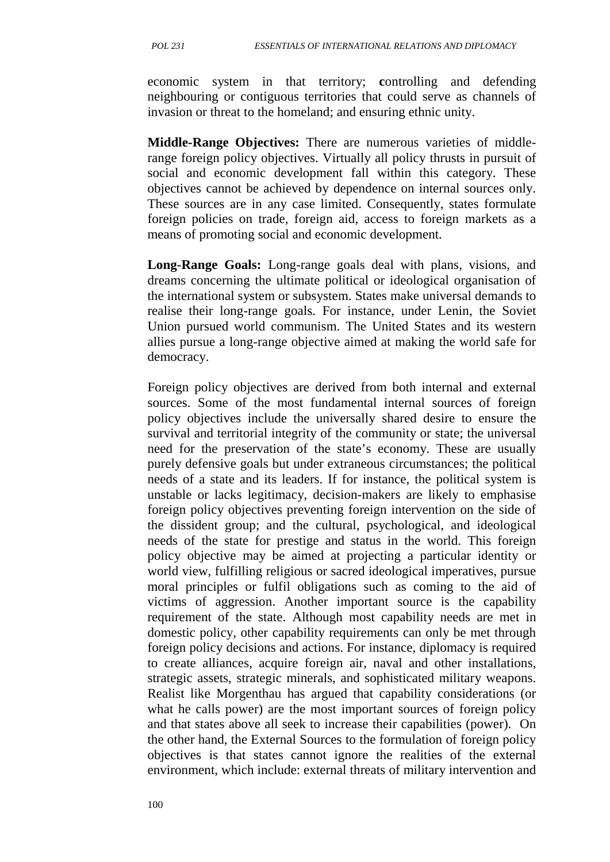economic system in that territory; **c**ontrolling and defending neighbouring or contiguous territories that could serve as channels of invasion or threat to the homeland; and ensuring ethnic unity.

**Middle-Range Objectives:** There are numerous varieties of middlerange foreign policy objectives. Virtually all policy thrusts in pursuit of social and economic development fall within this category. These objectives cannot be achieved by dependence on internal sources only. These sources are in any case limited. Consequently, states formulate foreign policies on trade, foreign aid, access to foreign markets as a means of promoting social and economic development.

**Long-Range Goals:** Long-range goals deal with plans, visions, and dreams concerning the ultimate political or ideological organisation of the international system or subsystem. States make universal demands to realise their long-range goals. For instance, under Lenin, the Soviet Union pursued world communism. The United States and its western allies pursue a long-range objective aimed at making the world safe for democracy.

Foreign policy objectives are derived from both internal and external sources. Some of the most fundamental internal sources of foreign policy objectives include the universally shared desire to ensure the survival and territorial integrity of the community or state; the universal need for the preservation of the state's economy. These are usually purely defensive goals but under extraneous circumstances; the political needs of a state and its leaders. If for instance, the political system is unstable or lacks legitimacy, decision-makers are likely to emphasise foreign policy objectives preventing foreign intervention on the side of the dissident group; and the cultural, psychological, and ideological needs of the state for prestige and status in the world. This foreign policy objective may be aimed at projecting a particular identity or world view, fulfilling religious or sacred ideological imperatives, pursue moral principles or fulfil obligations such as coming to the aid of victims of aggression. Another important source is the capability requirement of the state. Although most capability needs are met in domestic policy, other capability requirements can only be met through foreign policy decisions and actions. For instance, diplomacy is required to create alliances, acquire foreign air, naval and other installations, strategic assets, strategic minerals, and sophisticated military weapons. Realist like Morgenthau has argued that capability considerations (or what he calls power) are the most important sources of foreign policy and that states above all seek to increase their capabilities (power). On the other hand, the External Sources to the formulation of foreign policy objectives is that states cannot ignore the realities of the external environment, which include: external threats of military intervention and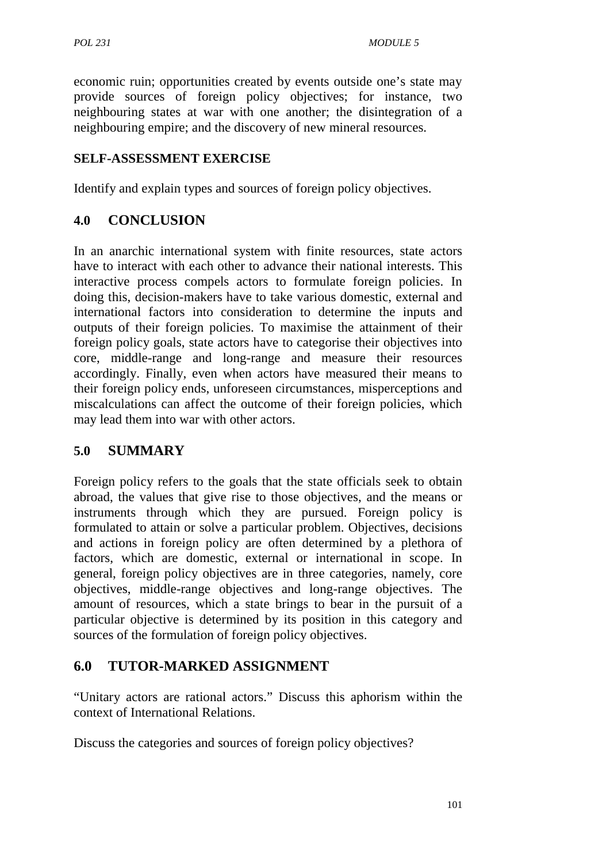economic ruin; opportunities created by events outside one's state may provide sources of foreign policy objectives; for instance, two neighbouring states at war with one another; the disintegration of a neighbouring empire; and the discovery of new mineral resources.

#### **SELF-ASSESSMENT EXERCISE**

Identify and explain types and sources of foreign policy objectives.

## **4.0 CONCLUSION**

In an anarchic international system with finite resources, state actors have to interact with each other to advance their national interests. This interactive process compels actors to formulate foreign policies. In doing this, decision-makers have to take various domestic, external and international factors into consideration to determine the inputs and outputs of their foreign policies. To maximise the attainment of their foreign policy goals, state actors have to categorise their objectives into core, middle-range and long-range and measure their resources accordingly. Finally, even when actors have measured their means to their foreign policy ends, unforeseen circumstances, misperceptions and miscalculations can affect the outcome of their foreign policies, which may lead them into war with other actors.

## **5.0 SUMMARY**

Foreign policy refers to the goals that the state officials seek to obtain abroad, the values that give rise to those objectives, and the means or instruments through which they are pursued. Foreign policy is formulated to attain or solve a particular problem. Objectives, decisions and actions in foreign policy are often determined by a plethora of factors, which are domestic, external or international in scope. In general, foreign policy objectives are in three categories, namely, core objectives, middle-range objectives and long-range objectives. The amount of resources, which a state brings to bear in the pursuit of a particular objective is determined by its position in this category and sources of the formulation of foreign policy objectives.

## **6.0 TUTOR-MARKED ASSIGNMENT**

"Unitary actors are rational actors." Discuss this aphorism within the context of International Relations.

Discuss the categories and sources of foreign policy objectives?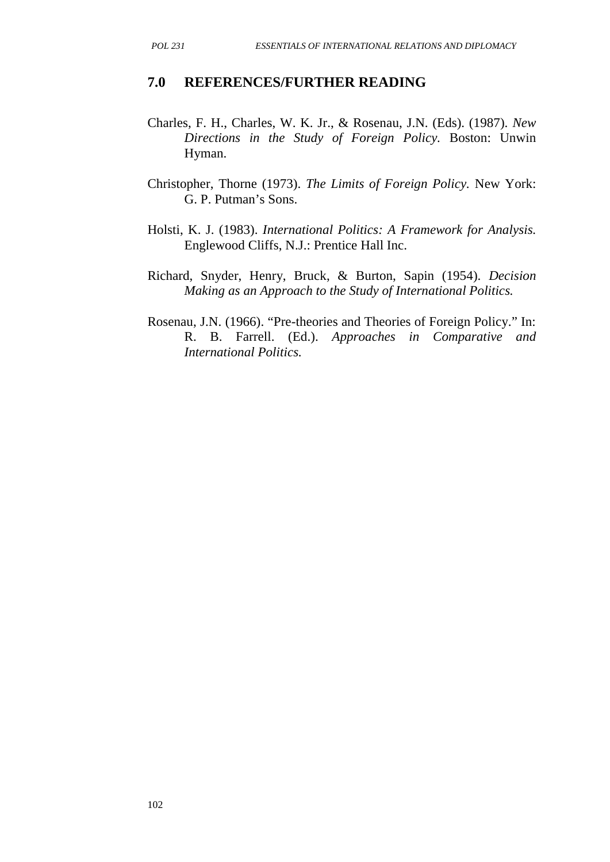#### **7.0 REFERENCES/FURTHER READING**

- Charles, F. H., Charles, W. K. Jr., & Rosenau, J.N. (Eds). (1987). *New Directions in the Study of Foreign Policy.* Boston: Unwin Hyman.
- Christopher, Thorne (1973). *The Limits of Foreign Policy.* New York: G. P. Putman's Sons.
- Holsti, K. J. (1983). *International Politics: A Framework for Analysis.* Englewood Cliffs, N.J.: Prentice Hall Inc.
- Richard, Snyder, Henry, Bruck, & Burton, Sapin (1954). *Decision Making as an Approach to the Study of International Politics.*
- Rosenau, J.N. (1966). "Pre-theories and Theories of Foreign Policy." In: R. B. Farrell. (Ed.). *Approaches in Comparative and International Politics.*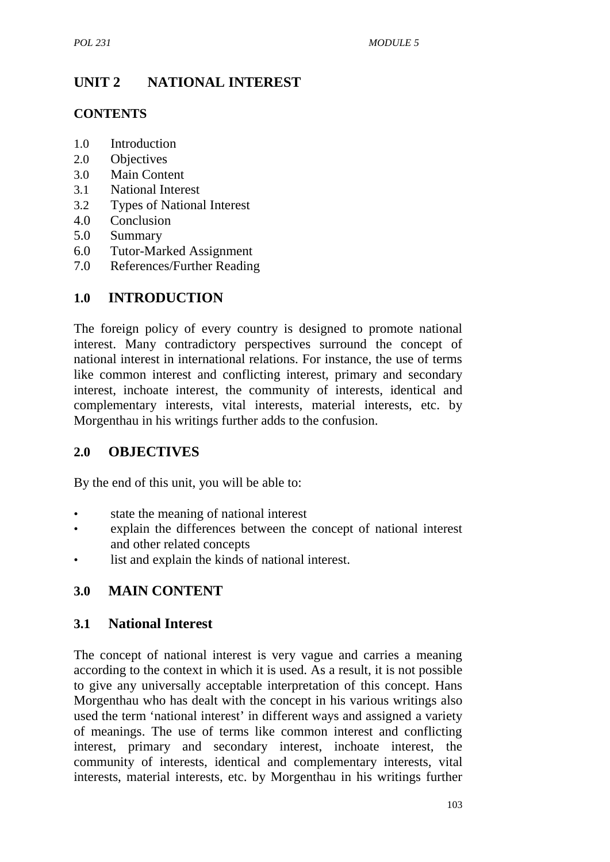# **UNIT 2 NATIONAL INTEREST**

### **CONTENTS**

- 1.0 Introduction
- 2.0 Objectives
- 3.0 Main Content
- 3.1 National Interest
- 3.2 Types of National Interest
- 4.0 Conclusion
- 5.0 Summary
- 6.0 Tutor-Marked Assignment
- 7.0 References/Further Reading

## **1.0 INTRODUCTION**

The foreign policy of every country is designed to promote national interest. Many contradictory perspectives surround the concept of national interest in international relations. For instance, the use of terms like common interest and conflicting interest, primary and secondary interest, inchoate interest, the community of interests, identical and complementary interests, vital interests, material interests, etc. by Morgenthau in his writings further adds to the confusion.

## **2.0 OBJECTIVES**

By the end of this unit, you will be able to:

- state the meaning of national interest
- explain the differences between the concept of national interest and other related concepts
- list and explain the kinds of national interest.

## **3.0 MAIN CONTENT**

#### **3.1 National Interest**

The concept of national interest is very vague and carries a meaning according to the context in which it is used. As a result, it is not possible to give any universally acceptable interpretation of this concept. Hans Morgenthau who has dealt with the concept in his various writings also used the term 'national interest' in different ways and assigned a variety of meanings. The use of terms like common interest and conflicting interest, primary and secondary interest, inchoate interest, the community of interests, identical and complementary interests, vital interests, material interests, etc. by Morgenthau in his writings further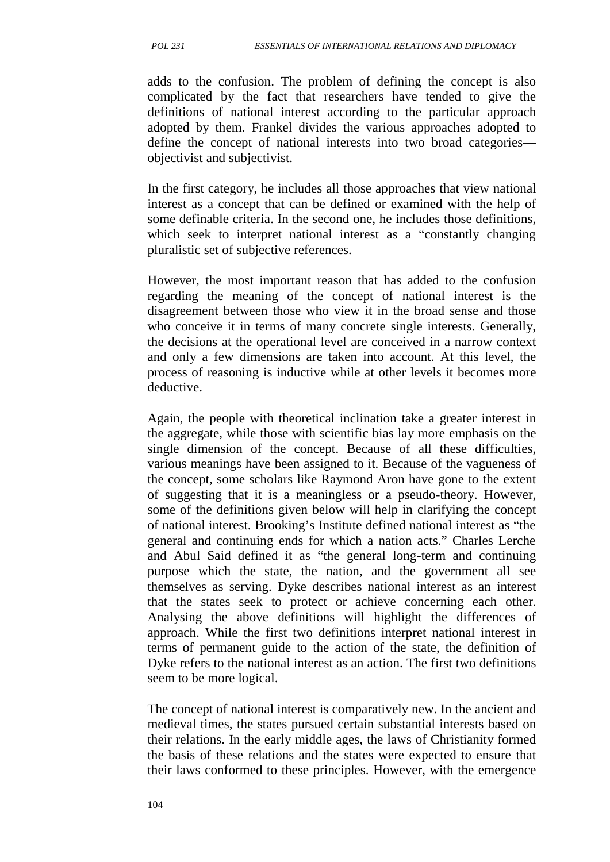adds to the confusion. The problem of defining the concept is also complicated by the fact that researchers have tended to give the definitions of national interest according to the particular approach adopted by them. Frankel divides the various approaches adopted to define the concept of national interests into two broad categories objectivist and subjectivist.

In the first category, he includes all those approaches that view national interest as a concept that can be defined or examined with the help of some definable criteria. In the second one, he includes those definitions, which seek to interpret national interest as a "constantly changing" pluralistic set of subjective references.

However, the most important reason that has added to the confusion regarding the meaning of the concept of national interest is the disagreement between those who view it in the broad sense and those who conceive it in terms of many concrete single interests. Generally, the decisions at the operational level are conceived in a narrow context and only a few dimensions are taken into account. At this level, the process of reasoning is inductive while at other levels it becomes more deductive.

Again, the people with theoretical inclination take a greater interest in the aggregate, while those with scientific bias lay more emphasis on the single dimension of the concept. Because of all these difficulties, various meanings have been assigned to it. Because of the vagueness of the concept, some scholars like Raymond Aron have gone to the extent of suggesting that it is a meaningless or a pseudo-theory. However, some of the definitions given below will help in clarifying the concept of national interest. Brooking's Institute defined national interest as "the general and continuing ends for which a nation acts." Charles Lerche and Abul Said defined it as "the general long-term and continuing purpose which the state, the nation, and the government all see themselves as serving. Dyke describes national interest as an interest that the states seek to protect or achieve concerning each other. Analysing the above definitions will highlight the differences of approach. While the first two definitions interpret national interest in terms of permanent guide to the action of the state, the definition of Dyke refers to the national interest as an action. The first two definitions seem to be more logical.

The concept of national interest is comparatively new. In the ancient and medieval times, the states pursued certain substantial interests based on their relations. In the early middle ages, the laws of Christianity formed the basis of these relations and the states were expected to ensure that their laws conformed to these principles. However, with the emergence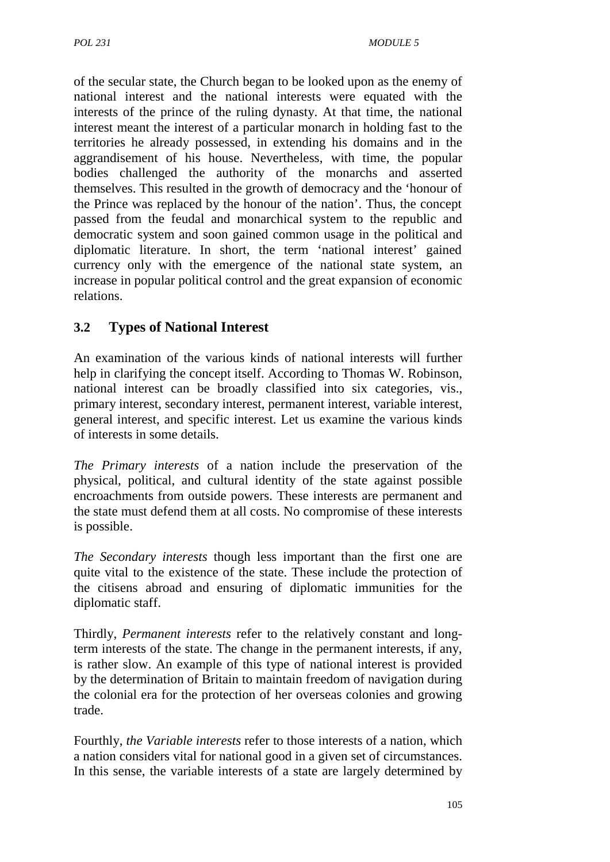of the secular state, the Church began to be looked upon as the enemy of national interest and the national interests were equated with the interests of the prince of the ruling dynasty. At that time, the national interest meant the interest of a particular monarch in holding fast to the territories he already possessed, in extending his domains and in the aggrandisement of his house. Nevertheless, with time, the popular bodies challenged the authority of the monarchs and asserted themselves. This resulted in the growth of democracy and the 'honour of the Prince was replaced by the honour of the nation'. Thus, the concept passed from the feudal and monarchical system to the republic and democratic system and soon gained common usage in the political and diplomatic literature. In short, the term 'national interest' gained currency only with the emergence of the national state system, an increase in popular political control and the great expansion of economic relations.

## **3.2 Types of National Interest**

An examination of the various kinds of national interests will further help in clarifying the concept itself. According to Thomas W. Robinson, national interest can be broadly classified into six categories, vis., primary interest, secondary interest, permanent interest, variable interest, general interest, and specific interest. Let us examine the various kinds of interests in some details.

*The Primary interests* of a nation include the preservation of the physical, political, and cultural identity of the state against possible encroachments from outside powers. These interests are permanent and the state must defend them at all costs. No compromise of these interests is possible.

*The Secondary interests* though less important than the first one are quite vital to the existence of the state. These include the protection of the citisens abroad and ensuring of diplomatic immunities for the diplomatic staff.

Thirdly, *Permanent interests* refer to the relatively constant and longterm interests of the state. The change in the permanent interests, if any, is rather slow. An example of this type of national interest is provided by the determination of Britain to maintain freedom of navigation during the colonial era for the protection of her overseas colonies and growing trade.

Fourthly, *the Variable interests* refer to those interests of a nation, which a nation considers vital for national good in a given set of circumstances. In this sense, the variable interests of a state are largely determined by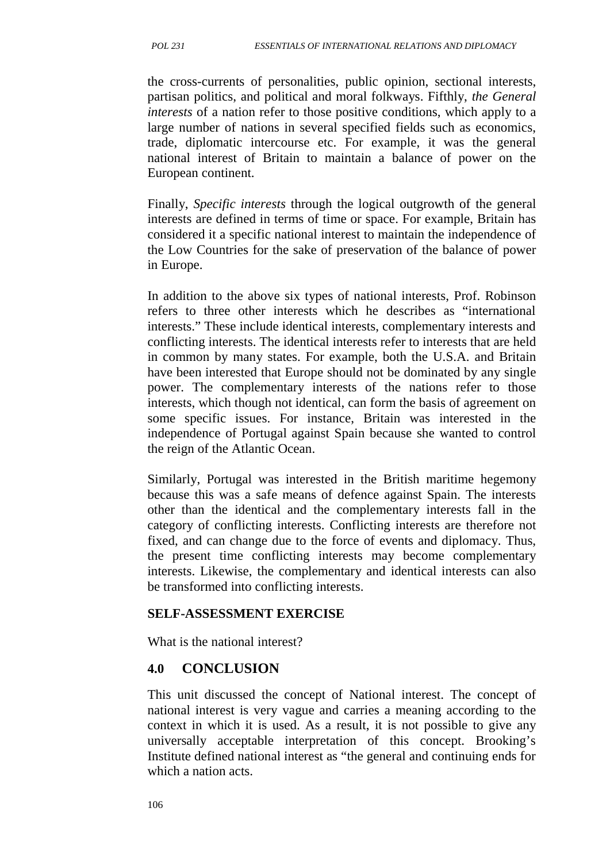the cross-currents of personalities, public opinion, sectional interests, partisan politics, and political and moral folkways. Fifthly, *the General interests* of a nation refer to those positive conditions, which apply to a large number of nations in several specified fields such as economics, trade, diplomatic intercourse etc. For example, it was the general national interest of Britain to maintain a balance of power on the European continent.

Finally, *Specific interests* through the logical outgrowth of the general interests are defined in terms of time or space. For example, Britain has considered it a specific national interest to maintain the independence of the Low Countries for the sake of preservation of the balance of power in Europe.

In addition to the above six types of national interests, Prof. Robinson refers to three other interests which he describes as "international interests." These include identical interests, complementary interests and conflicting interests. The identical interests refer to interests that are held in common by many states. For example, both the U.S.A. and Britain have been interested that Europe should not be dominated by any single power. The complementary interests of the nations refer to those interests, which though not identical, can form the basis of agreement on some specific issues. For instance, Britain was interested in the independence of Portugal against Spain because she wanted to control the reign of the Atlantic Ocean.

Similarly, Portugal was interested in the British maritime hegemony because this was a safe means of defence against Spain. The interests other than the identical and the complementary interests fall in the category of conflicting interests. Conflicting interests are therefore not fixed, and can change due to the force of events and diplomacy. Thus, the present time conflicting interests may become complementary interests. Likewise, the complementary and identical interests can also be transformed into conflicting interests.

#### **SELF-ASSESSMENT EXERCISE**

What is the national interest?

#### **4.0 CONCLUSION**

This unit discussed the concept of National interest. The concept of national interest is very vague and carries a meaning according to the context in which it is used. As a result, it is not possible to give any universally acceptable interpretation of this concept. Brooking's Institute defined national interest as "the general and continuing ends for which a nation acts.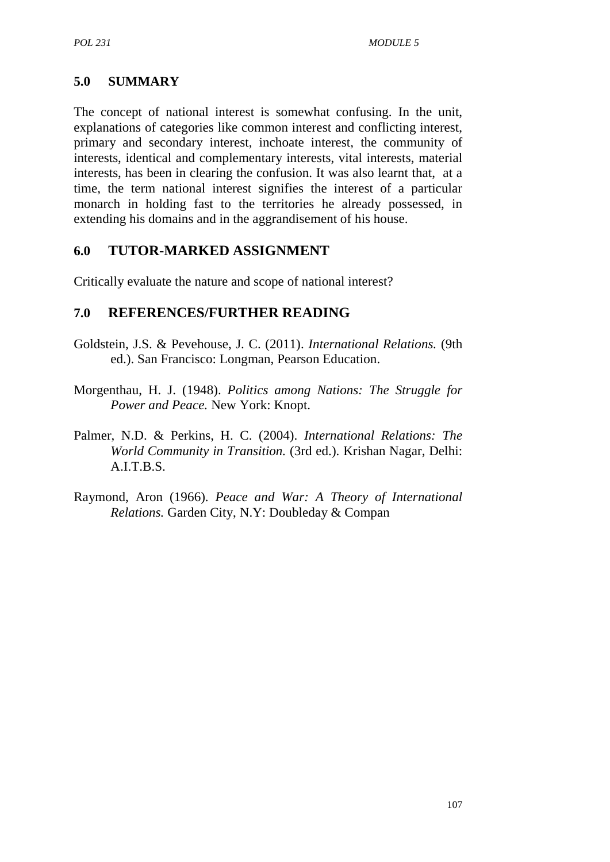#### **5.0 SUMMARY**

The concept of national interest is somewhat confusing. In the unit, explanations of categories like common interest and conflicting interest, primary and secondary interest, inchoate interest, the community of interests, identical and complementary interests, vital interests, material interests, has been in clearing the confusion. It was also learnt that, at a time, the term national interest signifies the interest of a particular monarch in holding fast to the territories he already possessed, in extending his domains and in the aggrandisement of his house.

#### **6.0 TUTOR-MARKED ASSIGNMENT**

Critically evaluate the nature and scope of national interest?

#### **7.0 REFERENCES/FURTHER READING**

- Goldstein, J.S. & Pevehouse, J. C. (2011). *International Relations.* (9th ed.). San Francisco: Longman, Pearson Education.
- Morgenthau, H. J. (1948). *Politics among Nations: The Struggle for Power and Peace.* New York: Knopt.
- Palmer, N.D. & Perkins, H. C. (2004). *International Relations: The World Community in Transition.* (3rd ed.). Krishan Nagar, Delhi: A.I.T.B.S.
- Raymond, Aron (1966). *Peace and War: A Theory of International Relations.* Garden City, N.Y: Doubleday & Compan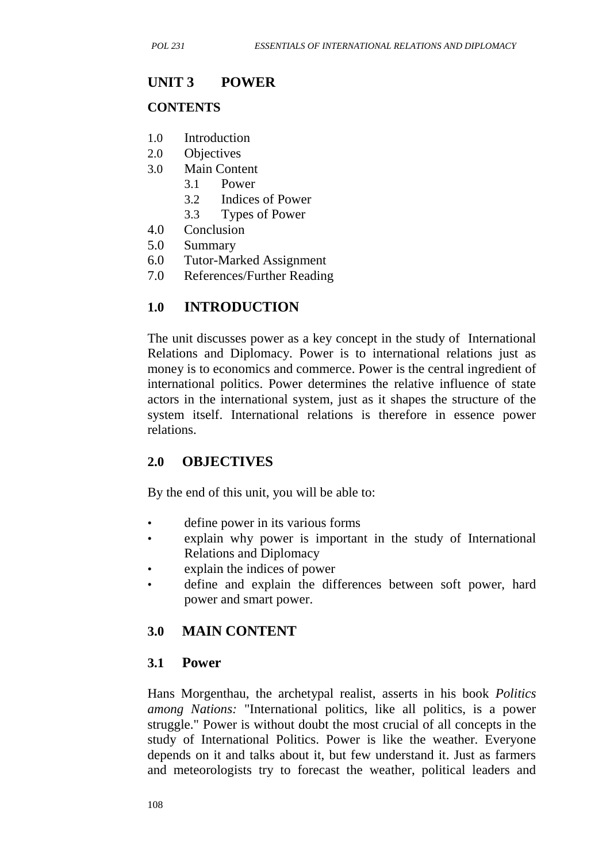#### **UNIT 3 POWER**

#### **CONTENTS**

- 1.0 Introduction
- 2.0 Objectives
- 3.0 Main Content
	- 3.1 Power
	- 3.2 Indices of Power
	- 3.3 Types of Power
- 4.0 Conclusion
- 5.0 Summary
- 6.0 Tutor-Marked Assignment
- 7.0 References/Further Reading

## **1.0 INTRODUCTION**

The unit discusses power as a key concept in the study of International Relations and Diplomacy. Power is to international relations just as money is to economics and commerce. Power is the central ingredient of international politics. Power determines the relative influence of state actors in the international system, just as it shapes the structure of the system itself. International relations is therefore in essence power relations.

#### **2.0 OBJECTIVES**

By the end of this unit, you will be able to:

- define power in its various forms
- explain why power is important in the study of International Relations and Diplomacy
- explain the indices of power
- define and explain the differences between soft power, hard power and smart power.

## **3.0 MAIN CONTENT**

#### **3.1 Power**

Hans Morgenthau, the archetypal realist, asserts in his book *Politics among Nations:* "International politics, like all politics, is a power struggle." Power is without doubt the most crucial of all concepts in the study of International Politics. Power is like the weather. Everyone depends on it and talks about it, but few understand it. Just as farmers and meteorologists try to forecast the weather, political leaders and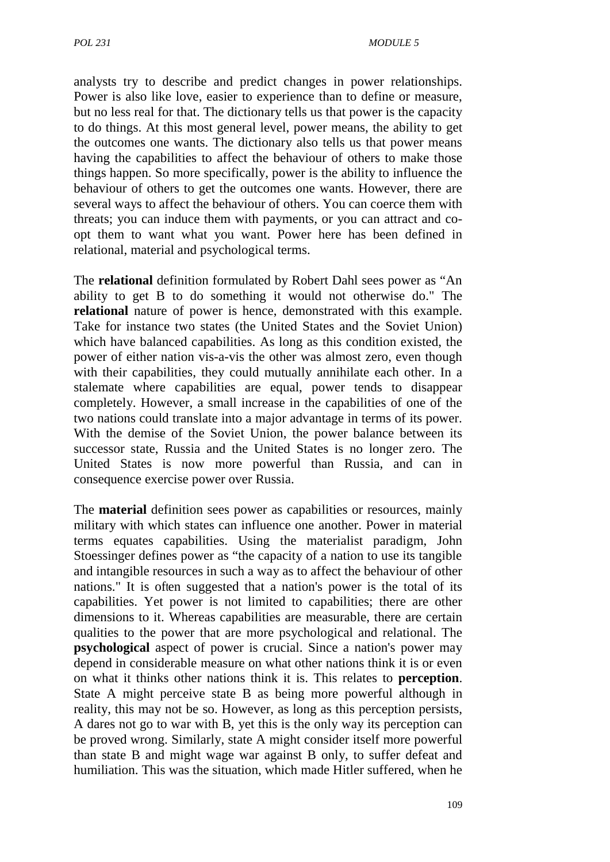analysts try to describe and predict changes in power relationships. Power is also like love, easier to experience than to define or measure, but no less real for that. The dictionary tells us that power is the capacity to do things. At this most general level, power means, the ability to get the outcomes one wants. The dictionary also tells us that power means having the capabilities to affect the behaviour of others to make those things happen. So more specifically, power is the ability to influence the behaviour of others to get the outcomes one wants. However, there are several ways to affect the behaviour of others. You can coerce them with threats; you can induce them with payments, or you can attract and co opt them to want what you want. Power here has been defined in relational, material and psychological terms.

The **relational** definition formulated by Robert Dahl sees power as "An ability to get B to do something it would not otherwise do." The **relational** nature of power is hence, demonstrated with this example. Take for instance two states (the United States and the Soviet Union) which have balanced capabilities. As long as this condition existed, the power of either nation vis-a-vis the other was almost zero, even though with their capabilities, they could mutually annihilate each other. In a stalemate where capabilities are equal, power tends to disappear completely. However, a small increase in the capabilities of one of the two nations could translate into a major advantage in terms of its power. With the demise of the Soviet Union, the power balance between its successor state, Russia and the United States is no longer zero. The United States is now more powerful than Russia, and can in consequence exercise power over Russia.

The **material** definition sees power as capabilities or resources, mainly military with which states can influence one another. Power in material terms equates capabilities. Using the materialist paradigm, John Stoessinger defines power as "the capacity of a nation to use its tangible and intangible resources in such a way as to affect the behaviour of other nations." It is often suggested that a nation's power is the total of its capabilities. Yet power is not limited to capabilities; there are other dimensions to it. Whereas capabilities are measurable, there are certain qualities to the power that are more psychological and relational. The **psychological** aspect of power is crucial. Since a nation's power may depend in considerable measure on what other nations think it is or even on what it thinks other nations think it is. This relates to **perception**. State A might perceive state B as being more powerful although in reality, this may not be so. However, as long as this perception persists, A dares not go to war with B, yet this is the only way its perception can be proved wrong. Similarly, state A might consider itself more powerful than state B and might wage war against B only, to suffer defeat and humiliation. This was the situation, which made Hitler suffered, when he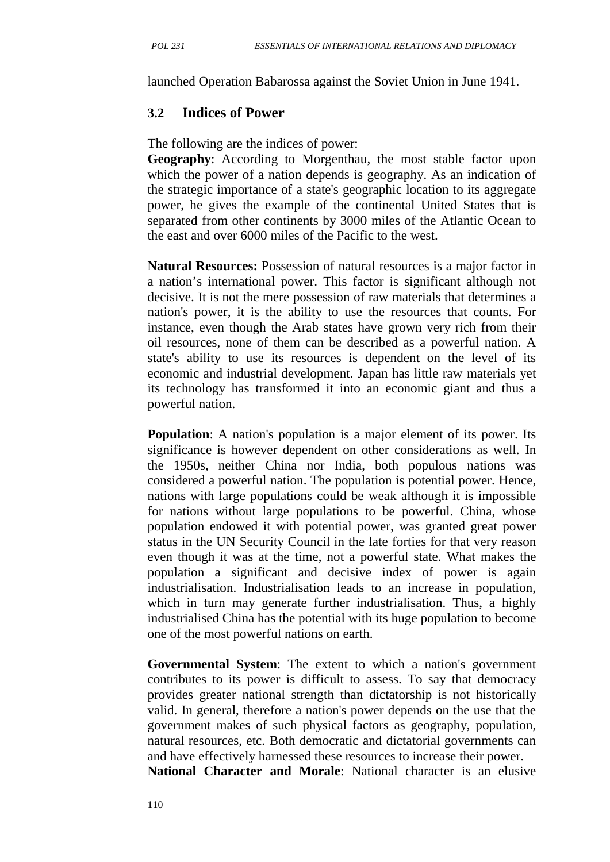launched Operation Babarossa against the Soviet Union in June 1941.

#### **3.2 Indices of Power**

The following are the indices of power:

**Geography**: According to Morgenthau, the most stable factor upon which the power of a nation depends is geography. As an indication of the strategic importance of a state's geographic location to its aggregate power, he gives the example of the continental United States that is separated from other continents by 3000 miles of the Atlantic Ocean to the east and over 6000 miles of the Pacific to the west.

**Natural Resources:** Possession of natural resources is a major factor in a nation's international power. This factor is significant although not decisive. It is not the mere possession of raw materials that determines a nation's power, it is the ability to use the resources that counts. For instance, even though the Arab states have grown very rich from their oil resources, none of them can be described as a powerful nation. A state's ability to use its resources is dependent on the level of its economic and industrial development. Japan has little raw materials yet its technology has transformed it into an economic giant and thus a powerful nation.

**Population**: A nation's population is a major element of its power. Its significance is however dependent on other considerations as well. In the 1950s, neither China nor India, both populous nations was considered a powerful nation. The population is potential power. Hence, nations with large populations could be weak although it is impossible for nations without large populations to be powerful. China, whose population endowed it with potential power, was granted great power status in the UN Security Council in the late forties for that very reason even though it was at the time, not a powerful state. What makes the population a significant and decisive index of power is again industrialisation. Industrialisation leads to an increase in population, which in turn may generate further industrialisation. Thus, a highly industrialised China has the potential with its huge population to become one of the most powerful nations on earth.

**Governmental System**: The extent to which a nation's government contributes to its power is difficult to assess. To say that democracy provides greater national strength than dictatorship is not historically valid. In general, therefore a nation's power depends on the use that the government makes of such physical factors as geography, population, natural resources, etc. Both democratic and dictatorial governments can and have effectively harnessed these resources to increase their power.

**National Character and Morale**: National character is an elusive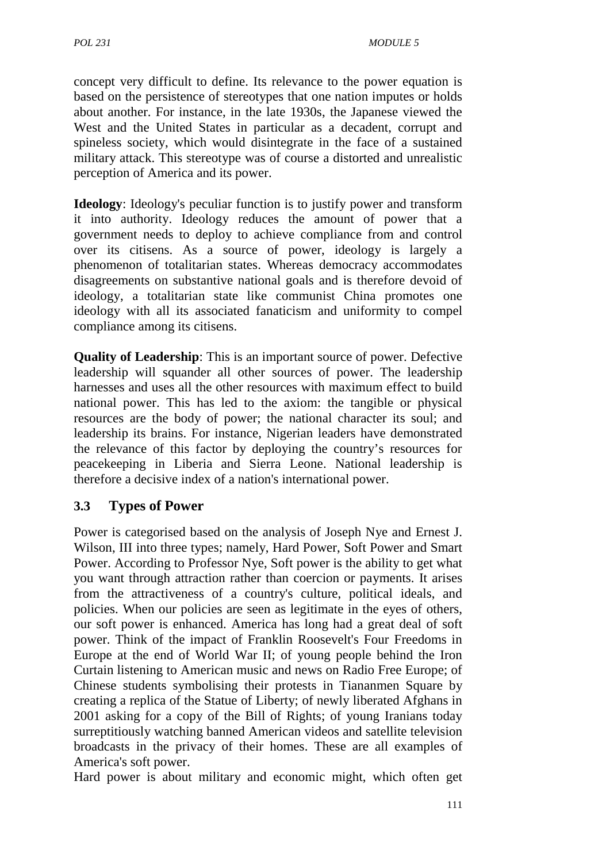concept very difficult to define. Its relevance to the power equation is based on the persistence of stereotypes that one nation imputes or holds about another. For instance, in the late 1930s, the Japanese viewed the West and the United States in particular as a decadent, corrupt and spineless society, which would disintegrate in the face of a sustained military attack. This stereotype was of course a distorted and unrealistic perception of America and its power.

**Ideology**: Ideology's peculiar function is to justify power and transform it into authority. Ideology reduces the amount of power that a government needs to deploy to achieve compliance from and control over its citisens. As a source of power, ideology is largely a phenomenon of totalitarian states. Whereas democracy accommodates disagreements on substantive national goals and is therefore devoid of ideology, a totalitarian state like communist China promotes one ideology with all its associated fanaticism and uniformity to compel compliance among its citisens.

**Quality of Leadership**: This is an important source of power. Defective leadership will squander all other sources of power. The leadership harnesses and uses all the other resources with maximum effect to build national power. This has led to the axiom: the tangible or physical resources are the body of power; the national character its soul; and leadership its brains. For instance, Nigerian leaders have demonstrated the relevance of this factor by deploying the country's resources for peacekeeping in Liberia and Sierra Leone. National leadership is therefore a decisive index of a nation's international power.

## **3.3 Types of Power**

Power is categorised based on the analysis of Joseph Nye and Ernest J. Wilson, III into three types; namely, Hard Power, Soft Power and Smart Power. According to Professor Nye, Soft power is the ability to get what you want through attraction rather than coercion or payments. It arises from the attractiveness of a country's culture, political ideals, and policies. When our policies are seen as legitimate in the eyes of others, our soft power is enhanced. America has long had a great deal of soft power. Think of the impact of Franklin Roosevelt's Four Freedoms in Europe at the end of World War II; of young people behind the Iron Curtain listening to American music and news on Radio Free Europe; of Chinese students symbolising their protests in Tiananmen Square by creating a replica of the Statue of Liberty; of newly liberated Afghans in 2001 asking for a copy of the Bill of Rights; of young Iranians today surreptitiously watching banned American videos and satellite television broadcasts in the privacy of their homes. These are all examples of America's soft power.

Hard power is about military and economic might, which often get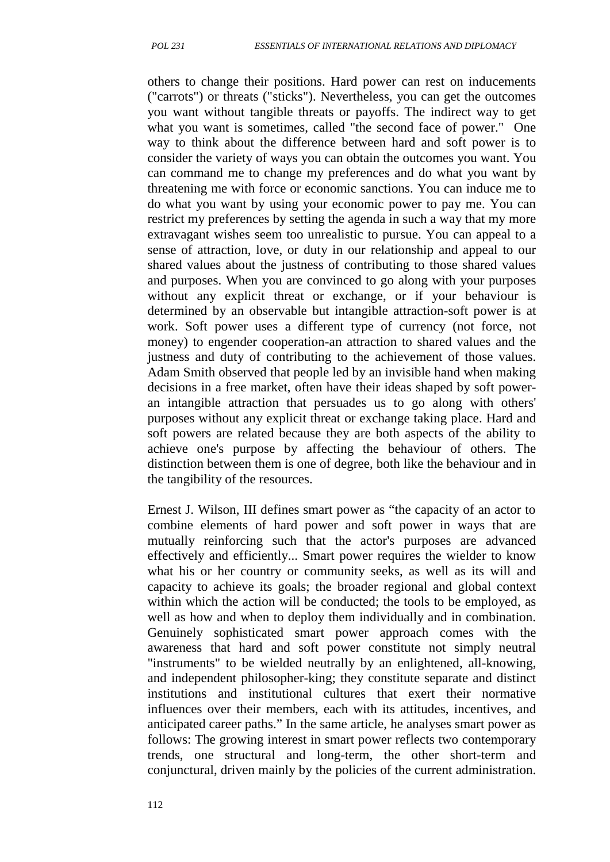others to change their positions. Hard power can rest on inducements ("carrots") or threats ("sticks"). Nevertheless, you can get the outcomes you want without tangible threats or payoffs. The indirect way to get what you want is sometimes, called "the second face of power." One way to think about the difference between hard and soft power is to consider the variety of ways you can obtain the outcomes you want. You can command me to change my preferences and do what you want by threatening me with force or economic sanctions. You can induce me to do what you want by using your economic power to pay me. You can restrict my preferences by setting the agenda in such a way that my more extravagant wishes seem too unrealistic to pursue. You can appeal to a sense of attraction, love, or duty in our relationship and appeal to our shared values about the justness of contributing to those shared values and purposes. When you are convinced to go along with your purposes without any explicit threat or exchange, or if your behaviour is determined by an observable but intangible attraction-soft power is at work. Soft power uses a different type of currency (not force, not money) to engender cooperation-an attraction to shared values and the justness and duty of contributing to the achievement of those values. Adam Smith observed that people led by an invisible hand when making decisions in a free market, often have their ideas shaped by soft power an intangible attraction that persuades us to go along with others' purposes without any explicit threat or exchange taking place. Hard and soft powers are related because they are both aspects of the ability to achieve one's purpose by affecting the behaviour of others. The distinction between them is one of degree, both like the behaviour and in the tangibility of the resources.

Ernest J. Wilson, III defines smart power as "the capacity of an actor to combine elements of hard power and soft power in ways that are mutually reinforcing such that the actor's purposes are advanced effectively and efficiently... Smart power requires the wielder to know what his or her country or community seeks, as well as its will and capacity to achieve its goals; the broader regional and global context within which the action will be conducted; the tools to be employed, as well as how and when to deploy them individually and in combination. Genuinely sophisticated smart power approach comes with the awareness that hard and soft power constitute not simply neutral "instruments" to be wielded neutrally by an enlightened, all-knowing, and independent philosopher-king; they constitute separate and distinct institutions and institutional cultures that exert their normative influences over their members, each with its attitudes, incentives, and anticipated career paths." In the same article, he analyses smart power as follows: The growing interest in smart power reflects two contemporary trends, one structural and long-term, the other short-term and conjunctural, driven mainly by the policies of the current administration.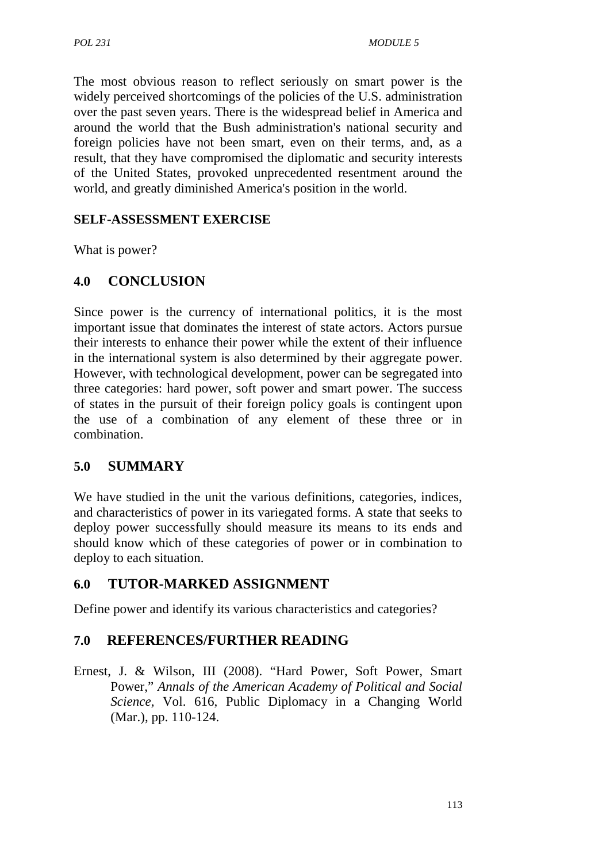The most obvious reason to reflect seriously on smart power is the widely perceived shortcomings of the policies of the U.S. administration over the past seven years. There is the widespread belief in America and around the world that the Bush administration's national security and foreign policies have not been smart, even on their terms, and, as a result, that they have compromised the diplomatic and security interests of the United States, provoked unprecedented resentment around the world, and greatly diminished America's position in the world.

## **SELF-ASSESSMENT EXERCISE**

What is power?

## **4.0 CONCLUSION**

Since power is the currency of international politics, it is the most important issue that dominates the interest of state actors. Actors pursue their interests to enhance their power while the extent of their influence in the international system is also determined by their aggregate power. However, with technological development, power can be segregated into three categories: hard power, soft power and smart power. The success of states in the pursuit of their foreign policy goals is contingent upon the use of a combination of any element of these three or in combination.

## **5.0 SUMMARY**

We have studied in the unit the various definitions, categories, indices, and characteristics of power in its variegated forms. A state that seeks to deploy power successfully should measure its means to its ends and should know which of these categories of power or in combination to deploy to each situation.

## **6.0 TUTOR-MARKED ASSIGNMENT**

Define power and identify its various characteristics and categories?

## **7.0 REFERENCES/FURTHER READING**

Ernest, J. & Wilson, III (2008). "Hard Power, Soft Power, Smart Power," *Annals of the American Academy of Political and Social Science,* Vol. 616, Public Diplomacy in a Changing World (Mar.), pp. 110-124.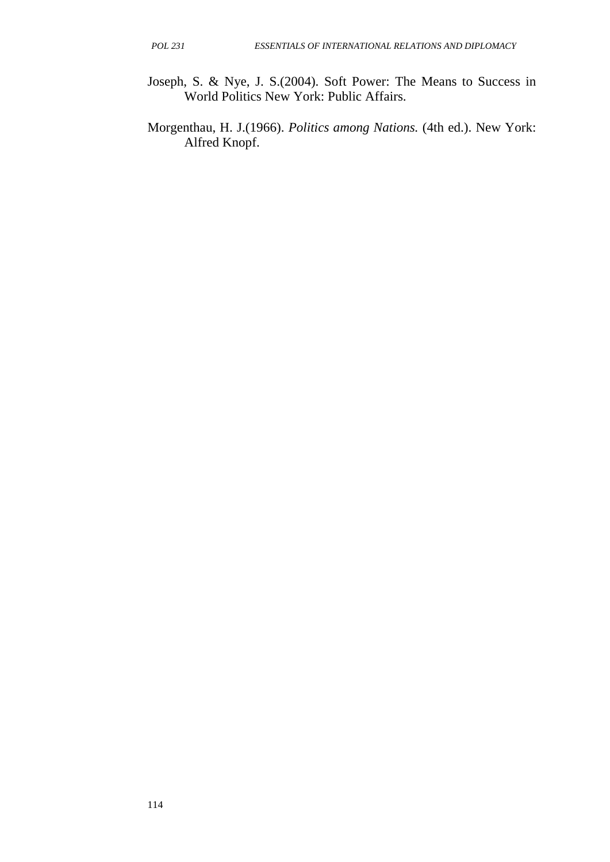- Joseph, S. & Nye, J. S.(2004). Soft Power: The Means to Success in World Politics New York: Public Affairs.
- Morgenthau, H. J.(1966). *Politics among Nations.* (4th ed.). New York: Alfred Knopf.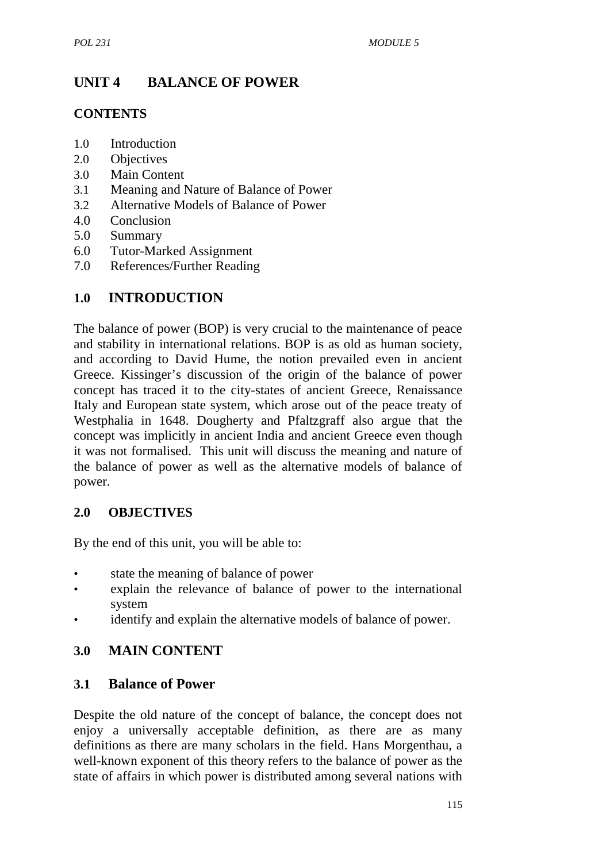# **UNIT 4 BALANCE OF POWER**

### **CONTENTS**

- 1.0 Introduction
- 2.0 Objectives
- 3.0 Main Content
- 3.1 Meaning and Nature of Balance of Power
- 3.2 Alternative Models of Balance of Power
- 4.0 Conclusion
- 5.0 Summary
- 6.0 Tutor-Marked Assignment
- 7.0 References/Further Reading

## **1.0 INTRODUCTION**

The balance of power (BOP) is very crucial to the maintenance of peace and stability in international relations. BOP is as old as human society, and according to David Hume, the notion prevailed even in ancient Greece. Kissinger's discussion of the origin of the balance of power concept has traced it to the city-states of ancient Greece, Renaissance Italy and European state system, which arose out of the peace treaty of Westphalia in 1648. Dougherty and Pfaltzgraff also argue that the concept was implicitly in ancient India and ancient Greece even though it was not formalised. This unit will discuss the meaning and nature of the balance of power as well as the alternative models of balance of power.

#### **2.0 OBJECTIVES**

By the end of this unit, you will be able to:

- state the meaning of balance of power
- explain the relevance of balance of power to the international system
- identify and explain the alternative models of balance of power.

## **3.0 MAIN CONTENT**

#### **3.1 Balance of Power**

Despite the old nature of the concept of balance, the concept does not enjoy a universally acceptable definition, as there are as many definitions as there are many scholars in the field. Hans Morgenthau, a well-known exponent of this theory refers to the balance of power as the state of affairs in which power is distributed among several nations with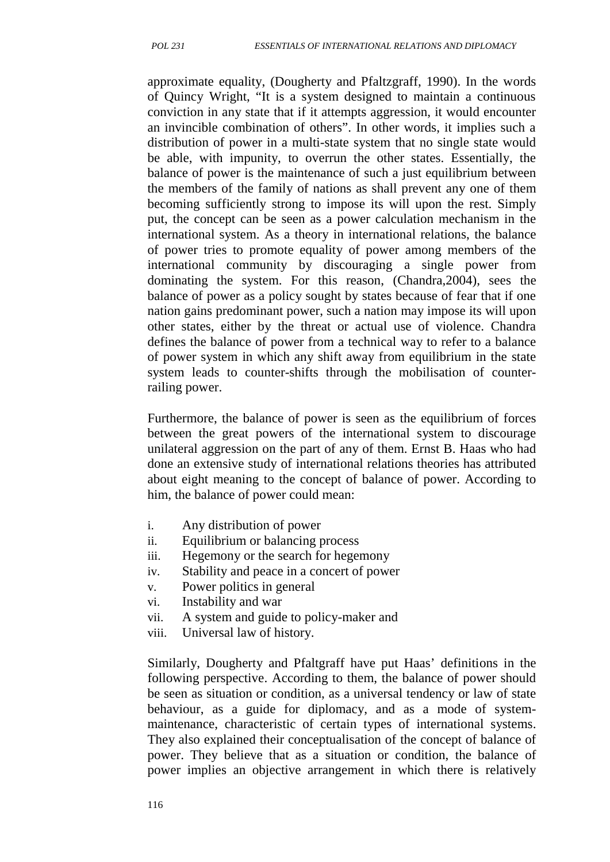approximate equality, (Dougherty and Pfaltzgraff, 1990). In the words of Quincy Wright, "It is a system designed to maintain a continuous conviction in any state that if it attempts aggression, it would encounter an invincible combination of others". In other words, it implies such a distribution of power in a multi-state system that no single state would be able, with impunity, to overrun the other states. Essentially, the balance of power is the maintenance of such a just equilibrium between the members of the family of nations as shall prevent any one of them becoming sufficiently strong to impose its will upon the rest. Simply put, the concept can be seen as a power calculation mechanism in the international system. As a theory in international relations, the balance of power tries to promote equality of power among members of the international community by discouraging a single power from dominating the system. For this reason, (Chandra,2004), sees the balance of power as a policy sought by states because of fear that if one nation gains predominant power, such a nation may impose its will upon other states, either by the threat or actual use of violence. Chandra defines the balance of power from a technical way to refer to a balance of power system in which any shift away from equilibrium in the state system leads to counter-shifts through the mobilisation of counterrailing power.

Furthermore, the balance of power is seen as the equilibrium of forces between the great powers of the international system to discourage unilateral aggression on the part of any of them. Ernst B. Haas who had done an extensive study of international relations theories has attributed about eight meaning to the concept of balance of power. According to him, the balance of power could mean:

- i. Any distribution of power
- ii. Equilibrium or balancing process
- iii. Hegemony or the search for hegemony
- iv. Stability and peace in a concert of power
- v. Power politics in general
- vi. Instability and war
- vii. A system and guide to policy-maker and
- viii. Universal law of history.

Similarly, Dougherty and Pfaltgraff have put Haas' definitions in the following perspective. According to them, the balance of power should be seen as situation or condition, as a universal tendency or law of state behaviour, as a guide for diplomacy, and as a mode of system maintenance, characteristic of certain types of international systems. They also explained their conceptualisation of the concept of balance of power. They believe that as a situation or condition, the balance of power implies an objective arrangement in which there is relatively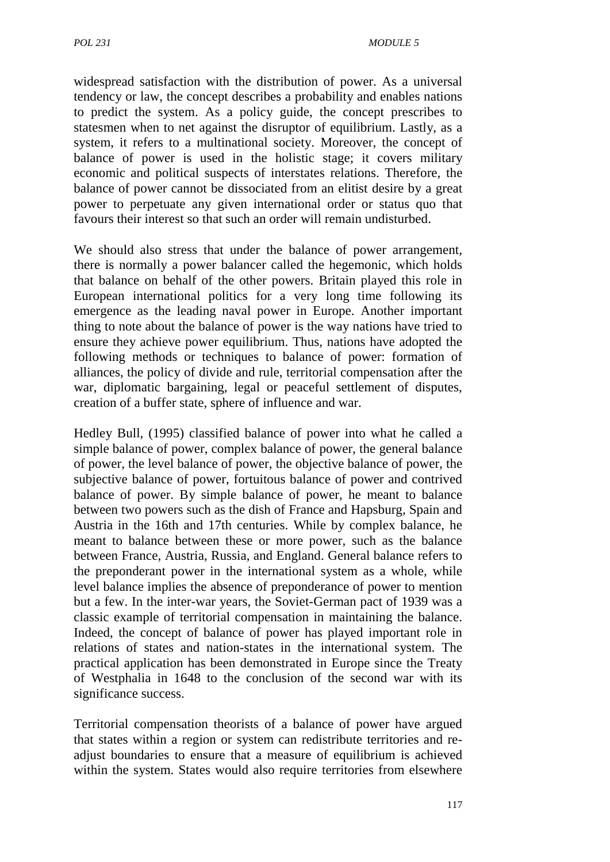widespread satisfaction with the distribution of power. As a universal tendency or law, the concept describes a probability and enables nations to predict the system. As a policy guide, the concept prescribes to statesmen when to net against the disruptor of equilibrium. Lastly, as a system, it refers to a multinational society. Moreover, the concept of balance of power is used in the holistic stage; it covers military economic and political suspects of interstates relations. Therefore, the balance of power cannot be dissociated from an elitist desire by a great power to perpetuate any given international order or status quo that favours their interest so that such an order will remain undisturbed.

We should also stress that under the balance of power arrangement, there is normally a power balancer called the hegemonic, which holds that balance on behalf of the other powers. Britain played this role in European international politics for a very long time following its emergence as the leading naval power in Europe. Another important thing to note about the balance of power is the way nations have tried to ensure they achieve power equilibrium. Thus, nations have adopted the following methods or techniques to balance of power: formation of alliances, the policy of divide and rule, territorial compensation after the war, diplomatic bargaining, legal or peaceful settlement of disputes, creation of a buffer state, sphere of influence and war.

Hedley Bull, (1995) classified balance of power into what he called a simple balance of power, complex balance of power, the general balance of power, the level balance of power, the objective balance of power, the subjective balance of power, fortuitous balance of power and contrived balance of power. By simple balance of power, he meant to balance between two powers such as the dish of France and Hapsburg, Spain and Austria in the 16th and 17th centuries. While by complex balance, he meant to balance between these or more power, such as the balance between France, Austria, Russia, and England. General balance refers to the preponderant power in the international system as a whole, while level balance implies the absence of preponderance of power to mention but a few. In the inter-war years, the Soviet-German pact of 1939 was a classic example of territorial compensation in maintaining the balance. Indeed, the concept of balance of power has played important role in relations of states and nation-states in the international system. The practical application has been demonstrated in Europe since the Treaty of Westphalia in 1648 to the conclusion of the second war with its significance success.

Territorial compensation theorists of a balance of power have argued that states within a region or system can redistribute territories and re adjust boundaries to ensure that a measure of equilibrium is achieved within the system. States would also require territories from elsewhere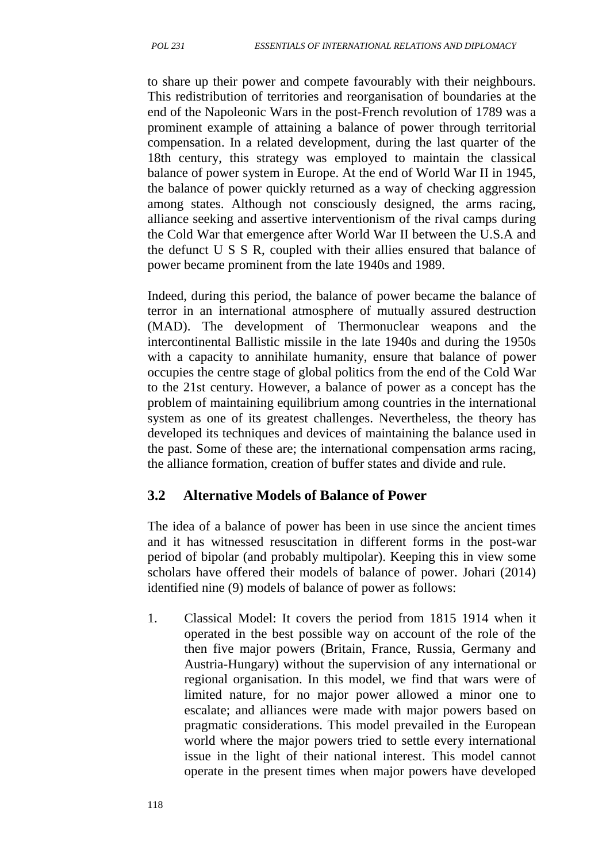to share up their power and compete favourably with their neighbours. This redistribution of territories and reorganisation of boundaries at the end of the Napoleonic Wars in the post-French revolution of 1789 was a prominent example of attaining a balance of power through territorial compensation. In a related development, during the last quarter of the 18th century, this strategy was employed to maintain the classical balance of power system in Europe. At the end of World War II in 1945, the balance of power quickly returned as a way of checking aggression among states. Although not consciously designed, the arms racing, alliance seeking and assertive interventionism of the rival camps during the Cold War that emergence after World War II between the U.S.A and the defunct U S S R, coupled with their allies ensured that balance of power became prominent from the late 1940s and 1989.

Indeed, during this period, the balance of power became the balance of terror in an international atmosphere of mutually assured destruction (MAD). The development of Thermonuclear weapons and the intercontinental Ballistic missile in the late 1940s and during the 1950s with a capacity to annihilate humanity, ensure that balance of power occupies the centre stage of global politics from the end of the Cold War to the 21st century. However, a balance of power as a concept has the problem of maintaining equilibrium among countries in the international system as one of its greatest challenges. Nevertheless, the theory has developed its techniques and devices of maintaining the balance used in the past. Some of these are; the international compensation arms racing, the alliance formation, creation of buffer states and divide and rule.

## **3.2 Alternative Models of Balance of Power**

The idea of a balance of power has been in use since the ancient times and it has witnessed resuscitation in different forms in the post-war period of bipolar (and probably multipolar). Keeping this in view some scholars have offered their models of balance of power. Johari (2014) identified nine (9) models of balance of power as follows:

1. Classical Model: It covers the period from 1815 1914 when it operated in the best possible way on account of the role of the then five major powers (Britain, France, Russia, Germany and Austria-Hungary) without the supervision of any international or regional organisation. In this model, we find that wars were of limited nature, for no major power allowed a minor one to escalate; and alliances were made with major powers based on pragmatic considerations. This model prevailed in the European world where the major powers tried to settle every international issue in the light of their national interest. This model cannot operate in the present times when major powers have developed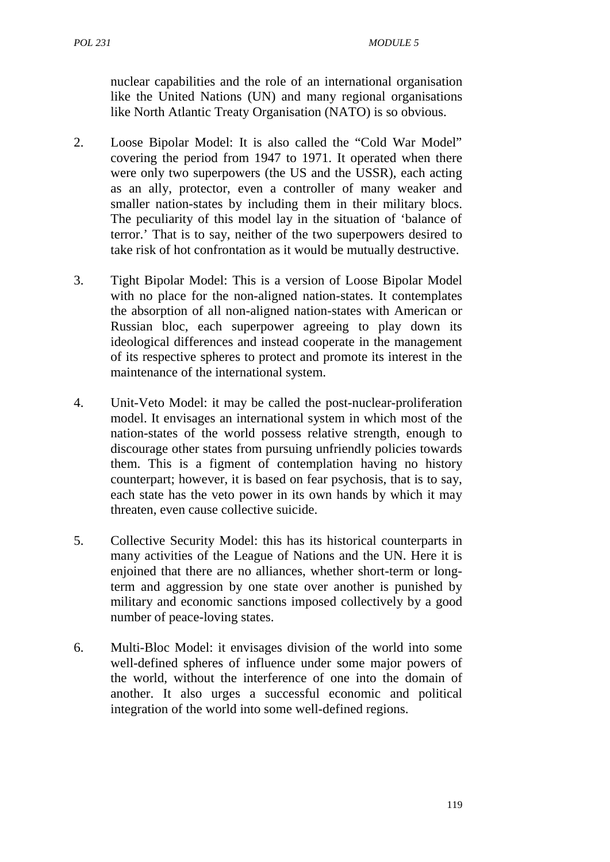nuclear capabilities and the role of an international organisation like the United Nations (UN) and many regional organisations like North Atlantic Treaty Organisation (NATO) is so obvious.

- 2. Loose Bipolar Model: It is also called the "Cold War Model" covering the period from 1947 to 1971. It operated when there were only two superpowers (the US and the USSR), each acting as an ally, protector, even a controller of many weaker and smaller nation-states by including them in their military blocs. The peculiarity of this model lay in the situation of 'balance of terror.' That is to say, neither of the two superpowers desired to take risk of hot confrontation as it would be mutually destructive.
- 3. Tight Bipolar Model: This is a version of Loose Bipolar Model with no place for the non-aligned nation-states. It contemplates the absorption of all non-aligned nation-states with American or Russian bloc, each superpower agreeing to play down its ideological differences and instead cooperate in the management of its respective spheres to protect and promote its interest in the maintenance of the international system.
- 4. Unit-Veto Model: it may be called the post-nuclear-proliferation model. It envisages an international system in which most of the nation-states of the world possess relative strength, enough to discourage other states from pursuing unfriendly policies towards them. This is a figment of contemplation having no history counterpart; however, it is based on fear psychosis, that is to say, each state has the veto power in its own hands by which it may threaten, even cause collective suicide.
- 5. Collective Security Model: this has its historical counterparts in many activities of the League of Nations and the UN. Here it is enjoined that there are no alliances, whether short-term or longterm and aggression by one state over another is punished by military and economic sanctions imposed collectively by a good number of peace-loving states.
- 6. Multi-Bloc Model: it envisages division of the world into some well-defined spheres of influence under some major powers of the world, without the interference of one into the domain of another. It also urges a successful economic and political integration of the world into some well-defined regions.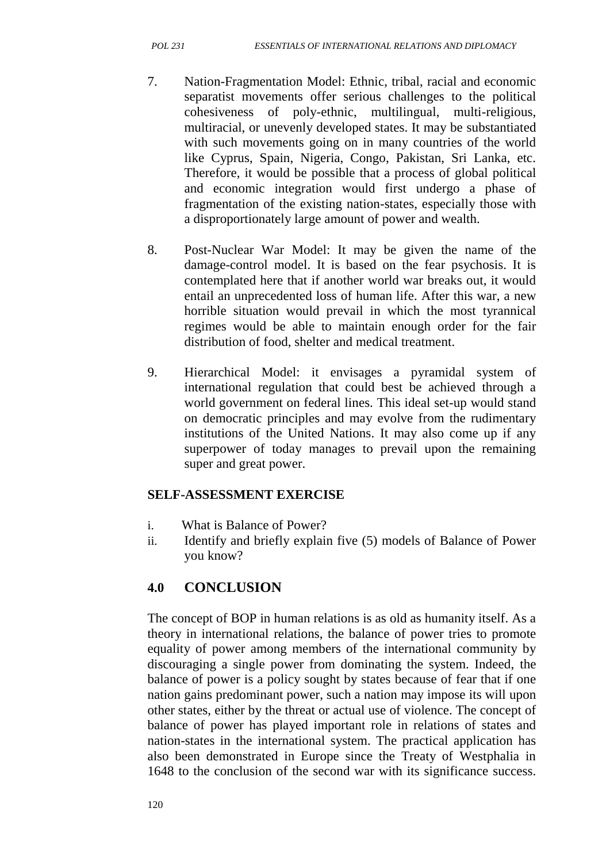- 7. Nation-Fragmentation Model: Ethnic, tribal, racial and economic separatist movements offer serious challenges to the political cohesiveness of poly-ethnic, multilingual, multi-religious, multiracial, or unevenly developed states. It may be substantiated with such movements going on in many countries of the world like Cyprus, Spain, Nigeria, Congo, Pakistan, Sri Lanka, etc. Therefore, it would be possible that a process of global political and economic integration would first undergo a phase of fragmentation of the existing nation-states, especially those with a disproportionately large amount of power and wealth.
- 8. Post-Nuclear War Model: It may be given the name of the damage-control model. It is based on the fear psychosis. It is contemplated here that if another world war breaks out, it would entail an unprecedented loss of human life. After this war, a new horrible situation would prevail in which the most tyrannical regimes would be able to maintain enough order for the fair distribution of food, shelter and medical treatment.
- 9. Hierarchical Model: it envisages a pyramidal system of international regulation that could best be achieved through a world government on federal lines. This ideal set-up would stand on democratic principles and may evolve from the rudimentary institutions of the United Nations. It may also come up if any superpower of today manages to prevail upon the remaining super and great power.

## **SELF-ASSESSMENT EXERCISE**

- i. What is Balance of Power?
- ii. Identify and briefly explain five (5) models of Balance of Power you know?

## **4.0 CONCLUSION**

The concept of BOP in human relations is as old as humanity itself. As a theory in international relations, the balance of power tries to promote equality of power among members of the international community by discouraging a single power from dominating the system. Indeed, the balance of power is a policy sought by states because of fear that if one nation gains predominant power, such a nation may impose its will upon other states, either by the threat or actual use of violence. The concept of balance of power has played important role in relations of states and nation-states in the international system. The practical application has also been demonstrated in Europe since the Treaty of Westphalia in 1648 to the conclusion of the second war with its significance success.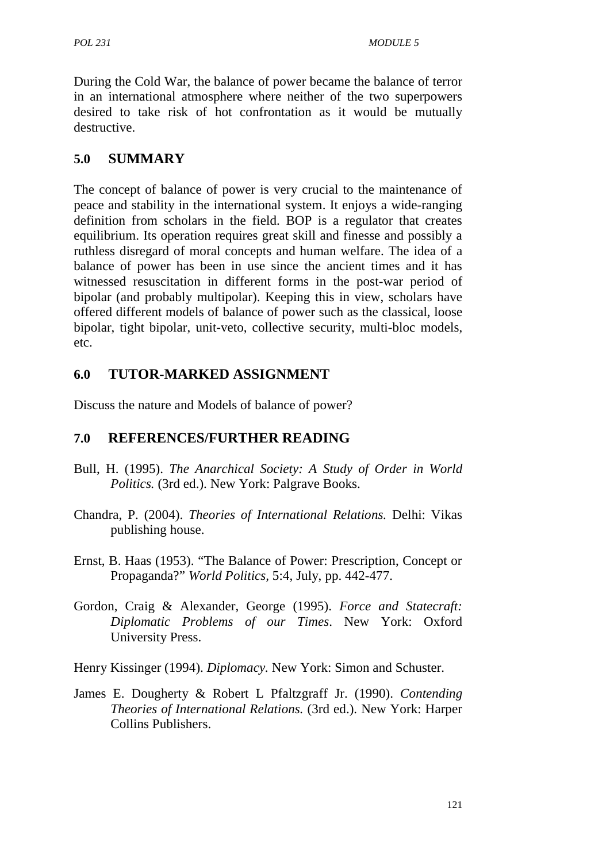During the Cold War, the balance of power became the balance of terror in an international atmosphere where neither of the two superpowers desired to take risk of hot confrontation as it would be mutually destructive.

## **5.0 SUMMARY**

The concept of balance of power is very crucial to the maintenance of peace and stability in the international system. It enjoys a wide-ranging definition from scholars in the field. BOP is a regulator that creates equilibrium. Its operation requires great skill and finesse and possibly a ruthless disregard of moral concepts and human welfare. The idea of a balance of power has been in use since the ancient times and it has witnessed resuscitation in different forms in the post-war period of bipolar (and probably multipolar). Keeping this in view, scholars have offered different models of balance of power such as the classical, loose bipolar, tight bipolar, unit-veto, collective security, multi-bloc models, etc.

## **6.0 TUTOR-MARKED ASSIGNMENT**

Discuss the nature and Models of balance of power?

# **7.0 REFERENCES/FURTHER READING**

- Bull, H. (1995). *The Anarchical Society: A Study of Order in World Politics.* (3rd ed.). New York: Palgrave Books.
- Chandra, P. (2004). *Theories of International Relations.* Delhi: Vikas publishing house.
- Ernst, B. Haas (1953). "The Balance of Power: Prescription, Concept or Propaganda?" *World Politics,* 5:4, July, pp. 442-477.
- Gordon, Craig & Alexander, George (1995). *Force and Statecraft: Diplomatic Problems of our Times*. New York: Oxford University Press.
- Henry Kissinger (1994). *Diplomacy.* New York: Simon and Schuster.
- James E. Dougherty & Robert L Pfaltzgraff Jr. (1990). *Contending Theories of International Relations.* (3rd ed.). New York: Harper Collins Publishers.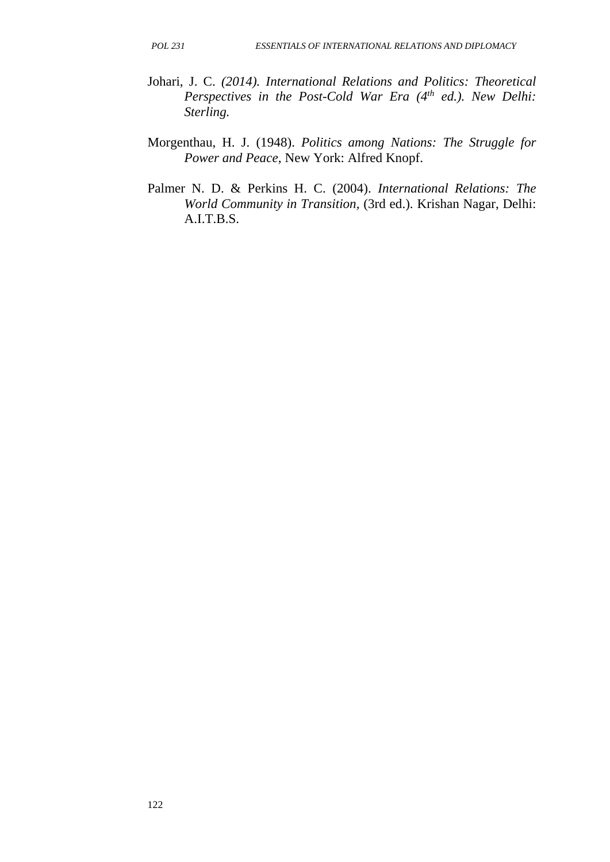- Johari, J. C. *(2014). International Relations and Politics: Theoretical Perspectives in the Post-Cold War Era (4th ed.). New Delhi: Sterling.*
- Morgenthau, H. J. (1948). *Politics among Nations: The Struggle for Power and Peace,* New York: Alfred Knopf.
- Palmer N. D. & Perkins H. C. (2004). *International Relations: The World Community in Transition,* (3rd ed.). Krishan Nagar, Delhi: A.I.T.B.S.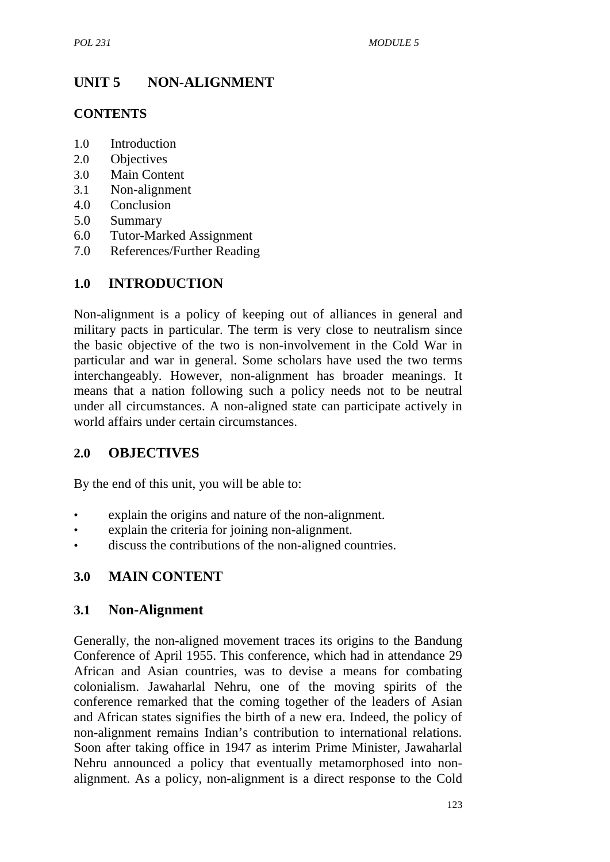# **UNIT 5 NON-ALIGNMENT**

#### **CONTENTS**

- 1.0 Introduction
- 2.0 Objectives
- 3.0 Main Content
- 3.1 Non-alignment
- 4.0 Conclusion
- 5.0 Summary
- 6.0 Tutor-Marked Assignment
- 7.0 References/Further Reading

## **1.0 INTRODUCTION**

Non-alignment is a policy of keeping out of alliances in general and military pacts in particular. The term is very close to neutralism since the basic objective of the two is non-involvement in the Cold War in particular and war in general. Some scholars have used the two terms interchangeably. However, non-alignment has broader meanings. It means that a nation following such a policy needs not to be neutral under all circumstances. A non-aligned state can participate actively in world affairs under certain circumstances.

## **2.0 OBJECTIVES**

By the end of this unit, you will be able to:

- explain the origins and nature of the non-alignment.
- explain the criteria for joining non-alignment.
- discuss the contributions of the non-aligned countries.

#### **3.0 MAIN CONTENT**

#### **3.1 Non-Alignment**

Generally, the non-aligned movement traces its origins to the Bandung Conference of April 1955. This conference, which had in attendance 29 African and Asian countries, was to devise a means for combating colonialism. Jawaharlal Nehru, one of the moving spirits of the conference remarked that the coming together of the leaders of Asian and African states signifies the birth of a new era. Indeed, the policy of non-alignment remains Indian's contribution to international relations. Soon after taking office in 1947 as interim Prime Minister, Jawaharlal Nehru announced a policy that eventually metamorphosed into non alignment. As a policy, non-alignment is a direct response to the Cold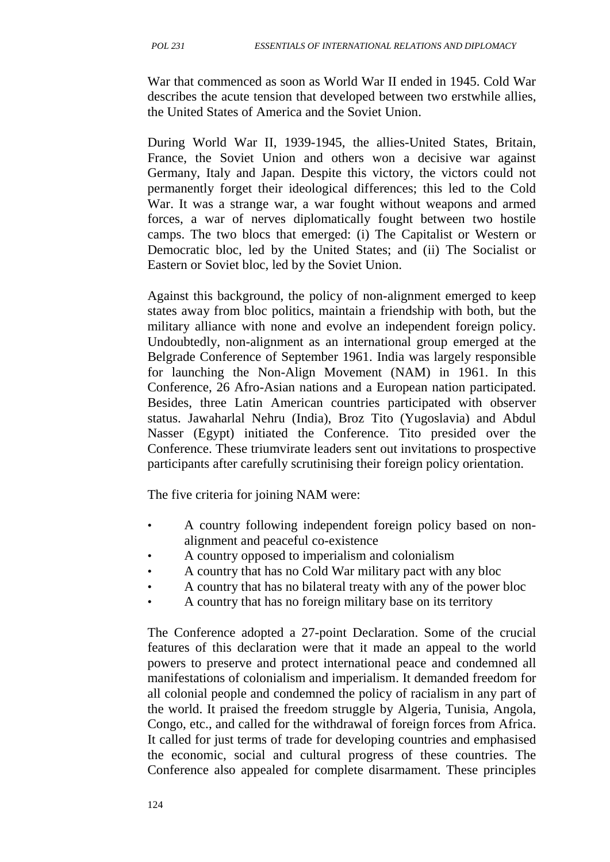War that commenced as soon as World War II ended in 1945. Cold War describes the acute tension that developed between two erstwhile allies, the United States of America and the Soviet Union.

During World War II, 1939-1945, the allies-United States, Britain, France, the Soviet Union and others won a decisive war against Germany, Italy and Japan. Despite this victory, the victors could not permanently forget their ideological differences; this led to the Cold War. It was a strange war, a war fought without weapons and armed forces, a war of nerves diplomatically fought between two hostile camps. The two blocs that emerged: (i) The Capitalist or Western or Democratic bloc, led by the United States; and (ii) The Socialist or Eastern or Soviet bloc, led by the Soviet Union.

Against this background, the policy of non-alignment emerged to keep states away from bloc politics, maintain a friendship with both, but the military alliance with none and evolve an independent foreign policy. Undoubtedly, non-alignment as an international group emerged at the Belgrade Conference of September 1961. India was largely responsible for launching the Non-Align Movement (NAM) in 1961. In this Conference, 26 Afro-Asian nations and a European nation participated. Besides, three Latin American countries participated with observer status. Jawaharlal Nehru (India), Broz Tito (Yugoslavia) and Abdul Nasser (Egypt) initiated the Conference. Tito presided over the Conference. These triumvirate leaders sent out invitations to prospective participants after carefully scrutinising their foreign policy orientation.

The five criteria for joining NAM were:

- A country following independent foreign policy based on non alignment and peaceful co-existence
- A country opposed to imperialism and colonialism
- A country that has no Cold War military pact with any bloc
- A country that has no bilateral treaty with any of the power bloc
- A country that has no foreign military base on its territory

The Conference adopted a 27-point Declaration. Some of the crucial features of this declaration were that it made an appeal to the world powers to preserve and protect international peace and condemned all manifestations of colonialism and imperialism. It demanded freedom for all colonial people and condemned the policy of racialism in any part of the world. It praised the freedom struggle by Algeria, Tunisia, Angola, Congo, etc., and called for the withdrawal of foreign forces from Africa. It called for just terms of trade for developing countries and emphasised the economic, social and cultural progress of these countries. The Conference also appealed for complete disarmament. These principles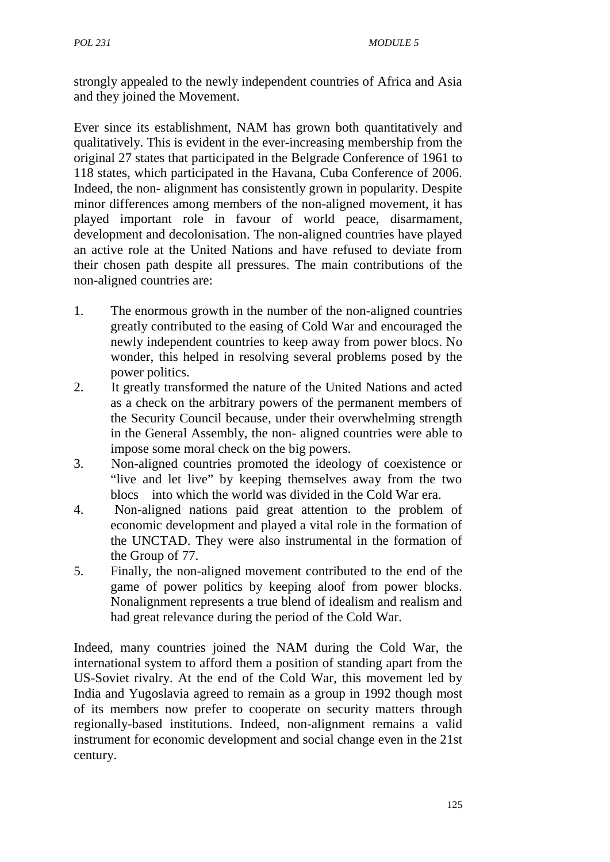strongly appealed to the newly independent countries of Africa and Asia and they joined the Movement.

Ever since its establishment, NAM has grown both quantitatively and qualitatively. This is evident in the ever-increasing membership from the original 27 states that participated in the Belgrade Conference of 1961 to 118 states, which participated in the Havana, Cuba Conference of 2006. Indeed, the non- alignment has consistently grown in popularity. Despite minor differences among members of the non-aligned movement, it has played important role in favour of world peace, disarmament, development and decolonisation. The non-aligned countries have played an active role at the United Nations and have refused to deviate from their chosen path despite all pressures. The main contributions of the non-aligned countries are:

- 1. The enormous growth in the number of the non-aligned countries greatly contributed to the easing of Cold War and encouraged the newly independent countries to keep away from power blocs. No wonder, this helped in resolving several problems posed by the power politics.
- 2. It greatly transformed the nature of the United Nations and acted as a check on the arbitrary powers of the permanent members of the Security Council because, under their overwhelming strength in the General Assembly, the non- aligned countries were able to impose some moral check on the big powers.
- 3. Non-aligned countries promoted the ideology of coexistence or "live and let live" by keeping themselves away from the two blocs into which the world was divided in the Cold War era.
- 4. Non-aligned nations paid great attention to the problem of economic development and played a vital role in the formation of the UNCTAD. They were also instrumental in the formation of the Group of 77.
- 5. Finally, the non-aligned movement contributed to the end of the game of power politics by keeping aloof from power blocks. Nonalignment represents a true blend of idealism and realism and had great relevance during the period of the Cold War.

Indeed, many countries joined the NAM during the Cold War, the international system to afford them a position of standing apart from the US-Soviet rivalry. At the end of the Cold War, this movement led by India and Yugoslavia agreed to remain as a group in 1992 though most of its members now prefer to cooperate on security matters through regionally-based institutions. Indeed, non-alignment remains a valid instrument for economic development and social change even in the 21st century.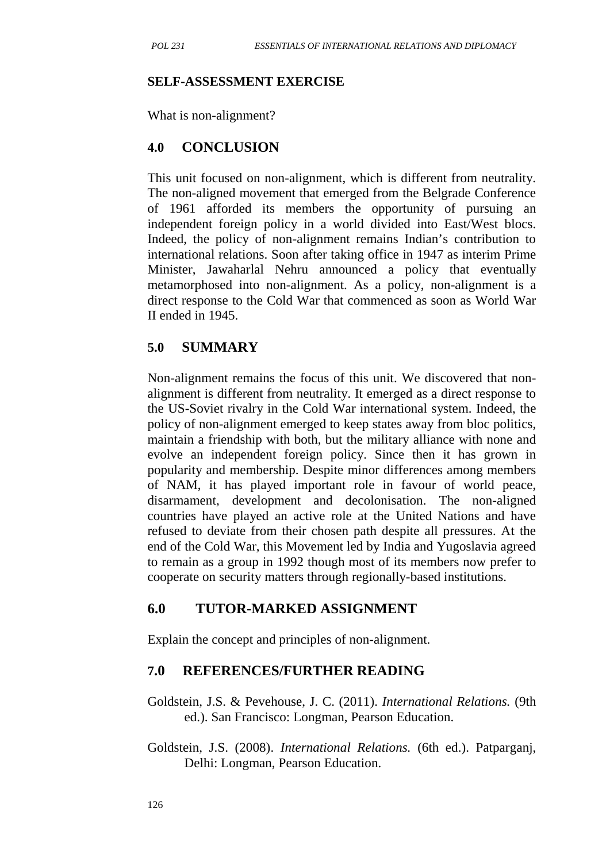#### **SELF-ASSESSMENT EXERCISE**

What is non-alignment?

#### **4.0 CONCLUSION**

This unit focused on non-alignment, which is different from neutrality. The non-aligned movement that emerged from the Belgrade Conference of 1961 afforded its members the opportunity of pursuing an independent foreign policy in a world divided into East/West blocs. Indeed, the policy of non-alignment remains Indian's contribution to international relations. Soon after taking office in 1947 as interim Prime Minister, Jawaharlal Nehru announced a policy that eventually metamorphosed into non-alignment. As a policy, non-alignment is a direct response to the Cold War that commenced as soon as World War II ended in 1945.

#### **5.0 SUMMARY**

Non-alignment remains the focus of this unit. We discovered that non alignment is different from neutrality. It emerged as a direct response to the US-Soviet rivalry in the Cold War international system. Indeed, the policy of non-alignment emerged to keep states away from bloc politics, maintain a friendship with both, but the military alliance with none and evolve an independent foreign policy. Since then it has grown in popularity and membership. Despite minor differences among members of NAM, it has played important role in favour of world peace, disarmament, development and decolonisation. The non-aligned countries have played an active role at the United Nations and have refused to deviate from their chosen path despite all pressures. At the end of the Cold War, this Movement led by India and Yugoslavia agreed to remain as a group in 1992 though most of its members now prefer to cooperate on security matters through regionally-based institutions.

## **6.0 TUTOR-MARKED ASSIGNMENT**

Explain the concept and principles of non-alignment.

## **7.0 REFERENCES/FURTHER READING**

- Goldstein, J.S. & Pevehouse, J. C. (2011). *International Relations.* (9th ed.). San Francisco: Longman, Pearson Education.
- Goldstein, J.S. (2008). *International Relations.* (6th ed.). Patparganj, Delhi: Longman, Pearson Education.